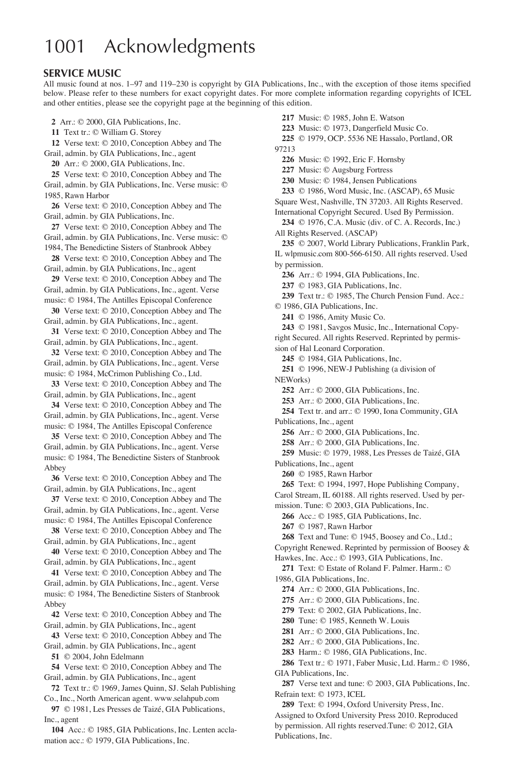### 1001 Acknowledgments

#### **SERVICE MUSIC**

All music found at nos. 1–97 and 119–230 is copyright by GIA Publications, Inc., with the exception of those items specified below. Please refer to these numbers for exact copyright dates. For more complete information regarding copyrights of ICEL and other entities, please see the copyright page at the beginning of this edition.

**2** Arr.: © 2000, GIA Publications, Inc.

**11** Text tr.: © William G. Storey

**12** Verse text: © 2010, Conception Abbey and The

Grail, admin. by GIA Publications, Inc., agent

**20** Arr.: © 2000, GIA Publications, Inc.

**25** Verse text: © 2010, Conception Abbey and The Grail, admin. by GIA Publications, Inc. Verse music: © 1985, Rawn Harbor

**26** Verse text: © 2010, Conception Abbey and The Grail, admin. by GIA Publications, Inc.

**27** Verse text: © 2010, Conception Abbey and The Grail, admin. by GIA Publications, Inc. Verse music: © 1984, The Benedictine Sisters of Stanbrook Abbey

**28** Verse text: © 2010, Conception Abbey and The Grail, admin. by GIA Publications, Inc., agent

**29** Verse text: © 2010, Conception Abbey and The Grail, admin. by GIA Publications, Inc., agent. Verse

music: © 1984, The Antilles Episcopal Conference

**30** Verse text: © 2010, Conception Abbey and The Grail, admin. by GIA Publications, Inc., agent.

**31** Verse text: © 2010, Conception Abbey and The Grail, admin. by GIA Publications, Inc., agent.

**32** Verse text: © 2010, Conception Abbey and The Grail, admin. by GIA Publications, Inc., agent. Verse music: © 1984, McCrimon Publishing Co., Ltd.

**33** Verse text: © 2010, Conception Abbey and The Grail, admin. by GIA Publications, Inc., agent

**34** Verse text: © 2010, Conception Abbey and The Grail, admin. by GIA Publications, Inc., agent. Verse music: © 1984, The Antilles Episcopal Conference

**35** Verse text: © 2010, Conception Abbey and The Grail, admin. by GIA Publications, Inc., agent. Verse music: © 1984, The Benedictine Sisters of Stanbrook Abbey

**36** Verse text: © 2010, Conception Abbey and The Grail, admin. by GIA Publications, Inc., agent

**37** Verse text: © 2010, Conception Abbey and The Grail, admin. by GIA Publications, Inc., agent. Verse music: © 1984, The Antilles Episcopal Conference

**38** Verse text: © 2010, Conception Abbey and The Grail, admin. by GIA Publications, Inc., agent

**40** Verse text: © 2010, Conception Abbey and The Grail, admin. by GIA Publications, Inc., agent

**41** Verse text: © 2010, Conception Abbey and The Grail, admin. by GIA Publications, Inc., agent. Verse music: © 1984, The Benedictine Sisters of Stanbrook Abbey

**42** Verse text: © 2010, Conception Abbey and The Grail, admin. by GIA Publications, Inc., agent

**43** Verse text: © 2010, Conception Abbey and The Grail, admin. by GIA Publications, Inc., agent

**51** © 2004, John Edelmann

**54** Verse text: © 2010, Conception Abbey and The Grail, admin. by GIA Publications, Inc., agent

**72** Text tr.: © 1969, James Quinn, SJ. Selah Publishing Co., Inc., North American agent. www.selahpub.com

**97** © 1981, Les Presses de Taizé, GIA Publications, Inc., agent

**104** Acc.: © 1985, GIA Publications, Inc. Lenten acclamation acc.: © 1979, GIA Publications, Inc.

**217** Music: © 1985, John E. Watson

**223** Music: © 1973, Dangerfield Music Co.

**225** © 1979, OCP. 5536 NE Hassalo, Portland, OR 97213

**226** Music: © 1992, Eric F. Hornsby

**227** Music: © Augsburg Fortress

**230** Music: © 1984, Jensen Publications

**233** © 1986, Word Music, Inc. (ASCAP), 65 Music

Square West, Nashville, TN 37203. All Rights Reserved. International Copyright Secured. Used By Permission.

**234** © 1976, C.A. Music (div. of C. A. Records, Inc.) All Rights Reserved. (ASCAP)

**235** © 2007, World Library Publications, Franklin Park, IL wlpmusic.com 800-566-6150. All rights reserved. Used by permission.

**236** Arr.: © 1994, GIA Publications, Inc.

**237** © 1983, GIA Publications, Inc.

**239** Text tr.: © 1985, The Church Pension Fund. Acc.: © 1986, GIA Publications, Inc.

**241** © 1986, Amity Music Co.

**243** © 1981, Savgos Music, Inc., International Copyright Secured. All rights Reserved. Reprinted by permission of Hal Leonard Corporation.

**245** © 1984, GIA Publications, Inc.

**251** © 1996, NEW-J Publishing (a division of NEWorks)

**252** Arr.: © 2000, GIA Publications, Inc.

**253** Arr.: © 2000, GIA Publications, Inc.

**254** Text tr. and arr.: © 1990, Iona Community, GIA Publications, Inc., agent

**256** Arr.: © 2000, GIA Publications, Inc.

**258** Arr.: © 2000, GIA Publications, Inc.

**259** Music: © 1979, 1988, Les Presses de Taizé, GIA Publications, Inc., agent

**260** © 1985, Rawn Harbor

**265** Text: © 1994, 1997, Hope Publishing Company, Carol Stream, IL 60188. All rights reserved. Used by per-

mission. Tune: © 2003, GIA Publications, Inc.

**266** Acc.: © 1985, GIA Publications, Inc.

**267** © 1987, Rawn Harbor

**268** Text and Tune: © 1945, Boosey and Co., Ltd.;

Copyright Renewed. Reprinted by permission of Boosey &

Hawkes, Inc. Acc.: © 1993, GIA Publications, Inc.

**271** Text: © Estate of Roland F. Palmer. Harm.: © 1986, GIA Publications, Inc.

**274** Arr.: © 2000, GIA Publications, Inc.

**275** Arr.: © 2000, GIA Publications, Inc.

**279** Text: © 2002, GIA Publications, Inc.

**280** Tune: © 1985, Kenneth W. Louis

**281** Arr.: © 2000, GIA Publications, Inc.

**282** Arr.: © 2000, GIA Publications, Inc.

**283** Harm.: © 1986, GIA Publications, Inc.

**286** Text tr.: © 1971, Faber Music, Ltd. Harm.: © 1986, GIA Publications, Inc.

**287** Verse text and tune: © 2003, GIA Publications, Inc. Refrain text: © 1973, ICEL

**289** Text: © 1994, Oxford University Press, Inc. Assigned to Oxford University Press 2010. Reproduced by permission. All rights reserved.Tune: © 2012, GIA Publications, Inc.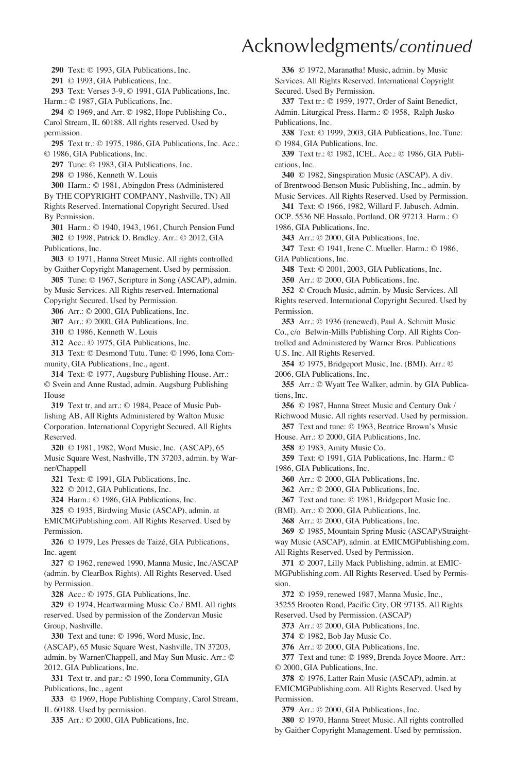**290** Text: © 1993, GIA Publications, Inc.

**291** © 1993, GIA Publications, Inc.

**293** Text: Verses 3-9, © 1991, GIA Publications, Inc.

Harm.: © 1987, GIA Publications, Inc.

**294** © 1969, and Arr. © 1982, Hope Publishing Co., Carol Stream, IL 60188. All rights reserved. Used by permission.

**295** Text tr.: © 1975, 1986, GIA Publications, Inc. Acc.: © 1986, GIA Publications, Inc.

**297** Tune: © 1983, GIA Publications, Inc.

**298** © 1986, Kenneth W. Louis

**300** Harm.: © 1981, Abingdon Press (Administered

By THE COPYRIGHT COMPANY, Nashville, TN) All Rights Reserved. International Copyright Secured. Used By Permission.

**301** Harm.: © 1940, 1943, 1961, Church Pension Fund **302** © 1998, Patrick D. Bradley. Arr.: © 2012, GIA Publications, Inc.

**303** © 1971, Hanna Street Music. All rights controlled by Gaither Copyright Management. Used by permission.

**305** Tune: © 1967, Scripture in Song (ASCAP), admin. by Music Services. All Rights reserved. International

Copyright Secured. Used by Permission.

**306** Arr.: © 2000, GIA Publications, Inc.

**307** Arr.: © 2000, GIA Publications, Inc.

**310** © 1986, Kenneth W. Louis

**312** Acc.: © 1975, GIA Publications, Inc.

**313** Text: © Desmond Tutu. Tune: © 1996, Iona Community, GIA Publications, Inc., agent.

**314** Text: © 1977, Augsburg Publishing House. Arr.: © Svein and Anne Rustad, admin. Augsburg Publishing House

**319** Text tr. and arr.: © 1984, Peace of Music Publishing AB, All Rights Administered by Walton Music Corporation. International Copyright Secured. All Rights Reserved.

**320** © 1981, 1982, Word Music, Inc. (ASCAP), 65 Music Square West, Nashville, TN 37203, admin. by Warner/Chappell

**321** Text: © 1991, GIA Publications, Inc.

**322** © 2012, GIA Publications, Inc.

**324** Harm.: © 1986, GIA Publications, Inc.

**325** © 1935, Birdwing Music (ASCAP), admin. at

EMICMGPublishing.com. All Rights Reserved. Used by Permission.

**326** © 1979, Les Presses de Taizé, GIA Publications, Inc. agent

**327** © 1962, renewed 1990, Manna Music, Inc./ASCAP (admin. by ClearBox Rights). All Rights Reserved. Used by Permission.

**328** Acc.: © 1975, GIA Publications, Inc.

**329** © 1974, Heartwarming Music Co./ BMI. All rights reserved. Used by permission of the Zondervan Music Group, Nashville.

**330** Text and tune: © 1996, Word Music, Inc. (ASCAP), 65 Music Square West, Nashville, TN 37203, admin. by Warner/Chappell, and May Sun Music. Arr.: © 2012, GIA Publications, Inc.

**331** Text tr. and par.: © 1990, Iona Community, GIA Publications, Inc., agent

**333** © 1969, Hope Publishing Company, Carol Stream, IL 60188. Used by permission.

**335** Arr.: © 2000, GIA Publications, Inc.

**336** © 1972, Maranatha! Music, admin. by Music Services. All Rights Reserved. International Copyright Secured. Used By Permission.

**337** Text tr.: © 1959, 1977, Order of Saint Benedict, Admin. Liturgical Press. Harm.: © 1958, Ralph Jusko Publications, Inc.

**338** Text: © 1999, 2003, GIA Publications, Inc. Tune: © 1984, GIA Publications, Inc.

**339** Text tr.: © 1982, ICEL. Acc.: © 1986, GIA Publications, Inc.

**340** © 1982, Singspiration Music (ASCAP). A div. of Brentwood-Benson Music Publishing, Inc., admin. by

Music Services. All Rights Reserved. Used by Permission. **341** Text: © 1966, 1982, Willard F. Jabusch. Admin.

OCP. 5536 NE Hassalo, Portland, OR 97213. Harm.: © 1986, GIA Publications, Inc.

**343** Arr.: © 2000, GIA Publications, Inc.

**347** Text: © 1941, Irene C. Mueller. Harm.: © 1986, GIA Publications, Inc.

**348** Text: © 2001, 2003, GIA Publications, Inc.

**350** Arr.: © 2000, GIA Publications, Inc.

**352** © Crouch Music, admin. by Music Services. All Rights reserved. International Copyright Secured. Used by Permission.

**353** Arr.: © 1936 (renewed), Paul A. Schmitt Music Co., c/o Belwin-Mills Publishing Corp. All Rights Controlled and Administered by Warner Bros. Publications U.S. Inc. All Rights Reserved.

**354** © 1975, Bridgeport Music, Inc. (BMI). Arr.: © 2006, GIA Publications, Inc.

**355** Arr.: © Wyatt Tee Walker, admin. by GIA Publications, Inc.

**356** © 1987, Hanna Street Music and Century Oak / Richwood Music. All rights reserved. Used by permission.

**357** Text and tune: © 1963, Beatrice Brown's Music House. Arr.: © 2000, GIA Publications, Inc.

**358** © 1983, Amity Music Co.

**359** Text: © 1991, GIA Publications, Inc. Harm.: © 1986, GIA Publications, Inc.

**360** Arr.: © 2000, GIA Publications, Inc.

**362** Arr.: © 2000, GIA Publications, Inc.

**367** Text and tune: © 1981, Bridgeport Music Inc.

(BMI). Arr.: © 2000, GIA Publications, Inc.

**368** Arr.: © 2000, GIA Publications, Inc.

**369** © 1985, Mountain Spring Music (ASCAP)/Straightway Music (ASCAP), admin. at EMICMGPublishing.com.

All Rights Reserved. Used by Permission.

**371** © 2007, Lilly Mack Publishing, admin. at EMIC-MGPublishing.com. All Rights Reserved. Used by Permission.

**372** © 1959, renewed 1987, Manna Music, Inc.,

35255 Brooten Road, Pacific City, OR 97135. All Rights Reserved. Used by Permission. (ASCAP)

**373** Arr.: © 2000, GIA Publications, Inc.

**374** © 1982, Bob Jay Music Co.

**376** Arr.: © 2000, GIA Publications, Inc.

**377** Text and tune: © 1989, Brenda Joyce Moore. Arr.: © 2000, GIA Publications, Inc.

**378** © 1976, Latter Rain Music (ASCAP), admin. at EMICMGPublishing.com. All Rights Reserved. Used by Permission.

**379** Arr.: © 2000, GIA Publications, Inc.

**380** © 1970, Hanna Street Music. All rights controlled

by Gaither Copyright Management. Used by permission.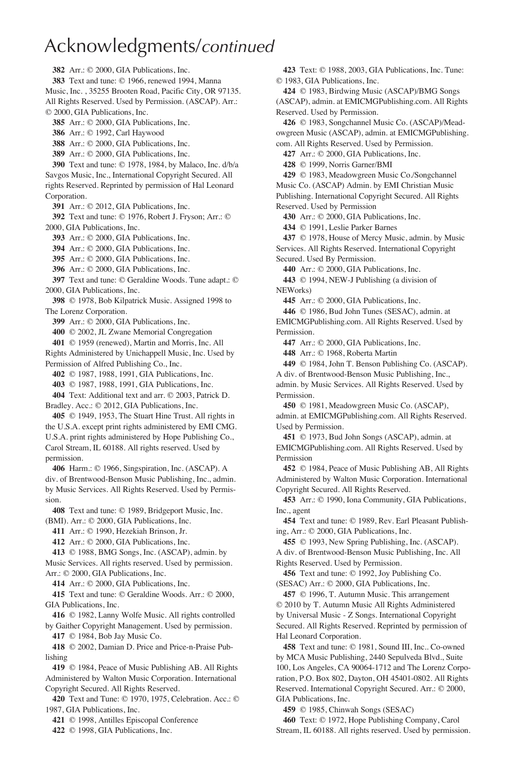**382** Arr.: © 2000, GIA Publications, Inc. **383** Text and tune: © 1966, renewed 1994, Manna Music, Inc. , 35255 Brooten Road, Pacific City, OR 97135. All Rights Reserved. Used by Permission. (ASCAP). Arr.: © 2000, GIA Publications, Inc. **385** Arr.: © 2000, GIA Publications, Inc. **386** Arr.: © 1992, Carl Haywood **388** Arr.: © 2000, GIA Publications, Inc. **389** Arr.: © 2000, GIA Publications, Inc. **390** Text and tune: © 1978, 1984, by Malaco, Inc. d/b/a Savgos Music, Inc., International Copyright Secured. All rights Reserved. Reprinted by permission of Hal Leonard Corporation. **391** Arr.: © 2012, GIA Publications, Inc. **392** Text and tune: © 1976, Robert J. Fryson; Arr.: © 2000, GIA Publications, Inc. **393** Arr.: © 2000, GIA Publications, Inc. **394** Arr.: © 2000, GIA Publications, Inc. **395** Arr.: © 2000, GIA Publications, Inc. **396** Arr.: © 2000, GIA Publications, Inc. **397** Text and tune: © Geraldine Woods. Tune adapt.: © 2000, GIA Publications, Inc. **398** © 1978, Bob Kilpatrick Music. Assigned 1998 to The Lorenz Corporation. **399** Arr.: © 2000, GIA Publications, Inc. **400** © 2002, JL Zwane Memorial Congregation **401** © 1959 (renewed), Martin and Morris, Inc. All Rights Administered by Unichappell Music, Inc. Used by Permission of Alfred Publishing Co., Inc. **402** © 1987, 1988, 1991, GIA Publications, Inc. **403** © 1987, 1988, 1991, GIA Publications, Inc. **404** Text: Additional text and arr. © 2003, Patrick D. Bradley. Acc.: © 2012, GIA Publications, Inc. **405** © 1949, 1953, The Stuart Hine Trust. All rights in the U.S.A. except print rights administered by EMI CMG. U.S.A. print rights administered by Hope Publishing Co., Carol Stream, IL 60188. All rights reserved. Used by permission. **406** Harm.: © 1966, Singspiration, Inc. (ASCAP). A div. of Brentwood-Benson Music Publishing, Inc., admin. by Music Services. All Rights Reserved. Used by Permission. **408** Text and tune: © 1989, Bridgeport Music, Inc. (BMI). Arr.: © 2000, GIA Publications, Inc. **411** Arr.: © 1990, Hezekiah Brinson, Jr. **412** Arr.: © 2000, GIA Publications, Inc. **413** © 1988, BMG Songs, Inc. (ASCAP), admin. by Music Services. All rights reserved. Used by permission. Arr.: © 2000, GIA Publications, Inc. **414** Arr.: © 2000, GIA Publications, Inc. **415** Text and tune: © Geraldine Woods. Arr.: © 2000, GIA Publications, Inc. **416** © 1982, Lanny Wolfe Music. All rights controlled

by Gaither Copyright Management. Used by permission. **417** © 1984, Bob Jay Music Co.

**418** © 2002, Damian D. Price and Price-n-Praise Publishing

**419** © 1984, Peace of Music Publishing AB. All Rights Administered by Walton Music Corporation. International Copyright Secured. All Rights Reserved.

**420** Text and Tune: © 1970, 1975, Celebration. Acc.: © 1987, GIA Publications, Inc.

**421** © 1998, Antilles Episcopal Conference

**422** © 1998, GIA Publications, Inc.

**423** Text: © 1988, 2003, GIA Publications, Inc. Tune: © 1983, GIA Publications, Inc. **424** © 1983, Birdwing Music (ASCAP)/BMG Songs (ASCAP), admin. at EMICMGPublishing.com. All Rights Reserved. Used by Permission. **426** © 1983, Songchannel Music Co. (ASCAP)/Meadowgreen Music (ASCAP), admin. at EMICMGPublishing. com. All Rights Reserved. Used by Permission. **427** Arr.: © 2000, GIA Publications, Inc. **428** © 1999, Norris Garner/BMI **429** © 1983, Meadowgreen Music Co./Songchannel Music Co. (ASCAP) Admin. by EMI Christian Music Publishing. International Copyright Secured. All Rights Reserved. Used by Permission **430** Arr.: © 2000, GIA Publications, Inc. **434** © 1991, Leslie Parker Barnes **437** © 1978, House of Mercy Music, admin. by Music Services. All Rights Reserved. International Copyright Secured. Used By Permission. **440** Arr.: © 2000, GIA Publications, Inc. **443** © 1994, NEW-J Publishing (a division of NEWorks) **445** Arr.: © 2000, GIA Publications, Inc. **446** © 1986, Bud John Tunes (SESAC), admin. at EMICMGPublishing.com. All Rights Reserved. Used by **Permission 447** Arr.: © 2000, GIA Publications, Inc. **448** Arr.: © 1968, Roberta Martin **449** © 1984, John T. Benson Publishing Co. (ASCAP). A div. of Brentwood-Benson Music Publishing, Inc., admin. by Music Services. All Rights Reserved. Used by Permission. **450** © 1981, Meadowgreen Music Co. (ASCAP), admin. at EMICMGPublishing.com. All Rights Reserved. Used by Permission. **451** © 1973, Bud John Songs (ASCAP), admin. at EMICMGPublishing.com. All Rights Reserved. Used by Permission **452** © 1984, Peace of Music Publishing AB, All Rights Administered by Walton Music Corporation. International Copyright Secured. All Rights Reserved. **453** Arr.: © 1990, Iona Community, GIA Publications, Inc., agent **454** Text and tune: © 1989, Rev. Earl Pleasant Publishing, Arr.: © 2000, GIA Publications, Inc. **455** © 1993, New Spring Publishing, Inc. (ASCAP). A div. of Brentwood-Benson Music Publishing, Inc. All Rights Reserved. Used by Permission. **456** Text and tune: © 1992, Joy Publishing Co. (SESAC) Arr.: © 2000, GIA Publications, Inc. **457** © 1996, T. Autumn Music. This arrangement © 2010 by T. Autumn Music All Rights Administered by Universal Music - Z Songs. International Copyright Secured. All Rights Reserved. Reprinted by permission of Hal Leonard Corporation. **458** Text and tune: © 1981, Sound III, Inc.. Co-owned

by MCA Music Publishing, 2440 Sepulveda Blvd., Suite 100, Los Angeles, CA 90064-1712 and The Lorenz Corporation, P.O. Box 802, Dayton, OH 45401-0802. All Rights Reserved. International Copyright Secured. Arr.: © 2000, GIA Publications, Inc.

**459** © 1985, Chinwah Songs (SESAC)

**460** Text: © 1972, Hope Publishing Company, Carol Stream, IL 60188. All rights reserved. Used by permission.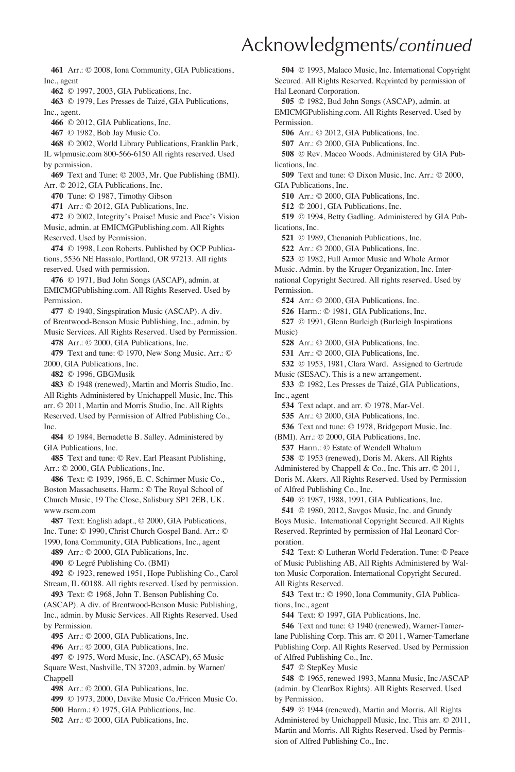**461** Arr.: © 2008, Iona Community, GIA Publications, Inc., agent

**462** © 1997, 2003, GIA Publications, Inc.

**463** © 1979, Les Presses de Taizé, GIA Publications, Inc., agent.

**466** © 2012, GIA Publications, Inc.

**467** © 1982, Bob Jay Music Co.

**468** © 2002, World Library Publications, Franklin Park, IL wlpmusic.com 800-566-6150 All rights reserved. Used by permission.

**469** Text and Tune: © 2003, Mr. Que Publishing (BMI). Arr. © 2012, GIA Publications, Inc.

**470** Tune: © 1987, Timothy Gibson

**471** Arr.: © 2012, GIA Publications, Inc.

**472** © 2002, Integrity's Praise! Music and Pace's Vision Music, admin. at EMICMGPublishing.com. All Rights Reserved. Used by Permission.

**474** © 1998, Leon Roberts. Published by OCP Publications, 5536 NE Hassalo, Portland, OR 97213. All rights reserved. Used with permission.

**476** © 1971, Bud John Songs (ASCAP), admin. at EMICMGPublishing.com. All Rights Reserved. Used by **Permission** 

**477** © 1940, Singspiration Music (ASCAP). A div. of Brentwood-Benson Music Publishing, Inc., admin. by

Music Services. All Rights Reserved. Used by Permission. **478** Arr.: © 2000, GIA Publications, Inc.

**479** Text and tune: © 1970, New Song Music. Arr.: © 2000, GIA Publications, Inc.

**482** © 1996, GBGMusik

**483** © 1948 (renewed), Martin and Morris Studio, Inc. All Rights Administered by Unichappell Music, Inc. This arr. © 2011, Martin and Morris Studio, Inc. All Rights Reserved. Used by Permission of Alfred Publishing Co., Inc.

**484** © 1984, Bernadette B. Salley. Administered by GIA Publications, Inc.

**485** Text and tune: © Rev. Earl Pleasant Publishing, Arr.: © 2000, GIA Publications, Inc.

**486** Text: © 1939, 1966, E. C. Schirmer Music Co., Boston Massachusetts. Harm.: © The Royal School of Church Music, 19 The Close, Salisbury SP1 2EB, UK. www.rscm.com

**487** Text: English adapt., © 2000, GIA Publications, Inc. Tune: © 1990, Christ Church Gospel Band. Arr.: © 1990, Iona Community, GIA Publications, Inc., agent

**489** Arr.: © 2000, GIA Publications, Inc.

**490** © Legré Publishing Co. (BMI)

**492** © 1923, renewed 1951, Hope Publishing Co., Carol Stream, IL 60188. All rights reserved. Used by permission.

**493** Text: © 1968, John T. Benson Publishing Co. (ASCAP). A div. of Brentwood-Benson Music Publishing, Inc., admin. by Music Services. All Rights Reserved. Used by Permission.

**495** Arr.: © 2000, GIA Publications, Inc.

**496** Arr.: © 2000, GIA Publications, Inc.

**497** © 1975, Word Music, Inc. (ASCAP), 65 Music Square West, Nashville, TN 37203, admin. by Warner/ Chappell

**498** Arr.: © 2000, GIA Publications, Inc.

**499** © 1973, 2000, Davike Music Co./Fricon Music Co.

**500** Harm.: © 1975, GIA Publications, Inc.

**502** Arr.: © 2000, GIA Publications, Inc.

**504** © 1993, Malaco Music, Inc. International Copyright Secured. All Rights Reserved. Reprinted by permission of Hal Leonard Corporation.

**505** © 1982, Bud John Songs (ASCAP), admin. at EMICMGPublishing.com. All Rights Reserved. Used by Permission.

**506** Arr.: © 2012, GIA Publications, Inc.

**507** Arr.: © 2000, GIA Publications, Inc.

**508** © Rev. Maceo Woods. Administered by GIA Publications, Inc.

**509** Text and tune: © Dixon Music, Inc. Arr.: © 2000, GIA Publications, Inc.

**510** Arr.: © 2000, GIA Publications, Inc.

**512** © 2001, GIA Publications, Inc.

**519** © 1994, Betty Gadling. Administered by GIA Publications, Inc.

**521** © 1989, Chenaniah Publications, Inc.

**522** Arr.: © 2000, GIA Publications, Inc.

**523** © 1982, Full Armor Music and Whole Armor

Music. Admin. by the Kruger Organization, Inc. International Copyright Secured. All rights reserved. Used by Permission.

**524** Arr.: © 2000, GIA Publications, Inc.

**526** Harm.: © 1981, GIA Publications, Inc.

**527** © 1991, Glenn Burleigh (Burleigh Inspirations Music)

**528** Arr.: © 2000, GIA Publications, Inc.

**531** Arr.: © 2000, GIA Publications, Inc.

**532** © 1953, 1981, Clara Ward. Assigned to Gertrude Music (SESAC). This is a new arrangement.

**533** © 1982, Les Presses de Taizé, GIA Publications,

Inc., agent **534** Text adapt. and arr. © 1978, Mar-Vel.

**535** Arr.: © 2000, GIA Publications, Inc.

**536** Text and tune: © 1978, Bridgeport Music, Inc.

(BMI). Arr.: © 2000, GIA Publications, Inc.

**537** Harm.: © Estate of Wendell Whalum

**538** © 1953 (renewed), Doris M. Akers. All Rights Administered by Chappell & Co., Inc. This arr. © 2011, Doris M. Akers. All Rights Reserved. Used by Permission of Alfred Publishing Co., Inc.

**540** © 1987, 1988, 1991, GIA Publications, Inc.

**541** © 1980, 2012, Savgos Music, Inc. and Grundy Boys Music. International Copyright Secured. All Rights Reserved. Reprinted by permission of Hal Leonard Corporation.

**542** Text: © Lutheran World Federation. Tune: © Peace of Music Publishing AB, All Rights Administered by Walton Music Corporation. International Copyright Secured. All Rights Reserved.

**543** Text tr.: © 1990, Iona Community, GIA Publications, Inc., agent

**544** Text: © 1997, GIA Publications, Inc.

**546** Text and tune: © 1940 (renewed), Warner-Tamerlane Publishing Corp. This arr. © 2011, Warner-Tamerlane Publishing Corp. All Rights Reserved. Used by Permission of Alfred Publishing Co., Inc.

**547** © StepKey Music

**548** © 1965, renewed 1993, Manna Music, Inc./ASCAP (admin. by ClearBox Rights). All Rights Reserved. Used by Permission.

**549** © 1944 (renewed), Martin and Morris. All Rights Administered by Unichappell Music, Inc. This arr. © 2011, Martin and Morris. All Rights Reserved. Used by Permission of Alfred Publishing Co., Inc.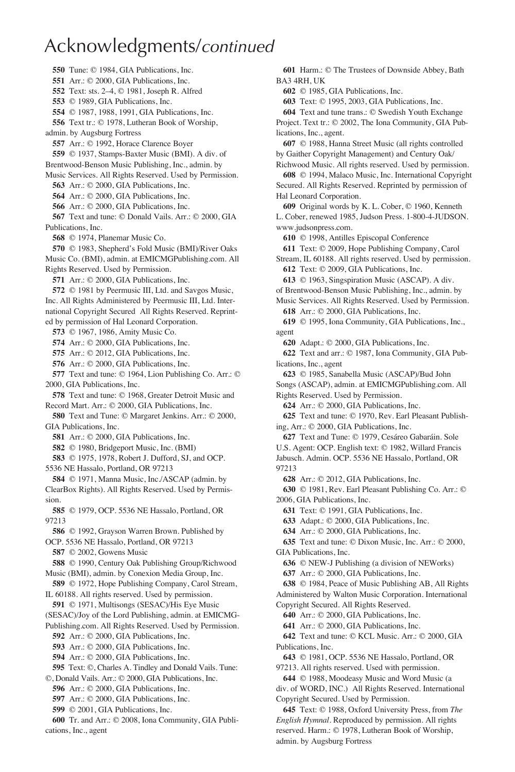Tune: © 1984, GIA Publications, Inc. Arr.: © 2000, GIA Publications, Inc. Text: sts. 2–4, © 1981, Joseph R. Alfred © 1989, GIA Publications, Inc. © 1987, 1988, 1991, GIA Publications, Inc. Text tr.: © 1978, Lutheran Book of Worship, admin. by Augsburg Fortress Arr.: © 1992, Horace Clarence Boyer © 1937, Stamps-Baxter Music (BMI). A div. of Brentwood-Benson Music Publishing, Inc., admin. by Music Services. All Rights Reserved. Used by Permission. Arr.: © 2000, GIA Publications, Inc. Arr.: © 2000, GIA Publications, Inc. Arr.: © 2000, GIA Publications, Inc. Text and tune: © Donald Vails. Arr.: © 2000, GIA Publications, Inc. © 1974, Planemar Music Co. © 1983, Shepherd's Fold Music (BMI)/River Oaks Music Co. (BMI), admin. at EMICMGPublishing.com. All Rights Reserved. Used by Permission. Arr.: © 2000, GIA Publications, Inc. © 1981 by Peermusic III, Ltd. and Savgos Music, Inc. All Rights Administered by Peermusic III, Ltd. International Copyright Secured All Rights Reserved. Reprinted by permission of Hal Leonard Corporation. © 1967, 1986, Amity Music Co. Arr.: © 2000, GIA Publications, Inc. Arr.: © 2012, GIA Publications, Inc. Arr.: © 2000, GIA Publications, Inc. Text and tune: © 1964, Lion Publishing Co. Arr.: © 2000, GIA Publications, Inc. Text and tune: © 1968, Greater Detroit Music and Record Mart. Arr.: © 2000, GIA Publications, Inc. Text and Tune: © Margaret Jenkins. Arr.: © 2000, GIA Publications, Inc. Arr.: © 2000, GIA Publications, Inc. © 1980, Bridgeport Music, Inc. (BMI) © 1975, 1978, Robert J. Dufford, SJ, and OCP. 5536 NE Hassalo, Portland, OR 97213 © 1971, Manna Music, Inc./ASCAP (admin. by ClearBox Rights). All Rights Reserved. Used by Permission. © 1979, OCP. 5536 NE Hassalo, Portland, OR 97213 © 1992, Grayson Warren Brown. Published by OCP. 5536 NE Hassalo, Portland, OR 97213 © 2002, Gowens Music © 1990, Century Oak Publishing Group/Richwood Music (BMI), admin. by Conexion Media Group, Inc. © 1972, Hope Publishing Company, Carol Stream, IL 60188. All rights reserved. Used by permission. © 1971, Multisongs (SESAC)/His Eye Music (SESAC)/Joy of the Lord Publishing, admin. at EMICMG-Publishing.com. All Rights Reserved. Used by Permission. Arr.: © 2000, GIA Publications, Inc. Arr.: © 2000, GIA Publications, Inc. Arr.: © 2000, GIA Publications, Inc. Text: ©, Charles A. Tindley and Donald Vails. Tune: ©, Donald Vails. Arr.: © 2000, GIA Publications, Inc. Arr.: © 2000, GIA Publications, Inc. Arr.: © 2000, GIA Publications, Inc. © 2001, GIA Publications, Inc. Tr. and Arr.: © 2008, Iona Community, GIA Publi-

cations, Inc., agent

**601** Harm.: © The Trustees of Downside Abbey, Bath BA3 4RH, UK **602** © 1985, GIA Publications, Inc. **603** Text: © 1995, 2003, GIA Publications, Inc. **604** Text and tune trans.: © Swedish Youth Exchange Project. Text tr.: © 2002, The Iona Community, GIA Publications, Inc., agent. **607** © 1988, Hanna Street Music (all rights controlled by Gaither Copyright Management) and Century Oak/ Richwood Music. All rights reserved. Used by permission. **608** © 1994, Malaco Music, Inc. International Copyright Secured. All Rights Reserved. Reprinted by permission of Hal Leonard Corporation. **609** Original words by K. L. Cober, © 1960, Kenneth L. Cober, renewed 1985, Judson Press. 1-800-4-JUDSON. www.judsonpress.com. **610** © 1998, Antilles Episcopal Conference **611** Text: © 2009, Hope Publishing Company, Carol Stream, IL 60188. All rights reserved. Used by permission. **612** Text: © 2009, GIA Publications, Inc. **613** © 1963, Singspiration Music (ASCAP). A div. of Brentwood-Benson Music Publishing, Inc., admin. by Music Services. All Rights Reserved. Used by Permission. **618** Arr.: © 2000, GIA Publications, Inc. **619** © 1995, Iona Community, GIA Publications, Inc., agent **620** Adapt.: © 2000, GIA Publications, Inc. **622** Text and arr.: © 1987, Iona Community, GIA Publications, Inc., agent **623** © 1985, Sanabella Music (ASCAP)/Bud John Songs (ASCAP), admin. at EMICMGPublishing.com. All Rights Reserved. Used by Permission. **624** Arr.: © 2000, GIA Publications, Inc. **625** Text and tune: © 1970, Rev. Earl Pleasant Publishing, Arr.: © 2000, GIA Publications, Inc. **627** Text and Tune: © 1979, Cesáreo Gabaráin. Sole U.S. Agent: OCP. English text: © 1982, Willard Francis Jabusch. Admin. OCP. 5536 NE Hassalo, Portland, OR 97213 **628** Arr.: © 2012, GIA Publications, Inc. **630** © 1981, Rev. Earl Pleasant Publishing Co. Arr.: © 2006, GIA Publications, Inc. **631** Text: © 1991, GIA Publications, Inc. **633** Adapt.: © 2000, GIA Publications, Inc. **634** Arr.: © 2000, GIA Publications, Inc. **635** Text and tune: © Dixon Music, Inc. Arr.: © 2000, GIA Publications, Inc. **636** © NEW-J Publishing (a division of NEWorks) **637** Arr.: © 2000, GIA Publications, Inc. **638** © 1984, Peace of Music Publishing AB, All Rights Administered by Walton Music Corporation. International Copyright Secured. All Rights Reserved. **640** Arr.: © 2000, GIA Publications, Inc. **641** Arr.: © 2000, GIA Publications, Inc. **642** Text and tune: © KCL Music. Arr.: © 2000, GIA Publications, Inc. **643** © 1981, OCP. 5536 NE Hassalo, Portland, OR 97213. All rights reserved. Used with permission. **644** © 1988, Moodeasy Music and Word Music (a div. of WORD, INC.) All Rights Reserved. International Copyright Secured. Used by Permission. **645** Text: © 1988, Oxford University Press, from *The* 

*English Hymnal*. Reproduced by permission. All rights reserved. Harm.: © 1978, Lutheran Book of Worship, admin. by Augsburg Fortress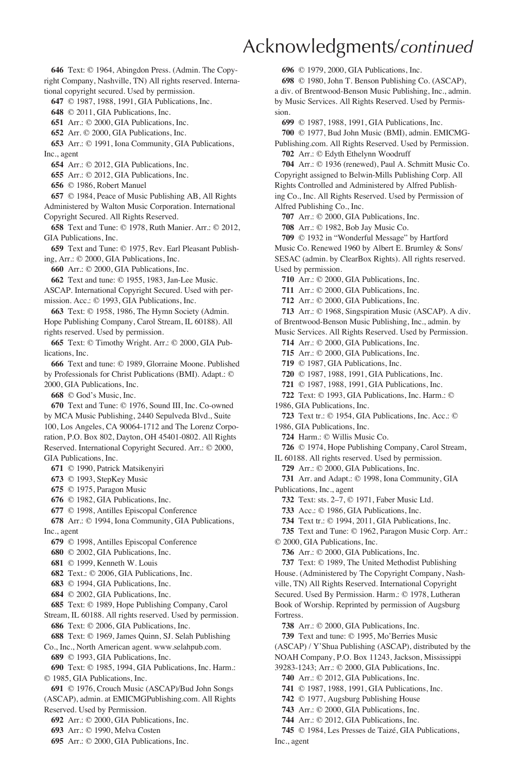**646** Text: © 1964, Abingdon Press. (Admin. The Copyright Company, Nashville, TN) All rights reserved. International copyright secured. Used by permission.

**647** © 1987, 1988, 1991, GIA Publications, Inc.

**648** © 2011, GIA Publications, Inc.

**651** Arr.: © 2000, GIA Publications, Inc.

**652** Arr. © 2000, GIA Publications, Inc.

**653** Arr.: © 1991, Iona Community, GIA Publications, Inc., agent

**654** Arr.: © 2012, GIA Publications, Inc.

**655** Arr.: © 2012, GIA Publications, Inc.

**656** © 1986, Robert Manuel

**657** © 1984, Peace of Music Publishing AB, All Rights Administered by Walton Music Corporation. International

Copyright Secured. All Rights Reserved.

**658** Text and Tune: © 1978, Ruth Manier. Arr.: © 2012, GIA Publications, Inc.

**659** Text and Tune: © 1975, Rev. Earl Pleasant Publishing, Arr.: © 2000, GIA Publications, Inc.

**660** Arr.: © 2000, GIA Publications, Inc.

**662** Text and tune: © 1955, 1983, Jan-Lee Music.

ASCAP. International Copyright Secured. Used with permission. Acc.: © 1993, GIA Publications, Inc.

**663** Text: © 1958, 1986, The Hymn Society (Admin. Hope Publishing Company, Carol Stream, IL 60188). All rights reserved. Used by permission.

**665** Text: © Timothy Wright. Arr.: © 2000, GIA Publications, Inc.

**666** Text and tune: © 1989, Glorraine Moone. Published by Professionals for Christ Publications (BMI). Adapt.: © 2000, GIA Publications, Inc.

**668** © God's Music, Inc.

**670** Text and Tune: © 1976, Sound III, Inc. Co-owned by MCA Music Publishing, 2440 Sepulveda Blvd., Suite 100, Los Angeles, CA 90064-1712 and The Lorenz Corporation, P.O. Box 802, Dayton, OH 45401-0802. All Rights Reserved. International Copyright Secured. Arr.: © 2000, GIA Publications, Inc.

**671** © 1990, Patrick Matsikenyiri

**673** © 1993, StepKey Music

**675** © 1975, Paragon Music

**676** © 1982, GIA Publications, Inc.

**677** © 1998, Antilles Episcopal Conference

**678** Arr.: © 1994, Iona Community, GIA Publications, Inc., agent

**679** © 1998, Antilles Episcopal Conference

**680** © 2002, GIA Publications, Inc.

**681** © 1999, Kenneth W. Louis

**682** Text.: © 2006, GIA Publications, Inc.

**683** © 1994, GIA Publications, Inc.

**684** © 2002, GIA Publications, Inc.

**685** Text: © 1989, Hope Publishing Company, Carol

Stream, IL 60188. All rights reserved. Used by permission. **686** Text: © 2006, GIA Publications, Inc.

**688** Text: © 1969, James Quinn, SJ. Selah Publishing

Co., Inc., North American agent. www.selahpub.com. **689** © 1993, GIA Publications, Inc.

**690** Text: © 1985, 1994, GIA Publications, Inc. Harm.: © 1985, GIA Publications, Inc.

**691** © 1976, Crouch Music (ASCAP)/Bud John Songs (ASCAP), admin. at EMICMGPublishing.com. All Rights

Reserved. Used by Permission.

**692** Arr.: © 2000, GIA Publications, Inc.

**693** Arr.: © 1990, Melva Costen

**695** Arr.: © 2000, GIA Publications, Inc.

**696** © 1979, 2000, GIA Publications, Inc.

**698** © 1980, John T. Benson Publishing Co. (ASCAP), a div. of Brentwood-Benson Music Publishing, Inc., admin. by Music Services. All Rights Reserved. Used by Permission.

**699** © 1987, 1988, 1991, GIA Publications, Inc.

**700** © 1977, Bud John Music (BMI), admin. EMICMG-Publishing.com. All Rights Reserved. Used by Permission. **702** Arr.: © Edyth Ethelynn Woodruff

**704** Arr.: © 1936 (renewed), Paul A. Schmitt Music Co. Copyright assigned to Belwin-Mills Publishing Corp. All Rights Controlled and Administered by Alfred Publishing Co., Inc. All Rights Reserved. Used by Permission of Alfred Publishing Co., Inc.

**707** Arr.: © 2000, GIA Publications, Inc.

**708** Arr.: © 1982, Bob Jay Music Co.

**709** © 1932 in "Wonderful Message" by Hartford Music Co. Renewed 1960 by Albert E. Brumley & Sons/ SESAC (admin. by ClearBox Rights). All rights reserved.

Used by permission. **710** Arr.: © 2000, GIA Publications, Inc.

**711** Arr.: © 2000, GIA Publications, Inc. **712** Arr.: © 2000, GIA Publications, Inc.

**713** Arr.: © 1968, Singspiration Music (ASCAP). A div.

of Brentwood-Benson Music Publishing, Inc., admin. by

Music Services. All Rights Reserved. Used by Permission.

**714** Arr.: © 2000, GIA Publications, Inc.

**715** Arr.: © 2000, GIA Publications, Inc.

**719** © 1987, GIA Publications, Inc.

**720** © 1987, 1988, 1991, GIA Publications, Inc.

**721** © 1987, 1988, 1991, GIA Publications, Inc.

**722** Text: © 1993, GIA Publications, Inc. Harm.: © 1986, GIA Publications, Inc.

**723** Text tr.: © 1954, GIA Publications, Inc. Acc.: © 1986, GIA Publications, Inc.

**724** Harm.: © Willis Music Co.

**726** © 1974, Hope Publishing Company, Carol Stream,

IL 60188. All rights reserved. Used by permission.

**729** Arr.: © 2000, GIA Publications, Inc.

**731** Arr. and Adapt.: © 1998, Iona Community, GIA

Publications, Inc., agent

**732** Text: sts. 2–7, © 1971, Faber Music Ltd.

**733** Acc.: © 1986, GIA Publications, Inc.

**734** Text tr.: © 1994, 2011, GIA Publications, Inc.

**735** Text and Tune: © 1962, Paragon Music Corp. Arr.: © 2000, GIA Publications, Inc.

**736** Arr.: © 2000, GIA Publications, Inc.

**737** Text: © 1989, The United Methodist Publishing House. (Administered by The Copyright Company, Nashville, TN) All Rights Reserved. International Copyright Secured. Used By Permission. Harm.: © 1978, Lutheran Book of Worship. Reprinted by permission of Augsburg Fortress.

**738** Arr.: © 2000, GIA Publications, Inc.

**739** Text and tune: © 1995, Mo'Berries Music

(ASCAP) / Y'Shua Publishing (ASCAP), distributed by the NOAH Company, P.O. Box 11243, Jackson, Mississippi 39283-1243; Arr.: © 2000, GIA Publications, Inc.

**740** Arr.: © 2012, GIA Publications, Inc.

**741** © 1987, 1988, 1991, GIA Publications, Inc.

**742** © 1977, Augsburg Publishing House

**743** Arr.: © 2000, GIA Publications, Inc.

**744** Arr.: © 2012, GIA Publications, Inc.

**745** © 1984, Les Presses de Taizé, GIA Publications,

Inc., agent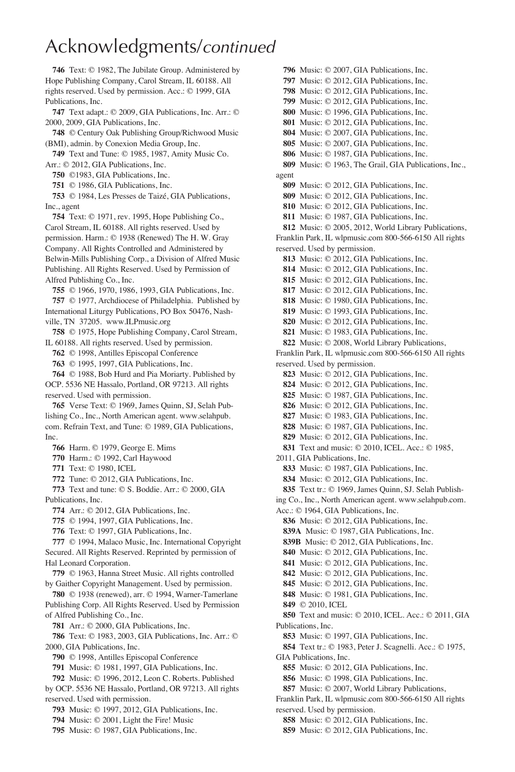Text: © 1982, The Jubilate Group. Administered by Hope Publishing Company, Carol Stream, IL 60188. All rights reserved. Used by permission. Acc.: © 1999, GIA Publications, Inc.

Text adapt.: © 2009, GIA Publications, Inc. Arr.: © 2000, 2009, GIA Publications, Inc.

© Century Oak Publishing Group/Richwood Music (BMI), admin. by Conexion Media Group, Inc.

Text and Tune: © 1985, 1987, Amity Music Co. Arr.: © 2012, GIA Publications, Inc.

©1983, GIA Publications, Inc.

© 1986, GIA Publications, Inc.

© 1984, Les Presses de Taizé, GIA Publications, Inc., agent

Text: © 1971, rev. 1995, Hope Publishing Co., Carol Stream, IL 60188. All rights reserved. Used by permission. Harm.: © 1938 (Renewed) The H. W. Gray Company. All Rights Controlled and Administered by Belwin-Mills Publishing Corp., a Division of Alfred Music Publishing. All Rights Reserved. Used by Permission of Alfred Publishing Co., Inc.

© 1966, 1970, 1986, 1993, GIA Publications, Inc. © 1977, Archdiocese of Philadelphia. Published by International Liturgy Publications, PO Box 50476, Nash-

ville, TN 37205. www.ILPmusic.org © 1975, Hope Publishing Company, Carol Stream,

IL 60188. All rights reserved. Used by permission. © 1998, Antilles Episcopal Conference

© 1995, 1997, GIA Publications, Inc.

© 1988, Bob Hurd and Pia Moriarty. Published by OCP. 5536 NE Hassalo, Portland, OR 97213. All rights reserved. Used with permission.

Verse Text: © 1969, James Quinn, SJ, Selah Publishing Co., Inc., North American agent. www.selahpub. com. Refrain Text, and Tune: © 1989, GIA Publications, Inc.

Harm. © 1979, George E. Mims

Harm.: © 1992, Carl Haywood

Text: © 1980, ICEL

Tune: © 2012, GIA Publications, Inc.

Text and tune: © S. Boddie. Arr.: © 2000, GIA Publications, Inc.

Arr.: © 2012, GIA Publications, Inc.

© 1994, 1997, GIA Publications, Inc.

Text: © 1997, GIA Publications, Inc.

© 1994, Malaco Music, Inc. International Copyright Secured. All Rights Reserved. Reprinted by permission of Hal Leonard Corporation.

© 1963, Hanna Street Music. All rights controlled by Gaither Copyright Management. Used by permission.

© 1938 (renewed), arr. © 1994, Warner-Tamerlane Publishing Corp. All Rights Reserved. Used by Permission of Alfred Publishing Co., Inc.

Arr.: © 2000, GIA Publications, Inc.

Text: © 1983, 2003, GIA Publications, Inc. Arr.: © 2000, GIA Publications, Inc.

© 1998, Antilles Episcopal Conference

Music: © 1981, 1997, GIA Publications, Inc.

Music: © 1996, 2012, Leon C. Roberts. Published by OCP. 5536 NE Hassalo, Portland, OR 97213. All rights reserved. Used with permission.

Music: © 1997, 2012, GIA Publications, Inc.

Music: © 2001, Light the Fire! Music

Music: © 1987, GIA Publications, Inc.

Music: © 2007, GIA Publications, Inc. Music: © 2012, GIA Publications, Inc. Music: © 2012, GIA Publications, Inc. Music: © 2012, GIA Publications, Inc. Music: © 1996, GIA Publications, Inc. Music: © 2012, GIA Publications, Inc. Music: © 2007, GIA Publications, Inc. Music: © 2007, GIA Publications, Inc. Music: © 1987, GIA Publications, Inc. Music: © 1963, The Grail, GIA Publications, Inc., agent Music: © 2012, GIA Publications, Inc. Music: © 2012, GIA Publications, Inc. Music: © 2012, GIA Publications, Inc. Music: © 1987, GIA Publications, Inc. Music: © 2005, 2012, World Library Publications, Franklin Park, IL wlpmusic.com 800-566-6150 All rights reserved. Used by permission. Music: © 2012, GIA Publications, Inc. Music: © 2012, GIA Publications, Inc. Music: © 2012, GIA Publications, Inc. Music: © 2012, GIA Publications, Inc. Music: © 1980, GIA Publications, Inc. Music: © 1993, GIA Publications, Inc. Music: © 2012, GIA Publications, Inc. Music: © 1983, GIA Publications, Inc. Music: © 2008, World Library Publications, Franklin Park, IL wlpmusic.com 800-566-6150 All rights reserved. Used by permission. Music: © 2012, GIA Publications, Inc. Music: © 2012, GIA Publications, Inc. Music: © 1987, GIA Publications, Inc. Music: © 2012, GIA Publications, Inc. Music: © 1983, GIA Publications, Inc. Music: © 1987, GIA Publications, Inc. Music: © 2012, GIA Publications, Inc. Text and music: © 2010, ICEL. Acc.: © 1985, 2011, GIA Publications, Inc. Music: © 1987, GIA Publications, Inc. Music: © 2012, GIA Publications, Inc. Text tr.: © 1969, James Quinn, SJ. Selah Publishing Co., Inc., North American agent. www.selahpub.com. Acc.: © 1964, GIA Publications, Inc. Music: © 2012, GIA Publications, Inc. **839A** Music: © 1987, GIA Publications, Inc. **839B** Music: © 2012, GIA Publications, Inc. Music: © 2012, GIA Publications, Inc. Music: © 2012, GIA Publications, Inc. Music: © 2012, GIA Publications, Inc. Music: © 2012, GIA Publications, Inc. Music: © 1981, GIA Publications, Inc. © 2010, ICEL Text and music: © 2010, ICEL. Acc.: © 2011, GIA Publications, Inc. Music: © 1997, GIA Publications, Inc. Text tr.: © 1983, Peter J. Scagnelli. Acc.: © 1975, GIA Publications, Inc. Music: © 2012, GIA Publications, Inc. Music: © 1998, GIA Publications, Inc. Music: © 2007, World Library Publications, Franklin Park, IL wlpmusic.com 800-566-6150 All rights reserved. Used by permission.

Music: © 2012, GIA Publications, Inc.

Music: © 2012, GIA Publications, Inc.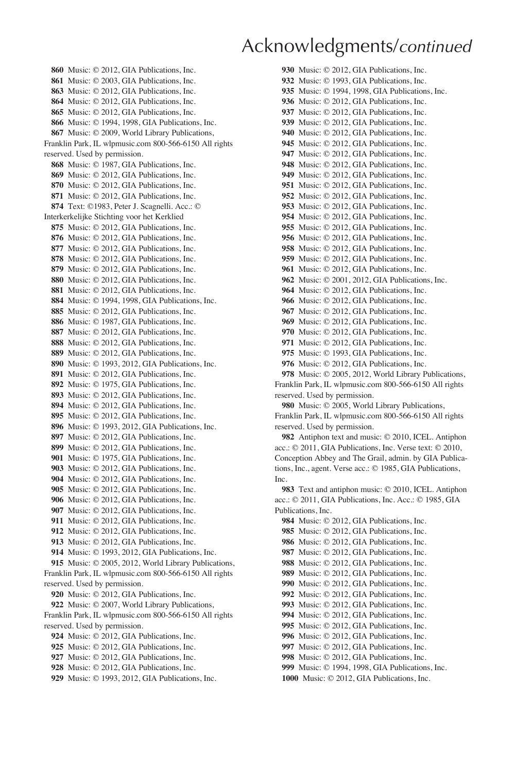Music: © 2012, GIA Publications, Inc. Music: © 2003, GIA Publications, Inc. Music: © 2012, GIA Publications, Inc. Music: © 2012, GIA Publications, Inc. Music: © 2012, GIA Publications, Inc. Music: © 1994, 1998, GIA Publications, Inc. Music: © 2009, World Library Publications, Franklin Park, IL wlpmusic.com 800-566-6150 All rights reserved. Used by permission. Music: © 1987, GIA Publications, Inc. Music: © 2012, GIA Publications, Inc. Music: © 2012, GIA Publications, Inc. Music: © 2012, GIA Publications, Inc. Text: ©1983, Peter J. Scagnelli. Acc.: © Interkerkelijke Stichting voor het Kerklied Music: © 2012, GIA Publications, Inc. Music: © 2012, GIA Publications, Inc. Music: © 2012, GIA Publications, Inc. Music: © 2012, GIA Publications, Inc. Music: © 2012, GIA Publications, Inc. Music: © 2012, GIA Publications, Inc. Music: © 2012, GIA Publications, Inc. Music: © 1994, 1998, GIA Publications, Inc. Music: © 2012, GIA Publications, Inc. Music: © 1987, GIA Publications, Inc. Music: © 2012, GIA Publications, Inc. Music: © 2012, GIA Publications, Inc. Music: © 2012, GIA Publications, Inc. Music: © 1993, 2012, GIA Publications, Inc. Music: © 2012, GIA Publications, Inc. Music: © 1975, GIA Publications, Inc. Music: © 2012, GIA Publications, Inc. Music: © 2012, GIA Publications, Inc. Music: © 2012, GIA Publications, Inc. Music: © 1993, 2012, GIA Publications, Inc. Music: © 2012, GIA Publications, Inc. Music: © 2012, GIA Publications, Inc. Music: © 1975, GIA Publications, Inc. Music: © 2012, GIA Publications, Inc. Music: © 2012, GIA Publications, Inc. Music: © 2012, GIA Publications, Inc. Music: © 2012, GIA Publications, Inc. Music: © 2012, GIA Publications, Inc. Music: © 2012, GIA Publications, Inc. Music: © 2012, GIA Publications, Inc. Music: © 2012, GIA Publications, Inc. Music: © 1993, 2012, GIA Publications, Inc. Music: © 2005, 2012, World Library Publications, Franklin Park, IL wlpmusic.com 800-566-6150 All rights reserved. Used by permission. Music: © 2012, GIA Publications, Inc. Music: © 2007, World Library Publications, Franklin Park, IL wlpmusic.com 800-566-6150 All rights reserved. Used by permission. Music: © 2012, GIA Publications, Inc. Music: © 2012, GIA Publications, Inc.

Music: © 2012, GIA Publications, Inc.

Music: © 2012, GIA Publications, Inc.

Music: © 1993, 2012, GIA Publications, Inc.

Music: © 2012, GIA Publications, Inc. Music: © 1993, GIA Publications, Inc. Music: © 1994, 1998, GIA Publications, Inc. Music: © 2012, GIA Publications, Inc. Music: © 2012, GIA Publications, Inc. Music: © 2012, GIA Publications, Inc. Music: © 2012, GIA Publications, Inc. Music: © 2012, GIA Publications, Inc. Music: © 2012, GIA Publications, Inc. Music: © 2012, GIA Publications, Inc. Music: © 2012, GIA Publications, Inc. Music: © 2012, GIA Publications, Inc. Music: © 2012, GIA Publications, Inc. Music: © 2012, GIA Publications, Inc. Music: © 2012, GIA Publications, Inc. Music: © 2012, GIA Publications, Inc. Music: © 2012, GIA Publications, Inc. Music: © 2012, GIA Publications, Inc. Music: © 2012, GIA Publications, Inc. Music: © 2012, GIA Publications, Inc. Music: © 2001, 2012, GIA Publications, Inc. Music: © 2012, GIA Publications, Inc. Music: © 2012, GIA Publications, Inc. Music: © 2012, GIA Publications, Inc. Music: © 2012, GIA Publications, Inc. Music: © 2012, GIA Publications, Inc. Music: © 2012, GIA Publications, Inc. Music: © 1993, GIA Publications, Inc. Music: © 2012, GIA Publications, Inc. Music: © 2005, 2012, World Library Publications, Franklin Park, IL wlpmusic.com 800-566-6150 All rights reserved. Used by permission. Music: © 2005, World Library Publications, Franklin Park, IL wlpmusic.com 800-566-6150 All rights reserved. Used by permission. Antiphon text and music: © 2010, ICEL. Antiphon acc.: © 2011, GIA Publications, Inc. Verse text: © 2010, Conception Abbey and The Grail, admin. by GIA Publications, Inc., agent. Verse acc.: © 1985, GIA Publications, Inc. Text and antiphon music: © 2010, ICEL. Antiphon acc.: © 2011, GIA Publications, Inc. Acc.: © 1985, GIA Publications, Inc. Music: © 2012, GIA Publications, Inc. Music: © 2012, GIA Publications, Inc. Music: © 2012, GIA Publications, Inc. Music: © 2012, GIA Publications, Inc. Music: © 2012, GIA Publications, Inc. Music: © 2012, GIA Publications, Inc. Music: © 2012, GIA Publications, Inc. Music: © 2012, GIA Publications, Inc. Music: © 2012, GIA Publications, Inc. Music: © 2012, GIA Publications, Inc. Music: © 2012, GIA Publications, Inc. Music: © 2012, GIA Publications, Inc.

Music: © 2012, GIA Publications, Inc.

Music: © 2012, GIA Publications, Inc. Music: © 1994, 1998, GIA Publications, Inc.

Music: © 2012, GIA Publications, Inc.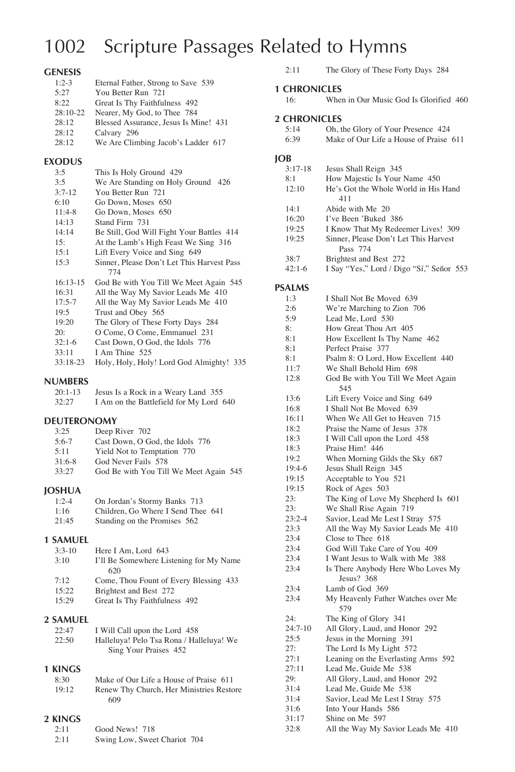## 1002 Scripture Passages Related to Hymns

#### **GENESIS**

| $1:2-3$<br>Eternal Father, Strong to Save 539  |  |
|------------------------------------------------|--|
| 5:27<br>You Better Run 721                     |  |
| 8:22<br>Great Is Thy Faithfulness 492          |  |
| $28:10-22$<br>Nearer, My God, to Thee 784      |  |
| 28:12<br>Blessed Assurance, Jesus Is Mine! 431 |  |
| 28:12<br>Calvary 296                           |  |
| 28:12<br>We Are Climbing Jacob's Ladder 617    |  |

### **EXODUS**

| 3:5        | This Is Holy Ground 429                    |
|------------|--------------------------------------------|
| 3:5        | We Are Standing on Holy Ground 426         |
| $3:7-12$   | You Better Run 721                         |
| 6:10       | Go Down, Moses 650                         |
| $11:4-8$   | Go Down, Moses 650                         |
| 14:13      | Stand Firm 731                             |
| 14:14      | Be Still, God Will Fight Your Battles 414  |
| 15:        | At the Lamb's High Feast We Sing 316       |
| 15:1       | Lift Every Voice and Sing 649              |
| 15:3       | Sinner, Please Don't Let This Harvest Pass |
|            | 774                                        |
| $16:13-15$ | God Be with You Till We Meet Again 545     |
| 16:31      | All the Way My Savior Leads Me 410         |
| $17:5-7$   | All the Way My Savior Leads Me 410         |
| 19:5       | Trust and Obey 565                         |
| 19:20      | The Glory of These Forty Days 284          |
| 20:        | O Come, O Come, Emmanuel 231               |
| $32:1-6$   | Cast Down, O God, the Idols 776            |
| 33:11      | I Am Thine 525                             |
| $33:18-23$ | Holy, Holy, Holy! Lord God Almighty! 335   |
|            |                                            |

#### **NUMBERS**

| $20:1-13$ | Jesus Is a Rock in a Weary Land 355     |
|-----------|-----------------------------------------|
| 32:27     | I Am on the Battlefield for My Lord 640 |

#### **DEUTERONOMY**

| 3:25     | Deep River 702                         |
|----------|----------------------------------------|
| $5:6-7$  | Cast Down, O God, the Idols 776        |
| 5:11     | Yield Not to Temptation 770            |
| $31:6-8$ | God Never Fails 578                    |
| 33:27    | God Be with You Till We Meet Again 545 |

#### **JOSHUA**

| $1:2-4$ | On Jordan's Stormy Banks 713       |
|---------|------------------------------------|
| 1:16    | Children. Go Where I Send Thee 641 |
| 21:45   | Standing on the Promises 562       |

#### **1 SAMUEL**

| Here I Am. Lord 643                     |
|-----------------------------------------|
| I'll Be Somewhere Listening for My Name |
| 620                                     |
| Come, Thou Fount of Every Blessing 433  |
| Brightest and Best 272                  |
| Great Is Thy Faithfulness 492           |
|                                         |

### **2 SAMUEL**

| 22:47 | I Will Call upon the Lord 458            |
|-------|------------------------------------------|
| 22:50 | Halleluya! Pelo Tsa Rona / Halleluya! We |
|       | Sing Your Praises 452                    |

#### **1 KINGS**

| 8:30  | Make of Our Life a House of Praise 611   |
|-------|------------------------------------------|
| 19:12 | Renew Thy Church, Her Ministries Restore |
|       | 609                                      |

#### **2 KINGS**

| 2:11 | Good News! 718               |  |
|------|------------------------------|--|
| 2:11 | Swing Low, Sweet Chariot 704 |  |

| 2:11 |  |  |  | The Glory of These Forty Days 284 |  |  |  |
|------|--|--|--|-----------------------------------|--|--|--|
|------|--|--|--|-----------------------------------|--|--|--|

#### **1 CHRONICLES**

| 16: |  |  |  | When in Our Music God Is Glorified 460 |  |
|-----|--|--|--|----------------------------------------|--|
|     |  |  |  |                                        |  |

#### **2 CHRONICLES**

| 5:14 | Oh, the Glory of Your Presence 424     |
|------|----------------------------------------|
| 6:39 | Make of Our Life a House of Praise 611 |

#### **JOB**

| $3:17-18$ | Jesus Shall Reign 345                    |
|-----------|------------------------------------------|
| 8:1       | How Majestic Is Your Name 450            |
| 12:10     | He's Got the Whole World in His Hand     |
|           | 411                                      |
| 14:1      | Abide with Me 20                         |
| 16:20     | I've Been 'Buked 386                     |
| 19:25     | I Know That My Redeemer Lives! 309       |
| 19:25     | Sinner, Please Don't Let This Harvest    |
|           | Pass 774                                 |
| 38:7      | Brightest and Best 272                   |
| $42:1-6$  | I Say "Yes," Lord / Digo "Sí," Señor 553 |

#### **PSALMS**

| 1:3        | I Shall Not Be Moved 639                         |
|------------|--------------------------------------------------|
| 2:6        | We're Marching to Zion 706                       |
| 5:9        | Lead Me, Lord 530                                |
| 8:         | How Great Thou Art 405                           |
| 8:1        | How Excellent Is Thy Name 462                    |
| 8:1        | Perfect Praise 377                               |
| 8:1        | Psalm 8: O Lord, How Excellent 440               |
| 11:7       | We Shall Behold Him 698                          |
| 12:8       | God Be with You Till We Meet Again               |
|            | 545                                              |
| 13:6       | Lift Every Voice and Sing 649                    |
| 16:8       | I Shall Not Be Moved 639                         |
| 16:11      | When We All Get to Heaven 715                    |
| 18:2       | Praise the Name of Jesus 378                     |
| 18:3       | I Will Call upon the Lord 458                    |
| 18:3       | Praise Him! 446                                  |
| 19:2       | When Morning Gilds the Sky 687                   |
| 19:4-6     | Jesus Shall Reign 345                            |
| 19:15      | Acceptable to You 521                            |
| 19:15      | Rock of Ages 503                                 |
| 23:        | The King of Love My Shepherd Is 601              |
| 23:        | We Shall Rise Again 719                          |
| $23:2 - 4$ | Savior, Lead Me Lest I Stray 575                 |
| 23:3       | All the Way My Savior Leads Me 410               |
| 23:4       | Close to Thee 618                                |
| 23:4       | God Will Take Care of You 409                    |
| 23:4       | I Want Jesus to Walk with Me 388                 |
| 23:4       | Is There Anybody Here Who Loves My<br>Jesus? 368 |
| 23:4       | Lamb of God 369                                  |
| 23:4       | My Heavenly Father Watches over Me<br>579        |
| 24:        | The King of Glory 341                            |
| $24:7-10$  | All Glory, Laud, and Honor 292                   |
| 25:5       | Jesus in the Morning 391                         |
| 27:        | The Lord Is My Light 572                         |
| 27:1       | Leaning on the Everlasting Arms 592              |
| 27:11      | Lead Me, Guide Me 538                            |
| 29:        | All Glory, Laud, and Honor 292                   |
| 31:4       | Lead Me, Guide Me 538                            |
| 31:4       | Savior, Lead Me Lest I Stray 575                 |
| 31:6       | Into Your Hands 586                              |
| 31:17      | Shine on Me 597                                  |
| 32:8       | All the Way My Savior Leads Me 410               |
|            |                                                  |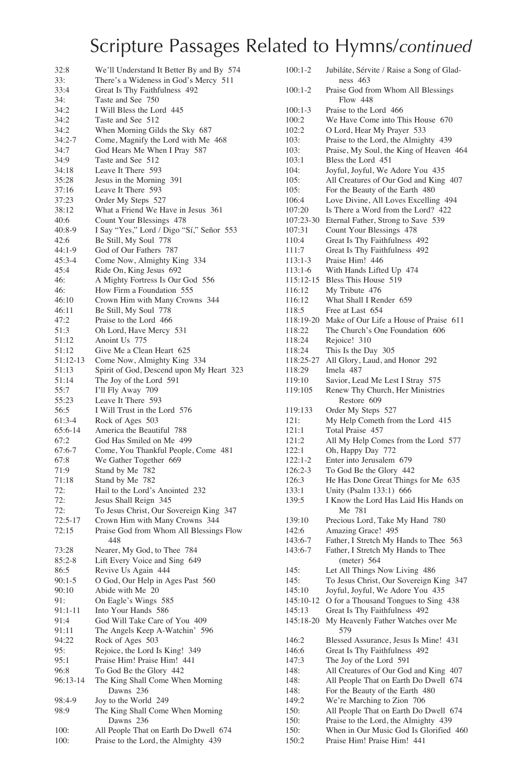| 32:8             | We'll Understand It Better By and By 574                 |
|------------------|----------------------------------------------------------|
| 33:              | There's a Wideness in God's Mercy 511                    |
| 33:4             | Great Is Thy Faithfulness 492                            |
| 34:              | Taste and See 750                                        |
| 34:2             | I Will Bless the Lord 445                                |
| 34:2             | Taste and See 512                                        |
| 34:2             | When Morning Gilds the Sky 687                           |
| $34:2 - 7$       | Come, Magnify the Lord with Me 468                       |
| 34:7             | God Hears Me When I Pray 587                             |
| 34:9             | Taste and See 512                                        |
| 34:18            | Leave It There 593                                       |
| 35:28            | Jesus in the Morning 391                                 |
| 37:16            | Leave It There 593                                       |
| 37:23            | Order My Steps 527                                       |
| 38:12            | What a Friend We Have in Jesus 361                       |
| 40:6             | Count Your Blessings 478                                 |
| $40:8-9$         | I Say "Yes," Lord / Digo "Sí," Señor 553                 |
| 42:6<br>$44:1-9$ | Be Still, My Soul 778<br>God of Our Fathers 787          |
| $45:3 - 4$       | Come Now, Almighty King 334                              |
| 45:4             | Ride On, King Jesus 692                                  |
| 46:              | A Mighty Fortress Is Our God 556                         |
| 46:              | How Firm a Foundation 555                                |
| 46:10            | Crown Him with Many Crowns 344                           |
| 46:11            | Be Still, My Soul 778                                    |
| 47:2             | Praise to the Lord 466                                   |
| 51:3             | Oh Lord, Have Mercy 531                                  |
| 51:12            | Anoint Us 775                                            |
| 51:12            | Give Me a Clean Heart 625                                |
| 51:12-13         | Come Now, Almighty King 334                              |
| 51:13            | Spirit of God, Descend upon My Heart 323                 |
| 51:14            | The Joy of the Lord 591                                  |
| 55:7             | I'll Fly Away 709                                        |
| 55:23            | Leave It There 593                                       |
| 56:5             | I Will Trust in the Lord 576                             |
| 61:3-4           | Rock of Ages 503                                         |
| 65:6-14          | America the Beautiful 788                                |
| 67:2             | God Has Smiled on Me 499                                 |
| $67:6-7$         | Come, You Thankful People, Come 481                      |
| 67:8             | We Gather Together 669                                   |
| 71:9             | Stand by Me 782                                          |
| 71:18            | Stand by Me 782                                          |
| 72:<br>72:       | Hail to the Lord's Anointed 232<br>Jesus Shall Reign 345 |
| 72:              | To Jesus Christ, Our Sovereign King 347                  |
| $72:5-17$        | Crown Him with Many Crowns 344                           |
| 72:15            | Praise God from Whom All Blessings Flow                  |
|                  | 448                                                      |
| 73:28            | Nearer, My God, to Thee 784                              |
| $85:2 - 8$       | Lift Every Voice and Sing 649                            |
| 86:5             | Revive Us Again 444                                      |
| $90:1-5$         | O God, Our Help in Ages Past 560                         |
| 90:10            | Abide with Me 20                                         |
| 91:              | On Eagle's Wings 585                                     |
| 91:1-11          | Into Your Hands 586                                      |
| 91:4             | God Will Take Care of You 409                            |
| 91:11            | The Angels Keep A-Watchin' 596                           |
| 94:22            | Rock of Ages 503                                         |
| 95:              | Rejoice, the Lord Is King! 349                           |
| 95:1             | Praise Him! Praise Him! 441                              |
| 96:8             | To God Be the Glory 442                                  |
| 96:13-14         | The King Shall Come When Morning                         |
|                  | Dawns 236                                                |
| 98:4-9           | Joy to the World 249                                     |
| 98:9             | The King Shall Come When Morning<br>Dawns 236            |
| 100:             | All People That on Earth Do Dwell 674                    |
|                  |                                                          |

100: Praise to the Lord, the Almighty 439

|                    | Jubiláte, Sérvite / Raise a Song of Glad-                                       |
|--------------------|---------------------------------------------------------------------------------|
|                    | ness $463$                                                                      |
| $100:1-2$          | Praise God from Whom All Blessings                                              |
|                    | Flow 448                                                                        |
| 100:1-3            | Praise to the Lord 466                                                          |
| 100:2              | We Have Come into This House 670                                                |
| 102:2<br>103:      | O Lord, Hear My Prayer 533                                                      |
|                    | Praise to the Lord, the Almighty 439<br>Praise, My Soul, the King of Heaven 464 |
| 103:<br>103:1      | Bless the Lord 451                                                              |
| 104:               | Joyful, Joyful, We Adore You 435                                                |
| 105:               | All Creatures of Our God and King 407                                           |
| 105:               | For the Beauty of the Earth 480                                                 |
| 106:4              | Love Divine, All Loves Excelling 494                                            |
| 107:20             | Is There a Word from the Lord? 422                                              |
| 107:23-30          | Eternal Father, Strong to Save 539                                              |
| 107:31             | Count Your Blessings 478                                                        |
| 110:4              | Great Is Thy Faithfulness 492                                                   |
| 111:7              | Great Is Thy Faithfulness 492                                                   |
| 113:1-3            | Praise Him! 446                                                                 |
| 113:1-6            | With Hands Lifted Up 474                                                        |
| 115:12-15          | Bless This House 519                                                            |
| 116:12             | My Tribute 476                                                                  |
| 116:12             | What Shall I Render 659                                                         |
| 118:5              | Free at Last 654                                                                |
| 118:19-20          | Make of Our Life a House of Praise 611                                          |
| 118:22             | The Church's One Foundation 606                                                 |
| 118:24             | Rejoice! 310                                                                    |
| 118:24             | This Is the Day 305                                                             |
| 118:25-27          | All Glory, Laud, and Honor 292                                                  |
| 118:29             | Imela 487                                                                       |
| 119:10             | Savior, Lead Me Lest I Stray 575                                                |
| 119:105            | Renew Thy Church, Her Ministries<br>Restore 609                                 |
| 119:133            | Order My Steps 527                                                              |
| 121:               | My Help Cometh from the Lord 415                                                |
| 121:1              | Total Praise 457                                                                |
| 121:2              | All My Help Comes from the Lord 577                                             |
| 122:1              | Oh, Happy Day 772                                                               |
|                    |                                                                                 |
|                    |                                                                                 |
| 122:1-2<br>126:2-3 | Enter into Jerusalem 679                                                        |
| 126:3              | To God Be the Glory 442                                                         |
| 133:1              | He Has Done Great Things for Me 635<br>Unity (Psalm 133:1) 666                  |
| 139:5              | I Know the Lord Has Laid His Hands on                                           |
|                    | Me 781                                                                          |
| 139:10             | Precious Lord, Take My Hand 780                                                 |
| 142:6              | Amazing Grace! 495                                                              |
| 143:6-7            | Father, I Stretch My Hands to Thee 563                                          |
| 143:6-7            | Father, I Stretch My Hands to Thee                                              |
|                    | (meter) $564$                                                                   |
| 145:               | Let All Things Now Living 486                                                   |
| 145:               | To Jesus Christ, Our Sovereign King 347                                         |
| 145:10             | Joyful, Joyful, We Adore You 435                                                |
| 145:10-12          | O for a Thousand Tongues to Sing 438                                            |
| 145:13             | Great Is Thy Faithfulness 492                                                   |
| 145:18-20          | My Heavenly Father Watches over Me<br>579                                       |
| 146:2              | Blessed Assurance, Jesus Is Mine! 431                                           |
| 146:6              | Great Is Thy Faithfulness 492                                                   |
| 147:3              | The Joy of the Lord 591                                                         |
| 148:               | All Creatures of Our God and King<br>407                                        |
| 148:               | All People That on Earth Do Dwell<br>674                                        |
| 148:               | For the Beauty of the Earth 480                                                 |
| 149:2              | We're Marching to Zion 706                                                      |
| 150:               | All People That on Earth Do Dwell 674                                           |
| 150:<br>150:       | Praise to the Lord, the Almighty 439<br>When in Our Music God Is Glorified 460  |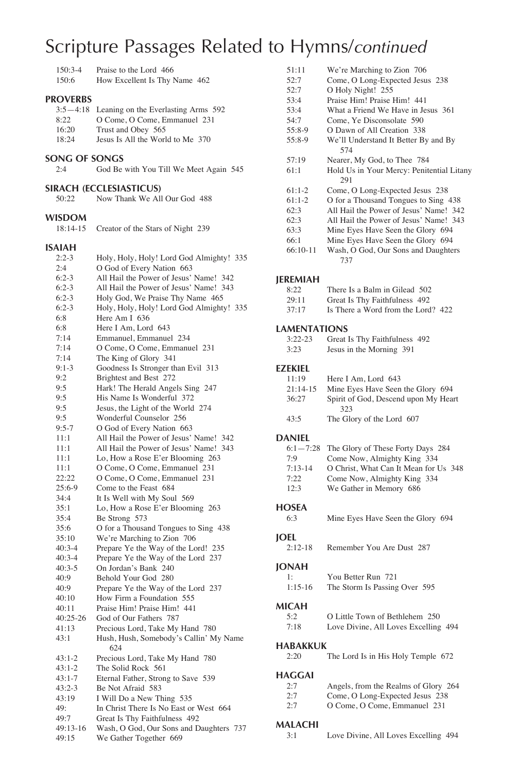| 150:3-4<br>150:6                          | Praise to the Lord 466<br>How Excellent Is Thy Name 462                                                                                |
|-------------------------------------------|----------------------------------------------------------------------------------------------------------------------------------------|
| <b>PROVERBS</b><br>8:22<br>16:20<br>18:24 | 3:5-4:18 Leaning on the Everlasting Arms 592<br>O Come, O Come, Emmanuel 231<br>Trust and Obey 565<br>Jesus Is All the World to Me 370 |
| SONG OF SONGS                             |                                                                                                                                        |
| 2:4                                       | God Be with You Till We Meet Again 545                                                                                                 |
| 50:22                                     | SIRACH (ECCLESIASTICUS)<br>Now Thank We All Our God 488                                                                                |
| <b>WISDOM</b><br>18:14-15                 | Creator of the Stars of Night 239                                                                                                      |
| ISAIAH                                    |                                                                                                                                        |
| $2:2-3$                                   | Holy, Holy, Holy! Lord God Almighty! 335                                                                                               |
| 2:4                                       | O God of Every Nation 663                                                                                                              |
| $6:2-3$                                   | All Hail the Power of Jesus' Name! 342                                                                                                 |
| $6:2-3$                                   | All Hail the Power of Jesus' Name! 343                                                                                                 |
| $6:2-3$                                   | Holy God, We Praise Thy Name 465                                                                                                       |
| $6:2-3$                                   | Holy, Holy, Holy! Lord God Almighty! 335                                                                                               |
| 6:8                                       | Here Am I 636                                                                                                                          |
| 6:8                                       | Here I Am, Lord 643                                                                                                                    |
| 7:14                                      | Emmanuel, Emmanuel 234                                                                                                                 |
| 7:14                                      | O Come, O Come, Emmanuel 231                                                                                                           |
| 7:14                                      | The King of Glory 341                                                                                                                  |
| $9:1-3$                                   | Goodness Is Stronger than Evil 313                                                                                                     |
| 9:2                                       | Brightest and Best 272<br>Hark! The Herald Angels Sing 247                                                                             |
| 9:5<br>9:5                                | His Name Is Wonderful 372                                                                                                              |
| 9:5                                       | Jesus, the Light of the World 274                                                                                                      |
| 9:5                                       | Wonderful Counselor 256                                                                                                                |
| $9:5 - 7$                                 | O God of Every Nation 663                                                                                                              |
| 11:1                                      | All Hail the Power of Jesus' Name! 342                                                                                                 |
| 11:1                                      | All Hail the Power of Jesus' Name! 343                                                                                                 |
| 11:1                                      | Lo, How a Rose E'er Blooming 263                                                                                                       |
| 11:1                                      | O Come, O Come, Emmanuel 231                                                                                                           |
| 22:22                                     | O Come, O Come, Emmanuel 231                                                                                                           |
| $25:6-9$                                  | Come to the Feast 684                                                                                                                  |
| 34:4                                      | It Is Well with My Soul 569                                                                                                            |
| 35:1                                      | Lo, How a Rose E'er Blooming 263                                                                                                       |
| 35:4                                      | Be Strong 573                                                                                                                          |
| 35:6                                      | O for a Thousand Tongues to Sing 438                                                                                                   |
| 35:10                                     | We're Marching to Zion 706                                                                                                             |
| $40:3-4$                                  | Prepare Ye the Way of the Lord! 235                                                                                                    |
| $40:3-4$                                  | Prepare Ye the Way of the Lord 237                                                                                                     |
| $40:3-5$                                  | On Jordan's Bank 240                                                                                                                   |
| 40:9                                      | Behold Your God 280                                                                                                                    |
| 40:9                                      | Prepare Ye the Way of the Lord 237                                                                                                     |
| 40:10                                     | How Firm a Foundation 555                                                                                                              |
| 40:11<br>40:25-26                         | Praise Him! Praise Him! 441<br>God of Our Fathers 787                                                                                  |
| 41:13                                     | Precious Lord, Take My Hand 780                                                                                                        |
| 43:1                                      | Hush, Hush, Somebody's Callin' My Name<br>624                                                                                          |
| $43:1-2$                                  | Precious Lord, Take My Hand 780                                                                                                        |
| $43:1 - 2$                                | The Solid Rock 561                                                                                                                     |
| $43:1 - 7$                                | Eternal Father, Strong to Save 539                                                                                                     |
| $43:2-3$                                  | Be Not Afraid 583                                                                                                                      |
| 43:19                                     | I Will Do a New Thing 535                                                                                                              |
| 49:                                       | In Christ There Is No East or West 664                                                                                                 |
| 49:7                                      | Great Is Thy Faithfulness 492                                                                                                          |
| 49:13-16                                  | Wash, O God, Our Sons and Daughters 737                                                                                                |

|       |  |  | . |                        |  |
|-------|--|--|---|------------------------|--|
| 49:15 |  |  |   | We Gather Together 669 |  |

| 51:11      | We're Marching to Zion 706                |
|------------|-------------------------------------------|
| 52:7       | Come, O Long-Expected Jesus 238           |
| 52:7       | O Holy Night! 255                         |
| 53:4       | Praise Him! Praise Him! 441               |
| 53:4       | What a Friend We Have in Jesus 361        |
| 54:7       | Come, Ye Disconsolate 590                 |
| $55:8-9$   | O Dawn of All Creation 338                |
| 55:8-9     | We'll Understand It Better By and By      |
|            | 574                                       |
| 57:19      | Nearer, My God, to Thee 784               |
| 61:1       | Hold Us in Your Mercy: Penitential Litany |
|            | 291                                       |
| $61:1-2$   | Come, O Long-Expected Jesus 238           |
| $61:1-2$   | O for a Thousand Tongues to Sing 438      |
| 62:3       | All Hail the Power of Jesus' Name! 342    |
| 62:3       | All Hail the Power of Jesus' Name! 343    |
| 63:3       | Mine Eyes Have Seen the Glory 694         |
| 66:1       | Mine Eyes Have Seen the Glory 694         |
| $66:10-11$ | Wash, O God, Our Sons and Daughters       |
|            | 737                                       |

#### **JEREMIAH**

| 8.22  | There Is a Balm in Gilead 502      |
|-------|------------------------------------|
| 29.11 | Great Is Thy Faithfulness 492      |
| 37:17 | Is There a Word from the Lord? 422 |

#### **LAMENTATIONS**

| $3:22-23$ | Great Is Thy Faithfulness 492 |  |
|-----------|-------------------------------|--|
| 3:23      | Jesus in the Morning 391      |  |

#### **EZEKIEL**

| 11:19<br>$21:14-15$<br>36:27                     | Here I Am. Lord 643<br>Mine Eyes Have Seen the Glory 694<br>Spirit of God, Descend upon My Heart<br>323                                                             |
|--------------------------------------------------|---------------------------------------------------------------------------------------------------------------------------------------------------------------------|
| 43:5                                             | The Glory of the Lord 607                                                                                                                                           |
| <b>DANIEL</b>                                    |                                                                                                                                                                     |
| $6:1 - 7:28$<br>7:9<br>$7:13-14$<br>7:22<br>12:3 | The Glory of These Forty Days 284<br>Come Now, Almighty King 334<br>O Christ, What Can It Mean for Us 348<br>Come Now, Almighty King 334<br>We Gather in Memory 686 |
| <b>HOSEA</b><br>6:3                              | Mine Eyes Have Seen the Glory 694                                                                                                                                   |
| <b>IOEL</b><br>$2:12-18$                         | Remember You Are Dust 287                                                                                                                                           |
| <b>JONAH</b><br>$1 \cdot$<br>$1:15-16$           | You Better Run 721<br>The Storm Is Passing Over 595                                                                                                                 |
| MICAH<br>5:2<br>7:18                             | O Little Town of Bethlehem 250<br>Love Divine, All Loves Excelling 494                                                                                              |
| <b>HABAKKUK</b><br>2:20                          | The Lord Is in His Holy Temple 672                                                                                                                                  |
| <b>HAGGAI</b><br>2:7                             | Angels, from the Realms of Glory 264                                                                                                                                |

### 2:7 Come, O Long-Expected Jesus 238

| 2:7 |  |  | O Come, O Come, Emmanuel 231 |  |
|-----|--|--|------------------------------|--|

#### **MALACHI**

3:1 Love Divine, All Loves Excelling 494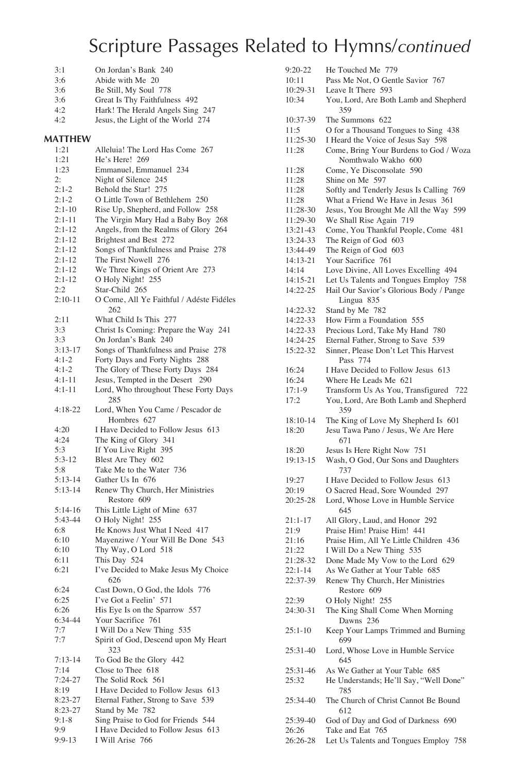|                      | 11 L.<br>-- -<br>$\sim$ $\circ$                                       |
|----------------------|-----------------------------------------------------------------------|
| 3:1                  | On Jordan's Bank 240                                                  |
| 3:6                  | Abide with Me 20                                                      |
| 3:6                  | Be Still, My Soul 778                                                 |
| 3:6                  | Great Is Thy Faithfulness 492                                         |
| 4:2                  | Hark! The Herald Angels Sing 247                                      |
| 4:2                  | Jesus, the Light of the World 274                                     |
| <b>MATTHEW</b>       |                                                                       |
| 1:21                 | Alleluia! The Lord Has Come 267                                       |
| 1:21                 | He's Here! 269                                                        |
| 1:23                 | Emmanuel, Emmanuel 234                                                |
| 2:                   | Night of Silence 245                                                  |
| $2:1-2$              | Behold the Star! 275                                                  |
| $2:1-2$              | O Little Town of Bethlehem 250                                        |
| $2:1-10$             | Rise Up, Shepherd, and Follow 258                                     |
| $2:1 - 11$           | The Virgin Mary Had a Baby Boy 268                                    |
| 2:1-12               | Angels, from the Realms of Glory 264                                  |
| $2:1-12$<br>$2:1-12$ | Brightest and Best 272                                                |
| $2:1-12$             | Songs of Thankfulness and Praise 278<br>The First Nowell 276          |
| $2:1-12$             | We Three Kings of Orient Are 273                                      |
| 2:1-12               | O Holy Night! 255                                                     |
| 2:2                  | Star-Child 265                                                        |
| $2:10-11$            | O Come, All Ye Faithful / Adéste Fidéles<br>262                       |
| 2:11                 | What Child Is This 277                                                |
| 3:3                  | Christ Is Coming: Prepare the Way 241                                 |
| 3:3                  | On Jordan's Bank 240                                                  |
| $3:13-17$            | Songs of Thankfulness and Praise 278                                  |
| $4:1-2$              | Forty Days and Forty Nights 288                                       |
| $4:1-2$<br>4:1-11    | The Glory of These Forty Days 284<br>Jesus, Tempted in the Desert 290 |
| $4:1-11$             | Lord, Who throughout These Forty Days                                 |
|                      | 285                                                                   |
| $4:18-22$            | Lord, When You Came / Pescador de<br>Hombres 627                      |
| 4:20                 | I Have Decided to Follow Jesus 613                                    |
| 4:24                 | The King of Glory 341                                                 |
| 5:3                  | If You Live Right 395                                                 |
| $5:3-12$<br>5:8      | Blest Are They 602<br>Take Me to the Water 736                        |
| 5:13-14              | Gather Us In 676                                                      |
| 5:13-14              | Renew Thy Church, Her Ministries                                      |
|                      | Restore 609                                                           |
| 5:14-16              | This Little Light of Mine 637                                         |
| 5:43-44              | O Holy Night! 255                                                     |
| 6:8                  | He Knows Just What I Need 417                                         |
| 6:10                 | Mayenziwe / Your Will Be Done 543<br>Thy Way, O Lord 518              |
| 6:10<br>6:11         | This Day 524                                                          |
| 6:21                 | I've Decided to Make Jesus My Choice<br>626                           |
| 6:24                 | Cast Down, O God, the Idols 776                                       |
| 6:25                 | I've Got a Feelin' 571                                                |
| 6:26                 | His Eye Is on the Sparrow 557                                         |
| 6:34-44              | Your Sacrifice 761                                                    |
| 7:7                  | I Will Do a New Thing 535                                             |
| 7:7                  | Spirit of God, Descend upon My Heart<br>323                           |
| $7:13-14$            | To God Be the Glory 442                                               |
| 7:14                 | Close to Thee 618                                                     |
| 7:24-27              | The Solid Rock 561                                                    |
| 8:19                 | I Have Decided to Follow Jesus 613                                    |
| $8:23-27$            | Eternal Father, Strong to Save 539                                    |
| 8:23-27              | Stand by Me 782                                                       |
| $9:1-8$              | Sing Praise to God for Friends 544                                    |

9:1-8 Sing Praise to God for Friends 544<br>9:9 I Have Decided to Follow Jesus 61 I Have Decided to Follow Jesus 613

9:9-13 I Will Arise 766

| 9:20-22           | He Touched Me 779                                         |
|-------------------|-----------------------------------------------------------|
| 10:11             | Pass Me Not, O Gentle Savior 767                          |
| 10:29-31          | Leave It There 593                                        |
| 10:34             | You, Lord, Are Both Lamb and Shepherd                     |
|                   | 359                                                       |
|                   |                                                           |
| 10:37-39          | The Summons 622                                           |
| 11:5              | O for a Thousand Tongues to Sing 438                      |
| 11:25-30          | I Heard the Voice of Jesus Say 598                        |
| 11:28             | Come, Bring Your Burdens to God / Woza                    |
|                   | Nomthwalo Wakho 600                                       |
| 11:28             | Come, Ye Disconsolate 590                                 |
| 11:28             | Shine on Me 597                                           |
| 11:28             | Softly and Tenderly Jesus Is Calling 769                  |
| 11:28             | What a Friend We Have in Jesus 361                        |
|                   |                                                           |
| 11:28-30          | Jesus, You Brought Me All the Way 599                     |
| 11:29-30          | We Shall Rise Again 719                                   |
| 13:21-43          | Come, You Thankful People, Come 481                       |
| 13:24-33          | The Reign of God 603                                      |
| 13:44-49          | The Reign of God 603                                      |
| 14:13-21          | Your Sacrifice 761                                        |
| 14:14             | Love Divine, All Loves Excelling 494                      |
| 14:15-21          | Let Us Talents and Tongues Employ 758                     |
| 14:22-25          | Hail Our Savior's Glorious Body / Pange                   |
|                   | Lingua 835                                                |
|                   |                                                           |
| 14:22-32          | Stand by Me 782                                           |
| 14:22-33          | How Firm a Foundation 555                                 |
| 14:22-33          | Precious Lord, Take My Hand 780                           |
| 14:24-25          | Eternal Father, Strong to Save 539                        |
| 15:22-32          | Sinner, Please Don't Let This Harvest                     |
|                   | Pass 774                                                  |
| 16:24             | I Have Decided to Follow Jesus 613                        |
| 16:24             | Where He Leads Me 621                                     |
| $17:1-9$          | Transform Us As You, Transfigured<br>- 722                |
|                   | You, Lord, Are Both Lamb and Shepherd                     |
| 17:2              |                                                           |
|                   | 359                                                       |
| 18:10-14          | The King of Love My Shepherd Is 601                       |
| 18:20             | Jesu Tawa Pano / Jesus, We Are Here                       |
|                   | 671                                                       |
| 18:20             | Jesus Is Here Right Now 751                               |
| 19:13-15          | Wash, O God, Our Sons and Daughters                       |
|                   | 737                                                       |
| 19:27             | I Have Decided to Follow Jesus 613                        |
|                   | O Sacred Head, Sore Wounded 297                           |
| 20:19             |                                                           |
| 20:25-28          | Lord, Whose Love in Humble Service                        |
|                   | 645                                                       |
| 21:1-17           | All Glory, Laud, and Honor 292                            |
| 21:9              | Praise Him! Praise Him! 441                               |
| 21:16             | Praise Him, All Ye Little Children 436                    |
| 21:22             | I Will Do a New Thing 535                                 |
| 21:28-32          | Done Made My Vow to the Lord 629                          |
| $22:1-14$         | As We Gather at Your Table 685                            |
| 22:37-39          | Renew Thy Church, Her Ministries                          |
|                   | Restore 609                                               |
|                   |                                                           |
| 22:39             | O Holy Night! 255                                         |
| 24:30-31          | The King Shall Come When Morning                          |
|                   | Dawns 236                                                 |
| $25:1-10$         | Keep Your Lamps Trimmed and Burning                       |
|                   | 699                                                       |
| 25:31-40          | Lord, Whose Love in Humble Service                        |
|                   | 645                                                       |
| 25:31-46          | As We Gather at Your Table 685                            |
| 25:32             | He Understands; He'll Say, "Well Done"                    |
|                   |                                                           |
|                   | 785                                                       |
| 25:34-40          | The Church of Christ Cannot Be Bound                      |
|                   | 612                                                       |
| 25:39-40          |                                                           |
|                   | God of Day and God of Darkness 690                        |
| 26:26<br>26:26-28 | Take and Eat 765<br>Let Us Talents and Tongues Employ 758 |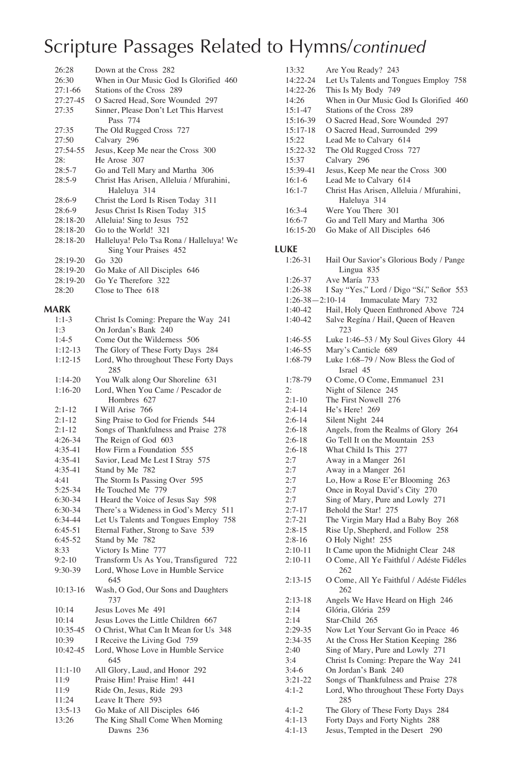| 26:28      | Down at the Cross 282                    |
|------------|------------------------------------------|
| 26:30      | When in Our Music God Is Glorified 460   |
| $27:1-66$  | Stations of the Cross 289                |
| 27:27-45   | O Sacred Head, Sore Wounded 297          |
| 27:35      | Sinner, Please Don't Let This Harvest    |
|            | Pass 774                                 |
| 27:35      | The Old Rugged Cross 727                 |
| 27:50      | Calvary 296                              |
| 27:54-55   | Jesus, Keep Me near the Cross 300        |
| 28:        | He Arose 307                             |
| $28:5-7$   | Go and Tell Mary and Martha 306          |
| $28:5-9$   | Christ Has Arisen, Alleluia / Mfurahini, |
|            | Haleluya 314                             |
| $28:6-9$   | Christ the Lord Is Risen Today 311       |
| $28:6-9$   | Jesus Christ Is Risen Today 315          |
| $28:18-20$ | Alleluia! Sing to Jesus 752              |
| $28:18-20$ | Go to the World! 321                     |
| $28:18-20$ | Halleluya! Pelo Tsa Rona / Halleluya! We |
|            | Sing Your Praises 452                    |
| 28:19-20   | Go 320                                   |
| $28:19-20$ | Go Make of All Disciples 646             |
| 28:19-20   | Go Ye Therefore 322                      |
| 28:20      | Close to Thee 618                        |

### **MARK**

| IAKK       |                                            |
|------------|--------------------------------------------|
| $1:1-3$    | Christ Is Coming: Prepare the Way 241      |
| 1:3        | On Jordan's Bank 240                       |
| $1:4-5$    | Come Out the Wilderness 506                |
| $1:12-13$  | The Glory of These Forty Days 284          |
| $1:12-15$  | Lord, Who throughout These Forty Days      |
|            | 285                                        |
| $1:14-20$  | You Walk along Our Shoreline 631           |
| $1:16-20$  | Lord, When You Came / Pescador de          |
|            | Hombres 627                                |
| $2:1 - 12$ | I Will Arise 766                           |
| $2:1-12$   | Sing Praise to God for Friends 544         |
| $2:1-12$   | Songs of Thankfulness and Praise 278       |
| $4:26-34$  | The Reign of God 603                       |
| 4:35-41    | How Firm a Foundation 555                  |
| $4:35-41$  | Savior, Lead Me Lest I Stray 575           |
| 4:35-41    | Stand by Me 782                            |
| 4:41       | The Storm Is Passing Over 595              |
| 5:25-34    | He Touched Me 779                          |
| 6:30-34    | I Heard the Voice of Jesus Say 598         |
| 6:30-34    | There's a Wideness in God's Mercy 511      |
| 6:34-44    | Let Us Talents and Tongues Employ 758      |
| $6:45-51$  | Eternal Father, Strong to Save 539         |
| $6:45-52$  | Stand by Me 782                            |
| 8:33       | Victory Is Mine 777                        |
| $9:2 - 10$ | Transform Us As You, Transfigured 722      |
| 9:30-39    | Lord, Whose Love in Humble Service         |
|            | 645                                        |
| $10:13-16$ | Wash, O God, Our Sons and Daughters<br>737 |
| 10:14      | Jesus Loves Me 491                         |
| 10:14      | Jesus Loves the Little Children 667        |
| 10:35-45   | O Christ, What Can It Mean for Us 348      |
| 10:39      | I Receive the Living God 759               |
| 10:42-45   | Lord, Whose Love in Humble Service         |
|            | 645                                        |
| $11:1-10$  | All Glory, Laud, and Honor 292             |
| 11:9       | Praise Him! Praise Him! 441                |
| 11:9       | Ride On, Jesus, Ride 293                   |
| 11:24      | Leave It There 593                         |
| $13:5-13$  | Go Make of All Disciples 646               |
| 13:26      | The King Shall Come When Morning           |
|            | Dawns 236                                  |

| 13:32             | Are You Ready? 243                       |
|-------------------|------------------------------------------|
| 14:22-24          | Let Us Talents and Tongues Employ 758    |
| 14:22-26          | This Is My Body 749                      |
| 14:26             | When in Our Music God Is Glorified 460   |
| $15:1 - 47$       | Stations of the Cross 289                |
| 15:16-39          | O Sacred Head, Sore Wounded 297          |
| 15:17-18          | O Sacred Head, Surrounded 299            |
| 15:22             | Lead Me to Calvary 614                   |
| 15:22-32          | The Old Rugged Cross 727                 |
| 15:37             | Calvary 296                              |
| 15:39-41          | Jesus, Keep Me near the Cross 300        |
| 16:1-6            | Lead Me to Calvary 614                   |
| 16:1-7            | Christ Has Arisen, Alleluia / Mfurahini, |
|                   | Haleluya 314                             |
| 16:3-4            | Were You There 301                       |
| 16:6-7            | Go and Tell Mary and Martha 306          |
| 16:15-20          | Go Make of All Disciples 646             |
|                   |                                          |
| LUKE              |                                          |
| 1:26-31           | Hail Our Savior's Glorious Body / Pange  |
|                   | Lingua 835                               |
| 1:26-37           | Ave María 733                            |
| 1:26-38           | I Say "Yes," Lord / Digo "Sí," Señor 553 |
| $1:26-38-2:10-14$ | Immaculate Mary 732                      |
| 1:40-42           | Hail, Holy Queen Enthroned Above 724     |
| 1:40-42           | Salve Regína / Hail, Queen of Heaven     |
|                   | 723                                      |
| 1:46-55           | Luke 1:46-53 / My Soul Gives Glory 44    |
| 1:46-55           | Mary's Canticle 689                      |
| 1:68-79           | Luke 1:68-79 / Now Bless the God of      |
|                   | Israel 45                                |
| 1:78-79           | O Come, O Come, Emmanuel 231             |
| 2:                | Night of Silence 245                     |
| $2:1-10$          | The First Nowell 276                     |
| 2:4-14            | He's Here! 269                           |
| $2:6-14$          | Silent Night 244                         |
|                   |                                          |
| $2:6-18$          | Angels, from the Realms of Glory 264     |
| $2:6-18$          | Go Tell It on the Mountain 253           |
| $2:6-18$          | What Child Is This 277                   |
| 2:7               | Away in a Manger 261                     |
| 2:7               | Away in a Manger 261                     |
| 2:7               | Lo, How a Rose E'er Blooming 263         |
| 2:7               | Once in Royal David's City 270           |
| 2:7               | Sing of Mary, Pure and Lowly 271         |
| 2:7-17            | Behold the Star! 275                     |
| $2:7 - 21$        | The Virgin Mary Had a Baby Boy 268       |
| $2:8-15$          | Rise Up, Shepherd, and Follow 258        |
| $2:8-16$          | O Holy Night! 255                        |
| $2:10-11$         | It Came upon the Midnight Clear 248      |
| $2:10-11$         | O Come, All Ye Faithful / Adéste Fidéles |
|                   | 262                                      |
| $2:13-15$         | O Come, All Ye Faithful / Adéste Fidéles |
|                   | 262                                      |
| $2:13-18$         | Angels We Have Heard on High 246         |
| 2:14              | Glória, Glória 259                       |
| 2:14              | Star-Child 265                           |
| 2:29-35           | Now Let Your Servant Go in Peace 46      |
| 2:34-35           | At the Cross Her Station Keeping 286     |
| 2:40              | Sing of Mary, Pure and Lowly 271         |
| 3:4               | Christ Is Coming: Prepare the Way 241    |
| $3:4-6$           | On Jordan's Bank 240                     |
| 3:21-22           | Songs of Thankfulness and Praise 278     |
| $4:1-2$           | Lord, Who throughout These Forty Days    |
|                   | 285                                      |
| $4:1-2$           | The Glory of These Forty Days 284        |
| $4:1-13$          | Forty Days and Forty Nights 288          |
| 4:1-13            | Jesus, Tempted in the Desert<br>290      |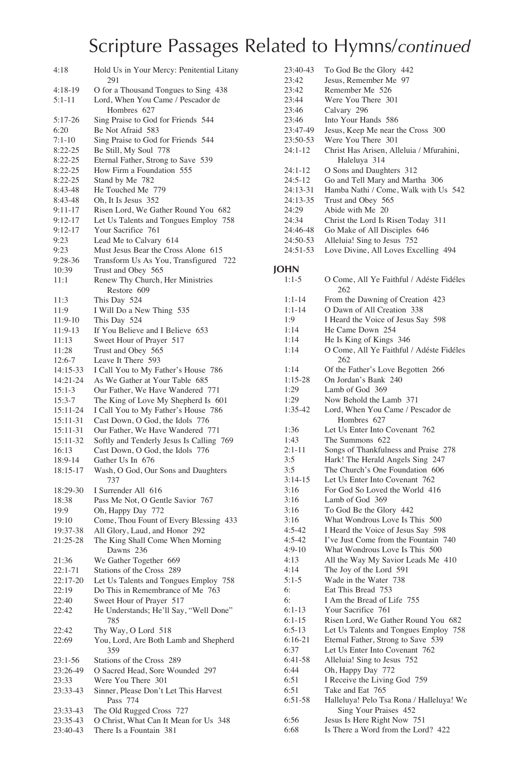| 4:18                   | Hold Us in Your Mercy: Penitential Litany<br>291                        |
|------------------------|-------------------------------------------------------------------------|
| $4:18-19$              | O for a Thousand Tongues to Sing 438                                    |
| $5:1 - 11$             | Lord, When You Came / Pescador de                                       |
|                        | Hombres 627                                                             |
| 5:17-26                | Sing Praise to God for Friends 544                                      |
| 6:20                   | Be Not Afraid 583<br>Sing Praise to God for Friends 544                 |
| $7:1-10$<br>$8:22-25$  | Be Still, My Soul 778                                                   |
| 8:22-25                | Eternal Father, Strong to Save 539                                      |
| $8:22-25$              | How Firm a Foundation 555                                               |
| 8:22-25                | Stand by Me 782                                                         |
| 8:43-48                | He Touched Me 779                                                       |
| 8:43-48                | Oh, It Is Jesus 352                                                     |
| $9:11-17$              | Risen Lord, We Gather Round You 682                                     |
| $9:12-17$<br>$9:12-17$ | Let Us Talents and Tongues Employ 758<br>Your Sacrifice 761             |
| 9:23                   | Lead Me to Calvary 614                                                  |
| 9:23                   | Must Jesus Bear the Cross Alone 615                                     |
| $9:28-36$              | Transform Us As You, Transfigured 722                                   |
| 10:39                  | Trust and Obey 565                                                      |
| 11:1                   | Renew Thy Church, Her Ministries                                        |
|                        | Restore 609                                                             |
| 11:3                   | This Day 524<br>I Will Do a New Thing 535                               |
| 11:9<br>11:9-10        | This Day 524                                                            |
| 11:9-13                | If You Believe and I Believe 653                                        |
| 11:13                  | Sweet Hour of Prayer 517                                                |
| 11:28                  | Trust and Obey 565                                                      |
| 12:6-7                 | Leave It There 593                                                      |
| 14:15-33               | I Call You to My Father's House 786                                     |
| 14:21-24<br>$15:1-3$   | As We Gather at Your Table 685                                          |
| 15:3-7                 | Our Father, We Have Wandered 771<br>The King of Love My Shepherd Is 601 |
| 15:11-24               | I Call You to My Father's House 786                                     |
| 15:11-31               | Cast Down, O God, the Idols 776                                         |
| 15:11-31               | Our Father, We Have Wandered 771                                        |
| 15:11-32               | Softly and Tenderly Jesus Is Calling 769                                |
| 16:13                  | Cast Down, O God, the Idols 776                                         |
| 18:9-14                | Gather Us In 676                                                        |
| 18:15-17               | Wash, O God, Our Sons and Daughters<br>737                              |
| 18:29-30               | I Surrender All 616                                                     |
| 18:38                  | Pass Me Not, O Gentle Savior 767                                        |
| 19:9                   | Oh, Happy Day 772                                                       |
| 19:10                  | Come, Thou Fount of Every Blessing 433                                  |
| 19:37-38<br>21:25-28   | All Glory, Laud, and Honor 292<br>The King Shall Come When Morning      |
|                        | Dawns 236                                                               |
| 21:36                  | We Gather Together 669                                                  |
| 22:1-71                | Stations of the Cross 289                                               |
| $22:17-20$             | Let Us Talents and Tongues Employ 758                                   |
| 22:19                  | Do This in Remembrance of Me 763                                        |
| 22:40                  | Sweet Hour of Prayer 517                                                |
| 22:42                  | He Understands; He'll Say, "Well Done"<br>785                           |
| 22:42                  | Thy Way, O Lord 518                                                     |
| 22:69                  | You, Lord, Are Both Lamb and Shepherd<br>359                            |
| $23:1 - 56$            | Stations of the Cross 289                                               |
| 23:26-49               | O Sacred Head, Sore Wounded 297                                         |
| 23:33                  | Were You There 301                                                      |
| 23:33-43               | Sinner, Please Don't Let This Harvest<br>Pass 774                       |
| 23:33-43               | The Old Rugged Cross 727                                                |
| 23:35-43<br>23:40-43   | O Christ, What Can It Mean for Us 348<br>There Is a Fountain 381        |
|                        |                                                                         |

| 23:40-43     | To God Be the Glory 442                                              |
|--------------|----------------------------------------------------------------------|
| 23:42        | Jesus, Remember Me 97                                                |
| 23:42        | Remember Me 526                                                      |
| 23:44        | Were You There 301                                                   |
| 23:46        | Calvary 296                                                          |
| 23:46        | Into Your Hands 586                                                  |
| 23:47-49     | Jesus, Keep Me near the Cross 300                                    |
| 23:50-53     | Were You There 301                                                   |
| 24:1-12      | Christ Has Arisen, Alleluia / Mfurahini,                             |
|              | Haleluya 314                                                         |
| 24:1-12      | O Sons and Daughters 312                                             |
| 24:5-12      | Go and Tell Mary and Martha 306                                      |
| 24:13-31     | Hamba Nathi / Come, Walk with Us 542                                 |
| 24:13-35     | Trust and Obey 565                                                   |
| 24:29        | Abide with Me 20                                                     |
| 24:34        | Christ the Lord Is Risen Today 311                                   |
| 24:46-48     | Go Make of All Disciples 646                                         |
| 24:50-53     | Alleluia! Sing to Jesus 752                                          |
| 24:51-53     | Love Divine, All Loves Excelling 494                                 |
|              |                                                                      |
| JOHN         |                                                                      |
| $1:1-5$      |                                                                      |
|              | O Come, All Ye Faithful / Adéste Fidéles                             |
|              | 262                                                                  |
| 1:1-14       | From the Dawning of Creation 423                                     |
| 1:1-14       | O Dawn of All Creation 338                                           |
| 1:9          | I Heard the Voice of Jesus Say 598                                   |
| 1:14         | He Came Down 254                                                     |
| 1:14         | He Is King of Kings 346                                              |
| 1:14         | O Come, All Ye Faithful / Adéste Fidéles<br>262                      |
| 1:14         | Of the Father's Love Begotten 266                                    |
| 1:15-28      | On Jordan's Bank 240                                                 |
| 1:29         | Lamb of God 369                                                      |
| 1:29         | Now Behold the Lamb 371                                              |
| 1:35-42      | Lord, When You Came / Pescador de<br>Hombres 627                     |
| 1:36         | Let Us Enter Into Covenant 762                                       |
| 1:43         | The Summons 622                                                      |
| 2:1-11       | Songs of Thankfulness and Praise 278                                 |
| 3:5          | Hark! The Herald Angels Sing 247                                     |
| 3:5          | The Church's One Foundation 606                                      |
| $3:14-15$    | Let Us Enter Into Covenant 762                                       |
| 3:16         | For God So Loved the World 416                                       |
| 3:16         | Lamb of God 369                                                      |
| 3:16         | To God Be the Glory 442                                              |
| 3:16         | What Wondrous Love Is This 500                                       |
| $4:5-42$     | I Heard the Voice of Jesus Say 598                                   |
| $4:5-42$     | I've Just Come from the Fountain 740                                 |
| $4:9-10$     | What Wondrous Love Is This 500                                       |
| 4:13         | All the Way My Savior Leads Me 410                                   |
| 4:14         | The Joy of the Lord 591                                              |
| $5:1-5$      | Wade in the Water 738                                                |
| 6:           | Eat This Bread 753                                                   |
| 6:           | I Am the Bread of Life 755                                           |
| $6:1-13$     | Your Sacrifice 761                                                   |
| $6:1-15$     | Risen Lord, We Gather Round You 682                                  |
| $6:5-13$     | Let Us Talents and Tongues Employ 758                                |
| $6:16-21$    |                                                                      |
| 6:37         | Eternal Father, Strong to Save 539<br>Let Us Enter Into Covenant 762 |
|              |                                                                      |
| 6:41-58      | Alleluia! Sing to Jesus 752<br>Oh, Happy Day 772                     |
| 6:44         | I Receive the Living God 759                                         |
| 6:51<br>6:51 | Take and Eat 765                                                     |
| 6:51-58      | Halleluya! Pelo Tsa Rona / Halleluya! We                             |
|              |                                                                      |
|              | Sing Your Praises 452                                                |
| 6:56         | Jesus Is Here Right Now 751                                          |

6:68 Is There a Word from the Lord? 422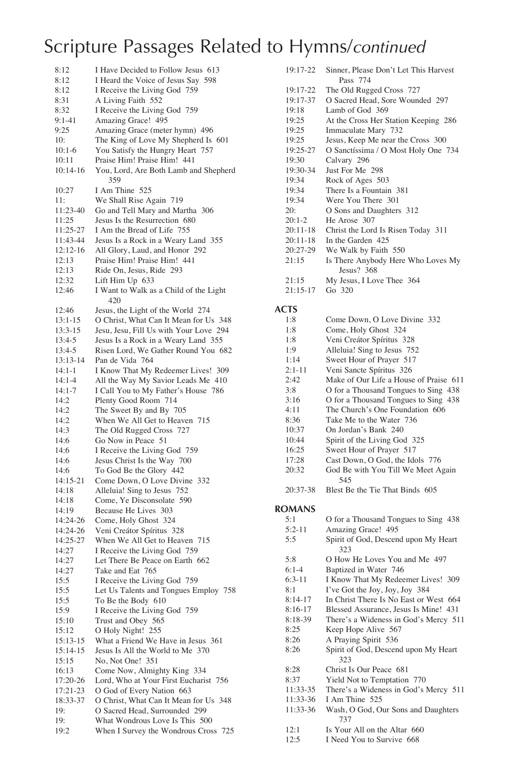| 8:12                 | I Have Decided to Follow Jesus 613                                 |
|----------------------|--------------------------------------------------------------------|
| 8:12                 | I Heard the Voice of Jesus Say 598                                 |
| 8:12                 | I Receive the Living God 759                                       |
| 8:31                 | A Living Faith 552                                                 |
| 8:32                 | I Receive the Living God 759                                       |
| $9:1-41$             | Amazing Grace! 495                                                 |
| 9:25                 | Amazing Grace (meter hymn) 496                                     |
| 10:                  | The King of Love My Shepherd Is 601                                |
| $10:1-6$             | You Satisfy the Hungry Heart 757                                   |
| 10:11                | Praise Him! Praise Him! 441                                        |
| 10:14-16             | You, Lord, Are Both Lamb and Shepherd                              |
|                      | 359                                                                |
| 10:27                | I Am Thine 525                                                     |
| 11:                  | We Shall Rise Again 719                                            |
| 11:23-40             | Go and Tell Mary and Martha 306                                    |
| 11:25                | Jesus Is the Resurrection 680                                      |
| 11:25-27             | I Am the Bread of Life 755                                         |
| 11:43-44             | Jesus Is a Rock in a Weary Land 355                                |
| 12:12-16             | All Glory, Laud, and Honor 292                                     |
| 12:13                | Praise Him! Praise Him! 441<br>Ride On, Jesus, Ride 293            |
| 12:13<br>12:32       | Lift Him Up 633                                                    |
| 12:46                | I Want to Walk as a Child of the Light                             |
|                      | 420                                                                |
| 12:46                | Jesus, the Light of the World 274                                  |
| 13:1-15              | O Christ, What Can It Mean for Us 348                              |
| 13:3-15              | Jesu, Jesu, Fill Us with Your Love 294                             |
| 13:4-5               | Jesus Is a Rock in a Weary Land 355                                |
| 13:4-5               | Risen Lord, We Gather Round You 682                                |
| 13:13-14             | Pan de Vida 764                                                    |
| 14:1-1               | I Know That My Redeemer Lives! 309                                 |
| $14:1 - 4$           | All the Way My Savior Leads Me 410                                 |
| $14:1 - 7$           | I Call You to My Father's House 786                                |
| 14:2                 | Plenty Good Room 714                                               |
| 14:2                 | The Sweet By and By 705                                            |
| 14:2                 | When We All Get to Heaven 715                                      |
| 14:3                 | The Old Rugged Cross 727                                           |
| 14:6                 | Go Now in Peace 51                                                 |
| 14:6                 | I Receive the Living God 759                                       |
| 14:6                 | Jesus Christ Is the Way 700                                        |
| 14:6                 | To God Be the Glory 442                                            |
| 14:15-21             | Come Down, O Love Divine 332                                       |
| 14:18<br>14:18       | Alleluia! Sing to Jesus 752                                        |
| 14:19                | Come, Ye Disconsolate 590<br>Because He Lives 303                  |
| 14:24-26             | Come, Holy Ghost 324                                               |
| 14:24-26             | Veni Creátor Spíritus 328                                          |
| 14:25-27             | When We All Get to Heaven 715                                      |
| 14:27                | I Receive the Living God 759                                       |
| 14:27                | Let There Be Peace on Earth 662                                    |
| 14:27                | Take and Eat 765                                                   |
| 15:5                 | I Receive the Living God 759                                       |
| 15:5                 | Let Us Talents and Tongues Employ 758                              |
| 15:5                 | To Be the Body 610                                                 |
| 15:9                 | I Receive the Living God 759                                       |
| 15:10                | Trust and Obey 565                                                 |
| 15:12                | O Holy Night! 255                                                  |
| 15:13-15             | What a Friend We Have in Jesus 361                                 |
| 15:14-15             | Jesus Is All the World to Me 370                                   |
| 15:15                | No, Not One! 351                                                   |
| 16:13                | Come Now, Almighty King 334                                        |
| 17:20-26             | Lord, Who at Your First Eucharist 756<br>O God of Every Nation 663 |
| 17:21-23<br>18:33-37 | O Christ, What Can It Mean for Us 348                              |
| 19:                  | O Sacred Head, Surrounded 299                                      |
| 19:                  | What Wondrous Love Is This 500                                     |
| 19:2                 | When I Survey the Wondrous Cross 725                               |
|                      |                                                                    |

| 19:17-22   | Sinner, Please Don't Let This Harvest |
|------------|---------------------------------------|
|            | Pass 774                              |
|            |                                       |
| 19:17-22   | The Old Rugged Cross 727              |
| 19:17-37   | O Sacred Head, Sore Wounded 297       |
| 19:18      | Lamb of God 369                       |
| 19:25      | At the Cross Her Station Keeping 286  |
| 19:25      | Immaculate Mary 732                   |
| 19:25      | Jesus, Keep Me near the Cross 300     |
| $19:25-27$ | O Sanctíssima / O Most Holy One 734   |
| 19:30      | Calvary 296                           |
| 19:30-34   | <b>Iust For Me. 298</b>               |
| 19:34      | Rock of Ages 503                      |
| 19:34      | There Is a Fountain 381               |
| 19:34      | Were You There 301                    |
| 20:        | O Sons and Daughters 312              |
| $20:1-2$   | He Arose 307                          |
| $20:11-18$ | Christ the Lord Is Risen Today 311    |
| $20:11-18$ | In the Garden 425                     |
| $20:27-29$ | We Walk by Faith 550                  |
| 21:15      | Is There Anybody Here Who Loves My    |
|            | Jesus? $368$                          |
| 21:15      | My Jesus, I Love Thee 364             |
| $21:15-17$ | Go 320                                |

#### **ACTS**

| 1:8           | Come Down, O Love Divine 332              |
|---------------|-------------------------------------------|
| 1:8           | Come, Holy Ghost 324                      |
| 1:8           | Veni Creátor Spíritus 328                 |
| 1:9           | Alleluia! Sing to Jesus 752               |
| 1:14          | Sweet Hour of Prayer 517                  |
| $2:1 - 11$    | Veni Sancte Spíritus 326                  |
| 2:42          | Make of Our Life a House of Praise 611    |
| 3:8           | O for a Thousand Tongues to Sing 438      |
| 3:16          | O for a Thousand Tongues to Sing 438      |
| 4:11          | The Church's One Foundation 606           |
| 8:36          | Take Me to the Water 736                  |
| 10:37         | On Jordan's Bank 240                      |
| 10:44         | Spirit of the Living God 325              |
| 16:25         | Sweet Hour of Prayer 517                  |
| 17:28         | Cast Down, O God, the Idols 776           |
| 20:32         | God Be with You Till We Meet Again<br>545 |
| $20:37-38$    | Blest Be the Tie That Binds 605           |
| <b>ROMANS</b> |                                           |
| $5-1$         | O for a Thousand Tongues to Sing 438      |
| $5:2-11$      | Amazing Grace! 495                        |

| $5:2-11$  | Amazing Grace! 495                     |
|-----------|----------------------------------------|
| 5:5       | Spirit of God, Descend upon My Heart   |
|           | 323                                    |
| 5:8       | O How He Loves You and Me 497          |
| $6:1-4$   | Baptized in Water 746                  |
| $6:3-11$  | I Know That My Redeemer Lives! 309     |
| 8:1       | I've Got the Joy, Joy, Joy 384         |
| $8:14-17$ | In Christ There Is No East or West 664 |
| $8:16-17$ | Blessed Assurance, Jesus Is Mine! 431  |
| $8:18-39$ | There's a Wideness in God's Mercy 511  |
| 8:25      | Keep Hope Alive 567                    |
| 8:26      | A Praying Spirit 536                   |
| 8:26      | Spirit of God, Descend upon My Heart   |
|           | 323                                    |
| 8:28      | Christ Is Our Peace 681                |
| 8:37      | Yield Not to Temptation 770            |
| 11:33-35  | There's a Wideness in God's Mercy 511  |
| 11:33-36  | I Am Thine 525                         |
| 11:33-36  | Wash, O God, Our Sons and Daughters    |
|           | 737                                    |
| 12:1      | Is Your All on the Altar 660           |

12:5 I Need You to Survive 668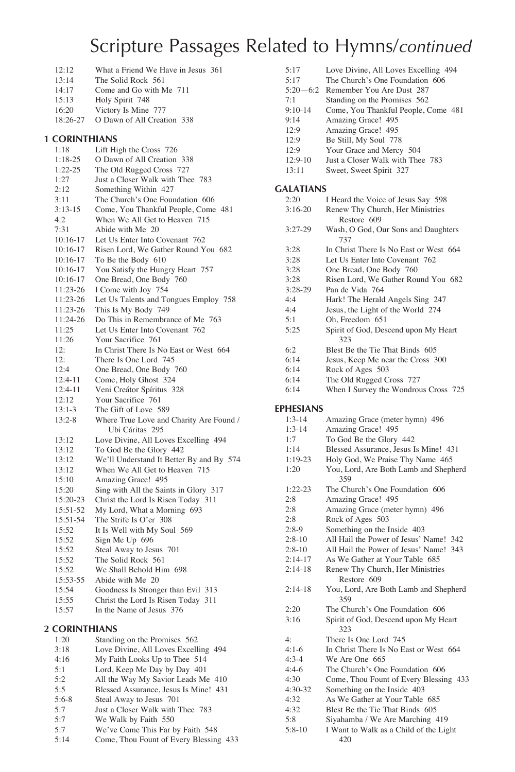- 12:12 What a Friend We Have in Jesus 361<br>13:14 The Solid Rock 561
- 13:14 The Solid Rock 561<br>14:17 Come and Go with M
- Come and Go with Me 711
- 15:13 Holy Spirit 748
- 16:20 Victory Is Mine 777 18:26-27 O Dawn of All Creation 338

#### **1 CORINTHIANS**

| 1:18       | Lift High the Cross 726                  |
|------------|------------------------------------------|
| $1:18-25$  | O Dawn of All Creation 338               |
| $1:22-25$  | The Old Rugged Cross 727                 |
| 1:27       | Just a Closer Walk with Thee 783         |
| 2:12       | Something Within 427                     |
| 3:11       | The Church's One Foundation 606          |
| $3:13-15$  | Come, You Thankful People, Come 481      |
| 4:2        | When We All Get to Heaven 715            |
| 7:31       | Abide with Me 20                         |
| $10:16-17$ | Let Us Enter Into Covenant 762           |
| $10:16-17$ | Risen Lord, We Gather Round You 682      |
| $10:16-17$ | To Be the Body 610                       |
| $10:16-17$ | You Satisfy the Hungry Heart 757         |
| $10:16-17$ | One Bread, One Body 760                  |
| 11:23-26   | I Come with Joy 754                      |
| 11:23-26   | Let Us Talents and Tongues Employ 758    |
| 11:23-26   | This Is My Body 749                      |
| 11:24-26   | Do This in Remembrance of Me 763         |
| 11:25      | Let Us Enter Into Covenant 762           |
| 11:26      | Your Sacrifice 761                       |
| 12:        | In Christ There Is No East or West 664   |
| 12:        | There Is One Lord 745                    |
| 12:4       | One Bread, One Body 760                  |
| 12:4-11    | Come, Holy Ghost 324                     |
| $12:4-11$  | Veni Creátor Spíritus 328                |
| 12:12      | Your Sacrifice 761                       |
| $13:1-3$   | The Gift of Love 589                     |
| 13:2-8     | Where True Love and Charity Are Found /  |
|            | Ubi Cáritas 295                          |
| 13:12      | Love Divine, All Loves Excelling 494     |
| 13:12      | To God Be the Glory 442                  |
| 13:12      | We'll Understand It Better By and By 574 |
| 13:12      | When We All Get to Heaven 715            |
| 15:10      | Amazing Grace! 495                       |
| 15:20      | Sing with All the Saints in Glory 317    |
| 15:20-23   | Christ the Lord Is Risen Today 311       |
| 15:51-52   | My Lord, What a Morning 693              |
| 15:51-54   | The Strife Is O'er 308                   |
| 15:52      | It Is Well with My Soul 569              |
| 15:52      | Sign Me Up 696                           |
| 15:52      | Steal Away to Jesus 701                  |
| 15:52      | The Solid Rock 561                       |
| 15:52      | We Shall Behold Him 698                  |
| 15:53-55   | Abide with Me 20                         |
| 15:54      | Goodness Is Stronger than Evil 313       |
| 15:55      | Christ the Lord Is Risen Today 311       |
| 15:57      | In the Name of Jesus 376                 |
|            |                                          |

#### **2 CORINTHIANS**

| 1.20    | Standing on the Promises 562           |
|---------|----------------------------------------|
| 3:18    | Love Divine, All Loves Excelling 494   |
| 4:16    | My Faith Looks Up to Thee 514          |
| 5:1     | Lord, Keep Me Day by Day 401           |
| 5:2     | All the Way My Savior Leads Me 410     |
| 5:5     | Blessed Assurance, Jesus Is Mine! 431  |
| $5:6-8$ | Steal Away to Jesus 701                |
| 5:7     | Just a Closer Walk with Thee 783       |
| 5:7     | We Walk by Faith 550                   |
| 5:7     | We've Come This Far by Faith 548       |
| 5:14    | Come, Thou Fount of Every Blessing 433 |
|         |                                        |

| 5:17             | Love Divine, All Loves Excelling 494      |
|------------------|-------------------------------------------|
| 5:17             | The Church's One Foundation 606           |
| $5:20-6:2$       | Remember You Are Dust 287                 |
| 7:1              | Standing on the Promises 562              |
| $9:10-14$        | Come, You Thankful People, Come 481       |
| 9:14             | Amazing Grace! 495                        |
| 12:9             | Amazing Grace! 495                        |
|                  |                                           |
| 12:9             | Be Still, My Soul 778                     |
| 12:9             | Your Grace and Mercy 504                  |
| $12:9-10$        | Just a Closer Walk with Thee 783          |
| 13:11            | Sweet, Sweet Spirit 327                   |
|                  |                                           |
| <b>GALATIANS</b> |                                           |
| 2:20             | I Heard the Voice of Jesus Say 598        |
| $3:16-20$        | Renew Thy Church, Her Ministries          |
|                  | Restore 609                               |
| $3:27-29$        | Wash, O God, Our Sons and Daughters       |
|                  | 737                                       |
| 3:28             | In Christ There Is No East or West 664    |
| 3:28             | Let Us Enter Into Covenant 762            |
| 3:28             |                                           |
|                  | One Bread, One Body 760                   |
| 3:28             | Risen Lord, We Gather Round You 682       |
| $3:28-29$        | Pan de Vida 764                           |
| 4:4              | Hark! The Herald Angels Sing 247          |
| 4:4              | Jesus, the Light of the World 274         |
| 5:1              | Oh, Freedom 651                           |
| 5:25             | Spirit of God, Descend upon My Heart      |
|                  | 323                                       |
| 6:2              | Blest Be the Tie That Binds 605           |
| 6:14             | Jesus, Keep Me near the Cross 300         |
| 6:14             | Rock of Ages 503                          |
| 6:14             | The Old Rugged Cross 727                  |
|                  |                                           |
| 6:14             | When I Survey the Wondrous Cross 725      |
|                  |                                           |
|                  |                                           |
| <b>EPHESIANS</b> |                                           |
| $1:3-14$         | Amazing Grace (meter hymn) 496            |
| $1:3-14$         | Amazing Grace! 495                        |
| 1:7              | To God Be the Glory 442                   |
| 1:14             | Blessed Assurance, Jesus Is Mine! 431     |
| $1:19-23$        | Holy God, We Praise Thy Name 465          |
| 1:20             | You, Lord, Are Both Lamb and Shepherd     |
|                  | 359                                       |
|                  |                                           |
| $1:22-23$        | The Church's One Foundation 606           |
| 2:8              | Amazing Grace! 495                        |
| 2:8              | Amazing Grace (meter hymn) 496            |
| 2:8              | Rock of Ages 503                          |
| $2:8-9$          | Something on the Inside 403               |
| $2:8-10$         | All Hail the Power of Jesus' Name! 342    |
| $2:8-10$         | All Hail the Power of Jesus' Name!<br>343 |
| $2:14-17$        | As We Gather at Your Table 685            |
| $2:14-18$        | Renew Thy Church, Her Ministries          |
|                  | Restore 609                               |
| $2:14-18$        | You, Lord, Are Both Lamb and Shepherd     |
|                  | 359                                       |
|                  |                                           |
| 2:20             | The Church's One Foundation 606           |
| 3:16             | Spirit of God, Descend upon My Heart      |
|                  | 323                                       |
| 4:               | There Is One Lord 745                     |
| $4:1-6$          | In Christ There Is No East or West 664    |
| $4:3-4$          | We Are One 665                            |
| $4:4-6$          | The Church's One Foundation 606           |
| 4:30             | Come, Thou Fount of Every Blessing 433    |
| $4:30-32$        | Something on the Inside 403               |
| 4:32             | As We Gather at Your Table 685            |
| 4:32             | Blest Be the Tie That Binds 605           |

5:8-10 I Want to Walk as a Child of the Light 420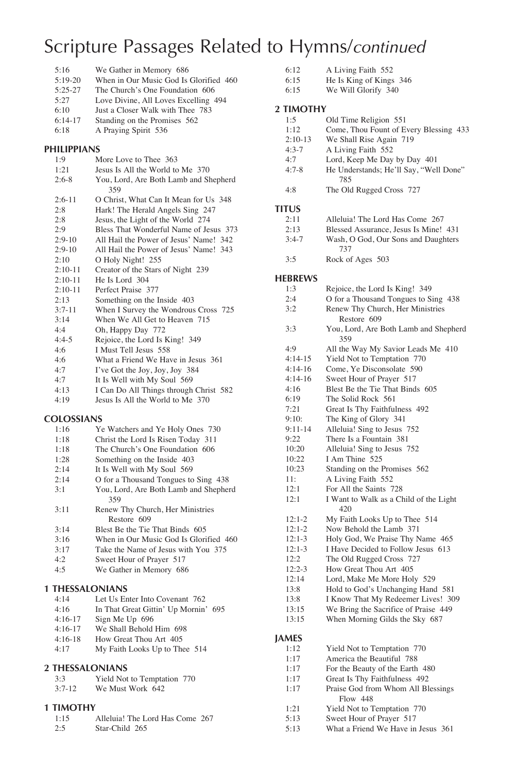| 5:16      | We Gather in Memory 686                |
|-----------|----------------------------------------|
| $5:19-20$ | When in Our Music God Is Glorified 460 |
| $5:25-27$ | The Church's One Foundation 606        |
| 5:27      | Love Divine, All Loves Excelling 494   |
| 6:10      | Just a Closer Walk with Thee 783       |
| $6:14-17$ | Standing on the Promises 562           |
| 6:18      | A Praying Spirit 536                   |
|           |                                        |

#### **PHILIPPIANS**

| 1:9       | More Love to Thee 363                  |
|-----------|----------------------------------------|
| 1:21      | Jesus Is All the World to Me 370       |
| $2:6-8$   | You, Lord, Are Both Lamb and Shepherd  |
|           | 359                                    |
| $2:6-11$  | O Christ, What Can It Mean for Us 348  |
| 2:8       | Hark! The Herald Angels Sing 247       |
| 2:8       | Jesus, the Light of the World 274      |
| 2:9       | Bless That Wonderful Name of Jesus 373 |
| $2:9-10$  | All Hail the Power of Jesus' Name! 342 |
| $2:9-10$  | All Hail the Power of Jesus' Name! 343 |
| 2:10      | O Holy Night! 255                      |
| $2:10-11$ | Creator of the Stars of Night 239      |
| $2:10-11$ | He Is Lord 304                         |
| $2:10-11$ | Perfect Praise 377                     |
| 2:13      | Something on the Inside 403            |
| $3:7-11$  | When I Survey the Wondrous Cross 725   |
| 3:14      | When We All Get to Heaven 715          |
| 4:4       | Oh, Happy Day 772                      |
| $4:4-5$   | Rejoice, the Lord Is King! 349         |
| 4:6       | I Must Tell Jesus 558                  |
| 4:6       | What a Friend We Have in Jesus 361     |
| 4:7       | I've Got the Joy, Joy, Joy 384         |
| 4:7       | It Is Well with My Soul 569            |
| 4.13      | I Can Do All Things through Christ 582 |

4:13 I Can Do All Things through Christ 582<br>4:19 Jesus Is All the World to Me 370 Jesus Is All the World to Me 370

#### **COLOSSIANS**

| 1:16 | Ye Watchers and Ye Holy Ones 730       |
|------|----------------------------------------|
| 1:18 | Christ the Lord Is Risen Today 311     |
| 1:18 | The Church's One Foundation 606        |
| 1:28 | Something on the Inside 403            |
| 2:14 | It Is Well with My Soul 569            |
| 2:14 | O for a Thousand Tongues to Sing 438   |
| 3:1  | You, Lord, Are Both Lamb and Shepherd  |
|      | 359                                    |
| 3:11 | Renew Thy Church, Her Ministries       |
|      | Restore 609                            |
| 3:14 | Blest Be the Tie That Binds 605        |
| 3:16 | When in Our Music God Is Glorified 460 |
| 3:17 | Take the Name of Jesus with You 375    |
| 4:2  | Sweet Hour of Prayer 517               |
| 4:5  | We Gather in Memory 686                |
|      |                                        |

#### **1 THESSALONIANS**

| 4:14<br>Let Us Enter Into Covenant 762 |  |
|----------------------------------------|--|
|----------------------------------------|--|

| In That Great Gittin' Up Mornin' 695<br>4:16 |
|----------------------------------------------|
|----------------------------------------------|

- 4:16-17 Sign Me Up 696
- 4:16-17 We Shall Behold Him 698
- 4:16-18 How Great Thou Art 405

| 4:17 | My Faith Looks Up to Thee 514 |
|------|-------------------------------|
|------|-------------------------------|

#### **2 THESSALONIANS**

| 3:3      | Yield Not to Temptation 770 |
|----------|-----------------------------|
| $3:7-12$ | We Must Work 642            |

#### **1 TIMOTHY**

| 1:15 | Alleluia! The Lord Has Come 267 |
|------|---------------------------------|
| 2:5  | Star-Child 265                  |

| 6:12 | A Living Faith 552              |  |
|------|---------------------------------|--|
| 6.15 | $\mathbf{u}$ Le Ving of Vinge 2 |  |

6:15 He Is King of Kings 346<br>6:15 We Will Glorify 340 We Will Glorify 340

#### **2 TIMOTHY**

| 1:5          | Old Time Religion 551                         |
|--------------|-----------------------------------------------|
| 1:12         | Come, Thou Fount of Every Blessing 433        |
| $2:10-13$    | We Shall Rise Again 719                       |
| $4:3-7$      | A Living Faith 552                            |
| 4.7          | Lord, Keep Me Day by Day 401                  |
| $4:7-8$      | He Understands; He'll Say, "Well Done"<br>785 |
| 4:8          | The Old Rugged Cross 727                      |
| <b>TITUS</b> |                                               |
| 2:11         | Alleluia! The Lord Has Come 267               |
| 2:13         | Blessed Assurance, Jesus Is Mine! 431         |
| $3:4-7$      | Wash, O God, Our Sons and Daughters<br>737    |
| 3:5          | Rock of Ages 503                              |

#### **HEBREWS**

| HEBKEWS      |                                              |
|--------------|----------------------------------------------|
| 1:3          | Rejoice, the Lord Is King! 349               |
| 2:4          | O for a Thousand Tongues to Sing 438         |
| 3:2          | Renew Thy Church, Her Ministries             |
|              | Restore 609                                  |
| 3:3          | You, Lord, Are Both Lamb and Shepherd<br>359 |
| 4:9          | All the Way My Savior Leads Me 410           |
| $4:14-15$    | Yield Not to Temptation 770                  |
| $4:14-16$    | Come, Ye Disconsolate 590                    |
| $4:14-16$    | Sweet Hour of Prayer 517                     |
| 4:16         | Blest Be the Tie That Binds 605              |
| 6:19         | The Solid Rock 561                           |
| 7:21         | Great Is Thy Faithfulness 492                |
| 9:10:        | The King of Glory 341                        |
| $9:11-14$    | Alleluia! Sing to Jesus 752                  |
| 9:22         | There Is a Fountain 381                      |
| 10:20        | Alleluia! Sing to Jesus 752                  |
| 10:22        | I Am Thine 525                               |
| 10:23        | Standing on the Promises 562                 |
| 11:          | A Living Faith 552                           |
| 12:1         | For All the Saints 728                       |
| 12:1         | I Want to Walk as a Child of the Light       |
|              | 420                                          |
| $12:1-2$     | My Faith Looks Up to Thee 514                |
| $12:1-2$     | Now Behold the Lamb 371                      |
| $12:1-3$     | Holy God, We Praise Thy Name 465             |
| $12:1-3$     | I Have Decided to Follow Jesus 613           |
| 12:2         | The Old Rugged Cross 727                     |
| $12:2-3$     | How Great Thou Art 405                       |
| 12:14        | Lord, Make Me More Holy 529                  |
| 13:8         | Hold to God's Unchanging Hand 581            |
| 13:8         | I Know That My Redeemer Lives! 309           |
| 13:15        | We Bring the Sacrifice of Praise 449         |
| 13:15        | When Morning Gilds the Sky 687               |
| <b>JAMES</b> |                                              |
| 1:12         | Yield Not to Temptation 770                  |
| 1:17         | America the Beautiful 788                    |
| 1:17         | For the Beauty of the Earth 480              |
| 1:17         | Great Is Thy Faithfulness 492                |
| 1:17         | Praise God from Whom All Blessings           |

- Flow 448
- 
- 1:21 Yield Not to Temptation 770<br>5:13 Sweet Hour of Prayer 517
- 5:13 Sweet Hour of Prayer 517<br>5:13 What a Friend We Have in What a Friend We Have in Jesus 361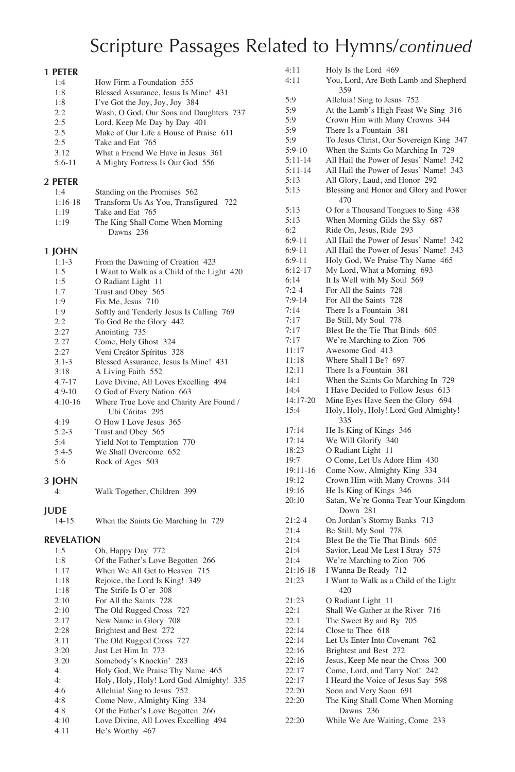| 1 PETER           |                                            |
|-------------------|--------------------------------------------|
| 1:4               | How Firm a Foundation 555                  |
| 1:8               | Blessed Assurance, Jesus Is Mine! 431      |
| 1:8               | I've Got the Joy, Joy, Joy 384             |
| 2:2               | Wash, O God, Our Sons and Daughters 737    |
|                   |                                            |
| 2:5               | Lord, Keep Me Day by Day 401               |
| 2:5               | Make of Our Life a House of Praise 611     |
| 2:5               | Take and Eat 765                           |
| 3:12              | What a Friend We Have in Jesus 361         |
| $5:6-11$          | A Mighty Fortress Is Our God 556           |
| 2 PETER           |                                            |
| 1:4               | Standing on the Promises 562               |
| $1:16-18$         | Transform Us As You, Transfigured 722      |
| 1:19              | Take and Eat 765                           |
| 1:19              | The King Shall Come When Morning           |
|                   | Dawns 236                                  |
|                   |                                            |
| 1 JOHN            |                                            |
| $1:1-3$           | From the Dawning of Creation 423           |
| 1:5               | I Want to Walk as a Child of the Light 420 |
| 1:5               | O Radiant Light 11                         |
| 1:7               | Trust and Obey 565                         |
| 1:9               | Fix Me, Jesus 710                          |
| 1:9               | Softly and Tenderly Jesus Is Calling 769   |
| 2:2               | To God Be the Glory 442                    |
| 2:27              | Anointing 735                              |
| 2:27              | Come, Holy Ghost 324                       |
| 2:27              | Veni Creátor Spíritus 328                  |
| $3:1-3$           | Blessed Assurance, Jesus Is Mine! 431      |
| 3:18              | A Living Faith 552                         |
| $4:7 - 17$        | Love Divine, All Loves Excelling 494       |
| $4:9-10$          | O God of Every Nation 663                  |
| $4:10-16$         | Where True Love and Charity Are Found /    |
|                   | Ubi Cáritas 295                            |
| 4:19              | O How I Love Jesus 365                     |
| $5:2-3$           | Trust and Obey 565                         |
| 5:4               | Yield Not to Temptation 770                |
| $5:4-5$           | We Shall Overcome 652                      |
| 5:6               | Rock of Ages 503                           |
|                   |                                            |
| 3 JOHN            |                                            |
| 4:                | Walk Together, Children 399                |
| <b>JUDE</b>       |                                            |
| 14-15             | When the Saints Go Marching In 729         |
|                   |                                            |
| <b>REVELATION</b> |                                            |
| 1:5               | Oh, Happy Day 772                          |
| 1:8               | Of the Father's Love Begotten 266          |
| 1:17              | When We All Get to Heaven 715              |
| 1:18              | Rejoice, the Lord Is King! 349             |
| 1:18              | The Strife Is O'er 308                     |
| 2:10              | For All the Saints 728                     |
| 2:10              | The Old Rugged Cross 727                   |
| 2:17              | New Name in Glory 708                      |
| 2:28              | Brightest and Best 272                     |
| 3:11              | The Old Rugged Cross 727                   |
| 3:20              | Just Let Him In 773                        |
| 3:20              | Somebody's Knockin' 283                    |
| 4:                | Holy God, We Praise Thy Name 465           |

| 4:            | Holy, Holy, Holy! Lord God Almighty! 335 |
|---------------|------------------------------------------|
| 4:6           | Alleluia! Sing to Jesus 752              |
| $\Lambda$ . Q | $Coma Now \LambdalmiohtU Vino 224$       |

- 4:8 Come Now, Almighty King 334<br>4:8 Of the Father's Love Begotten 2 Of the Father's Love Begotten 266
- 4:10 Love Divine, All Loves Excelling 494<br>4:11 He's Worthy 467
- He's Worthy 467

| 4:11<br>4:11             | Holy Is the Lord 469<br>You, Lord, Are Both Lamb and Shepherd<br>359                                                             |
|--------------------------|----------------------------------------------------------------------------------------------------------------------------------|
| 5:9<br>5:9<br>5:9<br>5:9 | Alleluia! Sing to Jesus 752<br>At the Lamb's High Feast We Sing 316<br>Crown Him with Many Crowns 344<br>There Is a Fountain 381 |
| 5:9<br>$5:9-10$          | To Jesus Christ, Our Sovereign King 347<br>When the Saints Go Marching In 729                                                    |
| 5:11-14                  | All Hail the Power of Jesus' Name! 342                                                                                           |
| $5:11-14$                | All Hail the Power of Jesus' Name! 343                                                                                           |
| 5:13                     | All Glory, Laud, and Honor 292                                                                                                   |
| 5:13                     | Blessing and Honor and Glory and Power<br>470                                                                                    |
| 5:13                     | O for a Thousand Tongues to Sing 438                                                                                             |
| 5:13<br>6:2              | When Morning Gilds the Sky 687<br>Ride On, Jesus, Ride 293                                                                       |
| $6:9-11$                 | All Hail the Power of Jesus' Name! 342                                                                                           |
| $6:9-11$                 | All Hail the Power of Jesus' Name! 343                                                                                           |
| 6:9-11                   | Holy God, We Praise Thy Name 465                                                                                                 |
| 6:12-17                  | My Lord, What a Morning 693                                                                                                      |
| 6:14                     | It Is Well with My Soul 569                                                                                                      |
| $7:2-4$                  | For All the Saints 728                                                                                                           |
| $7:9-14$                 | For All the Saints 728                                                                                                           |
| 7:14<br>7:17             | There Is a Fountain 381<br>Be Still, My Soul 778                                                                                 |
| 7:17                     | Blest Be the Tie That Binds 605                                                                                                  |
| 7:17                     | We're Marching to Zion 706                                                                                                       |
| 11:17                    | Awesome God 413                                                                                                                  |
| 11:18                    | Where Shall I Be? 697                                                                                                            |
| 12:11                    | There Is a Fountain 381                                                                                                          |
| 14:1                     | When the Saints Go Marching In 729                                                                                               |
| 14:4<br>14:17-20         | I Have Decided to Follow Jesus 613<br>Mine Eyes Have Seen the Glory 694                                                          |
| 15:4                     | Holy, Holy, Holy! Lord God Almighty!<br>335                                                                                      |
| 17:14                    | He Is King of Kings 346                                                                                                          |
| 17:14                    | We Will Glorify 340                                                                                                              |
| 18:23                    | O Radiant Light 11                                                                                                               |
| 19:7                     | O Come, Let Us Adore Him 430                                                                                                     |
| 19:11-16<br>19:12        | Come Now, Almighty King 334<br>Crown Him with Many Crowns 344                                                                    |
| 19:16                    | He Is King of Kings 346                                                                                                          |
| 20:10                    | Satan, We're Gonna Tear Your Kingdom                                                                                             |
|                          | Down 281                                                                                                                         |
| $21:2-4$                 | On Jordan's Stormy Banks 713                                                                                                     |
| 21:4                     | Be Still, My Soul 778                                                                                                            |
| 21:4<br>21:4             | Blest Be the Tie That Binds 605<br>Savior, Lead Me Lest I Stray 575                                                              |
| 21:4                     | We're Marching to Zion 706                                                                                                       |
| 21:16-18                 | I Wanna Be Ready 712                                                                                                             |
| 21:23                    | I Want to Walk as a Child of the Light                                                                                           |
| 21:23                    | 420                                                                                                                              |
|                          | O Radiant Light 11                                                                                                               |
| 22:1                     | Shall We Gather at the River 716                                                                                                 |
| 22:1                     | The Sweet By and By 705                                                                                                          |
| 22:14                    | Close to Thee 618                                                                                                                |
| 22:14                    | Let Us Enter Into Covenant 762                                                                                                   |
| 22:16                    | Brightest and Best 272                                                                                                           |
| 22:16                    | Jesus, Keep Me near the Cross 300                                                                                                |
| 22:17<br>22:17           | Come, Lord, and Tarry Not! 242<br>I Heard the Voice of Jesus Say 598                                                             |
| 22:20                    | Soon and Very Soon 691                                                                                                           |
| 22:20                    | The King Shall Come When Morning                                                                                                 |
| 22:20                    | Dawns 236<br>While We Are Waiting, Come 233                                                                                      |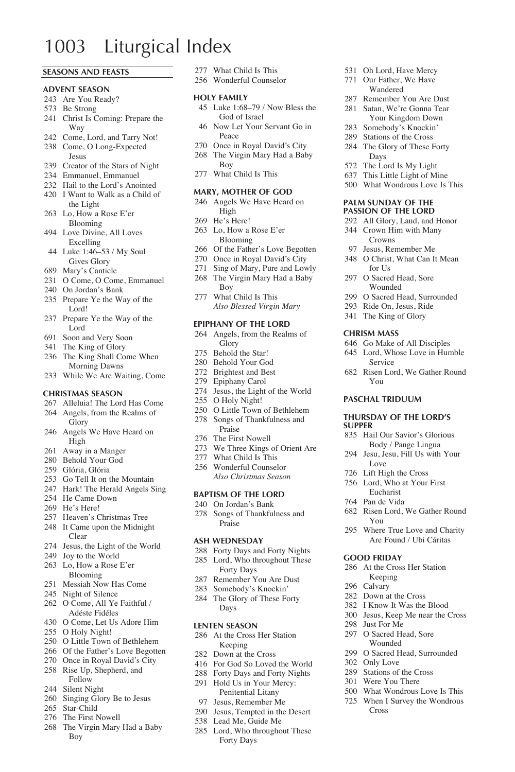### 1003 Liturgical Index

#### **SEASONS AND FEASTS**

#### **ADVENT SEASON**

- Are You Ready?
- Be Strong
- Christ Is Coming: Prepare the Way
- Come, Lord, and Tarry Not!
- Come, O Long-Expected
- Jesus
- Creator of the Stars of Night
- Emmanuel, Emmanuel
- Hail to the Lord's Anointed
- I Want to Walk as a Child of the Light
- Lo, How a Rose E'er Blooming
- Love Divine, All Loves Excelling
- Luke 1:46–53 / My Soul Gives Glory
- Mary's Canticle
- O Come, O Come, Emmanuel
- On Jordan's Bank
- Prepare Ye the Way of the Lord!
- Prepare Ye the Way of the Lord
- Soon and Very Soon
- The King of Glory
- The King Shall Come When Morning Dawns
- While We Are Waiting, Come

#### **CHRISTMAS SEASON**

- Alleluia! The Lord Has Come
- Angels, from the Realms of Glory
- Angels We Have Heard on High
- Away in a Manger
- Behold Your God
- Glória, Glória
- Go Tell It on the Mountain
- Hark! The Herald Angels Sing
- He Came Down
- He's Here!
- Heaven's Christmas Tree
- It Came upon the Midnight Clear
- Jesus, the Light of the World
- Joy to the World
- Lo, How a Rose E'er Blooming
- Messiah Now Has Come
- Night of Silence
- O Come, All Ye Faithful / Adéste Fidéles
- O Come, Let Us Adore Him
- O Holy Night!
- O Little Town of Bethlehem
- Of the Father's Love Begotten
- Once in Royal David's City
- Rise Up, Shepherd, and Follow
- Silent Night
- Singing Glory Be to Jesus
- Star-Child
- The First Nowell
- The Virgin Mary Had a Baby
	- Boy
- What Child Is This
- Wonderful Counselor

#### **HOLY FAMILY**

 Luke 1:68–79 / Now Bless the God of Israel

 Oh Lord, Have Mercy Our Father, We Have Wandered Remember You Are Dust Satan, We're Gonna Tear Your Kingdom Down Somebody's Knockin' Stations of the Cross The Glory of These Forty Days The Lord Is My Light This Little Light of Mine What Wondrous Love Is This **PALM SUNDAY OF THE PASSION OF THE LORD** All Glory, Laud, and Honor Crown Him with Many Crowns Jesus, Remember Me O Christ, What Can It Mean

for Hs O Sacred Head, Sore Wounded O Sacred Head, Surrounded Ride On, Jesus, Ride The King of Glory **CHRISM MASS**

 Go Make of All Disciples Lord, Whose Love in Humble

Risen Lord, We Gather Round

 Hail Our Savior's Glorious Body / Pange Lingua Jesu, Jesu, Fill Us with Your

Risen Lord, We Gather Round

 Where True Love and Charity Are Found / Ubi Cáritas

 At the Cross Her Station Keeping Calvary Down at the Cross I Know It Was the Blood Jesus, Keep Me near the Cross

Service

You **PASCHAL TRIDUUM THURSDAY OF THE LORD'S** 

Love Lift High the Cross Lord, Who at Your First Eucharist Pan de Vida

You

**GOOD FRIDAY**

 Just For Me O Sacred Head, Sore Wounded O Sacred Head, Surrounded

 Only Love Stations of the Cross Were You There What Wondrous Love Is This When I Survey the Wondrous

Cross

**SUPPER**

- Now Let Your Servant Go in Peace
- Once in Royal David's City
- The Virgin Mary Had a Baby Boy
- What Child Is This

#### **MARY, MOTHER OF GOD**

- Angels We Have Heard on High
- He's Here!
- Lo, How a Rose E'er Blooming
- Of the Father's Love Begotten
- Once in Royal David's City
- Sing of Mary, Pure and Lowly The Virgin Mary Had a Baby
- Boy What Child Is This
- *Also Blessed Virgin Mary*

### **EPIPHANY OF THE LORD**

- Angels, from the Realms of Glory
- Behold the Star!
- Behold Your God
- Brightest and Best
- Epiphany Carol
- Jesus, the Light of the World
- O Holy Night!
- O Little Town of Bethlehem Songs of Thankfulness and Praise
- The First Nowell
- We Three Kings of Orient Are
- 277 What Child Is This
- Wonderful Counselor
- *Also Christmas Season*

### **BAPTISM OF THE LORD**

- On Jordan's Bank
- Songs of Thankfulness and Praise

#### **ASH WEDNESDAY**

- Forty Days and Forty Nights
- Lord, Who throughout These Forty Days
- Remember You Are Dust
- Somebody's Knockin'
- The Glory of These Forty Days

#### **LENTEN SEASON**

- At the Cross Her Station Keeping
- Down at the Cross
- For God So Loved the World Forty Days and Forty Nights Hold Us in Your Mercy:

Penitential Litany Jesus, Remember Me Jesus, Tempted in the Desert Lead Me, Guide Me Lord, Who throughout These Forty Days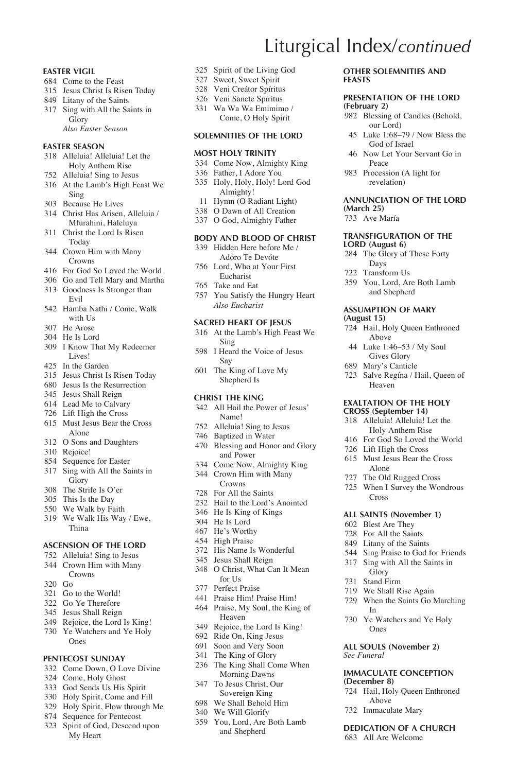#### **EASTER VIGIL**

- Come to the Feast
- Jesus Christ Is Risen Today
- Litany of the Saints
- Sing with All the Saints in Glory  *Also Easter Season*

### **EASTER SEASON**

- Alleluia! Alleluia! Let the Holy Anthem Rise
- Alleluia! Sing to Jesus
- At the Lamb's High Feast We Sing
- Because He Lives
- Christ Has Arisen, Alleluia / Mfurahini, Haleluya
- Christ the Lord Is Risen Today
- Crown Him with Many Crowns
- For God So Loved the World
- Go and Tell Mary and Martha
- Goodness Is Stronger than Evil
- Hamba Nathi / Come, Walk with  $H_2$
- He Arose
- He Is Lord
- I Know That My Redeemer Lives!
- In the Garden
- Jesus Christ Is Risen Today
- Jesus Is the Resurrection
- Jesus Shall Reign
- Lead Me to Calvary
- Lift High the Cross
- Must Jesus Bear the Cross Alone
- O Sons and Daughters
- Rejoice!
- 854 Sequence for Easter
- Sing with All the Saints in Glory
- The Strife Is O'er
- This Is the Day
- We Walk by Faith
- We Walk His Way / Ewe, Thina

#### **ASCENSION OF THE LORD**

- Alleluia! Sing to Jesus
- Crown Him with Many Crowns
- Go
- Go to the World!
- Go Ye Therefore
- Jesus Shall Reign
- Rejoice, the Lord Is King! Ye Watchers and Ye Holy
- Ones

#### **PENTECOST SUNDAY**

- Come Down, O Love Divine
- Come, Holy Ghost
- God Sends Us His Spirit
- Holy Spirit, Come and Fill
- Holy Spirit, Flow through Me
- Sequence for Pentecost
- Spirit of God, Descend upon My Heart

Spirit of the Living God

Liturgical Index/*continued*

**(February 2)**

**(March 25)** Ave María

**(August 15)**

**LORD (August 6)**

Peace Procession (A light for revelation)

**FEASTS**

**Other SOLEMNITIES and**

**PRESENTATION OF THE LORD** 

 Blessing of Candles (Behold, our Lord) Luke 1:68–79 / Now Bless the God of Israel Now Let Your Servant Go in

**ANNUNCIATION OF THE LORD** 

**TRANSFIGURATION OF THE** 

 The Glory of These Forty Days Transform Us

 You, Lord, Are Both Lamb and Shepherd **ASSUMPTION OF MARY** 

 Hail, Holy Queen Enthroned Above Luke 1:46–53 / My Soul Gives Glory Mary's Canticle

Salve Regína / Hail, Queen of

Heaven **EXALTATION OF THE HOLY CROSS (September 14)** Alleluia! Alleluia! Let the Holy Anthem Rise For God So Loved the World Lift High the Cross Must Jesus Bear the Cross Alone The Old Rugged Cross When I Survey the Wondrous

Cross **ALL SAINTS (November 1)** Blest Are They For All the Saints Litany of the Saints Sing Praise to God for Friends Sing with All the Saints in Glory Stand Firm We Shall Rise Again When the Saints Go Marching

In

*See Funeral*

**(December 8)**

 Ye Watchers and Ye Holy Ones **ALL SOULS (November 2)**

**IMMACULATE CONCEPTION** 

 Hail, Holy Queen Enthroned Above Immaculate Mary **DEDICATION OF A CHURCH** All Are Welcome

- Sweet, Sweet Spirit
- Veni Creátor Spíritus
- Veni Sancte Spíritus Wa Wa Wa Emimimo /
	- Come, O Holy Spirit

#### **SOLEMNITIES OF THE LORD**

#### **MOST HOLY TRINITY**

- Come Now, Almighty King
- Father, I Adore You
- Holy, Holy, Holy! Lord God Almighty!
- 11 Hymn (O Radiant Light)
- O Dawn of All Creation
- O God, Almighty Father

#### **BODY AND BLOOD OF CHRIST**

- Hidden Here before Me / Adóro Te Devóte
- Lord, Who at Your First Eucharist
- Take and Eat
- You Satisfy the Hungry Heart  *Also Eucharist*

### **SACRED HEART OF JESUS**

- At the Lamb's High Feast We Sing
- I Heard the Voice of Jesus Say
- The King of Love My Shepherd Is

#### **CHRIST THE KING**

- All Hail the Power of Jesus' Name!
- Alleluia! Sing to Jesus
- Baptized in Water
- Blessing and Honor and Glory and Power
- Come Now, Almighty King
- Crown Him with Many
- Crowns For All the Saints
- 
- Hail to the Lord's Anointed He Is King of Kings
- 
- He Is Lord He's Worthy
- High Praise
- His Name Is Wonderful
- Jesus Shall Reign
- O Christ, What Can It Mean for Us
- Perfect Praise
- Praise Him! Praise Him!
- Praise, My Soul, the King of Heaven
- Rejoice, the Lord Is King!
- Ride On, King Jesus
- Soon and Very Soon
- The King of Glory
- The King Shall Come When Morning Dawns

 You, Lord, Are Both Lamb and Shepherd

- To Jesus Christ, Our Sovereign King
- We Shall Behold Him We Will Glorify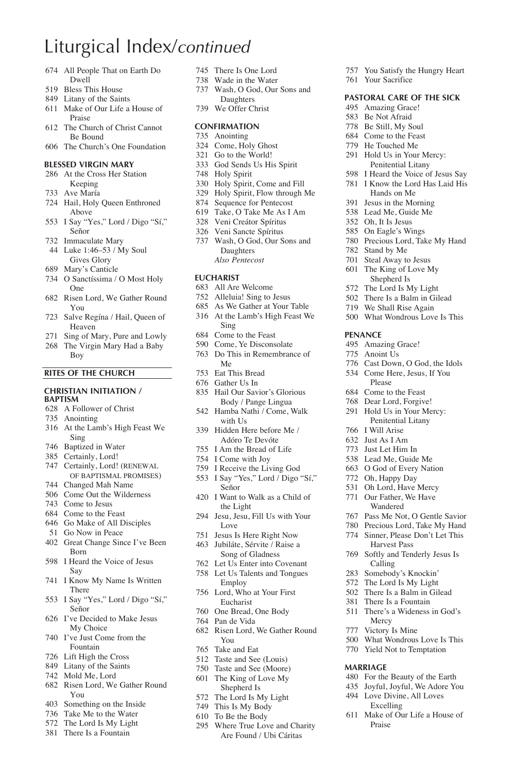### Liturgical Index/*continued*

- All People That on Earth Do Dwell
- Bless This House
- Litany of the Saints
- Make of Our Life a House of Praise
- The Church of Christ Cannot Be Bound
- The Church's One Foundation

#### **BLESSED VIRGIN MARY**

- At the Cross Her Station Keeping
- Ave María
- Hail, Holy Queen Enthroned Above
- I Say "Yes," Lord / Digo "Sí," Señor
- Immaculate Mary
- Luke 1:46–53 / My Soul Gives Glory
- Mary's Canticle
- O Sanctíssima / O Most Holy One
- Risen Lord, We Gather Round You
- Salve Regína / Hail, Queen of Heaven
- Sing of Mary, Pure and Lowly
- The Virgin Mary Had a Baby Boy

#### **RITES OF THE CHURCH**

#### **CHRISTIAN INITIATION / BAPTISM**

- A Follower of Christ
- Anointing
- At the Lamb's High Feast We Sing
- Baptized in Water
- Certainly, Lord!
- Certainly, Lord! (RENEWAL OF BAPTISMAL PROMISES)
- Changed Mah Name
- Come Out the Wilderness
- Come to Jesus
- Come to the Feast
- Go Make of All Disciples
- Go Now in Peace
- Great Change Since I've Been Born
- I Heard the Voice of Jesus Say
- I Know My Name Is Written There
- I Say "Yes," Lord / Digo "Sí," Señor
- I've Decided to Make Jesus My Choice
- I've Just Come from the Fountain
- Lift High the Cross
- Litany of the Saints
- Mold Me, Lord
- Risen Lord, We Gather Round You
- Something on the Inside
- Take Me to the Water
- The Lord Is My Light
- There Is a Fountain
- There Is One Lord
- Wade in the Water
- Wash, O God, Our Sons and Daughters
- We Offer Christ

#### **CONFIRMATION**

- Anointing
- Come, Holy Ghost
- Go to the World!
- God Sends Us His Spirit
- Holy Spirit
- Holy Spirit, Come and Fill
- Holy Spirit, Flow through Me
- Sequence for Pentecost Take, O Take Me As I Am
- Veni Creátor Spíritus
- Veni Sancte Spíritus
- Wash, O God, Our Sons and **Daughters** 
	- *Also Pentecost*

### **EUCHARIST**

- All Are Welcome
- Alleluia! Sing to Jesus
- As We Gather at Your Table At the Lamb's High Feast We
- Sing Come to the Feast
- Come, Ye Disconsolate
- Do This in Remembrance of Me
- Eat This Bread
- Gather Us In
- Hail Our Savior's Glorious Body / Pange Lingua
- Hamba Nathi / Come, Walk with Us
- Hidden Here before Me / Adóro Te Devóte
- I Am the Bread of Life
- I Come with Joy
- I Receive the Living God
- I Say "Yes," Lord / Digo "Sí," Señor
- I Want to Walk as a Child of the Light
- Jesu, Jesu, Fill Us with Your Love
- Jesus Is Here Right Now Jubiláte, Sérvite / Raise a
- Song of Gladness
- Let Us Enter into Covenant Let Us Talents and Tongues
- Employ Lord, Who at Your First
- Eucharist
- One Bread, One Body
- Pan de Vida
- Risen Lord, We Gather Round You
- Take and Eat
- Taste and See (Louis)
- Taste and See (Moore)
- The King of Love My Shepherd Is
- The Lord Is My Light
- This Is My Body
- To Be the Body
- Where True Love and Charity Are Found / Ubi Cáritas

 You Satisfy the Hungry Heart Your Sacrifice

**PASTORAL CARE OF THE SICK** Amazing Grace! Be Not Afraid Be Still, My Soul Come to the Feast He Touched Me Hold Us in Your Mercy: Penitential Litany I Heard the Voice of Jesus Say I Know the Lord Has Laid His Hands on Me Jesus in the Morning Lead Me, Guide Me Oh, It Is Jesus On Eagle's Wings Precious Lord, Take My Hand

 Stand by Me Steal Away to Jesus The King of Love My Shepherd Is The Lord Is My Light There Is a Balm in Gilead We Shall Rise Again What Wondrous Love Is This

**PENANCE** Amazing Grace! Anoint Us

 I Will Arise Just As I Am Just Let Him In Lead Me, Guide Me O God of Every Nation Oh, Happy Day Oh Lord, Have Mercy Our Father, We Have Wandered Pass Me Not, O Gentle Savior Precious Lord, Take My Hand Sinner, Please Don't Let This Harvest Pass Softly and Tenderly Jesus Is Calling Somebody's Knockin' The Lord Is My Light There Is a Balm in Gilead There Is a Fountain There's a Wideness in God's

Mercy Victory Is Mine

Praise

**MARRIAGE**

 What Wondrous Love Is This Yield Not to Temptation

 For the Beauty of the Earth Joyful, Joyful, We Adore You Love Divine, All Loves Excelling Make of Our Life a House of

 Cast Down, O God, the Idols Come Here, Jesus, If You Please Come to the Feast Dear Lord, Forgive! Hold Us in Your Mercy: Penitential Litany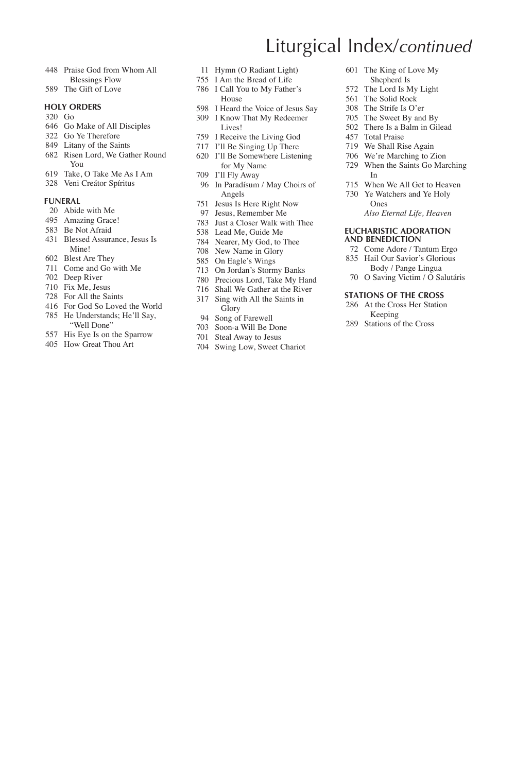- Praise God from Whom All Blessings Flow
- The Gift of Love

#### **HOLY ORDERS**

- Go
- Go Make of All Disciples
- Go Ye Therefore
- Litany of the Saints
- Risen Lord, We Gather Round You
- Take, O Take Me As I Am
- Veni Creátor Spíritus

#### **FUNERAL**

- Abide with Me
- Amazing Grace!
- Be Not Afraid
- Blessed Assurance, Jesus Is Mine!
- Blest Are They
- Come and Go with Me
- Deep River
- Fix Me, Jesus
- For All the Saints
- For God So Loved the World
- He Understands; He'll Say, "Well Done"
- His Eye Is on the Sparrow
- How Great Thou Art
- Hymn (O Radiant Light)
- I Am the Bread of Life
- I Call You to My Father's House
- I Heard the Voice of Jesus Say I Know That My Redeemer
	- Lives!
- I Receive the Living God
- I'll Be Singing Up There
- I'll Be Somewhere Listening for My Name
- I'll Fly Away
- In Paradísum / May Choirs of Angels
- Jesus Is Here Right Now
- Jesus, Remember Me
- Just a Closer Walk with Thee
- Lead Me, Guide Me
- Nearer, My God, to Thee
- New Name in Glory
- On Eagle's Wings
- On Jordan's Stormy Banks
- Precious Lord, Take My Hand
- Shall We Gather at the River Sing with All the Saints in Glory
- Song of Farewell
- Soon-a Will Be Done
- Steal Away to Jesus
- Swing Low, Sweet Chariot
- Liturgical Index/*continued*
	- The King of Love My Shepherd Is
	- The Lord Is My Light
	- The Solid Rock
	- The Strife Is O'er
	- The Sweet By and By
	- There Is a Balm in Gilead
	- Total Praise
	- We Shall Rise Again
	- We're Marching to Zion
	- When the Saints Go Marching In
	- When We All Get to Heaven
	- Ye Watchers and Ye Holy Ones  *Also Eternal Life, Heaven*

#### **EUCHARISTIC ADORATION AND BENEDICTION**

- Come Adore / Tantum Ergo
- Hail Our Savior's Glorious Body / Pange Lingua
- O Saving Victim / O Salutáris

#### **STATIONS OF THE CROSS**

- At the Cross Her Station Keeping
- Stations of the Cross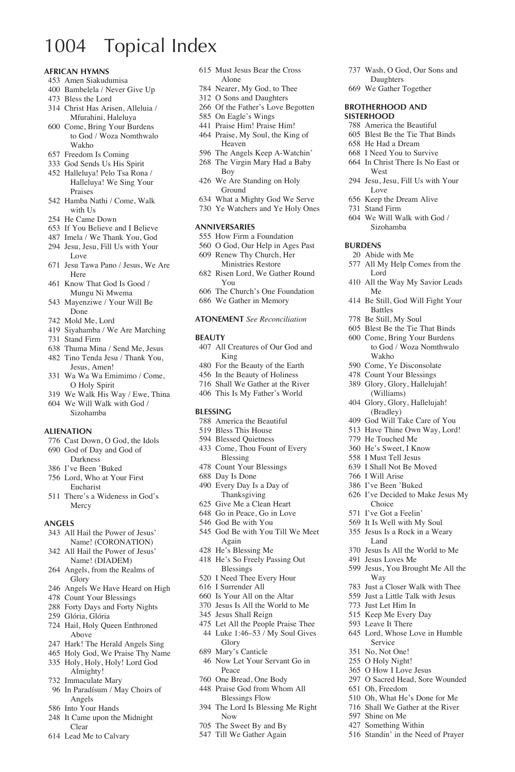### 1004 Topical Index

#### **African Hymns**

- Amen Siakudumisa
- Bambelela / Never Give Up
- Bless the Lord
- Christ Has Arisen, Alleluia / Mfurahini, Haleluya
- Come, Bring Your Burdens to God / Woza Nomthwalo Wakho
- Freedom Is Coming
- God Sends Us His Spirit
- Halleluya! Pelo Tsa Rona / Halleluya! We Sing Your Praises
- Hamba Nathi / Come, Walk with He
- He Came Down
- If You Believe and I Believe
- Imela / We Thank You, God
- Jesu, Jesu, Fill Us with Your Love
- Jesu Tawa Pano / Jesus, We Are Here
- Know That God Is Good / Mungu Ni Mwema
- Mayenziwe / Your Will Be Done
- Mold Me, Lord
- Siyahamba / We Are Marching
- Stand Firm
- Thuma Mina / Send Me, Jesus
- Tino Tenda Jesu / Thank You, Jesus, Amen!
- Wa Wa Wa Emimimo / Come, O Holy Spirit
- We Walk His Way / Ewe, Thina We Will Walk with God /
- Sizohamba

#### **Alienation**

- Cast Down, O God, the Idols
- God of Day and God of Darkness
- I've Been 'Buked
- Lord, Who at Your First Eucharist
- There's a Wideness in God's Mercy

#### **Angels**

- All Hail the Power of Jesus' Name! (CORONATION)
- All Hail the Power of Jesus' Name! (DIADEM)
- Angels, from the Realms of Glory
- Angels We Have Heard on High
- Count Your Blessings
- Forty Days and Forty Nights
- Glória, Glória
- Hail, Holy Queen Enthroned Above
- Hark! The Herald Angels Sing
- Holy God, We Praise Thy Name Holy, Holy, Holy! Lord God Almighty!
- Immaculate Mary
- In Paradísum / May Choirs of Angels
- Into Your Hands
- It Came upon the Midnight Clear
- Lead Me to Calvary
- Must Jesus Bear the Cross Alone
- Nearer, My God, to Thee
- O Sons and Daughters
- Of the Father's Love Begotten On Eagle's Wings

 Wash, O God, Our Sons and Daughters We Gather Together **Brotherhood and Sisterhood**

 America the Beautiful Blest Be the Tie That Binds He Had a Dream I Need You to Survive In Christ There Is No East or

Jesu, Jesu, Fill Us with Your

 We Will Walk with God / Sizohamba

All My Help Comes from the

All the Way My Savior Leads

Be Still, God Will Fight Your

West

Love Keep the Dream Alive Stand Firm

Lord

Me

Battles Be Still, My Soul Blest Be the Tie That Binds Come, Bring Your Burdens to God / Woza Nomthwalo

Wakho Come, Ye Disconsolate Count Your Blessings Glory, Glory, Hallelujah! (Williams) Glory, Glory, Hallelujah! (Bradley) God Will Take Care of You Have Thine Own Way, Lord! He Touched Me He's Sweet, I Know I Must Tell Jesus I Shall Not Be Moved I Will Arise I've Been 'Buked I've Decided to Make Jesus My

Choice I've Got a Feelin' It Is Well with My Soul Jesus Is a Rock in a Weary Land

Way

Oh, Freedom

 Shine on Me Something Within Standin' in the Need of Prayer

 Jesus Is All the World to Me Jesus Loves Me

Jesus, You Brought Me All the

 Just a Closer Walk with Thee Just a Little Talk with Jesus Just Let Him In Keep Me Every Day Leave It There

 Lord, Whose Love in Humble Service No, Not One! O Holy Night! O How I Love Jesus O Sacred Head, Sore Wounded

 Oh, What He's Done for Me Shall We Gather at the River

**Burdens** Abide with Me

- Praise Him! Praise Him!
- Praise, My Soul, the King of Heaven
- The Angels Keep A-Watchin'
- The Virgin Mary Had a Baby Boy
- We Are Standing on Holy Ground
- What a Mighty God We Serve
- Ye Watchers and Ye Holy Ones

#### **Anniversaries**

- How Firm a Foundation
- O God, Our Help in Ages Past
- Renew Thy Church, Her Ministries Restore
- Risen Lord, We Gather Round You
- The Church's One Foundation
- We Gather in Memory

#### **Atonement** *See Reconciliation*

#### **Beauty**

- All Creatures of Our God and King
- For the Beauty of the Earth
- In the Beauty of Holiness
- Shall We Gather at the River
- This Is My Father's World

#### **Blessing**

- America the Beautiful
- Bless This House
- Blessed Quietness
- Come, Thou Fount of Every Blessing
- Count Your Blessings
- Day Is Done
- Every Day Is a Day of Thanksgiving
- Give Me a Clean Heart Go in Peace, Go in Love
- God Be with You
- God Be with You Till We Meet
- Again
- He's Blessing Me
- He's So Freely Passing Out Blessings
- I Need Thee Every Hour
- I Surrender All
- Is Your All on the Altar
- Jesus Is All the World to Me
- Jesus Shall Reign
- Let All the People Praise Thee Luke 1:46–53 / My Soul Gives Glory
- Mary's Canticle
- Now Let Your Servant Go in Peace
- One Bread, One Body
- Praise God from Whom All Blessings Flow
- The Lord Is Blessing Me Right Now
- The Sweet By and By
- Till We Gather Again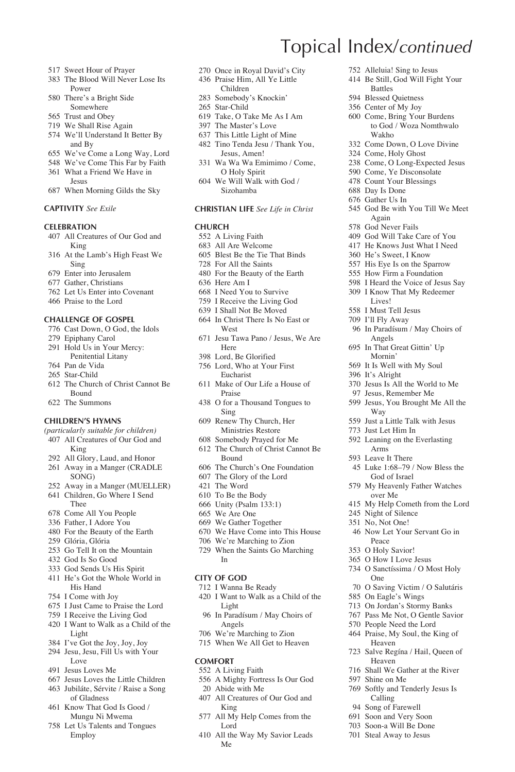- Sweet Hour of Prayer
- The Blood Will Never Lose Its Power
- There's a Bright Side Somewhere
- Trust and Obey
- We Shall Rise Again
- We'll Understand It Better By and By
- We've Come a Long Way, Lord
- We've Come This Far by Faith
- What a Friend We Have in Jesus
- When Morning Gilds the Sky

#### **Captivity** *See Exile*

#### **Celebration**

- All Creatures of Our God and King
- At the Lamb's High Feast We Sing
- Enter into Jerusalem
- Gather, Christians
- Let Us Enter into Covenant
- Praise to the Lord

#### **Challenge of Gospel**

- Cast Down, O God, the Idols
- Epiphany Carol
- Hold Us in Your Mercy:
- Penitential Litany
- Pan de Vida
- Star-Child
- The Church of Christ Cannot Be Bound
- The Summons

#### **Children's Hymns**

- *(particularly suitable for children)*
- All Creatures of Our God and King
- All Glory, Laud, and Honor
- Away in a Manger (CRADLE SONG)
- Away in a Manger (MUELLER) Children, Go Where I Send
- Thee
- Come All You People
- Father, I Adore You
- For the Beauty of the Earth
- Glória, Glória
- Go Tell It on the Mountain
- God Is So Good
- God Sends Us His Spirit
- He's Got the Whole World in His Hand
- I Come with Joy
- I Just Came to Praise the Lord
- I Receive the Living God
- I Want to Walk as a Child of the Light
- I've Got the Joy, Joy, Joy
- Jesu, Jesu, Fill Us with Your Love
- Jesus Loves Me
- Jesus Loves the Little Children
- Jubiláte, Sérvite / Raise a Song of Gladness
- Know That God Is Good / Mungu Ni Mwema
- Let Us Talents and Tongues Employ

Once in Royal David's City

Topical Index/*continued*

Battles Blessed Quietness Center of My Joy Come, Bring Your Burdens to God / Woza Nomthwalo

Wakho Come Down, O Love Divine Come, Holy Ghost Come, O Long-Expected Jesus Come, Ye Disconsolate Count Your Blessings Day Is Done Gather Us In

Again God Never Fails God Will Take Care of You He Knows Just What I Need He's Sweet, I Know His Eye Is on the Sparrow How Firm a Foundation I Heard the Voice of Jesus Say I Know That My Redeemer Lives! I Must Tell Jesus I'll Fly Away

Angels In That Great Gittin' Up Mornin' It Is Well with My Soul It's Alright

Way

 Night of Silence No, Not One!

Peace O Holy Savior! O How I Love Jesus O Sanctíssima / O Most Holy

One

Shine on Me

God Be with You Till We Meet

In Paradísum / May Choirs of

 Jesus Is All the World to Me Jesus, Remember Me Jesus, You Brought Me All the

 Just a Little Talk with Jesus Just Let Him In Leaning on the Everlasting Arms Leave It There

 Luke 1:68–79 / Now Bless the God of Israel My Heavenly Father Watches over Me

My Help Cometh from the Lord

Now Let Your Servant Go in

 O Saving Victim / O Salutáris On Eagle's Wings On Jordan's Stormy Banks Pass Me Not, O Gentle Savior People Need the Lord Praise, My Soul, the King of Heaven

 Salve Regína / Hail, Queen of Heaven Shall We Gather at the River

 Softly and Tenderly Jesus Is Calling Song of Farewell Soon and Very Soon Soon-a Will Be Done Steal Away to Jesus

 Alleluia! Sing to Jesus Be Still, God Will Fight Your

- Praise Him, All Ye Little Children
- Somebody's Knockin'
- Star-Child
- Take, O Take Me As I Am
- The Master's Love
- This Little Light of Mine
- Tino Tenda Jesu / Thank You, Jesus, Amen!
- Wa Wa Wa Emimimo / Come, O Holy Spirit We Will Walk with God /
- Sizohamba

#### **Christian Life** *See Life in Christ*

#### **Church**

- A Living Faith
- All Are Welcome
- Blest Be the Tie That Binds
- For All the Saints
- For the Beauty of the Earth
- Here Am I
- I Need You to Survive
- I Receive the Living God I Shall Not Be Moved
- In Christ There Is No East or West
- Jesu Tawa Pano / Jesus, We Are Here
- Lord, Be Glorified
- Lord, Who at Your First Eucharist
- Make of Our Life a House of Praise
- O for a Thousand Tongues to Sing
- Renew Thy Church, Her Ministries Restore
- Somebody Prayed for Me
- The Church of Christ Cannot Be Bound
- The Church's One Foundation
- The Glory of the Lord
- The Word
- To Be the Body
- Unity (Psalm 133:1)
- We Are One
- We Gather Together
- We Have Come into This House
- We're Marching to Zion
- When the Saints Go Marching In

#### **City of God**

- I Wanna Be Ready
- I Want to Walk as a Child of the Light
- In Paradísum / May Choirs of Angels
- 706 We're Marching to Zion
- 715 When We All Get to Heaven

All Creatures of Our God and

All My Help Comes from the

All the Way My Savior Leads

#### **Comfort**

 A Living Faith A Mighty Fortress Is Our God Abide with Me

King

Lord

Me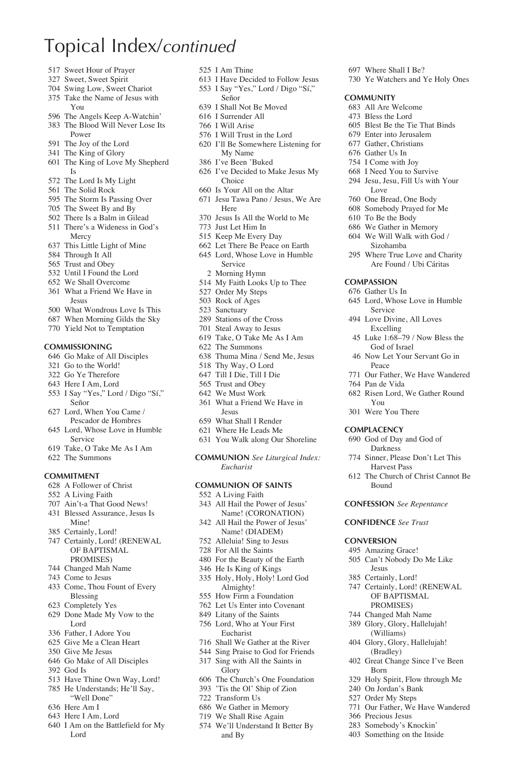### Topical Index/*continued*

- Sweet Hour of Prayer
- Sweet, Sweet Spirit
- Swing Low, Sweet Chariot
- Take the Name of Jesus with You
- The Angels Keep A-Watchin'
- The Blood Will Never Lose Its Power
- The Joy of the Lord
- The King of Glory
- The King of Love My Shepherd Is
- The Lord Is My Light
- The Solid Rock
- The Storm Is Passing Over
- The Sweet By and By
- There Is a Balm in Gilead
- There's a Wideness in God's Mercy
- This Little Light of Mine
- Through It All
- Trust and Obey
- Until I Found the Lord
- We Shall Overcome
- What a Friend We Have in Jesus
- What Wondrous Love Is This
- When Morning Gilds the Sky
- Yield Not to Temptation

#### **Commissioning**

- Go Make of All Disciples
- Go to the World!
- Go Ye Therefore
- Here I Am, Lord
- I Say "Yes," Lord / Digo "Sí," Señor
- Lord, When You Came / Pescador de Hombres
- Lord, Whose Love in Humble Service
- Take, O Take Me As I Am
- The Summons

#### **Commitment**

- A Follower of Christ
- A Living Faith
- Ain't-a That Good News!
- Blessed Assurance, Jesus Is
- Mine! Certainly, Lord!
- Certainly, Lord! (RENEWAL OF BAPTISMAL
- PROMISES)
- Changed Mah Name
- Come to Jesus
- Come, Thou Fount of Every Blessing
- Completely Yes
- Done Made My Vow to the Lord
- Father, I Adore You
- Give Me a Clean Heart
- Give Me Jesus
- Go Make of All Disciples
- God Is
- Have Thine Own Way, Lord!
- He Understands; He'll Say, "Well Done"
- Here Am I
- Here I Am, Lord
- I Am on the Battlefield for My Lord
- I Am Thine
- I Have Decided to Follow Jesus I Say "Yes," Lord / Digo "Sí,"

 Where Shall I Be? Ye Watchers and Ye Holy Ones

**Community** All Are Welcome Bless the Lord Blest Be the Tie That Binds Enter into Jerusalem Gather, Christians Gather Us In I Come with Joy I Need You to Survive Jesu, Jesu, Fill Us with Your

Love One Bread, One Body Somebody Prayed for Me To Be the Body We Gather in Memory We Will Walk with God / Sizohamba Where True Love and Charity Are Found / Ubi Cáritas

**Compassion** Gather Us In

Peace

Pan de Vida

You Were You There **Complacency** God of Day and God of Darkness Sinner, Please Don't Let This Harvest Pass The Church of Christ Cannot Be

Bound

**Conversion** Amazing Grace! Can't Nobody Do Me Like Jesus Certainly, Lord! Certainly, Lord! (RENEWAL OF BAPTISMAL PROMISES) Changed Mah Name Glory, Glory, Hallelujah! (Williams) Glory, Glory, Hallelujah! (Bradley) Great Change Since I've Been

Born

 Precious Jesus Somebody's Knockin' Something on the Inside

 Holy Spirit, Flow through Me On Jordan's Bank Order My Steps

Our Father, We Have Wandered

**Confession** *See Repentance* **Confidence** *See Trust*

 Lord, Whose Love in Humble Service Love Divine, All Loves Excelling Luke 1:68–79 / Now Bless the God of Israel Now Let Your Servant Go in

Our Father, We Have Wandered

Risen Lord, We Gather Round

- Señor
- I Shall Not Be Moved
- I Surrender All
- I Will Arise
- I Will Trust in the Lord
- I'll Be Somewhere Listening for My Name
- I've Been 'Buked
- I've Decided to Make Jesus My Choice
- Is Your All on the Altar Jesu Tawa Pano / Jesus, We Are Here
- Jesus Is All the World to Me
- Just Let Him In
- Keep Me Every Day
- Let There Be Peace on Earth
- Lord, Whose Love in Humble
	- Service
	- Morning Hymn
- My Faith Looks Up to Thee
- Order My Steps
- Rock of Ages
- Sanctuary
- Stations of the Cross
- Steal Away to Jesus Take, O Take Me As I Am
- 
- The Summons
- Thuma Mina / Send Me, Jesus Thy Way, O Lord
- Till I Die, Till I Die
- Trust and Obey
- We Must Work
- What a Friend We Have in Jesus
- What Shall I Render
- Where He Leads Me
- You Walk along Our Shoreline

**Communion** *See Liturgical Index: Eucharist*

#### **Communion of Saints**

- A Living Faith
- All Hail the Power of Jesus' Name! (CORONATION)
- All Hail the Power of Jesus' Name! (DIADEM)
- Alleluia! Sing to Jesus
- For All the Saints

Almighty! How Firm a Foundation Let Us Enter into Covenant Litany of the Saints Lord, Who at Your First Eucharist Shall We Gather at the River Sing Praise to God for Friends Sing with All the Saints in Glory

and By

 For the Beauty of the Earth He Is King of Kings Holy, Holy, Holy! Lord God

 The Church's One Foundation 'Tis the Ol' Ship of Zion Transform Us We Gather in Memory We Shall Rise Again We'll Understand It Better By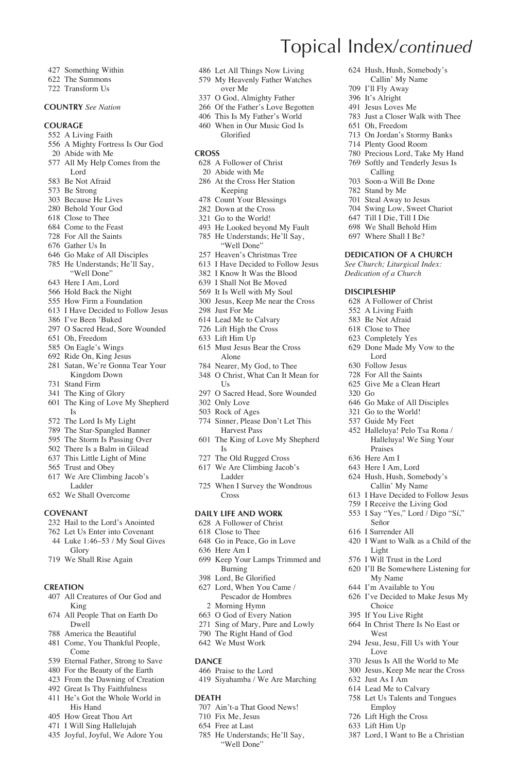- Something Within
- The Summons
- Transform Us

#### **Country** *See Nation*

#### **Courage**

- A Living Faith
- A Mighty Fortress Is Our God
- Abide with Me
- All My Help Comes from the Lord
- Be Not Afraid
- Be Strong
- Because He Lives
- Behold Your God
- Close to Thee
- Come to the Feast
- For All the Saints
- Gather Us In
- Go Make of All Disciples
- He Understands; He'll Say, "Well Done"
- Here I Am, Lord
- Hold Back the Night
- How Firm a Foundation
- I Have Decided to Follow Jesus
- I've Been 'Buked
- O Sacred Head, Sore Wounded
- Oh, Freedom
- On Eagle's Wings
- Ride On, King Jesus
- Satan, We're Gonna Tear Your Kingdom Down
- Stand Firm
- The King of Glory
- The King of Love My Shepherd Is
- The Lord Is My Light
- The Star-Spangled Banner
- The Storm Is Passing Over
- There Is a Balm in Gilead
- This Little Light of Mine
- Trust and Obey
- We Are Climbing Jacob's Ladder
- We Shall Overcome

#### **Covenant**

- Hail to the Lord's Anointed
- Let Us Enter into Covenant Luke 1:46–53 / My Soul Gives
- Glory
- We Shall Rise Again

#### **Creation**

- All Creatures of Our God and King
- All People That on Earth Do Dwell
- America the Beautiful
- Come, You Thankful People, Come
- Eternal Father, Strong to Save
- For the Beauty of the Earth
- From the Dawning of Creation
- Great Is Thy Faithfulness He's Got the Whole World in
- His Hand
- How Great Thou Art
- I Will Sing Hallelujah
- Joyful, Joyful, We Adore You

Let All Things Now Living

Topical Index/*continued*

Oh, Freedom

Go

 Go Make of All Disciples Go to the World! Guide My Feet Halleluya! Pelo Tsa Rona / Halleluya! We Sing Your

Praises Here Am I Here I Am, Lord Hush, Hush, Somebody's Callin' My Name I Have Decided to Follow Jesus I Receive the Living God I Say "Yes," Lord / Digo "Sí,"

Señor I Surrender All

Light I Will Trust in the Lord I'll Be Somewhere Listening for

My Name I'm Available to You I've Decided to Make Jesus My

Choice If You Live Right In Christ There Is No East or

West

Love

 Just As I Am Lead Me to Calvary Let Us Talents and Tongues Employ Lift High the Cross Lift Him Up

I Want to Walk as a Child of the

Jesu, Jesu, Fill Us with Your

 Jesus Is All the World to Me Jesus, Keep Me near the Cross

Lord, I Want to Be a Christian

 Hush, Hush, Somebody's Callin' My Name I'll Fly Away It's Alright Jesus Loves Me Just a Closer Walk with Thee

 On Jordan's Stormy Banks Plenty Good Room Precious Lord, Take My Hand Softly and Tenderly Jesus Is Calling Soon-a Will Be Done Stand by Me Steal Away to Jesus Swing Low, Sweet Chariot Till I Die, Till I Die We Shall Behold Him Where Shall I Be? **Dedication of a Church** *See Church; Liturgical Index: Dedication of a Church* **Discipleship** A Follower of Christ A Living Faith Be Not Afraid Close to Thee Completely Yes Done Made My Vow to the Lord Follow Jesus For All the Saints Give Me a Clean Heart

- My Heavenly Father Watches over Me
- O God, Almighty Father
- Of the Father's Love Begotten
- This Is My Father's World
- When in Our Music God Is Glorified
- **Cross**
- A Follower of Christ
	- Abide with Me
- At the Cross Her Station Keeping
- Count Your Blessings
- Down at the Cross
- Go to the World!
- He Looked beyond My Fault
- He Understands; He'll Say, "Well Done"
- Heaven's Christmas Tree
- I Have Decided to Follow Jesus
- I Know It Was the Blood
- I Shall Not Be Moved
- It Is Well with My Soul
- Jesus, Keep Me near the Cross
- Just For Me
- Lead Me to Calvary
- Lift High the Cross
- Lift Him Up
- Must Jesus Bear the Cross Alone
- Nearer, My God, to Thee
- O Christ, What Can It Mean for  $U_s$
- O Sacred Head, Sore Wounded
- Only Love
- Rock of Ages
- Sinner, Please Don't Let This Harvest Pass
- The King of Love My Shepherd Is
- The Old Rugged Cross
- We Are Climbing Jacob's Ladder
- When I Survey the Wondrous Cross

#### **Daily Life and Work**

- A Follower of Christ Close to Thee
- 
- Go in Peace, Go in Love Here Am I

 Lord, When You Came / Pescador de Hombres Morning Hymn O God of Every Nation Sing of Mary, Pure and Lowly The Right Hand of God We Must Work

 Praise to the Lord Siyahamba / We Are Marching

 Ain't-a That Good News! Fix Me, Jesus Free at Last

 He Understands; He'll Say, "Well Done"

**Dance**

**Death**

 Keep Your Lamps Trimmed and Burning Lord, Be Glorified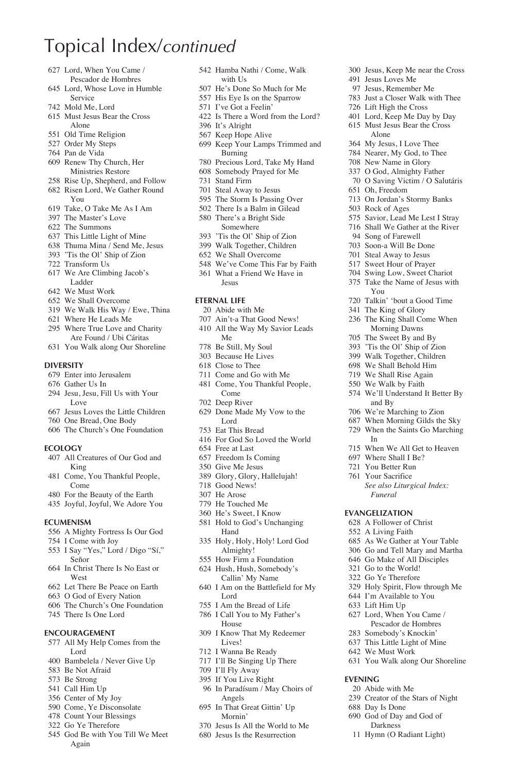### Topical Index/*continued*

- Lord, When You Came /
- Pescador de Hombres Lord, Whose Love in Humble Service
- Mold Me, Lord
- Must Jesus Bear the Cross Alone
- Old Time Religion
- Order My Steps
- Pan de Vida
- Renew Thy Church, Her Ministries Restore
- Rise Up, Shepherd, and Follow
- Risen Lord, We Gather Round
- You Take, O Take Me As I Am
- The Master's Love
- The Summons
- This Little Light of Mine
- Thuma Mina / Send Me, Jesus
- 'Tis the Ol' Ship of Zion
- Transform Us
- We Are Climbing Jacob's Ladder
- We Must Work
- We Shall Overcome
- We Walk His Way / Ewe, Thina
- Where He Leads Me Where True Love and Charity
- Are Found / Ubi Cáritas You Walk along Our Shoreline
- **Diversity**
- Enter into Jerusalem
- Gather Us In
- Jesu, Jesu, Fill Us with Your Love
- Jesus Loves the Little Children
- One Bread, One Body
- The Church's One Foundation

#### **Ecology**

- All Creatures of Our God and King
- Come, You Thankful People, Come
- For the Beauty of the Earth
- Joyful, Joyful, We Adore You

#### **Ecumenism**

- A Mighty Fortress Is Our God
- I Come with Joy
- I Say "Yes," Lord / Digo "Sí," Señor
- In Christ There Is No East or West
- Let There Be Peace on Earth
- O God of Every Nation
- The Church's One Foundation
- There Is One Lord

#### **Encouragement**

- All My Help Comes from the Lord
- Bambelela / Never Give Up
- Be Not Afraid
- Be Strong
- Call Him Up
- Center of My Joy
- Come, Ye Disconsolate
- Count Your Blessings
- Go Ye Therefore
- God Be with You Till We Meet Again
- Hamba Nathi / Come, Walk with Us
- He's Done So Much for Me

Jesus, Keep Me near the Cross

 Jesus Loves Me Jesus, Remember Me Just a Closer Walk with Thee Lift High the Cross Lord, Keep Me Day by Day Must Jesus Bear the Cross Alone My Jesus, I Love Thee Nearer, My God, to Thee New Name in Glory O God, Almighty Father O Saving Victim / O Salutáris

 Oh, Freedom On Jordan's Stormy Banks

Rock of Ages

You

and By We're Marching to Zion When Morning Gilds the Sky When the Saints Go Marching

*Funeral* **Evangelization** A Follower of Christ A Living Faith

 When We All Get to Heaven Where Shall I Be? You Better Run Your Sacrifice

 *See also Liturgical Index:* 

 As We Gather at Your Table Go and Tell Mary and Martha Go Make of All Disciples Go to the World! Go Ye Therefore Holy Spirit, Flow through Me I'm Available to You Lift Him Up Lord, When You Came / Pescador de Hombres Somebody's Knockin' This Little Light of Mine We Must Work

You Walk along Our Shoreline

**Evening** Abide with Me Creator of the Stars of Night

 Day Is Done God of Day and God of Darkness Hymn (O Radiant Light)

In

 Savior, Lead Me Lest I Stray Shall We Gather at the River Song of Farewell Soon-a Will Be Done Steal Away to Jesus Sweet Hour of Prayer Swing Low, Sweet Chariot Take the Name of Jesus with

 Talkin' 'bout a Good Time The King of Glory The King Shall Come When Morning Dawns The Sweet By and By 'Tis the Ol' Ship of Zion Walk Together, Children We Shall Behold Him We Shall Rise Again We Walk by Faith We'll Understand It Better By

- His Eye Is on the Sparrow
- I've Got a Feelin'
- Is There a Word from the Lord?
- It's Alright
- Keep Hope Alive
- 
- Keep Your Lamps Trimmed and Burning
- Precious Lord, Take My Hand
- Somebody Prayed for Me
- Stand Firm
- Steal Away to Jesus
- The Storm Is Passing Over There Is a Balm in Gilead
- There's a Bright Side
	- Somewhere
- 'Tis the Ol' Ship of Zion
- Walk Together, Children
- We Shall Overcome
- We've Come This Far by Faith What a Friend We Have in Jesus

#### **Eternal Life**

- Abide with Me
- Ain't-a That Good News!
- All the Way My Savior Leads Me
- Be Still, My Soul
- Because He Lives
- Close to Thee
- Come and Go with Me
- Come, You Thankful People, Come
- Deep River
- Done Made My Vow to the Lord
- Eat This Bread
- For God So Loved the World Free at Last
- Freedom Is Coming
- Give Me Jesus
- Glory, Glory, Hallelujah!
- Good News!
- He Arose
- He Touched Me
- He's Sweet, I Know
- Hold to God's Unchanging Hand
- Holy, Holy, Holy! Lord God Almighty!
- How Firm a Foundation
- Hush, Hush, Somebody's Callin' My Name I Am on the Battlefield for My

I Know That My Redeemer

Lord I Am the Bread of Life I Call You to My Father's

House

Lives! I Wanna Be Ready I'll Be Singing Up There I'll Fly Away If You Live Right In Paradísum / May Choirs of

Angels In That Great Gittin' Up Mornin' Jesus Is All the World to Me Jesus Is the Resurrection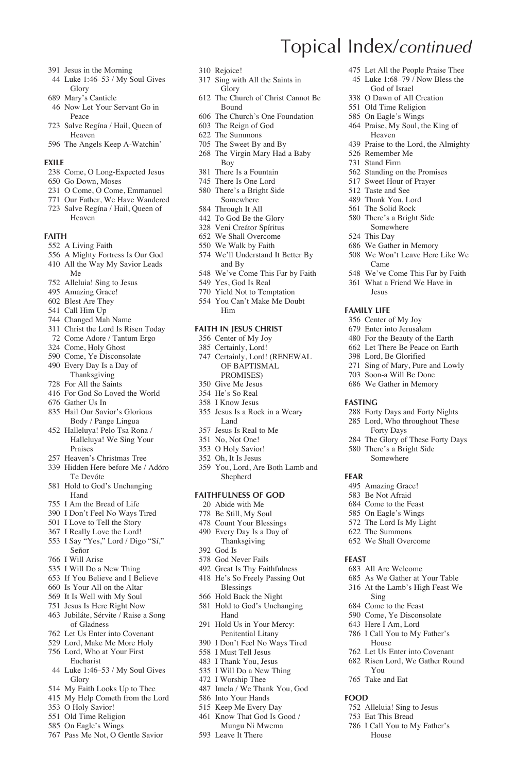- Jesus in the Morning
- Luke 1:46–53 / My Soul Gives Glory
- Mary's Canticle
- Now Let Your Servant Go in Peace
- Salve Regína / Hail, Queen of Heaven
- The Angels Keep A-Watchin'

#### **Exile**

- Come, O Long-Expected Jesus
- Go Down, Moses
- O Come, O Come, Emmanuel
- Our Father, We Have Wandered Salve Regína / Hail, Queen of Heaven

#### **Faith**

- A Living Faith
- A Mighty Fortress Is Our God
- All the Way My Savior Leads Me
- Alleluia! Sing to Jesus
- Amazing Grace!
- Blest Are They
- Call Him Up
- Changed Mah Name
- Christ the Lord Is Risen Today Come Adore / Tantum Ergo
- 
- Come, Holy Ghost Come, Ye Disconsolate
- Every Day Is a Day of
- Thanksgiving
- For All the Saints
- For God So Loved the World
- Gather Us In
- Hail Our Savior's Glorious
- Body / Pange Lingua Halleluya! Pelo Tsa Rona /
- Halleluya! We Sing Your Praises
- Heaven's Christmas Tree
- Hidden Here before Me / Adóro Te Devóte
- Hold to God's Unchanging Hand
- I Am the Bread of Life
- I Don't Feel No Ways Tired
- I Love to Tell the Story
- I Really Love the Lord!
- I Say "Yes," Lord / Digo "Sí," Señor
- I Will Arise
- I Will Do a New Thing
- If You Believe and I Believe
- Is Your All on the Altar
- It Is Well with My Soul
- Jesus Is Here Right Now
- Jubiláte, Sérvite / Raise a Song of Gladness
- Let Us Enter into Covenant
- Lord, Make Me More Holy Lord, Who at Your First
- Eucharist Luke 1:46–53 / My Soul Gives
- Glory
- My Faith Looks Up to Thee
- My Help Cometh from the Lord
- O Holy Savior!
- Old Time Religion
- On Eagle's Wings
- Pass Me Not, O Gentle Savior
- Rejoice!
- Sing with All the Saints in Glory
- The Church of Christ Cannot Be Bound

Topical Index/*continued*

 Remember Me Stand Firm

 Let All the People Praise Thee Luke 1:68–79 / Now Bless the God of Israel O Dawn of All Creation Old Time Religion On Eagle's Wings Praise, My Soul, the King of Heaven

Praise to the Lord, the Almighty

 Standing on the Promises Sweet Hour of Prayer Taste and See Thank You, Lord The Solid Rock There's a Bright Side Somewhere This Day

 We Gather in Memory We Won't Leave Here Like We

 We've Come This Far by Faith What a Friend We Have in Jesus **Family Life** Center of My Joy Enter into Jerusalem For the Beauty of the Earth Let There Be Peace on Earth Lord, Be Glorified Sing of Mary, Pure and Lowly Soon-a Will Be Done We Gather in Memory

 Forty Days and Forty Nights Lord, Who throughout These Forty Days The Glory of These Forty Days There's a Bright Side Somewhere

Came

**Fasting**

**Fear**

**Feast**

 Amazing Grace! Be Not Afraid Come to the Feast On Eagle's Wings The Lord Is My Light The Summons We Shall Overcome

 All Are Welcome As We Gather at Your Table At the Lamb's High Feast We

Sing Come to the Feast Come, Ye Disconsolate Here I Am, Lord I Call You to My Father's House Let Us Enter into Covenant Risen Lord, We Gather Round

You Take and Eat

 Alleluia! Sing to Jesus Eat This Bread I Call You to My Father's House

**Food**

- The Church's One Foundation The Reign of God
- The Summons
- The Sweet By and By
- The Virgin Mary Had a Baby Boy
- There Is a Fountain
- There Is One Lord
- There's a Bright Side Somewhere
- Through It All
- To God Be the Glory
- Veni Creátor Spíritus
- We Shall Overcome
- We Walk by Faith
- We'll Understand It Better By and By
- We've Come This Far by Faith Yes, God Is Real
- Yield Not to Temptation
- You Can't Make Me Doubt Him

#### **Faith in Jesus Christ**

- Center of My Joy
- Certainly, Lord!
- Certainly, Lord! (RENEWAL OF BAPTISMAL PROMISES)
- Give Me Jesus
- He's So Real
- I Know Jesus
- Jesus Is a Rock in a Weary Land
- Jesus Is Real to Me
- No, Not One!
- O Holy Savior!
- Oh, It Is Jesus
- You, Lord, Are Both Lamb and Shepherd

#### **Faithfulness of God**

- Abide with Me
- Be Still, My Soul
- Count Your Blessings Every Day Is a Day of Thanksgiving
- God Is
- God Never Fails
- Great Is Thy Faithfulness
- He's So Freely Passing Out
- **Blessings**
- Hold Back the Night

 I Must Tell Jesus I Thank You, Jesus I Will Do a New Thing I Worship Thee Imela / We Thank You, God Into Your Hands Keep Me Every Day Know That God Is Good / Mungu Ni Mwema

Leave It There

- Hold to God's Unchanging Hand
- Hold Us in Your Mercy: Penitential Litany I Don't Feel No Ways Tired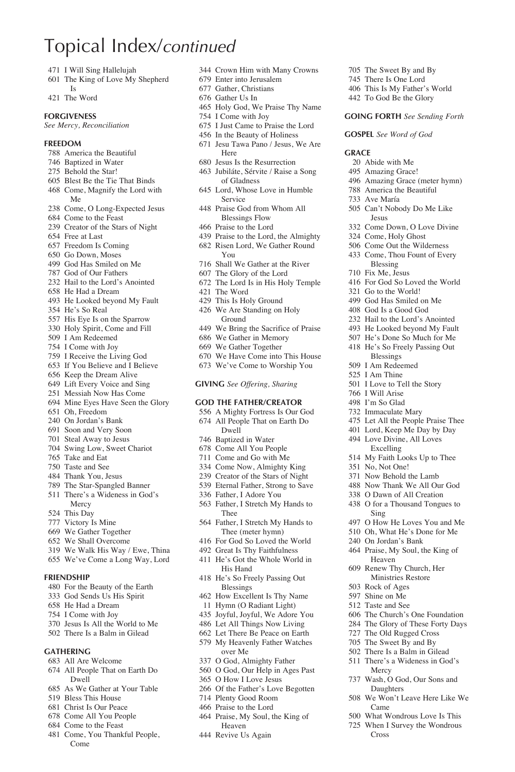### Topical Index/*continued*

- 471 I Will Sing Hallelujah
- The King of Love My Shepherd Is
- The Word

#### **Forgiveness**

*See Mercy, Reconciliation*

#### **Freedom**

- America the Beautiful
- Baptized in Water
- Behold the Star!
- Blest Be the Tie That Binds
- Come, Magnify the Lord with
- Me Come, O Long-Expected Jesus
- Come to the Feast
- Creator of the Stars of Night
- Free at Last
- Freedom Is Coming
- Go Down, Moses
- God Has Smiled on Me
- God of Our Fathers
- Hail to the Lord's Anointed He Had a Dream
- 
- He Looked beyond My Fault He's So Real
- 
- His Eye Is on the Sparrow
- Holy Spirit, Come and Fill I Am Redeemed
- I Come with Joy
- 
- I Receive the Living God If You Believe and I Believe
- Keep the Dream Alive
- Lift Every Voice and Sing
- Messiah Now Has Come
- Mine Eyes Have Seen the Glory
- Oh, Freedom
- On Jordan's Bank
- Soon and Very Soon
- Steal Away to Jesus
- Swing Low, Sweet Chariot
- Take and Eat
- Taste and See
- Thank You, Jesus
- The Star-Spangled Banner There's a Wideness in God's Mercy
- This Day
- Victory Is Mine
- We Gather Together
- We Shall Overcome
- We Walk His Way / Ewe, Thina
- We've Come a Long Way, Lord

#### **Friendship**

- For the Beauty of the Earth
- God Sends Us His Spirit
- He Had a Dream
- I Come with Joy
- Jesus Is All the World to Me
- There Is a Balm in Gilead

#### **Gathering**

- All Are Welcome
- All People That on Earth Do Dwell
- As We Gather at Your Table
- Bless This House
- Christ Is Our Peace
- Come All You People
- Come to the Feast
- Come, You Thankful People, Come

Crown Him with Many Crowns

 The Sweet By and By There Is One Lord This Is My Father's World To God Be the Glory **Going Forth** *See Sending Forth*

**Gospel** *See Word of God*

 Amazing Grace (meter hymn) America the Beautiful Ave María

 Can't Nobody Do Me Like Jesus

 Come Down, O Love Divine Come, Holy Ghost Come Out the Wilderness Come, Thou Fount of Every Blessing Fix Me, Jesus

 For God So Loved the World Go to the World! God Has Smiled on Me God Is a Good God Hail to the Lord's Anointed He Looked beyond My Fault He's Done So Much for Me He's So Freely Passing Out Blessings I Am Redeemed I Am Thine I Love to Tell the Story I Will Arise I'm So Glad Immaculate Mary Let All the People Praise Thee Lord, Keep Me Day by Day Love Divine, All Loves Excelling My Faith Looks Up to Thee

 No, Not One! Now Behold the Lamb Now Thank We All Our God O Dawn of All Creation O for a Thousand Tongues to

Sing

Mercy

Came

Cross

 O How He Loves You and Me Oh, What He's Done for Me On Jordan's Bank Praise, My Soul, the King of Heaven Renew Thy Church, Her Ministries Restore Rock of Ages Shine on Me Taste and See

 The Church's One Foundation The Glory of These Forty Days The Old Rugged Cross The Sweet By and By There Is a Balm in Gilead There's a Wideness in God's

 Wash, O God, Our Sons and Daughters We Won't Leave Here Like We

 What Wondrous Love Is This When I Survey the Wondrous

 Abide with Me Amazing Grace!

**Grace**

- Enter into Jerusalem
- Gather, Christians
- Gather Us In
- Holy God, We Praise Thy Name
- I Come with Joy
- I Just Came to Praise the Lord
- In the Beauty of Holiness
- Jesu Tawa Pano / Jesus, We Are Here
- Jesus Is the Resurrection
- Jubiláte, Sérvite / Raise a Song of Gladness
- Lord, Whose Love in Humble Service
- Praise God from Whom All Blessings Flow
- Praise to the Lord
- Praise to the Lord, the Almighty Risen Lord, We Gather Round
- You Shall We Gather at the River
- 
- The Glory of the Lord
- The Lord Is in His Holy Temple The Word
- This Is Holy Ground
- We Are Standing on Holy Ground
- We Bring the Sacrifice of Praise
- We Gather in Memory
- We Gather Together
- We Have Come into This House
- We've Come to Worship You

#### **Giving** *See Offering, Sharing*

#### **God the Father/Creator**

- A Mighty Fortress Is Our God All People That on Earth Do
- Dwell
- Baptized in Water Come All You People
- Come and Go with Me
- Come Now, Almighty King
- Creator of the Stars of Night
- Eternal Father, Strong to Save Father, I Stretch My Hands to

 Father, I Stretch My Hands to Thee (meter hymn) For God So Loved the World Great Is Thy Faithfulness He's Got the Whole World in His Hand He's So Freely Passing Out Blessings How Excellent Is Thy Name Hymn (O Radiant Light) Joyful, Joyful, We Adore You Let All Things Now Living Let There Be Peace on Earth My Heavenly Father Watches over Me O God, Almighty Father O God, Our Help in Ages Past O How I Love Jesus Of the Father's Love Begotten Plenty Good Room Praise to the Lord Praise, My Soul, the King of Heaven Revive Us Again

Father, I Adore You

Thee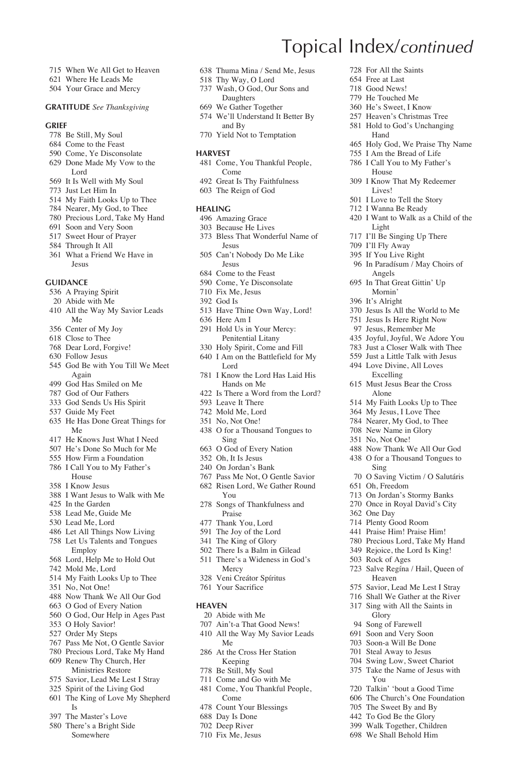- When We All Get to Heaven
- Where He Leads Me
- Your Grace and Mercy

#### **Gratitude** *See Thanksgiving*

#### **Grief**

- Be Still, My Soul
- Come to the Feast
- Come, Ye Disconsolate
- Done Made My Vow to the Lord
- It Is Well with My Soul
- Just Let Him In
- My Faith Looks Up to Thee
- Nearer, My God, to Thee
- Precious Lord, Take My Hand Soon and Very Soon
- Sweet Hour of Prayer
- Through It All
- What a Friend We Have in
- Jesus

#### **Guidance**

- A Praying Spirit
- Abide with Me All the Way My Savior Leads
- Me
- Center of My Joy
- Close to Thee
- Dear Lord, Forgive!
- Follow Jesus
- God Be with You Till We Meet Again
- God Has Smiled on Me
- God of Our Fathers
- God Sends Us His Spirit
- Guide My Feet
- He Has Done Great Things for Me
- He Knows Just What I Need
- He's Done So Much for Me
- How Firm a Foundation
- I Call You to My Father's House
- I Know Jesus
- I Want Jesus to Walk with Me
- In the Garden
- Lead Me, Guide Me
- Lead Me, Lord
- Let All Things Now Living Let Us Talents and Tongues
- Employ
- Lord, Help Me to Hold Out
- Mold Me, Lord
- My Faith Looks Up to Thee
- No, Not One!
- Now Thank We All Our God
- O God of Every Nation
- O God, Our Help in Ages Past
- O Holy Savior! Order My Steps
- 
- Pass Me Not, O Gentle Savior Precious Lord, Take My Hand
- Renew Thy Church, Her
- Ministries Restore
- Savior, Lead Me Lest I Stray
- Spirit of the Living God The King of Love My Shepherd
- Is
- The Master's Love
- There's a Bright Side Somewhere
- Thuma Mina / Send Me, Jesus
	- Thy Way, O Lord
	- Wash, O God, Our Sons and

Topical Index/*continued*

 For All the Saints Free at Last Good News! He Touched Me He's Sweet, I Know Heaven's Christmas Tree Hold to God's Unchanging Hand

 Holy God, We Praise Thy Name I Am the Bread of Life I Call You to My Father's House I Know That My Redeemer Lives! I Love to Tell the Story I Wanna Be Ready

I Want to Walk as a Child of the

 Jesus Is All the World to Me Jesus Is Here Right Now Jesus, Remember Me Joyful, Joyful, We Adore You Just a Closer Walk with Thee Just a Little Talk with Jesus Love Divine, All Loves Excelling Must Jesus Bear the Cross Alone My Faith Looks Up to Thee My Jesus, I Love Thee Nearer, My God, to Thee New Name in Glory No, Not One!

 Now Thank We All Our God O for a Thousand Tongues to

O Saving Victim / O Salutáris

 On Jordan's Stormy Banks Once in Royal David's City

 Salve Regína / Hail, Queen of Heaven Savior, Lead Me Lest I Stray Shall We Gather at the River Sing with All the Saints in Glory Song of Farewell Soon and Very Soon Soon-a Will Be Done Steal Away to Jesus Swing Low, Sweet Chariot Take the Name of Jesus with

Sing

Oh, Freedom

You

 Talkin' 'bout a Good Time The Church's One Foundation The Sweet By and By To God Be the Glory Walk Together, Children We Shall Behold Him

 One Day Plenty Good Room Praise Him! Praise Him! Precious Lord, Take My Hand Rejoice, the Lord Is King! Rock of Ages

Light I'll Be Singing Up There I'll Fly Away If You Live Right In Paradísum / May Choirs of

Angels In That Great Gittin' Up Mornin' It's Alright

- Daughters
- We Gather Together
- We'll Understand It Better By and By
- Yield Not to Temptation

#### **Harvest**

- Come, You Thankful People, Come
- Great Is Thy Faithfulness
- The Reign of God

#### **Healing**

- Amazing Grace
- Because He Lives
- Bless That Wonderful Name of Jesus
- Can't Nobody Do Me Like
	- Jesus
- Come to the Feast
- Come, Ye Disconsolate
- Fix Me, Jesus
- God Is
- Have Thine Own Way, Lord!
- Here Am I
- Hold Us in Your Mercy: Penitential Litany
- Holy Spirit, Come and Fill
- I Am on the Battlefield for My Lord
- I Know the Lord Has Laid His Hands on Me
- Is There a Word from the Lord?
- Leave It There
- Mold Me, Lord
- No, Not One!
- O for a Thousand Tongues to Sing
- O God of Every Nation
- Oh, It Is Jesus
- On Jordan's Bank
- Pass Me Not, O Gentle Savior Risen Lord, We Gather Round

 There Is a Balm in Gilead There's a Wideness in God's

- You Songs of Thankfulness and
	- Praise
- Thank You, Lord
- The Joy of the Lord The King of Glory

Mercy Veni Creátor Spíritus Your Sacrifice

 Abide with Me Ain't-a That Good News! All the Way My Savior Leads

Me At the Cross Her Station Keeping Be Still, My Soul Come and Go with Me Come, You Thankful People,

Come Count Your Blessings Day Is Done Deep River Fix Me, Jesus

**Heaven**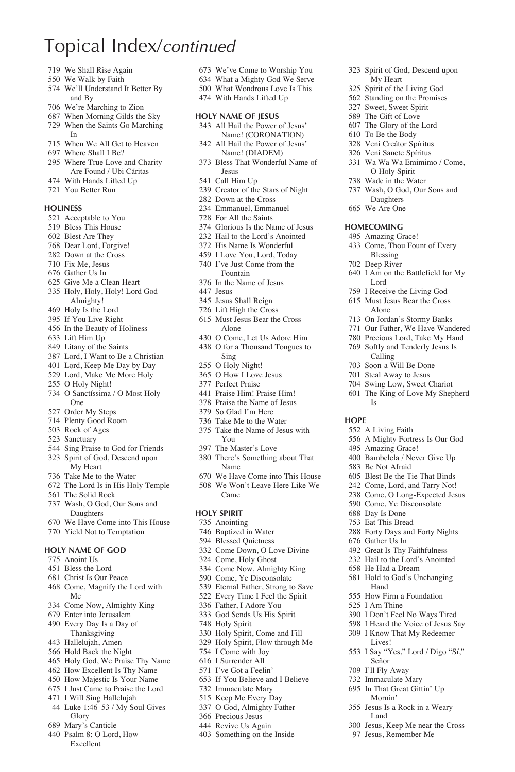### Topical Index/*continued*

- We Shall Rise Again
- We Walk by Faith
- We'll Understand It Better By and By
- We're Marching to Zion
- When Morning Gilds the Sky When the Saints Go Marching
- In
- When We All Get to Heaven
- Where Shall I Be?
- Where True Love and Charity Are Found / Ubi Cáritas
- With Hands Lifted Up
- You Better Run

#### **Holiness**

- Acceptable to You
- Bless This House
- Blest Are They
- Dear Lord, Forgive!
- Down at the Cross
- Fix Me, Jesus
- Gather Us In
- Give Me a Clean Heart
- Holy, Holy, Holy! Lord God Almighty!
- Holy Is the Lord
- If You Live Right
- In the Beauty of Holiness
- Lift Him Up
- Litany of the Saints
- Lord, I Want to Be a Christian
- Lord, Keep Me Day by Day
- Lord, Make Me More Holy
- O Holy Night!
- O Sanctíssima / O Most Holy One
- Order My Steps
- Plenty Good Room
- Rock of Ages
- Sanctuary
- Sing Praise to God for Friends
- Spirit of God, Descend upon My Heart
- Take Me to the Water
- The Lord Is in His Holy Temple
- The Solid Rock
- Wash, O God, Our Sons and Daughters
- We Have Come into This House
- Yield Not to Temptation

#### **Holy Name of God**

- Anoint Us
- Bless the Lord
- Christ Is Our Peace
- Come, Magnify the Lord with Me
- Come Now, Almighty King
- Enter into Jerusalem
- Every Day Is a Day of Thanksgiving
- Hallelujah, Amen
- Hold Back the Night
- Holy God, We Praise Thy Name
- How Excellent Is Thy Name
- How Majestic Is Your Name
- I Just Came to Praise the Lord
- I Will Sing Hallelujah
- Luke 1:46–53 / My Soul Gives
- Glory
- Mary's Canticle
- Psalm 8: O Lord, How Excellent

We've Come to Worship You

 Spirit of God, Descend upon My Heart Spirit of the Living God Standing on the Promises Sweet, Sweet Spirit The Gift of Love The Glory of the Lord To Be the Body Veni Creátor Spíritus Veni Sancte Spíritus Wa Wa Wa Emimimo / Come, O Holy Spirit Wade in the Water Wash, O God, Our Sons and Daughters We Are One **Homecoming** Amazing Grace! Come, Thou Fount of Every Blessing Deep River

I Am on the Battlefield for My

Lord I Receive the Living God Must Jesus Bear the Cross Alone On Jordan's Stormy Banks Our Father, We Have Wandered Precious Lord, Take My Hand Softly and Tenderly Jesus Is Calling Soon-a Will Be Done Steal Away to Jesus Swing Low, Sweet Chariot The King of Love My Shepherd

Is

A Living Faith

 Amazing Grace! Bambelela / Never Give Up Be Not Afraid

 Gather Us In Great Is Thy Faithfulness Hail to the Lord's Anointed He Had a Dream Hold to God's Unchanging Hand How Firm a Foundation I Am Thine

Señor I'll Fly Away Immaculate Mary In That Great Gittin' Up Mornin' Jesus Is a Rock in a Weary Land

A Mighty Fortress Is Our God

 Blest Be the Tie That Binds Come, Lord, and Tarry Not! Come, O Long-Expected Jesus Come, Ye Disconsolate Day Is Done Eat This Bread Forty Days and Forty Nights

 I Don't Feel No Ways Tired I Heard the Voice of Jesus Say I Know That My Redeemer Lives!

I Say "Yes," Lord / Digo "Sí,"

 Jesus, Keep Me near the Cross Jesus, Remember Me

**Hope**

- What a Mighty God We Serve What Wondrous Love Is This
- With Hands Lifted Up
- 

#### **Holy Name of Jesus**

- All Hail the Power of Jesus' Name! (CORONATION)
- All Hail the Power of Jesus' Name! (DIADEM)
- Bless That Wonderful Name of Jesus
- Call Him Up
- Creator of the Stars of Night
- Down at the Cross
- Emmanuel, Emmanuel
- For All the Saints
- Glorious Is the Name of Jesus
- Hail to the Lord's Anointed
- His Name Is Wonderful
- I Love You, Lord, Today
- I've Just Come from the Fountain
- In the Name of Jesus
- Jesus
- Jesus Shall Reign
- Lift High the Cross
- Must Jesus Bear the Cross Alone
- O Come, Let Us Adore Him
- O for a Thousand Tongues to Sing
- O Holy Night!
- O How I Love Jesus
- Perfect Praise
- Praise Him! Praise Him!
- Praise the Name of Jesus
- So Glad I'm Here
- Take Me to the Water
- Take the Name of Jesus with You
- The Master's Love

 Baptized in Water Blessed Quietness Come Down, O Love Divine Come, Holy Ghost Come Now, Almighty King Come, Ye Disconsolate Eternal Father, Strong to Save Every Time I Feel the Spirit Father, I Adore You God Sends Us His Spirit

- There's Something about That Name
- We Have Come into This House We Won't Leave Here Like We Came

#### **Holy Spirit** Anointing

Holy Spirit

 Holy Spirit, Come and Fill Holy Spirit, Flow through Me I Come with Joy I Surrender All I've Got a Feelin' If You Believe and I Believe Immaculate Mary Keep Me Every Day O God, Almighty Father Precious Jesus Revive Us Again Something on the Inside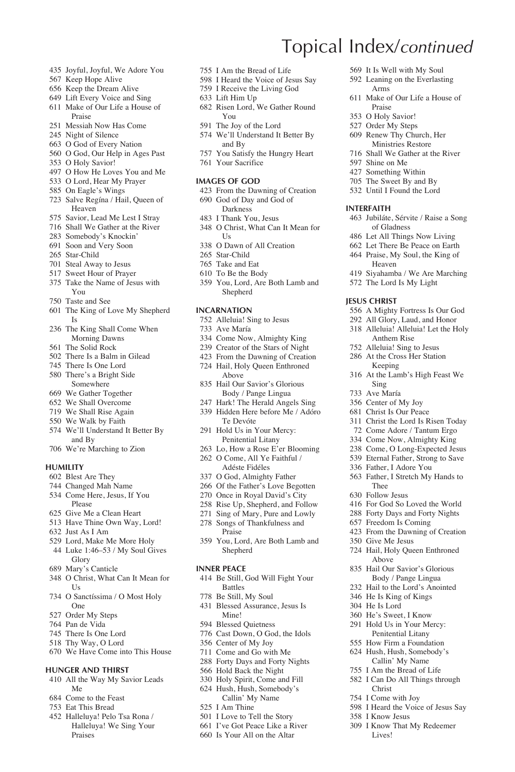- Joyful, Joyful, We Adore You
- Keep Hope Alive
- Keep the Dream Alive
- Lift Every Voice and Sing
- Make of Our Life a House of Praise
- Messiah Now Has Come
- Night of Silence
- O God of Every Nation
- O God, Our Help in Ages Past
- O Holy Savior!
- O How He Loves You and Me
- O Lord, Hear My Prayer On Eagle's Wings
- Salve Regína / Hail, Queen of Heaven
- Savior, Lead Me Lest I Stray
- Shall We Gather at the River
- Somebody's Knockin'
- Soon and Very Soon
- Star-Child
- Steal Away to Jesus
- Sweet Hour of Prayer
- Take the Name of Jesus with You
- Taste and See
- The King of Love My Shepherd Is
- The King Shall Come When Morning Dawns
- The Solid Rock
- There Is a Balm in Gilead
- There Is One Lord
- There's a Bright Side Somewhere
- We Gather Together
- We Shall Overcome
- We Shall Rise Again
- We Walk by Faith
- We'll Understand It Better By and By
- We're Marching to Zion

#### **Humility**

- Blest Are They
- Changed Mah Name
- Come Here, Jesus, If You Please
- Give Me a Clean Heart
- Have Thine Own Way, Lord!
- Just As I Am
- Lord, Make Me More Holy
- Luke 1:46–53 / My Soul Gives Glory
- Mary's Canticle
- O Christ, What Can It Mean for  $I\bar{S}$
- O Sanctíssima / O Most Holy One
- Order My Steps
- Pan de Vida
- There Is One Lord
- Thy Way, O Lord
- We Have Come into This House

#### **Hunger and Thirst**

- All the Way My Savior Leads Me
- Come to the Feast
- Eat This Bread
- Halleluya! Pelo Tsa Rona / Halleluya! We Sing Your Praises
- I Am the Bread of Life
- I Heard the Voice of Jesus Say

Topical Index/*continued*

Praise O Holy Savior! Order My Steps Renew Thy Church, Her Ministries Restore Shall We Gather at the River

 Shine on Me Something Within The Sweet By and By Until I Found the Lord

**Interfaith**

**Jesus Christ**

Sing Ave María Center of My Joy Christ Is Our Peace Christ the Lord Is Risen Today Come Adore / Tantum Ergo Come Now, Almighty King Come, O Long-Expected Jesus Eternal Father, Strong to Save Father, I Adore You Father, I Stretch My Hands to

Thee Follow Jesus

Give Me Jesus

Christ I Come with Joy

I Know Jesus

I Heard the Voice of Jesus Say

 I Know That My Redeemer Lives!

 For God So Loved the World Forty Days and Forty Nights Freedom Is Coming From the Dawning of Creation

 Hail, Holy Queen Enthroned Above Hail Our Savior's Glorious Body / Pange Lingua Hail to the Lord's Anointed He Is King of Kings He Is Lord He's Sweet, I Know Hold Us in Your Mercy: Penitential Litany How Firm a Foundation Hush, Hush, Somebody's Callin' My Name I Am the Bread of Life I Can Do All Things through

 It Is Well with My Soul Leaning on the Everlasting Arms

Make of Our Life a House of

 Jubiláte, Sérvite / Raise a Song of Gladness Let All Things Now Living Let There Be Peace on Earth Praise, My Soul, the King of Heaven

 Siyahamba / We Are Marching The Lord Is My Light

 A Mighty Fortress Is Our God All Glory, Laud, and Honor 318 Alleluia! Alleluia! Let the Holy Anthem Rise Alleluia! Sing to Jesus At the Cross Her Station Keeping At the Lamb's High Feast We

- I Receive the Living God
- Lift Him Up
- Risen Lord, We Gather Round You
- The Joy of the Lord
- 574 We'll Understand It Better By and By
- You Satisfy the Hungry Heart
- Your Sacrifice

#### **Images of God**

- From the Dawning of Creation God of Day and God of
	- Darkness
- I Thank You, Jesus
- O Christ, What Can It Mean for Us
- O Dawn of All Creation
- Star-Child
- Take and Eat
- To Be the Body
- You, Lord, Are Both Lamb and Shepherd

#### **Incarnation**

- Alleluia! Sing to Jesus
- Ave María
- Come Now, Almighty King
- Creator of the Stars of Night
- From the Dawning of Creation
- Hail, Holy Queen Enthroned Above
- Hail Our Savior's Glorious Body / Pange Lingua
- Hark! The Herald Angels Sing Hidden Here before Me / Adóro Te Devóte
- Hold Us in Your Mercy: Penitential Litany
- Lo, How a Rose E'er Blooming O Come, All Ye Faithful /
- Adéste Fidéles
- O God, Almighty Father
- Of the Father's Love Begotten
- Once in Royal David's City
- Rise Up, Shepherd, and Follow
- Sing of Mary, Pure and Lowly
- Songs of Thankfulness and Praise
- You, Lord, Are Both Lamb and Shepherd

#### **Inner Peace**

- Be Still, God Will Fight Your Battles
- Be Still, My Soul
- Blessed Assurance, Jesus Is Mine!
- Blessed Quietness

 I Am Thine I Love to Tell the Story I've Got Peace Like a River Is Your All on the Altar

 Cast Down, O God, the Idols Center of My Joy

 Come and Go with Me Forty Days and Forty Nights Hold Back the Night Holy Spirit, Come and Fill Hush, Hush, Somebody's Callin' My Name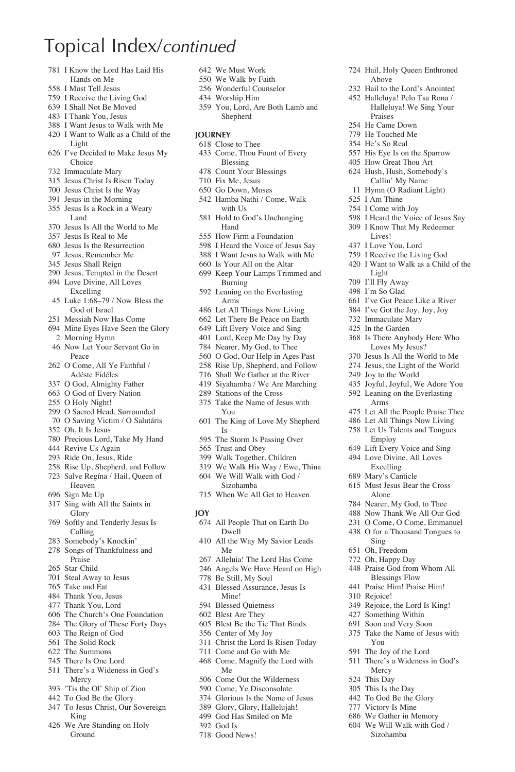### Topical Index/*continued*

- I Know the Lord Has Laid His Hands on Me
- I Must Tell Jesus
- I Receive the Living God
- I Shall Not Be Moved
- I Thank You, Jesus
- I Want Jesus to Walk with Me I Want to Walk as a Child of the
- Light
- I've Decided to Make Jesus My Choice
- Immaculate Mary
- Jesus Christ Is Risen Today
- Jesus Christ Is the Way
- Jesus in the Morning Jesus Is a Rock in a Weary Land
- Jesus Is All the World to Me
- Jesus Is Real to Me
- Jesus Is the Resurrection
- Jesus, Remember Me
- Jesus Shall Reign
- Jesus, Tempted in the Desert
- Love Divine, All Loves Excelling
- Luke 1:68–79 / Now Bless the God of Israel
- Messiah Now Has Come
- Mine Eyes Have Seen the Glory Morning Hymn
- Now Let Your Servant Go in Peace
- O Come, All Ye Faithful / Adéste Fidéles
- O God, Almighty Father
- O God of Every Nation
- O Holy Night!
- O Sacred Head, Surrounded
- O Saving Victim / O Salutáris
- Oh, It Is Jesus
- Precious Lord, Take My Hand
- Revive Us Again
- Ride On, Jesus, Ride
- Rise Up, Shepherd, and Follow
- Salve Regína / Hail, Queen of
- Heaven Sign Me Up
- Sing with All the Saints in Glory
- Softly and Tenderly Jesus Is Calling
- Somebody's Knockin'
- Songs of Thankfulness and Praise
- Star-Child
- Steal Away to Jesus
- Take and Eat
- Thank You, Jesus
- Thank You, Lord
- The Church's One Foundation
- The Glory of These Forty Days
- The Reign of God
- The Solid Rock
- The Summons
- There Is One Lord
- There's a Wideness in God's Mercy
- 'Tis the Ol' Ship of Zion
- To God Be the Glory
- To Jesus Christ, Our Sovereign King
- We Are Standing on Holy Ground
- We Must Work
- We Walk by Faith
- Wonderful Counselor
- Worship Him
- You, Lord, Are Both Lamb and Shepherd

 Hail, Holy Queen Enthroned Above Hail to the Lord's Anointed Halleluya! Pelo Tsa Rona / Halleluya! We Sing Your

 I Heard the Voice of Jesus Say I Know That My Redeemer Lives! I Love You, Lord I Receive the Living God I Want to Walk as a Child of the

 I've Got Peace Like a River I've Got the Joy, Joy, Joy Immaculate Mary In the Garden

 Is There Anybody Here Who Loves My Jesus? Jesus Is All the World to Me Jesus, the Light of the World Joy to the World Joyful, Joyful, We Adore You Leaning on the Everlasting Arms

 Let All the People Praise Thee Let All Things Now Living Let Us Talents and Tongues Employ Lift Every Voice and Sing Love Divine, All Loves Excelling Mary's Canticle Must Jesus Bear the Cross Alone Nearer, My God, to Thee Now Thank We All Our God O Come, O Come, Emmanuel O for a Thousand Tongues to

Sing Oh, Freedom Oh, Happy Day Praise God from Whom All Blessings Flow Praise Him! Praise Him!

Rejoice!

You The Joy of the Lord There's a Wideness in God's

Mercy This Day This Is the Day To God Be the Glory Victory Is Mine We Gather in Memory We Will Walk with God / Sizohamba

 Rejoice, the Lord Is King! Something Within Soon and Very Soon Take the Name of Jesus with

Praises He Came Down He Touched Me He's So Real His Eye Is on the Sparrow How Great Thou Art Hush, Hush, Somebody's Callin' My Name Hymn (O Radiant Light)

 I Am Thine I Come with Joy

Light I'll Fly Away I'm So Glad

#### **Journey**

- Close to Thee
- Come, Thou Fount of Every Blessing
- Count Your Blessings
- Fix Me, Jesus
- Go Down, Moses
- Hamba Nathi / Come, Walk with Us
- Hold to God's Unchanging Hand
- How Firm a Foundation
- I Heard the Voice of Jesus Say
- I Want Jesus to Walk with Me
- Is Your All on the Altar
- Keep Your Lamps Trimmed and Burning
- Leaning on the Everlasting Arms
- Let All Things Now Living
- Let There Be Peace on Earth
- Lift Every Voice and Sing
- Lord, Keep Me Day by Day
- Nearer, My God, to Thee
- O God, Our Help in Ages Past
- Rise Up, Shepherd, and Follow
- Shall We Gather at the River Siyahamba / We Are Marching
- 
- Stations of the Cross
- Take the Name of Jesus with You
- The King of Love My Shepherd Is
- The Storm Is Passing Over
- Trust and Obey
- Walk Together, Children
- We Walk His Way / Ewe, Thina We Will Walk with God /
- Sizohamba
- When We All Get to Heaven

#### **Joy**

- All People That on Earth Do Dwell
- All the Way My Savior Leads Me
- Alleluia! The Lord Has Come
- Angels We Have Heard on High

 Christ the Lord Is Risen Today Come and Go with Me Come, Magnify the Lord with

 Come Out the Wilderness Come, Ye Disconsolate Glorious Is the Name of Jesus Glory, Glory, Hallelujah! God Has Smiled on Me

 Be Still, My Soul Blessed Assurance, Jesus Is Mine!

 Blessed Quietness Blest Are They Blest Be the Tie That Binds Center of My Joy

Me

 God Is Good News!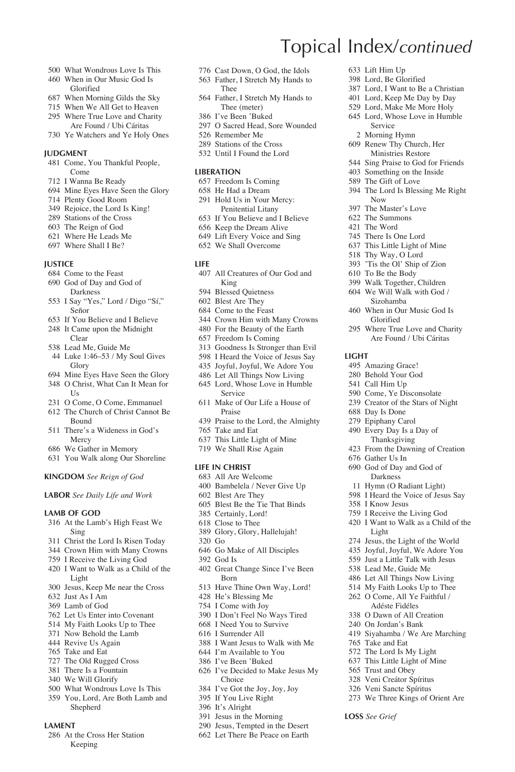- What Wondrous Love Is This
- When in Our Music God Is Glorified
- When Morning Gilds the Sky
- When We All Get to Heaven Where True Love and Charity
- Are Found / Ubi Cáritas
- Ye Watchers and Ye Holy Ones

#### **JUDGMENT**

- Come, You Thankful People, Come
- I Wanna Be Ready
- Mine Eyes Have Seen the Glory
- Plenty Good Room
- Rejoice, the Lord Is King!
- Stations of the Cross
- The Reign of God
- Where He Leads Me
- Where Shall I Be?

#### **Justice**

- Come to the Feast
- God of Day and God of **Darkness**
- I Say "Yes," Lord / Digo "Sí," Señor
- If You Believe and I Believe
- It Came upon the Midnight Clear
- Lead Me, Guide Me
- Luke 1:46–53 / My Soul Gives Glory
- Mine Eyes Have Seen the Glory O Christ, What Can It Mean for
- $I<sub>s</sub>$
- O Come, O Come, Emmanuel
- The Church of Christ Cannot Be Bound
- There's a Wideness in God's Mercy
- We Gather in Memory
- You Walk along Our Shoreline

#### **Kingdom** *See Reign of God*

**Labor** *See Daily Life and Work*

#### **Lamb of God**

- At the Lamb's High Feast We Sing
- Christ the Lord Is Risen Today
- Crown Him with Many Crowns
- I Receive the Living God
- I Want to Walk as a Child of the Light
- Jesus, Keep Me near the Cross
- Just As I Am
- Lamb of God
- Let Us Enter into Covenant
- My Faith Looks Up to Thee
- Now Behold the Lamb
- Revive Us Again
- Take and Eat
- The Old Rugged Cross
- There Is a Fountain
- We Will Glorify
- What Wondrous Love Is This You, Lord, Are Both Lamb and Shepherd
- **Lament**
- At the Cross Her Station Keeping

Cast Down, O God, the Idols

Topical Index/*continued*

 Lift Him Up Lord, Be Glorified Lord, I Want to Be a Christian Lord, Keep Me Day by Day Lord, Make Me More Holy Lord, Whose Love in Humble

Service Morning Hymn Renew Thy Church, Her Ministries Restore Sing Praise to God for Friends Something on the Inside The Gift of Love

Now The Master's Love The Summons The Word There Is One Lord This Little Light of Mine Thy Way, O Lord 'Tis the Ol' Ship of Zion To Be the Body Walk Together, Children We Will Walk with God / Sizohamba When in Our Music God Is Glorified Where True Love and Charity Are Found / Ubi Cáritas

**Light**

 Amazing Grace! Behold Your God Call Him Up Come, Ye Disconsolate Creator of the Stars of Night

 Day Is Done Epiphany Carol Every Day Is a Day of Thanksgiving From the Dawning of Creation

 Gather Us In God of Day and God of Darkness Hymn (O Radiant Light) I Heard the Voice of Jesus Say

 I Know Jesus I Receive the Living God I Want to Walk as a Child of the

Light

 Take and Eat The Lord Is My Light This Little Light of Mine Trust and Obey Veni Creátor Spíritus Veni Sancte Spíritus We Three Kings of Orient Are

**Loss** *See Grief*

 Jesus, the Light of the World Joyful, Joyful, We Adore You Just a Little Talk with Jesus Lead Me, Guide Me Let All Things Now Living My Faith Looks Up to Thee O Come, All Ye Faithful / Adéste Fidéles O Dawn of All Creation On Jordan's Bank Siyahamba / We Are Marching

The Lord Is Blessing Me Right

- Father, I Stretch My Hands to Thee
- Father, I Stretch My Hands to Thee (meter)
- I've Been 'Buked
- O Sacred Head, Sore Wounded Remember Me
- Stations of the Cross
- 
- Until I Found the Lord

#### **Liberation**

- Freedom Is Coming
- He Had a Dream
- Hold Us in Your Mercy: Penitential Litany
- If You Believe and I Believe
- Keep the Dream Alive
- Lift Every Voice and Sing
- We Shall Overcome

#### **Life**

- All Creatures of Our God and King
- Blessed Quietness
- Blest Are They
- Come to the Feast
- Crown Him with Many Crowns
- For the Beauty of the Earth
- Freedom Is Coming
- Goodness Is Stronger than Evil
- I Heard the Voice of Jesus Say
- Joyful, Joyful, We Adore You
- Let All Things Now Living
- Lord, Whose Love in Humble Service
- Make of Our Life a House of Praise
- Praise to the Lord, the Almighty
- Take and Eat
- This Little Light of Mine
- We Shall Rise Again

#### **Life in Christ**

- All Are Welcome
- Bambelela / Never Give Up
- Blest Are They
- Blest Be the Tie That Binds Certainly, Lord!
- Close to Thee
- Glory, Glory, Hallelujah!
- Go
- Go Make of All Disciples
- God Is
- Great Change Since I've Been Born
- Have Thine Own Way, Lord!

 I Don't Feel No Ways Tired I Need You to Survive I Surrender All

 I Want Jesus to Walk with Me I'm Available to You I've Been 'Buked

I've Decided to Make Jesus My

 He's Blessing Me I Come with Joy

Choice I've Got the Joy, Joy, Joy If You Live Right It's Alright Jesus in the Morning Jesus, Tempted in the Desert Let There Be Peace on Earth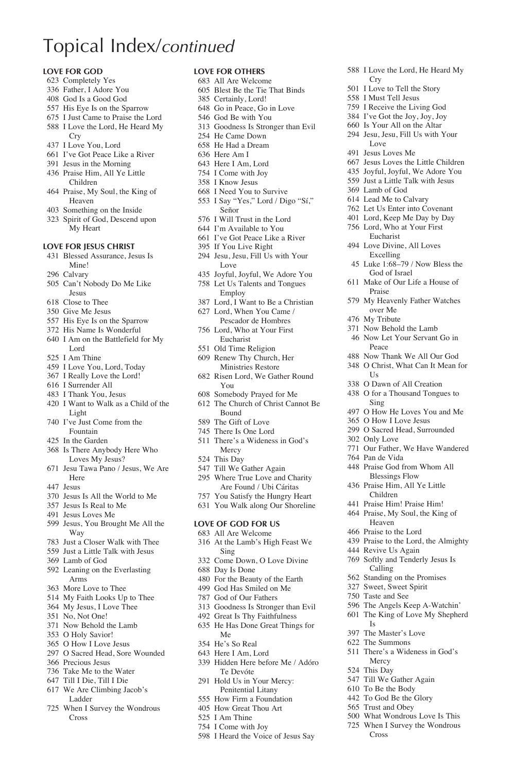### Topical Index/*continued*

#### **Love for God**

- Completely Yes
- Father, I Adore You
- God Is a Good God
- His Eye Is on the Sparrow
- I Just Came to Praise the Lord I Love the Lord, He Heard My
- Cry
- I Love You, Lord
- I've Got Peace Like a River Jesus in the Morning
- Praise Him, All Ye Little
- Children Praise, My Soul, the King of
- Heaven
- Something on the Inside
- Spirit of God, Descend upon My Heart

#### **Love for Jesus Christ**

- Blessed Assurance, Jesus Is Mine!
- Calvary
- Can't Nobody Do Me Like Jesus
- Close to Thee
- Give Me Jesus
- His Eye Is on the Sparrow
- His Name Is Wonderful
- I Am on the Battlefield for My Lord
- I Am Thine
- I Love You, Lord, Today
- I Really Love the Lord!
- I Surrender All
- I Thank You, Jesus I Want to Walk as a Child of the
- Light
- I've Just Come from the Fountain
- In the Garden
- Is There Anybody Here Who Loves My Jesus?
- Jesu Tawa Pano / Jesus, We Are Here
- Jesus
- Jesus Is All the World to Me
- Jesus Is Real to Me
- Jesus Loves Me
- Jesus, You Brought Me All the Way
- Just a Closer Walk with Thee
- Just a Little Talk with Jesus
- Lamb of God
- Leaning on the Everlasting Arms
- More Love to Thee
- My Faith Looks Up to Thee
- My Jesus, I Love Thee
- No, Not One!
- Now Behold the Lamb
- O Holy Savior!
- O How I Love Jesus
- O Sacred Head, Sore Wounded
- Precious Jesus
- Take Me to the Water
- Till I Die, Till I Die
- We Are Climbing Jacob's Ladder
- When I Survey the Wondrous Cross

#### **Love for Others**

- All Are Welcome
- Blest Be the Tie That Binds
- Certainly, Lord!
- Go in Peace, Go in Love
- God Be with You
- Goodness Is Stronger than Evil

I Love the Lord, He Heard My

 Jesus Loves the Little Children Joyful, Joyful, We Adore You Just a Little Talk with Jesus

Cry I Love to Tell the Story I Must Tell Jesus I Receive the Living God I've Got the Joy, Joy, Joy Is Your All on the Altar Jesu, Jesu, Fill Us with Your

Love Jesus Loves Me

 Lamb of God Lead Me to Calvary Let Us Enter into Covenant Lord, Keep Me Day by Day Lord, Who at Your First Eucharist Love Divine, All Loves Excelling Luke 1:68–79 / Now Bless the God of Israel Make of Our Life a House of

Praise

Peace

 $I<sub>g</sub>$  O Dawn of All Creation O for a Thousand Tongues to

Sing

Only Love

Pan de Vida

 My Heavenly Father Watches over Me My Tribute Now Behold the Lamb Now Let Your Servant Go in

 Now Thank We All Our God O Christ, What Can It Mean for

 O How He Loves You and Me O How I Love Jesus O Sacred Head, Surrounded

Our Father, We Have Wandered

Praise to the Lord, the Almighty

 The Angels Keep A-Watchin' The King of Love My Shepherd

There's a Wideness in God's

 What Wondrous Love Is This When I Survey the Wondrous

 Revive Us Again Softly and Tenderly Jesus Is Calling Standing on the Promises Sweet, Sweet Spirit Taste and See

Is The Master's Love The Summons

Mercy This Day Till We Gather Again To Be the Body To God Be the Glory Trust and Obey

Cross

 Praise God from Whom All Blessings Flow Praise Him, All Ye Little Children Praise Him! Praise Him! Praise, My Soul, the King of Heaven Praise to the Lord

- He Came Down
- He Had a Dream
- Here Am I
- Here I Am, Lord I Come with Joy
- I Know Jesus
- I Need You to Survive
- I Say "Yes," Lord / Digo "Sí," Señor
- I Will Trust in the Lord
- I'm Available to You
- I've Got Peace Like a River
- If You Live Right
- Jesu, Jesu, Fill Us with Your Love
- Joyful, Joyful, We Adore You Let Us Talents and Tongues
- Employ
- Lord, I Want to Be a Christian Lord, When You Came /
- Pescador de Hombres
- Lord, Who at Your First Eucharist
- Old Time Religion
- Renew Thy Church, Her Ministries Restore
- Risen Lord, We Gather Round You
- Somebody Prayed for Me
- The Church of Christ Cannot Be Bound
- The Gift of Love
- There Is One Lord
- There's a Wideness in God's Mercy
- This Day
- Till We Gather Again Where True Love and Charity
- Are Found / Ubi Cáritas
- You Satisfy the Hungry Heart
- You Walk along Our Shoreline

#### **Love of God for Us**

- All Are Welcome At the Lamb's High Feast We
- Sing
- Come Down, O Love Divine

 Goodness Is Stronger than Evil Great Is Thy Faithfulness He Has Done Great Things for

 Hidden Here before Me / Adóro Te Devóte Hold Us in Your Mercy: Penitential Litany How Firm a Foundation How Great Thou Art I Am Thine I Come with Joy

I Heard the Voice of Jesus Say

Day Is Done

Me He's So Real Here I Am, Lord

- For the Beauty of the Earth
- God Has Smiled on Me God of Our Fathers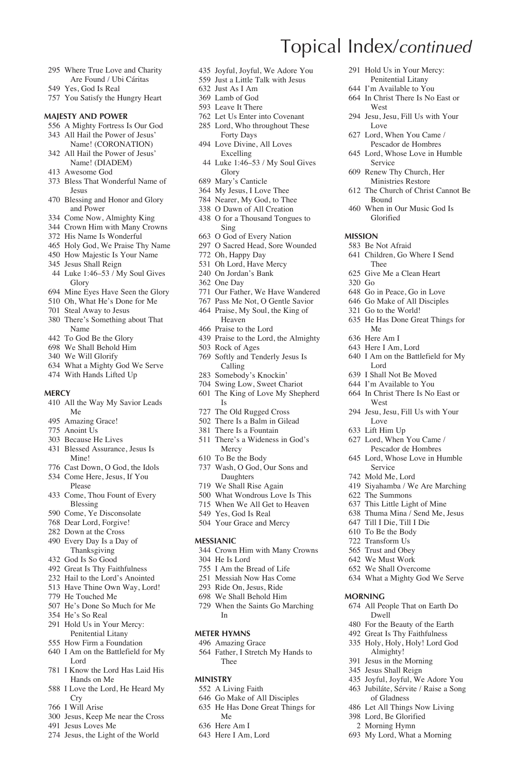- Where True Love and Charity Are Found / Ubi Cáritas
- Yes, God Is Real
- You Satisfy the Hungry Heart

#### **Majesty and Power**

- A Mighty Fortress Is Our God All Hail the Power of Jesus'
- Name! (CORONATION)
- All Hail the Power of Jesus' Name! (DIADEM)
- Awesome God
- Bless That Wonderful Name of Jesus
- Blessing and Honor and Glory and Power
- Come Now, Almighty King
- Crown Him with Many Crowns
- His Name Is Wonderful
- Holy God, We Praise Thy Name How Majestic Is Your Name
- Jesus Shall Reign
- Luke 1:46–53 / My Soul Gives Glory
- Mine Eyes Have Seen the Glory
- Oh, What He's Done for Me
- Steal Away to Jesus
- There's Something about That Name
- To God Be the Glory
- We Shall Behold Him
- We Will Glorify
- What a Mighty God We Serve
- With Hands Lifted Up

#### **Mercy**

- All the Way My Savior Leads Me
- Amazing Grace!
- Anoint Us
- Because He Lives
- Blessed Assurance, Jesus Is Mine!
- Cast Down, O God, the Idols
- Come Here, Jesus, If You Please
- Come, Thou Fount of Every Blessing
- Come, Ye Disconsolate
- Dear Lord, Forgive!
- Down at the Cross
- Every Day Is a Day of Thanksgiving
- God Is So Good
- Great Is Thy Faithfulness
- Hail to the Lord's Anointed
- Have Thine Own Way, Lord!
- He Touched Me
- He's Done So Much for Me
- He's So Real
- Hold Us in Your Mercy: Penitential Litany How Firm a Foundation
- I Am on the Battlefield for My
- Lord I Know the Lord Has Laid His
- Hands on Me I Love the Lord, He Heard My
- Cry I Will Arise
- Jesus, Keep Me near the Cross
- Jesus Loves Me
- Jesus, the Light of the World

Joyful, Joyful, We Adore You

Topical Index/*continued*

West

Love Lord, When You Came / Pescador de Hombres Lord, Whose Love in Humble

Service Renew Thy Church, Her Ministries Restore The Church of Christ Cannot Be

Bound When in Our Music God Is Glorified

Thee Give Me a Clean Heart

Me Here Am I Here I Am, Lord

Lord I Shall Not Be Moved I'm Available to You In Christ There Is No East or

West

Love Lift Him Up Lord, When You Came / Pescador de Hombres Lord, Whose Love in Humble

Service Mold Me, Lord

 The Summons This Little Light of Mine Thuma Mina / Send Me, Jesus Till I Die, Till I Die To Be the Body Transform Us Trust and Obey We Must Work We Shall Overcome What a Mighty God We Serve

**Morning**

 Go in Peace, Go in Love Go Make of All Disciples Go to the World!

He Has Done Great Things for

I Am on the Battlefield for My

Jesu, Jesu, Fill Us with Your

Siyahamba / We Are Marching

 All People That on Earth Do Dwell For the Beauty of the Earth Great Is Thy Faithfulness Holy, Holy, Holy! Lord God Almighty! Jesus in the Morning Jesus Shall Reign Joyful, Joyful, We Adore You Jubiláte, Sérvite / Raise a Song of Gladness Let All Things Now Living Lord, Be Glorified Morning Hymn My Lord, What a Morning

**Mission** Be Not Afraid Children, Go Where I Send

Go

 Hold Us in Your Mercy: Penitential Litany I'm Available to You In Christ There Is No East or

Jesu, Jesu, Fill Us with Your

- Just a Little Talk with Jesus
- Just As I Am
- Lamb of God Leave It There
- 
- Let Us Enter into Covenant Lord, Who throughout These
	- Forty Days
- Love Divine, All Loves Excelling
- Luke 1:46–53 / My Soul Gives Glory
- Mary's Canticle
- My Jesus, I Love Thee
- Nearer, My God, to Thee
- O Dawn of All Creation
- O for a Thousand Tongues to Sing
- O God of Every Nation
- O Sacred Head, Sore Wounded
- Oh, Happy Day
- Oh Lord, Have Mercy
- On Jordan's Bank
- One Day
- Our Father, We Have Wandered
- Pass Me Not, O Gentle Savior Praise, My Soul, the King of
- Heaven
- Praise to the Lord
- Praise to the Lord, the Almighty
- Rock of Ages
- Softly and Tenderly Jesus Is Calling
- Somebody's Knockin'
- Swing Low, Sweet Chariot
	- The King of Love My Shepherd Is
	- The Old Rugged Cross
	- There Is a Balm in Gilead
	- There Is a Fountain
	- There's a Wideness in God's Mercy
	- To Be the Body
	- Wash, O God, Our Sons and Daughters
	- We Shall Rise Again
	- What Wondrous Love Is This
	- When We All Get to Heaven
	- Yes, God Is Real
	- Your Grace and Mercy

#### **Messianic**

Crown Him with Many Crowns

When the Saints Go Marching

Father, I Stretch My Hands to

He Is Lord

In **Meter Hymns** Amazing Grace

Thee **Ministry** A Living Faith Go Make of All Disciples He Has Done Great Things for

Me Here Am I Here I Am, Lord

- I Am the Bread of Life
- Messiah Now Has Come
- Ride On, Jesus, Ride We Shall Behold Him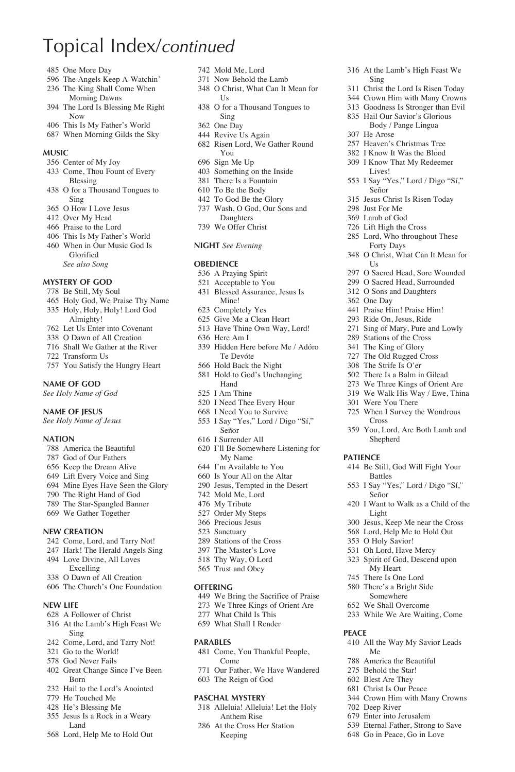# Topical Index/*continued*

- One More Day
- The Angels Keep A-Watchin'
- The King Shall Come When
- Morning Dawns The Lord Is Blessing Me Right Now
- This Is My Father's World
- When Morning Gilds the Sky

#### **Music**

- Center of My Joy
- Come, Thou Fount of Every Blessing
- O for a Thousand Tongues to Sing
- O How I Love Jesus
- Over My Head
- Praise to the Lord
- This Is My Father's World When in Our Music God Is Glorified
	- *See also Song*

### **Mystery of God**

- Be Still, My Soul
- Holy God, We Praise Thy Name Holy, Holy, Holy! Lord God
- Almighty!
- Let Us Enter into Covenant
- O Dawn of All Creation
- Shall We Gather at the River
- Transform Us
- You Satisfy the Hungry Heart

#### **Name of God**

*See Holy Name of God*

#### **Name of Jesus**

*See Holy Name of Jesus*

#### **Nation**

- America the Beautiful
- God of Our Fathers
- Keep the Dream Alive
- Lift Every Voice and Sing
- Mine Eyes Have Seen the Glory
- The Right Hand of God
- The Star-Spangled Banner We Gather Together
- 

#### **New Creation**

- Come, Lord, and Tarry Not!
- Hark! The Herald Angels Sing
- Love Divine, All Loves Excelling
- O Dawn of All Creation
- The Church's One Foundation
- **New Life**
- A Follower of Christ
- At the Lamb's High Feast We Sing
- Come, Lord, and Tarry Not!
- Go to the World!
- God Never Fails
- Great Change Since I've Been Born
- Hail to the Lord's Anointed
- He Touched Me
- He's Blessing Me
- Jesus Is a Rock in a Weary Land
- Lord, Help Me to Hold Out
- Mold Me, Lord
- Now Behold the Lamb
- O Christ, What Can It Mean for Us

At the Lamb's High Feast We

 Christ the Lord Is Risen Today Crown Him with Many Crowns Goodness Is Stronger than Evil Hail Our Savior's Glorious Body / Pange Lingua

 Heaven's Christmas Tree I Know It Was the Blood I Know That My Redeemer Lives!

I Say "Yes," Lord / Digo "Sí,"

 O Sacred Head, Sore Wounded O Sacred Head, Surrounded O Sons and Daughters

 Praise Him! Praise Him! Ride On, Jesus, Ride Sing of Mary, Pure and Lowly Stations of the Cross The King of Glory The Old Rugged Cross The Strife Is O'er There Is a Balm in Gilead We Three Kings of Orient Are We Walk His Way / Ewe, Thina

 Were You There When I Survey the Wondrous

Cross

Battles

Señor

Light

**Patience**

**Peace**

Me America the Beautiful Behold the Star! Blest Are They Christ Is Our Peace Crown Him with Many Crowns

 Deep River Enter into Jerusalem Eternal Father, Strong to Save Go in Peace, Go in Love

 You, Lord, Are Both Lamb and Shepherd

Be Still, God Will Fight Your

I Say "Yes," Lord / Digo "Sí,"

I Want to Walk as a Child of the

 Jesus, Keep Me near the Cross Lord, Help Me to Hold Out O Holy Savior! Oh Lord, Have Mercy Spirit of God, Descend upon My Heart There Is One Lord There's a Bright Side Somewhere We Shall Overcome While We Are Waiting, Come

All the Way My Savior Leads

Sing

He Arose

Señor Jesus Christ Is Risen Today

 Just For Me Lamb of God Lift High the Cross Lord, Who throughout These Forty Days O Christ, What Can It Mean for

I Is

One Day

- O for a Thousand Tongues to Sing
- One Day
- Revive Us Again
- Risen Lord, We Gather Round You
- Sign Me Up
- Something on the Inside
- There Is a Fountain
- To Be the Body To God Be the Glory
- Wash, O God, Our Sons and
- Daughters We Offer Christ
- 

### **Night** *See Evening*

#### **OREDIENCE**

- A Praying Spirit
- Acceptable to You
- Blessed Assurance, Jesus Is Mine!
- Completely Yes
- Give Me a Clean Heart
- Have Thine Own Way, Lord!
- Here Am I
- Hidden Here before Me / Adóro Te Devóte
- Hold Back the Night
- Hold to God's Unchanging Hand
- I Am Thine
- I Need Thee Every Hour
- I Need You to Survive
- I Say "Yes," Lord / Digo "Sí," Señor
- I Surrender All
- I'll Be Somewhere Listening for My Name
- I'm Available to You
- Is Your All on the Altar
- Jesus, Tempted in the Desert

 We Bring the Sacrifice of Praise We Three Kings of Orient Are What Child Is This What Shall I Render

Come, You Thankful People,

Our Father, We Have Wandered

 Alleluia! Alleluia! Let the Holy Anthem Rise At the Cross Her Station Keeping

- Mold Me, Lord
- My Tribute
- Order My Steps Precious Jesus
- Sanctuary
- Stations of the Cross
- The Master's Love
- Thy Way, O Lord
- Trust and Obey

#### **Offering**

**Parables**

Come

 The Reign of God **Paschal Mystery**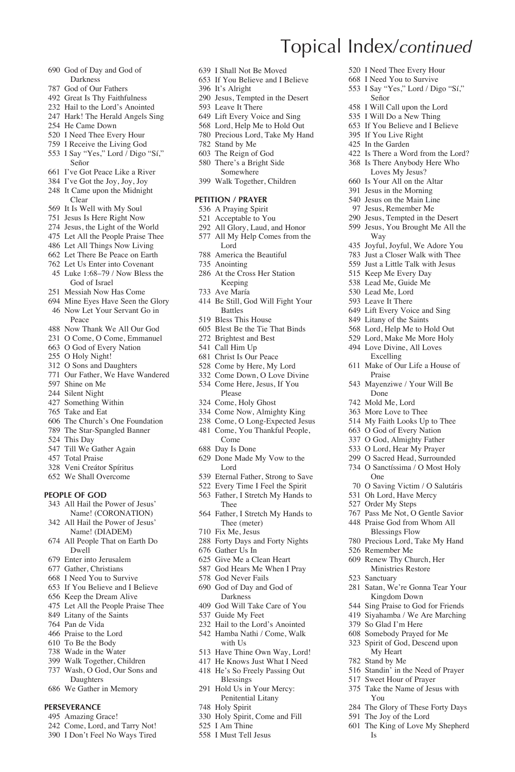- God of Day and God of Darkness
- God of Our Fathers
- Great Is Thy Faithfulness
- Hail to the Lord's Anointed
- Hark! The Herald Angels Sing
- He Came Down
- I Need Thee Every Hour I Receive the Living God
- 
- I Say "Yes," Lord / Digo "Sí," Señor
- I've Got Peace Like a River
- I've Got the Joy, Joy, Joy It Came upon the Midnight
- Clear
- It Is Well with My Soul
- Jesus Is Here Right Now
- Jesus, the Light of the World
- Let All the People Praise Thee
- Let All Things Now Living Let There Be Peace on Earth
- 
- Let Us Enter into Covenant Luke 1:68–79 / Now Bless the God of Israel
- Messiah Now Has Come
- Mine Eyes Have Seen the Glory Now Let Your Servant Go in Peace
- Now Thank We All Our God
- O Come, O Come, Emmanuel
- O God of Every Nation
- O Holy Night!
- O Sons and Daughters
- Our Father, We Have Wandered
- Shine on Me
- Silent Night
- Something Within
- Take and Eat
- The Church's One Foundation
- The Star-Spangled Banner
- This Day
- Till We Gather Again
- Total Praise
- Veni Creátor Spíritus We Shall Overcome
- 

### **People of God**

- All Hail the Power of Jesus' Name! (CORONATION)
- All Hail the Power of Jesus' Name! (DIADEM)
- All People That on Earth Do Dwell
- Enter into Jerusalem
- Gather, Christians
- I Need You to Survive
- If You Believe and I Believe
- Keep the Dream Alive
- Let All the People Praise Thee
- Litany of the Saints
- Pan de Vida
- Praise to the Lord
- To Be the Body
- Wade in the Water
- Walk Together, Children
- Wash, O God, Our Sons and Daughters
- We Gather in Memory

### **Perseverance**

- Amazing Grace!
- Come, Lord, and Tarry Not!
- I Don't Feel No Ways Tired
- I Shall Not Be Moved
- If You Believe and I Believe

Topical Index/*continued*

Señor I Will Call upon the Lord I Will Do a New Thing If You Believe and I Believe If You Live Right In the Garden

Way

Praise Mayenziwe / Your Will Be Done Mold Me, Lord More Love to Thee My Faith Looks Up to Thee O God of Every Nation O God, Almighty Father O Lord, Hear My Prayer O Sacred Head, Surrounded O Sanctíssima / O Most Holy

One

 Remember Me Renew Thy Church, Her Ministries Restore

Sanctuary

You

Is

 O Saving Victim / O Salutáris Oh Lord, Have Mercy Order My Steps

 Pass Me Not, O Gentle Savior Praise God from Whom All Blessings Flow Precious Lord, Take My Hand

 Satan, We're Gonna Tear Your Kingdom Down Sing Praise to God for Friends Siyahamba / We Are Marching So Glad I'm Here Somebody Prayed for Me Spirit of God, Descend upon My Heart Stand by Me

 Standin' in the Need of Prayer Sweet Hour of Prayer Take the Name of Jesus with

 The Glory of These Forty Days The Joy of the Lord The King of Love My Shepherd

 I Need Thee Every Hour I Need You to Survive I Say "Yes," Lord / Digo "Sí,"

 Is There a Word from the Lord? Is There Anybody Here Who Loves My Jesus? Is Your All on the Altar Jesus in the Morning Jesus on the Main Line Jesus, Remember Me Jesus, Tempted in the Desert Jesus, You Brought Me All the

 Joyful, Joyful, We Adore You Just a Closer Walk with Thee Just a Little Talk with Jesus Keep Me Every Day Lead Me, Guide Me Lead Me, Lord Leave It There Lift Every Voice and Sing Litany of the Saints Lord, Help Me to Hold Out Lord, Make Me More Holy Love Divine, All Loves Excelling Make of Our Life a House of

- It's Alright
- Jesus, Tempted in the Desert
- Leave It There
- Lift Every Voice and Sing
- Lord, Help Me to Hold Out
- Precious Lord, Take My Hand
- Stand by Me
- The Reign of God
- There's a Bright Side Somewhere
- Walk Together, Children

### **Petition / Prayer**

- A Praying Spirit
- Acceptable to You
- All Glory, Laud, and Honor
- All My Help Comes from the Lord
- America the Beautiful
- Anointing
- At the Cross Her Station Keeping
- Ave María
- Be Still, God Will Fight Your Battles
- Bless This House
- Blest Be the Tie That Binds
- Brightest and Best
- Call Him Up
- Christ Is Our Peace
- Come by Here, My Lord
- Come Down, O Love Divine Come Here, Jesus, If You
- Please
	- Come, Holy Ghost
	- Come Now, Almighty King
	- Come, O Long-Expected Jesus
	- Come, You Thankful People, Come
	- Day Is Done

 Gather Us In Give Me a Clean Heart God Hears Me When I Pray God Never Fails God of Day and God of Darkness God Will Take Care of You Guide My Feet Hail to the Lord's Anointed Hamba Nathi / Come, Walk with  $Hs$  Have Thine Own Way, Lord! He Knows Just What I Need He's So Freely Passing Out Blessings Hold Us in Your Mercy: Penitential Litany

Holy Spirit

 I Am Thine I Must Tell Jesus

Holy Spirit, Come and Fill

- Done Made My Vow to the Lord
- Eternal Father, Strong to Save
- Every Time I Feel the Spirit
- Father, I Stretch My Hands to Thee Father, I Stretch My Hands to
- Thee (meter) Fix Me, Jesus Forty Days and Forty Nights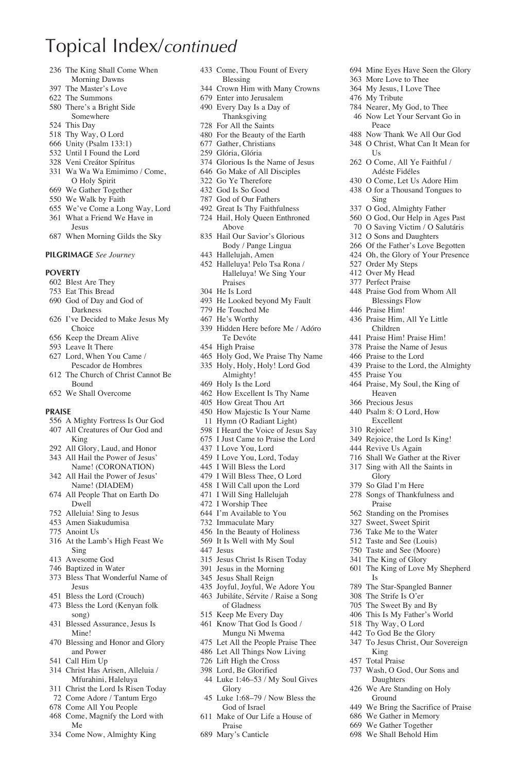# Topical Index/*continued*

- The King Shall Come When Morning Dawns
- The Master's Love
- The Summons
- There's a Bright Side Somewhere
- This Day
- Thy Way, O Lord
- Unity (Psalm 133:1)
- Until I Found the Lord
- Veni Creátor Spíritus
- Wa Wa Wa Emimimo / Come, O Holy Spirit
- We Gather Together
- We Walk by Faith
- We've Come a Long Way, Lord
- What a Friend We Have in Jesus
- When Morning Gilds the Sky

#### **Pilgrimage** *See Journey*

#### **Poverty**

- Blest Are They Eat This Bread
- 
- God of Day and God of Darkness I've Decided to Make Jesus My
- Choice
- Keep the Dream Alive
- Leave It There
- Lord, When You Came / Pescador de Hombres
- The Church of Christ Cannot Be Bound
- We Shall Overcome

#### **Praise**

- A Mighty Fortress Is Our God
- All Creatures of Our God and King
- All Glory, Laud, and Honor
- All Hail the Power of Jesus'
- Name! (CORONATION) All Hail the Power of Jesus'
- Name! (DIADEM) All People That on Earth Do
- Dwell Alleluia! Sing to Jesus
- Amen Siakudumisa
- Anoint Us
- At the Lamb's High Feast We Sing
- Awesome God
- Baptized in Water
- Bless That Wonderful Name of Jesus
- Bless the Lord (Crouch)
- Bless the Lord (Kenyan folk
- song) Blessed Assurance, Jesus Is Mine!
- Blessing and Honor and Glory and Power
- Call Him Up
- Christ Has Arisen, Alleluia / Mfurahini, Haleluya
- Christ the Lord Is Risen Today
- Come Adore / Tantum Ergo
- Come All You People
- Come, Magnify the Lord with Me
- Come Now, Almighty King
- Come, Thou Fount of Every Blessing
- Crown Him with Many Crowns

 Mine Eyes Have Seen the Glory More Love to Thee My Jesus, I Love Thee My Tribute

 Nearer, My God, to Thee Now Let Your Servant Go in

 Now Thank We All Our God O Christ, What Can It Mean for

 O Come, All Ye Faithful / Adéste Fidéles O Come, Let Us Adore Him O for a Thousand Tongues to

Peace

 $I\bar{S}$ 

Sing O God, Almighty Father O God, Our Help in Ages Past O Saving Victim / O Salutáris O Sons and Daughters Of the Father's Love Begotten Oh, the Glory of Your Presence

 Order My Steps Over My Head Perfect Praise

Praise You

 Praise God from Whom All Blessings Flow Praise Him! Praise Him, All Ye Little Children Praise Him! Praise Him! Praise the Name of Jesus Praise to the Lord

Praise to the Lord, the Almighty

 Praise, My Soul, the King of Heaven Precious Jesus Psalm 8: O Lord, How Excellent Rejoice!

 Rejoice, the Lord Is King! Revive Us Again Shall We Gather at the River Sing with All the Saints in Glory So Glad I'm Here Songs of Thankfulness and Praise Standing on the Promises Sweet, Sweet Spirit Take Me to the Water Taste and See (Louis) Taste and See (Moore) The King of Glory

The King of Love My Shepherd

 The Star-Spangled Banner The Strife Is O'er The Sweet By and By This Is My Father's World Thy Way, O Lord To God Be the Glory To Jesus Christ, Our Sovereign

 Wash, O God, Our Sons and Daughters We Are Standing on Holy Ground

 We Bring the Sacrifice of Praise We Gather in Memory We Gather Together We Shall Behold Him

Is

King Total Praise

- Enter into Jerusalem
- Every Day Is a Day of Thanksgiving
- For All the Saints
- For the Beauty of the Earth
- Gather, Christians
- Glória, Glória
- Glorious Is the Name of Jesus
- Go Make of All Disciples
- Go Ye Therefore
- God Is So Good God of Our Fathers
- Great Is Thy Faithfulness
- Hail, Holy Queen Enthroned Above
- Hail Our Savior's Glorious Body / Pange Lingua
- Hallelujah, Amen
- Halleluya! Pelo Tsa Rona / Halleluya! We Sing Your Praises
- He Is Lord
- He Looked beyond My Fault
- He Touched Me
- He's Worthy
- Hidden Here before Me / Adóro Te Devóte
- High Praise
- Holy God, We Praise Thy Name Holy, Holy, Holy! Lord God Almighty!
- Holy Is the Lord
- How Excellent Is Thy Name
- How Great Thou Art
- How Majestic Is Your Name
- 11 Hymn (O Radiant Light)
- I Heard the Voice of Jesus Say
- I Just Came to Praise the Lord
- I Love You, Lord
- I Love You, Lord, Today
- I Will Bless the Lord
- I Will Bless Thee, O Lord
- I Will Call upon the Lord
- I Will Sing Hallelujah
- I Worship Thee I'm Available to You
- 
- Immaculate Mary
- In the Beauty of Holiness It Is Well with My Soul
- 
- Jesus
- Jesus Christ Is Risen Today
- Jesus in the Morning
- Jesus Shall Reign
- Joyful, Joyful, We Adore You Jubiláte, Sérvite / Raise a Song of Gladness

 Luke 1:68–79 / Now Bless the God of Israel Make of Our Life a House of

 Know That God Is Good / Mungu Ni Mwema Let All the People Praise Thee Let All Things Now Living Lift High the Cross Lord, Be Glorified Luke 1:46–53 / My Soul Gives

Keep Me Every Day

Glory

Praise Mary's Canticle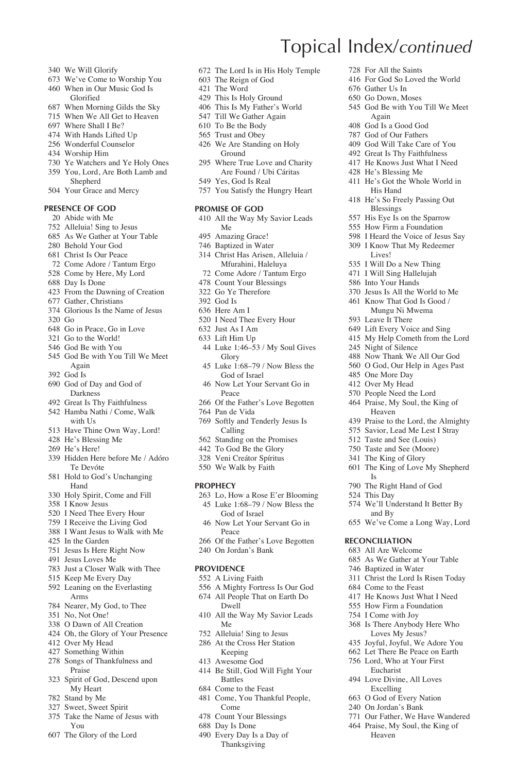- We Will Glorify
- We've Come to Worship You When in Our Music God Is
- Glorified
- When Morning Gilds the Sky
- When We All Get to Heaven
- Where Shall I Be?
- With Hands Lifted Up
- Wonderful Counselor
- Worship Him
- Ye Watchers and Ye Holy Ones
- You, Lord, Are Both Lamb and Shepherd
- Your Grace and Mercy

### **Presence of God**

- Abide with Me Alleluia! Sing to Jesus
- As We Gather at Your Table
- Behold Your God
- Christ Is Our Peace
- 
- Come Adore / Tantum Ergo Come by Here, My Lord
- 
- Day Is Done
- From the Dawning of Creation
- Gather, Christians Glorious Is the Name of Jesus
- Go
- Go in Peace, Go in Love
- Go to the World!
- God Be with You
- God Be with You Till We Meet Again
- God Is
- God of Day and God of Darkness
- Great Is Thy Faithfulness
- Hamba Nathi / Come, Walk with Hs
- Have Thine Own Way, Lord!
- He's Blessing Me
- He's Here!
- Hidden Here before Me / Adóro Te Devóte
- Hold to God's Unchanging Hand
- Holy Spirit, Come and Fill
- I Know Jesus
- I Need Thee Every Hour
- I Receive the Living God
- I Want Jesus to Walk with Me
- In the Garden
- Jesus Is Here Right Now
- Jesus Loves Me
- Just a Closer Walk with Thee
- Keep Me Every Day
- Leaning on the Everlasting Arms
- Nearer, My God, to Thee
- No, Not One!
- O Dawn of All Creation
- Oh, the Glory of Your Presence
- Over My Head
- Something Within
- Songs of Thankfulness and Praise
- Spirit of God, Descend upon My Heart
- Stand by Me
- Sweet, Sweet Spirit
- Take the Name of Jesus with You
- The Glory of the Lord

The Lord Is in His Holy Temple

Topical Index/*continued*

 Gather Us In Go Down, Moses

Again God Is a Good God God of Our Fathers God Will Take Care of You Great Is Thy Faithfulness He Knows Just What I Need He's Blessing Me He's Got the Whole World in His Hand He's So Freely Passing Out Blessings His Eye Is on the Sparrow How Firm a Foundation I Heard the Voice of Jesus Say I Know That My Redeemer Lives! I Will Do a New Thing I Will Sing Hallelujah Into Your Hands Jesus Is All the World to Me Know That God Is Good / Mungu Ni Mwema Leave It There Lift Every Voice and Sing My Help Cometh from the Lord

 Night of Silence Now Thank We All Our God O God, Our Help in Ages Past

 One More Day Over My Head People Need the Lord Praise, My Soul, the King of Heaven

Is

This Day

and By

**Reconciliation** All Are Welcome As We Gather at Your Table Baptized in Water Christ the Lord Is Risen Today Come to the Feast He Knows Just What I Need How Firm a Foundation I Come with Joy Is There Anybody Here Who Loves My Jesus? Joyful, Joyful, We Adore You Let There Be Peace on Earth Lord, Who at Your First Eucharist Love Divine, All Loves Excelling O God of Every Nation On Jordan's Bank

 Praise to the Lord, the Almighty Savior, Lead Me Lest I Stray Taste and See (Louis) Taste and See (Moore) The King of Glory

The King of Love My Shepherd

We'll Understand It Better By

We've Come a Long Way, Lord

 Our Father, We Have Wandered Praise, My Soul, the King of Heaven

The Right Hand of God

 For All the Saints For God So Loved the World

God Be with You Till We Meet

- The Reign of God
- The Word
- This Is Holy Ground
- This Is My Father's World
- Till We Gather Again
- To Be the Body
- Trust and Obey
- We Are Standing on Holy Ground
- Where True Love and Charity Are Found / Ubi Cáritas
- Yes, God Is Real
- You Satisfy the Hungry Heart

### **Promise of God**

- All the Way My Savior Leads Me
- Amazing Grace!
- Baptized in Water
- Christ Has Arisen, Alleluia / Mfurahini, Haleluya
- Come Adore / Tantum Ergo
- Count Your Blessings
- Go Ye Therefore God Is
- Here Am I
- 
- I Need Thee Every Hour
- Just As I Am
- Lift Him Up
- Luke 1:46–53 / My Soul Gives Glory
- Luke 1:68–79 / Now Bless the God of Israel
- Now Let Your Servant Go in Peace
- Of the Father's Love Begotten
- Pan de Vida
- Softly and Tenderly Jesus Is Calling
- Standing on the Promises
- To God Be the Glory
- Veni Creátor Spíritus
- We Walk by Faith

#### **Prophecy**

**Providence** A Living Faith

Dwell

Battles Come to the Feast Come, You Thankful People,

Come Count Your Blessings Day Is Done Every Day Is a Day of Thanksgiving

Me Alleluia! Sing to Jesus At the Cross Her Station Keeping Awesome God

- Lo, How a Rose E'er Blooming Luke 1:68–79 / Now Bless the God of Israel
- Now Let Your Servant Go in Peace
- Of the Father's Love Begotten

 A Mighty Fortress Is Our God All People That on Earth Do

All the Way My Savior Leads

Be Still, God Will Fight Your

On Jordan's Bank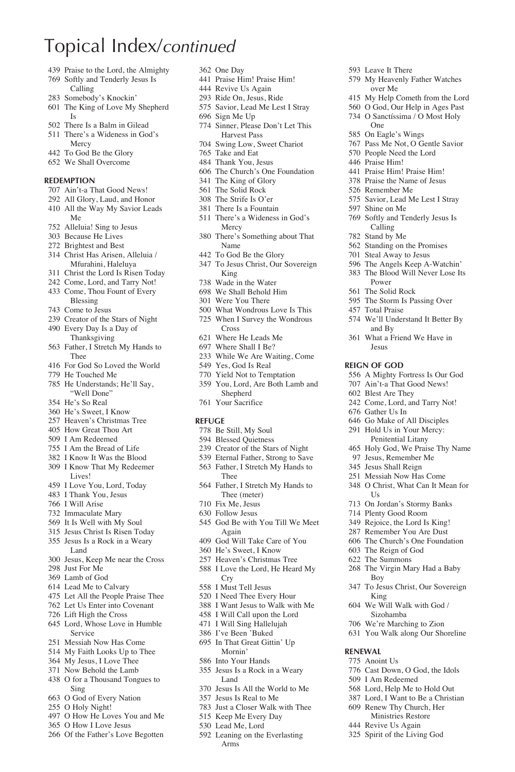# Topical Index/*continued*

- Praise to the Lord, the Almighty
- Softly and Tenderly Jesus Is Calling
- Somebody's Knockin'
- The King of Love My Shepherd Is
- There Is a Balm in Gilead There's a Wideness in God's
- Mercy
- To God Be the Glory
- We Shall Overcome

#### **Redemption**

- Ain't-a That Good News!
- All Glory, Laud, and Honor All the Way My Savior Leads Me
- Alleluia! Sing to Jesus
- Because He Lives
- Brightest and Best
- Christ Has Arisen, Alleluia / Mfurahini, Haleluya
- Christ the Lord Is Risen Today
- Come, Lord, and Tarry Not!
- Come, Thou Fount of Every Blessing
- Come to Jesus
- Creator of the Stars of Night
- Every Day Is a Day of Thanksgiving
- Father, I Stretch My Hands to Thee
- For God So Loved the World
- He Touched Me
- He Understands; He'll Say, "Well Done"
- He's So Real
- He's Sweet, I Know
- Heaven's Christmas Tree
- How Great Thou Art
- I Am Redeemed
- I Am the Bread of Life
- I Know It Was the Blood
- I Know That My Redeemer Lives!
- I Love You, Lord, Today
- I Thank You, Jesus
- I Will Arise
- Immaculate Mary
- It Is Well with My Soul
- Jesus Christ Is Risen Today
- Jesus Is a Rock in a Weary Land
- Jesus, Keep Me near the Cross
- Just For Me
- Lamb of God
- Lead Me to Calvary
- Let All the People Praise Thee
- Let Us Enter into Covenant
- Lift High the Cross
- Lord, Whose Love in Humble Service
- Messiah Now Has Come
- My Faith Looks Up to Thee
- My Jesus, I Love Thee
- Now Behold the Lamb
- O for a Thousand Tongues to Sing
- O God of Every Nation
- O Holy Night!
- O How He Loves You and Me O How I Love Jesus
- Of the Father's Love Begotten
- One Day
- Praise Him! Praise Him!
- Revive Us Again
- Ride On, Jesus, Ride
- Savior, Lead Me Lest I Stray

Leave It There

One On Eagle's Wings Pass Me Not, O Gentle Savior People Need the Lord Praise Him! Praise Him! Praise Him! Praise the Name of Jesus Remember Me

Shine on Me

Power The Solid Rock The Storm Is Passing Over

Total Praise

and By What a Friend We Have in Jesus **Reign of God**

 Gather Us In Go Make of All Disciples Hold Us in Your Mercy: Penitential Litany Holy God, We Praise Thy Name Jesus, Remember Me Jesus Shall Reign Messiah Now Has Come O Christ, What Can It Mean for

Us

Boy

King We Will Walk with God / Sizohamba We're Marching to Zion You Walk along Our Shoreline

**Renewal** Anoint Us

 On Jordan's Stormy Banks Plenty Good Room Rejoice, the Lord Is King! Remember You Are Dust The Church's One Foundation The Reign of God The Summons

The Virgin Mary Had a Baby

To Jesus Christ, Our Sovereign

 Cast Down, O God, the Idols I Am Redeemed Lord, Help Me to Hold Out Lord, I Want to Be a Christian Renew Thy Church, Her Ministries Restore Revive Us Again Spirit of the Living God

 My Heavenly Father Watches over Me

Savior, Lead Me Lest I Stray

 Softly and Tenderly Jesus Is Calling Stand by Me Standing on the Promises Steal Away to Jesus The Angels Keep A-Watchin' The Blood Will Never Lose Its

We'll Understand It Better By

 A Mighty Fortress Is Our God Ain't-a That Good News! Blest Are They Come, Lord, and Tarry Not!

 My Help Cometh from the Lord O God, Our Help in Ages Past O Sanctíssima / O Most Holy

- Sign Me Up
- Sinner, Please Don't Let This Harvest Pass
- Swing Low, Sweet Chariot
- Take and Eat
- Thank You, Jesus
- The Church's One Foundation
- The King of Glory
- The Solid Rock
- The Strife Is O'er
- There Is a Fountain There's a Wideness in God's
- Mercy
- There's Something about That Name
- To God Be the Glory
- To Jesus Christ, Our Sovereign King
- Wade in the Water
- We Shall Behold Him
- Were You There
- What Wondrous Love Is This
- When I Survey the Wondrous Cross
- Where He Leads Me
- Where Shall I Be?
- While We Are Waiting, Come
- Yes, God Is Real
- Yield Not to Temptation
- You, Lord, Are Both Lamb and
	- Shepherd
- Your Sacrifice

#### **Refuge**

- Be Still, My Soul
- Blessed Quietness
- Creator of the Stars of Night
- Eternal Father, Strong to Save
- Father, I Stretch My Hands to Thee
- Father, I Stretch My Hands to Thee (meter)
- Fix Me, Jesus

 He's Sweet, I Know Heaven's Christmas Tree I Love the Lord, He Heard My

Follow Jesus

Cry I Must Tell Jesus I Need Thee Every Hour I Want Jesus to Walk with Me I Will Call upon the Lord I Will Sing Hallelujah I've Been 'Buked In That Great Gittin' Up Mornin' Into Your Hands Jesus Is a Rock in a Weary

Land

 Jesus Is All the World to Me Jesus Is Real to Me Just a Closer Walk with Thee Keep Me Every Day Lead Me, Lord Leaning on the Everlasting Arms

 God Be with You Till We Meet Again God Will Take Care of You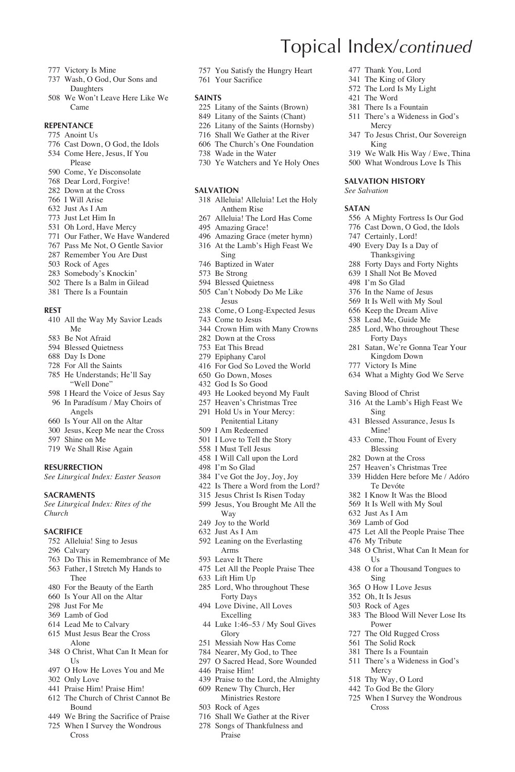- Victory Is Mine
- Wash, O God, Our Sons and Daughters
- We Won't Leave Here Like We Came

### **Repentance**

- Anoint Us
- Cast Down, O God, the Idols
- Come Here, Jesus, If You
- Please
- Come, Ye Disconsolate Dear Lord, Forgive!
- Down at the Cross
- I Will Arise
- Just As I Am
- Just Let Him In
- Oh Lord, Have Mercy
- Our Father, We Have Wandered
- Pass Me Not, O Gentle Savior
- Remember You Are Dust
- Rock of Ages
- Somebody's Knockin'
- There Is a Balm in Gilead
- There Is a Fountain

#### **Rest**

- All the Way My Savior Leads Me
- Be Not Afraid
- Blessed Quietness
- Day Is Done
- For All the Saints
- He Understands; He'll Say "Well Done"
- I Heard the Voice of Jesus Say In Paradísum / May Choirs of Angels
- Is Your All on the Altar
- Jesus, Keep Me near the Cross
- Shine on Me
- We Shall Rise Again

#### **Resurrection**

*See Liturgical Index: Easter Season*

#### **Sacraments**

*See Liturgical Index: Rites of the Church*

#### **SACRIFICE**

- Alleluia! Sing to Jesus
- Calvary
- Do This in Remembrance of Me Father, I Stretch My Hands to
- Thee
- For the Beauty of the Earth
- Is Your All on the Altar
- Just For Me
- Lamb of God
- Lead Me to Calvary
- Must Jesus Bear the Cross Alone
- O Christ, What Can It Mean for Us
- O How He Loves You and Me
- Only Love
- Praise Him! Praise Him!
- The Church of Christ Cannot Be Bound
- We Bring the Sacrifice of Praise
- When I Survey the Wondrous Cross

You Satisfy the Hungry Heart

Topical Index/*continued*

 Thank You, Lord The King of Glory The Lord Is My Light The Word There Is a Fountain There's a Wideness in God's

Mercy

King

**Salvation History** *See Salvation* **Satan**

To Jesus Christ, Our Sovereign

 We Walk His Way / Ewe, Thina What Wondrous Love Is This

 A Mighty Fortress Is Our God Cast Down, O God, the Idols Certainly, Lord! Every Day Is a Day of Thanksgiving Forty Days and Forty Nights I Shall Not Be Moved I'm So Glad In the Name of Jesus It Is Well with My Soul Keep the Dream Alive Lead Me, Guide Me Lord, Who throughout These Forty Days Satan, We're Gonna Tear Your Kingdom Down Victory Is Mine

What a Mighty God We Serve

At the Lamb's High Feast We

Let All the People Praise Thee

O Christ, What Can It Mean for

O for a Thousand Tongues to

The Blood Will Never Lose Its

 Blessed Assurance, Jesus Is Mine! Come, Thou Fount of Every Blessing Down at the Cross Heaven's Christmas Tree Hidden Here before Me / Adóro Te Devóte I Know It Was the Blood It Is Well with My Soul Just As I Am Lamb of God

Saving Blood of Christ

Sing

My Tribute

I I<sub>s</sub>

Sing O How I Love Jesus Oh, It Is Jesus Rock of Ages

Power The Old Rugged Cross The Solid Rock There Is a Fountain There's a Wideness in God's

Mercy Thy Way, O Lord To God Be the Glory When I Survey the Wondrous

Cross

Your Sacrifice

#### **Saints**

- 225 Litany of the Saints (Brown)
- Litany of the Saints (Chant)
- 226 Litany of the Saints (Hornsby)
- Shall We Gather at the River
- The Church's One Foundation
- Wade in the Water
- Ye Watchers and Ye Holy Ones

#### **Salvation**

- Alleluia! Alleluia! Let the Holy Anthem Rise
- Alleluia! The Lord Has Come
- Amazing Grace!
- Amazing Grace (meter hymn) At the Lamb's High Feast We
- Sing Baptized in Water
- Be Strong
- Blessed Quietness
- Can't Nobody Do Me Like Jesus
- Come, O Long-Expected Jesus
- Come to Jesus
- Crown Him with Many Crowns
- Down at the Cross
- Eat This Bread
- Epiphany Carol
- For God So Loved the World Go Down, Moses
- God Is So Good
- He Looked beyond My Fault
- Heaven's Christmas Tree
- Hold Us in Your Mercy: Penitential Litany
- I Am Redeemed
- I Love to Tell the Story I Must Tell Jesus
- I Will Call upon the Lord
- I'm So Glad
- I've Got the Joy, Joy, Joy
- Is There a Word from the Lord?
- Jesus Christ Is Risen Today
- Jesus, You Brought Me All the Way
- Joy to the World
- Just As I Am
- Leaning on the Everlasting Arms
- Leave It There
- Let All the People Praise Thee
- Lift Him Up

Excelling

Glory Messiah Now Has Come Nearer, My God, to Thee O Sacred Head, Sore Wounded

Praise Him!

Rock of Ages

 Lord, Who throughout These Forty Days Love Divine, All Loves

Luke 1:46–53 / My Soul Gives

 Praise to the Lord, the Almighty Renew Thy Church, Her Ministries Restore

 Shall We Gather at the River Songs of Thankfulness and Praise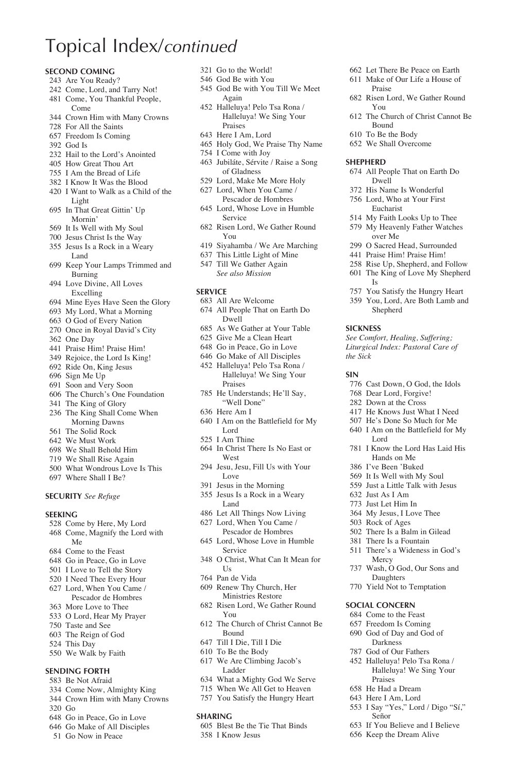# Topical Index/*continued*

#### **Second Coming**

- Are You Ready?
- Come, Lord, and Tarry Not!
- Come, You Thankful People, Come
- Crown Him with Many Crowns
- For All the Saints
- Freedom Is Coming
- God Is
- Hail to the Lord's Anointed
- How Great Thou Art
- I Am the Bread of Life
- I Know It Was the Blood
- I Want to Walk as a Child of the Light
- In That Great Gittin' Up Mornin'
- It Is Well with My Soul
- Jesus Christ Is the Way
- Jesus Is a Rock in a Weary Land
- Keep Your Lamps Trimmed and Burning
- Love Divine, All Loves Excelling
- Mine Eyes Have Seen the Glory
- My Lord, What a Morning
- O God of Every Nation
- Once in Royal David's City
- One Day
- Praise Him! Praise Him!
- Rejoice, the Lord Is King!
- Ride On, King Jesus
- Sign Me Up
- Soon and Very Soon The Church's One Foundation
- The King of Glory
- 
- The King Shall Come When Morning Dawns The Solid Rock
- 
- We Must Work
- We Shall Behold Him
- We Shall Rise Again
- What Wondrous Love Is This
- Where Shall I Be?

### **Security** *See Refuge*

#### **Seeking**

- Come by Here, My Lord Come, Magnify the Lord with Me
- Come to the Feast
- Go in Peace, Go in Love
- I Love to Tell the Story
- I Need Thee Every Hour
- Lord, When You Came /
- Pescador de Hombres
- More Love to Thee
- O Lord, Hear My Prayer
- Taste and See
- The Reign of God
- This Day
- We Walk by Faith

#### **Sending Forth**

- Be Not Afraid
- Come Now, Almighty King
- Crown Him with Many Crowns
- Go
- Go in Peace, Go in Love
- Go Make of All Disciples
- Go Now in Peace
- Go to the World!
- God Be with You
- God Be with You Till We Meet Again

 Let There Be Peace on Earth Make of Our Life a House of

Risen Lord, We Gather Round

The Church of Christ Cannot Be

All People That on Earth Do

 You Satisfy the Hungry Heart You, Lord, Are Both Lamb and Shepherd

*See Comfort, Healing, Suffering; Liturgical Index: Pastoral Care of* 

 Cast Down, O God, the Idols Dear Lord, Forgive! Down at the Cross He Knows Just What I Need He's Done So Much for Me I Am on the Battlefield for My

 I Know the Lord Has Laid His Hands on Me I've Been 'Buked It Is Well with My Soul Just a Little Talk with Jesus

Lord

 Just As I Am Just Let Him In My Jesus, I Love Thee Rock of Ages There Is a Balm in Gilead There Is a Fountain There's a Wideness in God's

Mercy

**Social Concern** Come to the Feast Freedom Is Coming God of Day and God of Darkness God of Our Fathers Halleluya! Pelo Tsa Rona / Halleluya! We Sing Your

Praises He Had a Dream Here I Am, Lord I Say "Yes," Lord / Digo "Sí,"

Señor

 If You Believe and I Believe Keep the Dream Alive

 Wash, O God, Our Sons and Daughters Yield Not to Temptation

Praise

You

**Shepherd**

Bound To Be the Body We Shall Overcome

Dwell His Name Is Wonderful Lord, Who at Your First Eucharist My Faith Looks Up to Thee My Heavenly Father Watches over Me O Sacred Head, Surrounded Praise Him! Praise Him! Rise Up, Shepherd, and Follow The King of Love My Shepherd

Is

**Sickness**

*the Sick*  **Sin**

- Halleluya! Pelo Tsa Rona / Halleluya! We Sing Your Praises
- Here I Am, Lord
- Holy God, We Praise Thy Name
- I Come with Joy
- Jubiláte, Sérvite / Raise a Song of Gladness
- Lord, Make Me More Holy
- Lord, When You Came / Pescador de Hombres
- Lord, Whose Love in Humble Service
- Risen Lord, We Gather Round You
- Siyahamba / We Are Marching
- This Little Light of Mine
- Till We Gather Again  *See also Mission*

#### **Service**

- All Are Welcome
- All People That on Earth Do Dwell
- As We Gather at Your Table
- Give Me a Clean Heart
- Go in Peace, Go in Love
- Go Make of All Disciples
- Halleluya! Pelo Tsa Rona / Halleluya! We Sing Your Praises
- He Understands; He'll Say, "Well Done"
- Here Am I
- I Am on the Battlefield for My Lord
- I Am Thine
- In Christ There Is No East or West
- Jesu, Jesu, Fill Us with Your Love
- Jesus in the Morning
- Jesus Is a Rock in a Weary Land
- Let All Things Now Living
- Lord, When You Came / Pescador de Hombres
- Lord, Whose Love in Humble Service
- O Christ, What Can It Mean for Us
- Pan de Vida

Bound Till I Die, Till I Die To Be the Body We Are Climbing Jacob's Ladder

**Sharing**

I Know Jesus

- Renew Thy Church, Her Ministries Restore
- Risen Lord, We Gather Round You The Church of Christ Cannot Be

 What a Mighty God We Serve When We All Get to Heaven You Satisfy the Hungry Heart

Blest Be the Tie That Binds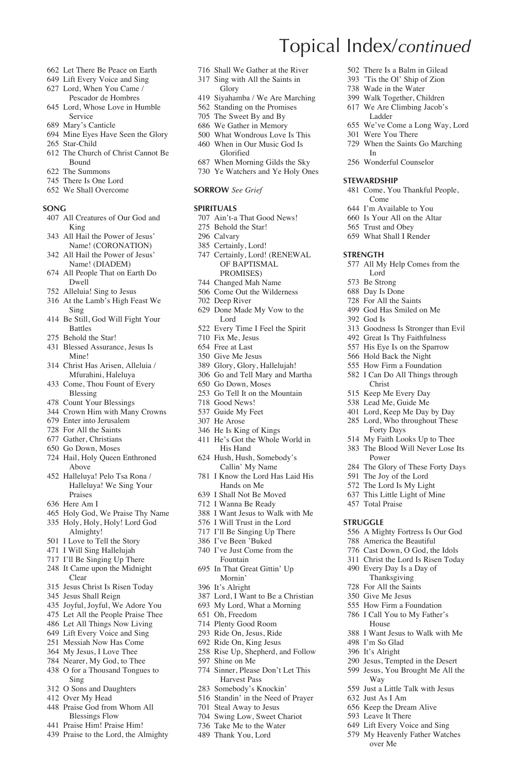- Let There Be Peace on Earth
- Lift Every Voice and Sing
- Lord, When You Came /
- Pescador de Hombres Lord, Whose Love in Humble Service
- Mary's Canticle
- Mine Eyes Have Seen the Glory
- Star-Child
- The Church of Christ Cannot Be Bound
- The Summons
- There Is One Lord
- We Shall Overcome

#### **Song**

- All Creatures of Our God and King
- All Hail the Power of Jesus' Name! (CORONATION)
- All Hail the Power of Jesus' Name! (DIADEM)
- All People That on Earth Do Dwell
- Alleluia! Sing to Jesus
- At the Lamb's High Feast We Sing
- Be Still, God Will Fight Your Battles
- Behold the Star!
- Blessed Assurance, Jesus Is Mine!
- Christ Has Arisen, Alleluia / Mfurahini, Haleluya
- Come, Thou Fount of Every Blessing
- Count Your Blessings
- Crown Him with Many Crowns
- Enter into Jerusalem
- For All the Saints
- Gather, Christians
- Go Down, Moses
- Hail, Holy Queen Enthroned Above
- Halleluya! Pelo Tsa Rona / Halleluya! We Sing Your Praises
- Here Am I
- Holy God, We Praise Thy Name
- Holy, Holy, Holy! Lord God Almighty!
- I Love to Tell the Story
- I Will Sing Hallelujah
- I'll Be Singing Up There It Came upon the Midnight
- Clear
- Jesus Christ Is Risen Today
- Jesus Shall Reign
- Joyful, Joyful, We Adore You
- Let All the People Praise Thee
- Let All Things Now Living
- Lift Every Voice and Sing
- Messiah Now Has Come My Jesus, I Love Thee
- Nearer, My God, to Thee
- O for a Thousand Tongues to Sing
- O Sons and Daughters
- Over My Head
- Praise God from Whom All
- Blessings Flow
- Praise Him! Praise Him!
- Praise to the Lord, the Almighty
- Shall We Gather at the River
- Sing with All the Saints in **Glory**
- Siyahamba / We Are Marching

Topical Index/*continued*

 Were You There When the Saints Go Marching

In Wonderful Counselor

**Stewardship**

**Strength**

God Is

Come I'm Available to You Is Your All on the Altar Trust and Obey What Shall I Render

Lord Be Strong Day Is Done For All the Saints God Has Smiled on Me

Christ Keep Me Every Day Lead Me, Guide Me Lord, Keep Me Day by Day Lord, Who throughout These Forty Days My Faith Looks Up to Thee The Blood Will Never Lose Its

Power

**Struggle**

 There Is a Balm in Gilead 'Tis the Ol' Ship of Zion Wade in the Water Walk Together, Children We Are Climbing Jacob's Ladder

We've Come a Long Way, Lord

Come, You Thankful People,

All My Help Comes from the

 Goodness Is Stronger than Evil Great Is Thy Faithfulness His Eye Is on the Sparrow Hold Back the Night How Firm a Foundation I Can Do All Things through

 The Glory of These Forty Days The Joy of the Lord The Lord Is My Light This Little Light of Mine 457 Total Praise

 A Mighty Fortress Is Our God America the Beautiful Cast Down, O God, the Idols Christ the Lord Is Risen Today Every Day Is a Day of Thanksgiving For All the Saints Give Me Jesus How Firm a Foundation I Call You to My Father's House

I Want Jesus to Walk with Me

 Jesus, Tempted in the Desert Jesus, You Brought Me All the

Just a Little Talk with Jesus

 I'm So Glad It's Alright

Way

 Just As I Am Keep the Dream Alive Leave It There Lift Every Voice and Sing My Heavenly Father Watches over Me

- Standing on the Promises
- The Sweet By and By
- We Gather in Memory
- What Wondrous Love Is This When in Our Music God Is Glorified
- When Morning Gilds the Sky
- Ye Watchers and Ye Holy Ones
- **Sorrow** *See Grief*

#### **Spirituals**

- Ain't-a That Good News!
- Behold the Star!
- Calvary
- Certainly, Lord! Certainly, Lord! (RENEWAL OF BAPTISMAL PROMISES)
- Changed Mah Name
- Come Out the Wilderness
- Deep River
- Done Made My Vow to the Lord
- Every Time I Feel the Spirit
- Fix Me, Jesus
- Free at Last
- Give Me Jesus
- Glory, Glory, Hallelujah!
- Go and Tell Mary and Martha
- Go Down, Moses
- Go Tell It on the Mountain
- Good News!
- Guide My Feet He Arose
- 
- He Is King of Kings
- He's Got the Whole World in His Hand
- Hush, Hush, Somebody's Callin' My Name
- I Know the Lord Has Laid His Hands on Me
- I Shall Not Be Moved
- I Wanna Be Ready
- I Want Jesus to Walk with Me
- I Will Trust in the Lord
- I'll Be Singing Up There
- I've Been 'Buked
- I've Just Come from the Fountain
- In That Great Gittin' Up Mornin'
- It's Alright
- Lord, I Want to Be a Christian

Rise Up, Shepherd, and Follow

 Sinner, Please Don't Let This Harvest Pass Somebody's Knockin' Standin' in the Need of Prayer Steal Away to Jesus Swing Low, Sweet Chariot Take Me to the Water Thank You, Lord

- My Lord, What a Morning
- Oh, Freedom

Shine on Me

 Plenty Good Room Ride On, Jesus, Ride Ride On, King Jesus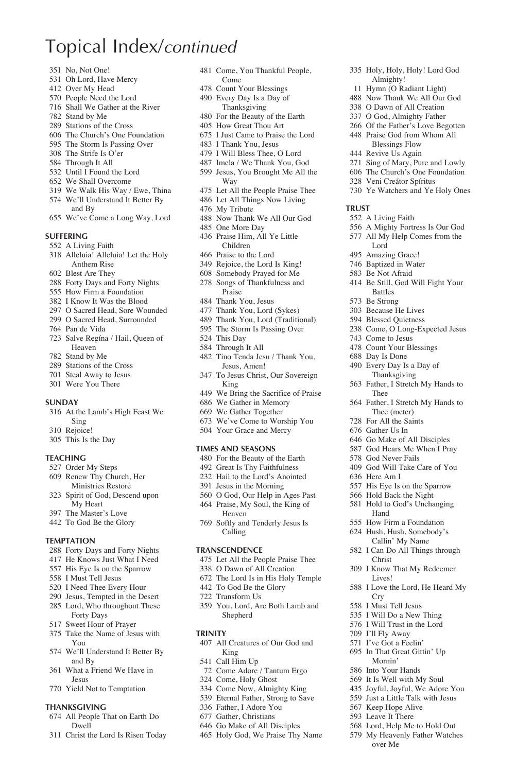## Topical Index/*continued*

- No, Not One!
- Oh Lord, Have Mercy
- Over My Head
- People Need the Lord
- Shall We Gather at the River
- Stand by Me
- Stations of the Cross
- The Church's One Foundation
- The Storm Is Passing Over
- The Strife Is O'er Through It All
- 
- Until I Found the Lord
- We Shall Overcome
- We Walk His Way / Ewe, Thina We'll Understand It Better By and By
- We've Come a Long Way, Lord

#### **Suffering**

- A Living Faith
- Alleluia! Alleluia! Let the Holy Anthem Rise
- Blest Are They
- Forty Days and Forty Nights
- How Firm a Foundation
- I Know It Was the Blood
- O Sacred Head, Sore Wounded
- O Sacred Head, Surrounded
- Pan de Vida
- Salve Regína / Hail, Queen of Heaven
- Stand by Me
- Stations of the Cross
- Steal Away to Jesus
- Were You There

#### **Sunday**

- At the Lamb's High Feast We Sing
- Rejoice!
- This Is the Day

#### **Teaching**

- Order My Steps
- Renew Thy Church, Her Ministries Restore
- Spirit of God, Descend upon My Heart
- The Master's Love
- To God Be the Glory

#### **Temptation**

- Forty Days and Forty Nights
- He Knows Just What I Need
- His Eye Is on the Sparrow
- I Must Tell Jesus
- I Need Thee Every Hour
- Jesus, Tempted in the Desert Lord, Who throughout These
- Forty Days
- Sweet Hour of Prayer
- Take the Name of Jesus with You
- We'll Understand It Better By and By
- What a Friend We Have in Jesus
- Yield Not to Temptation

#### **Thanksgiving**

- All People That on Earth Do Dwell
- Christ the Lord Is Risen Today

 Come, You Thankful People, Come

 Holy, Holy, Holy! Lord God Almighty! Hymn (O Radiant Light) Now Thank We All Our God O Dawn of All Creation O God, Almighty Father Of the Father's Love Begotten Praise God from Whom All Blessings Flow Revive Us Again

 Sing of Mary, Pure and Lowly The Church's One Foundation Veni Creátor Spíritus Ye Watchers and Ye Holy Ones

 A Mighty Fortress Is Our God All My Help Comes from the

Be Still, God Will Fight Your

 Father, I Stretch My Hands to Thee (meter) For All the Saints Gather Us In Go Make of All Disciples God Hears Me When I Pray God Never Fails God Will Take Care of You

 His Eye Is on the Sparrow Hold Back the Night Hold to God's Unchanging Hand How Firm a Foundation Hush, Hush, Somebody's Callin' My Name I Can Do All Things through

I Love the Lord, He Heard My

**Trust**

A Living Faith

Lord Amazing Grace! Baptized in Water Be Not Afraid

Battles Be Strong Because He Lives Blessed Quietness Come, O Long-Expected Jesus

 Come to Jesus Count Your Blessings Day Is Done Every Day Is a Day of Thanksgiving Father, I Stretch My Hands to

Thee

Here Am I

Christ I Know That My Redeemer Lives!

Cry I Must Tell Jesus I Will Do a New Thing I Will Trust in the Lord I'll Fly Away I've Got a Feelin' In That Great Gittin' Up Mornin' Into Your Hands It Is Well with My Soul Joyful, Joyful, We Adore You Just a Little Talk with Jesus Keep Hope Alive Leave It There Lord, Help Me to Hold Out My Heavenly Father Watches over Me

- Count Your Blessings
- Every Day Is a Day of Thanksgiving
- For the Beauty of the Earth
- How Great Thou Art
- I Just Came to Praise the Lord
- I Thank You, Jesus
- I Will Bless Thee, O Lord
- Imela / We Thank You, God
- Jesus, You Brought Me All the Way
- Let All the People Praise Thee Let All Things Now Living
- My Tribute
- 
- Now Thank We All Our God
- One More Day
- Praise Him, All Ye Little Children
- Praise to the Lord
- Rejoice, the Lord Is King!
- Somebody Prayed for Me Songs of Thankfulness and Praise
- Thank You, Jesus
- Thank You, Lord (Sykes)
- Thank You, Lord (Traditional)
- The Storm Is Passing Over
- This Day
- Through It All
- Tino Tenda Jesu / Thank You, Jesus, Amen!
- To Jesus Christ, Our Sovereign King
- We Bring the Sacrifice of Praise
- We Gather in Memory
- We Gather Together
- We've Come to Worship You
- Your Grace and Mercy

### **Times and Seasons**

- For the Beauty of the Earth
- Great Is Thy Faithfulness
- Hail to the Lord's Anointed
- Jesus in the Morning
- O God, Our Help in Ages Past Praise, My Soul, the King of Heaven
- Softly and Tenderly Jesus Is Calling

#### **Transcendence**

Transform Us

King Call Him Up

**Trinity**

- Let All the People Praise Thee
- O Dawn of All Creation

 You, Lord, Are Both Lamb and Shepherd

All Creatures of Our God and

 Come Adore / Tantum Ergo Come, Holy Ghost Come Now, Almighty King Eternal Father, Strong to Save Father, I Adore You Gather, Christians Go Make of All Disciples Holy God, We Praise Thy Name

 The Lord Is in His Holy Temple To God Be the Glory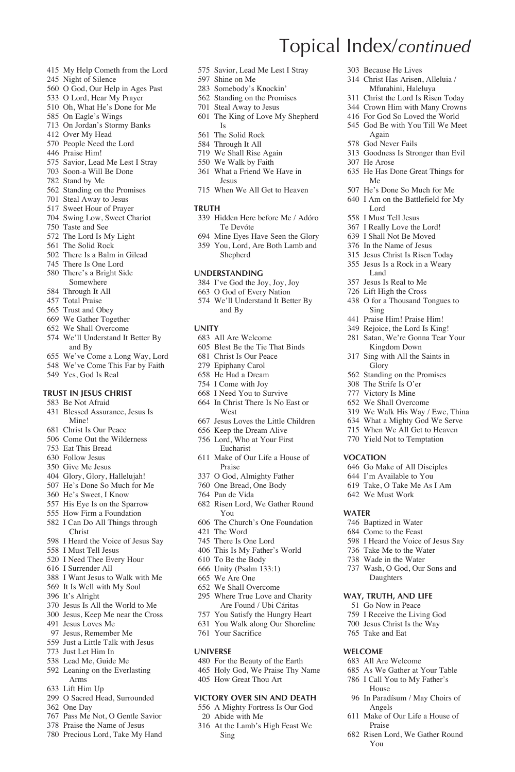- My Help Cometh from the Lord
- Night of Silence
- O God, Our Help in Ages Past
- O Lord, Hear My Prayer
- Oh, What He's Done for Me
- On Eagle's Wings
- On Jordan's Stormy Banks
- Over My Head
- People Need the Lord Praise Him!
- 
- Savior, Lead Me Lest I Stray Soon-a Will Be Done
- Stand by Me
- 
- Standing on the Promises Steal Away to Jesus
- Sweet Hour of Prayer
- 
- Swing Low, Sweet Chariot Taste and See
- 
- The Lord Is My Light The Solid Rock
- There Is a Balm in Gilead
- There Is One Lord
- There's a Bright Side
- Somewhere
- Through It All
- Total Praise
- Trust and Obey
- We Gather Together
- We Shall Overcome
- We'll Understand It Better By and By
- We've Come a Long Way, Lord
- We've Come This Far by Faith
- Yes, God Is Real

#### **Trust in Jesus Christ**

- Be Not Afraid
- Blessed Assurance, Jesus Is Mine!
- Christ Is Our Peace
- Come Out the Wilderness
- Eat This Bread
- Follow Jesus
- Give Me Jesus
- Glory, Glory, Hallelujah! He's Done So Much for Me
- He's Sweet, I Know
- His Eye Is on the Sparrow
- How Firm a Foundation
- I Can Do All Things through
- Christ
- I Heard the Voice of Jesus Say
- I Must Tell Jesus
- I Need Thee Every Hour
- I Surrender All
- I Want Jesus to Walk with Me
- It Is Well with My Soul
- It's Alright
- Jesus Is All the World to Me
- Jesus, Keep Me near the Cross
- Jesus Loves Me
- Jesus, Remember Me
- Just a Little Talk with Jesus
- Just Let Him In
- Lead Me, Guide Me
- Leaning on the Everlasting Arms
- Lift Him Up
- O Sacred Head, Surrounded
- One Day
- Pass Me Not, O Gentle Savior
- Praise the Name of Jesus
- Precious Lord, Take My Hand

Savior, Lead Me Lest I Stray

Topical Index/*continued*

 Because He Lives Christ Has Arisen, Alleluia / Mfurahini, Haleluya Christ the Lord Is Risen Today Crown Him with Many Crowns For God So Loved the World God Be with You Till We Meet

Again God Never Fails

He Arose

Me

Lord I Must Tell Jesus I Really Love the Lord! I Shall Not Be Moved In the Name of Jesus Jesus Christ Is Risen Today Jesus Is a Rock in a Weary Land Jesus Is Real to Me Lift High the Cross O for a Thousand Tongues to

Sing Praise Him! Praise Him! Rejoice, the Lord Is King! Satan, We're Gonna Tear Your Kingdom Down Sing with All the Saints in Glory Standing on the Promises The Strife Is O'er Victory Is Mine We Shall Overcome We Walk His Way / Ewe, Thina What a Mighty God We Serve When We All Get to Heaven Yield Not to Temptation

**Vocation**

**Water**

 Go Make of All Disciples I'm Available to You Take, O Take Me As I Am We Must Work

In Paradísum / May Choirs of

Make of Our Life a House of

Risen Lord, We Gather Round

Angels

Praise

You

 Baptized in Water Come to the Feast I Heard the Voice of Jesus Say Take Me to the Water Wade in the Water Wash, O God, Our Sons and Daughters **Way, Truth, and Life** Go Now in Peace I Receive the Living God Jesus Christ Is the Way Take and Eat **Welcome** All Are Welcome As We Gather at Your Table I Call You to My Father's House

Goodness Is Stronger than Evil

He Has Done Great Things for

 He's Done So Much for Me I Am on the Battlefield for My

- Shine on Me
- Somebody's Knockin'
- Standing on the Promises
- Steal Away to Jesus
- The King of Love My Shepherd Is
- The Solid Rock
- Through It All
- We Shall Rise Again
- We Walk by Faith
- What a Friend We Have in Jesus
- When We All Get to Heaven

#### **Truth**

- Hidden Here before Me / Adóro Te Devóte
- Mine Eyes Have Seen the Glory
- You, Lord, Are Both Lamb and Shepherd

#### **Understanding**

- I've God the Joy, Joy, Joy
- O God of Every Nation
- We'll Understand It Better By and By

#### **Unity**

- All Are Welcome
- Blest Be the Tie That Binds
- Christ Is Our Peace
- Epiphany Carol
- He Had a Dream I Come with Joy
- 
- I Need You to Survive In Christ There Is No East or
- West
- Jesus Loves the Little Children
- Keep the Dream Alive Lord, Who at Your First
- Eucharist Make of Our Life a House of

 One Bread, One Body Pan de Vida

You

Your Sacrifice

Abide with Me

Sing

 For the Beauty of the Earth Holy God, We Praise Thy Name How Great Thou Art **Victory over Sin and Death** A Mighty Fortress Is Our God

At the Lamb's High Feast We

**Universe**

 The Word There Is One Lord This Is My Father's World To Be the Body Unity (Psalm 133:1) We Are One We Shall Overcome Where True Love and Charity Are Found / Ubi Cáritas You Satisfy the Hungry Heart You Walk along Our Shoreline

Praise O God, Almighty Father

Risen Lord, We Gather Round

The Church's One Foundation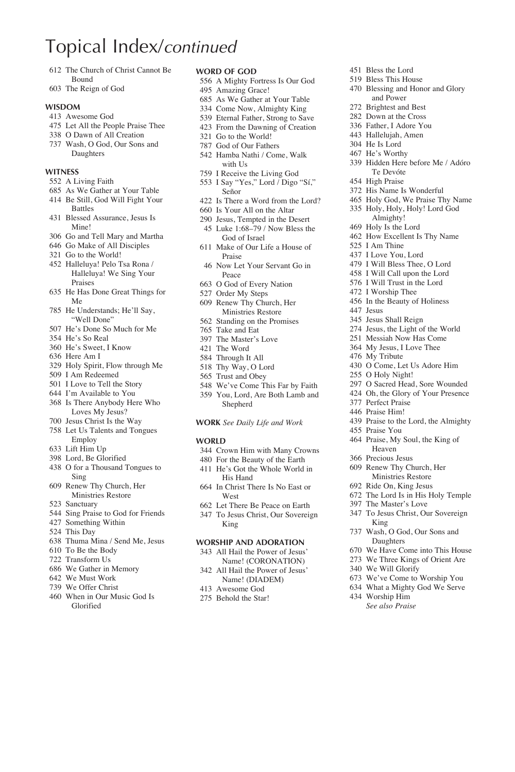# Topical Index/*continued*

- The Church of Christ Cannot Be Bound
- The Reign of God

#### **Wisdom**

- Awesome God
- Let All the People Praise Thee
- O Dawn of All Creation
- Wash, O God, Our Sons and Daughters

### **Witness**

- A Living Faith
- As We Gather at Your Table
- Be Still, God Will Fight Your Battles
- Blessed Assurance, Jesus Is Mine!
- Go and Tell Mary and Martha
- Go Make of All Disciples
- Go to the World!
- Halleluya! Pelo Tsa Rona / Halleluya! We Sing Your Praises
- He Has Done Great Things for Me
- He Understands; He'll Say, "Well Done"
- He's Done So Much for Me
- He's So Real
- He's Sweet, I Know
- Here Am I
- Holy Spirit, Flow through Me
- I Am Redeemed
- I Love to Tell the Story I'm Available to You
- Is There Anybody Here Who
- Loves My Jesus? Jesus Christ Is the Way
- Let Us Talents and Tongues Employ
- Lift Him Up
- Lord, Be Glorified
- O for a Thousand Tongues to Sing
- Renew Thy Church, Her Ministries Restore
- Sanctuary
- Sing Praise to God for Friends
- Something Within
- This Day
- Thuma Mina / Send Me, Jesus
- To Be the Body
- Transform Us
- We Gather in Memory
- We Must Work
- We Offer Christ
- When in Our Music God Is Glorified

### **Word of God**

- A Mighty Fortress Is Our God
- Amazing Grace!
- As We Gather at Your Table
- Come Now, Almighty King
- Eternal Father, Strong to Save From the Dawning of Creation
- Go to the World!
- God of Our Fathers
- Hamba Nathi / Come, Walk with Us
- I Receive the Living God
- I Say "Yes," Lord / Digo "Sí," Señor
- Is There a Word from the Lord?
- Is Your All on the Altar
- Jesus, Tempted in the Desert Luke 1:68–79 / Now Bless the
- God of Israel
- Make of Our Life a House of Praise
- Now Let Your Servant Go in Peace
- O God of Every Nation
- Order My Steps
- Renew Thy Church, Her Ministries Restore Standing on the Promises
- Take and Eat
- The Master's Love
- The Word
- Through It All
- Thy Way, O Lord
- Trust and Obey
- We've Come This Far by Faith
- You, Lord, Are Both Lamb and Shepherd

#### **Work** *See Daily Life and Work*

#### **WORLD**

- Crown Him with Many Crowns
- For the Beauty of the Earth
- He's Got the Whole World in
- His Hand In Christ There Is No East or
	- West
- Let There Be Peace on Earth To Jesus Christ, Our Sovereign King

#### **Worship and Adoration**

- All Hail the Power of Jesus' Name! (CORONATION)
- All Hail the Power of Jesus'
- Name! (DIADEM)
- Awesome God
- Behold the Star!
- Bless the Lord
- Bless This House Blessing and Honor and Glory and Power
- Brightest and Best
- Down at the Cross
- Father, I Adore You
- Hallelujah, Amen
- He Is Lord
- He's Worthy
- Hidden Here before Me / Adóro Te Devóte
- High Praise
- His Name Is Wonderful
- Holy God, We Praise Thy Name
- Holy, Holy, Holy! Lord God Almighty! How Excellent Is Thy Name

O Come, Let Us Adore Him

 O Sacred Head, Sore Wounded Oh, the Glory of Your Presence

Praise to the Lord, the Almighty

 Praise, My Soul, the King of Heaven Precious Jesus Renew Thy Church, Her Ministries Restore Ride On, King Jesus The Lord Is in His Holy Temple The Master's Love To Jesus Christ, Our Sovereign

 Wash, O God, Our Sons and Daughters We Have Come into This House We Three Kings of Orient Are

 We've Come to Worship You What a Mighty God We Serve

O Holy Night!

 Perfect Praise Praise Him!

Praise You

King

We Will Glorify

 Worship Him  *See also Praise*

Holy Is the Lord

 I Am Thine I Love You, Lord I Will Bless Thee, O Lord I Will Call upon the Lord I Will Trust in the Lord I Worship Thee In the Beauty of Holiness

 Jesus Jesus Shall Reign Jesus, the Light of the World Messiah Now Has Come My Jesus, I Love Thee My Tribute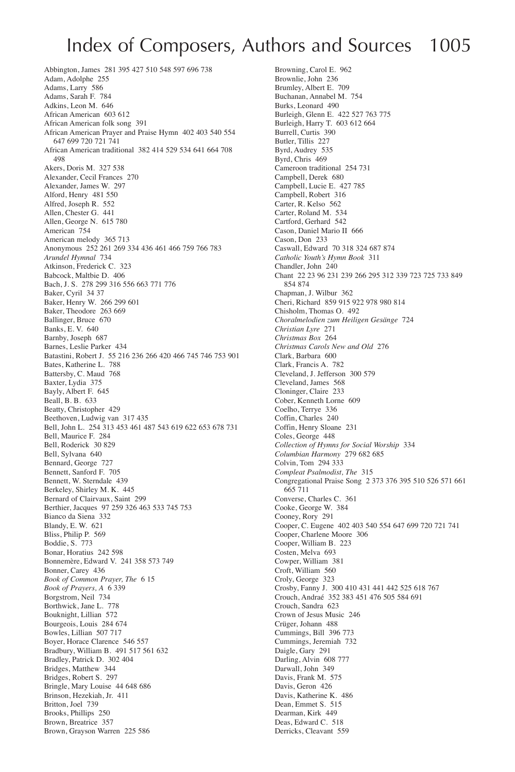## Index of Composers, Authors and Sources 1005

Abbington, James 281 395 427 510 548 597 696 738 Adam, Adolphe 255 Adams, Larry 586 Adams, Sarah F. 784 Adkins, Leon M. 646 African American 603 612 African American folk song 391 African American Prayer and Praise Hymn 402 403 540 554 647 699 720 721 741 African American traditional 382 414 529 534 641 664 708 498 Akers, Doris M. 327 538 Alexander, Cecil Frances 270 Alexander, James W. 297 Alford, Henry 481 550 Alfred, Joseph R. 552 Allen, Chester G. 441 Allen, George N. 615 780 American 754 American melody 365 713 Anonymous 252 261 269 334 436 461 466 759 766 783 *Arundel Hymnal* 734 Atkinson, Frederick C. 323 Babcock, Maltbie D. 406 Bach, J. S. 278 299 316 556 663 771 776 Baker, Cyril 34 37 Baker, Henry W. 266 299 601 Baker, Theodore 263 669 Ballinger, Bruce 670 Banks, E. V. 640 Barnby, Joseph 687 Barnes, Leslie Parker 434 Batastini, Robert J. 55 216 236 266 420 466 745 746 753 901 Bates, Katherine L. 788 Battersby, C. Maud 768 Baxter, Lydia 375 Bayly, Albert F. 645 Beall, B. B. 633 Beatty, Christopher 429 Beethoven, Ludwig van 317 435 Bell, John L. 254 313 453 461 487 543 619 622 653 678 731 Bell, Maurice F. 284 Bell, Roderick 30 829 Bell, Sylvana 640 Bennard, George 727 Bennett, Sanford F. 705 Bennett, W. Sterndale 439 Berkeley, Shirley M. K. 445 Bernard of Clairvaux, Saint 299 Berthier, Jacques 97 259 326 463 533 745 753 Bianco da Siena 332 Blandy, E. W. 621 Bliss, Philip P. 569 Boddie, S. 773 Bonar, Horatius 242 598 Bonnemère, Edward V. 241 358 573 749 Bonner, Carey 436 *Book of Common Prayer, The* 6 15 *Book of Prayers, A* 6 339 Borgstrom, Neil 734 Borthwick, Jane L. 778 Bouknight, Lillian 572 Bourgeois, Louis 284 674 Bowles, Lillian 507 717 Boyer, Horace Clarence 546 557 Bradbury, William B. 491 517 561 632 Bradley, Patrick D. 302 404 Bridges, Matthew 344 Bridges, Robert S. 297 Bringle, Mary Louise 44 648 686 Brinson, Hezekiah, Jr. 411 Britton, Joel 739 Brooks, Phillips 250 Brown, Breatrice 357 Brown, Grayson Warren 225 586

Browning, Carol E. 962 Brownlie, John 236 Brumley, Albert E. 709 Buchanan, Annabel M. 754 Burks, Leonard 490 Burleigh, Glenn E. 422 527 763 775 Burleigh, Harry T. 603 612 664 Burrell, Curtis<sup>390</sup> Butler, Tillis 227 Byrd, Audrey 535 Byrd, Chris 469 Cameroon traditional 254 731 Campbell, Derek 680 Campbell, Lucie E. 427 785 Campbell, Robert 316 Carter, R. Kelso 562 Carter, Roland M. 534 Cartford, Gerhard 542 Cason, Daniel Mario II 666 Cason, Don 233 Caswall, Edward 70 318 324 687 874 *Catholic Youth's Hymn Book* 311 Chandler, John 240 Chant 22 23 96 231 239 266 295 312 339 723 725 733 849 854 874 Chapman, J. Wilbur 362 Cheri, Richard 859 915 922 978 980 814 Chisholm, Thomas O. 492 *Choralmelodien zum Heiligen Gesänge* 724 *Christian Lyre* 271 *Christmas Box* 264 *Christmas Carols New and Old* 276 Clark, Barbara 600 Clark, Francis A. 782 Cleveland, J. Jefferson 300 579 Cleveland, James 568 Cloninger, Claire 233 Cober, Kenneth Lorne 609 Coelho, Terrye 336 Coffin, Charles 240 Coffin, Henry Sloane 231 Coles, George 448 *Collection of Hymns for Social Worship* 334 *Columbian Harmony* 279 682 685 Colvin, Tom 294 333 *Compleat Psalmodist, The* 315 Congregational Praise Song 2 373 376 395 510 526 571 661 665 711 Converse, Charles C. 361 Cooke, George W. 384 Cooney, Rory 291 Cooper, C. Eugene 402 403 540 554 647 699 720 721 741 Cooper, Charlene Moore 306 Cooper, William B. 223 Costen, Melva 693 Cowper, William 381 Croft, William 560 Croly, George 323 Crosby, Fanny J. 300 410 431 441 442 525 618 767 Crouch, Andraé 352 383 451 476 505 584 691 Crouch, Sandra 623 Crown of Jesus Music 246 Crüger, Johann 488 Cummings, Bill 396 773 Cummings, Jeremiah 732 Daigle, Gary 291 Darling, Alvin 608 777 Darwall, John 349 Davis, Frank M. 575 Davis, Geron 426 Davis, Katherine K. 486 Dean, Emmet S. 515 Dearman, Kirk 449 Deas, Edward C. 518 Derricks, Cleavant 559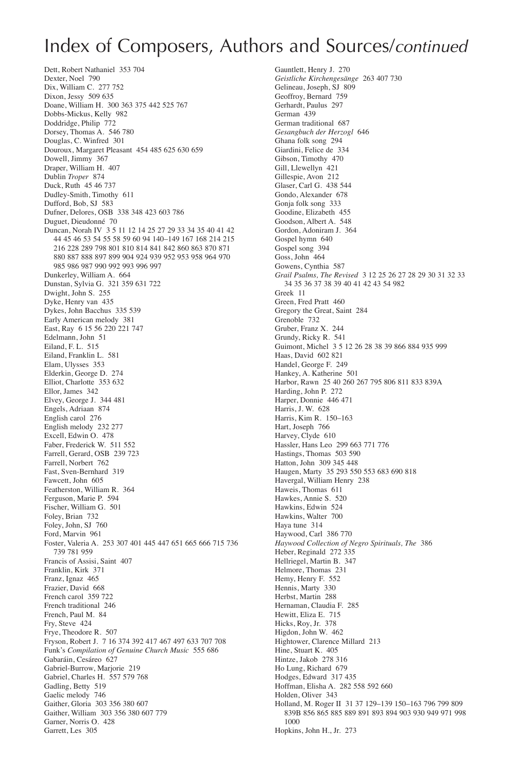Dett, Robert Nathaniel 353 704 Dexter, Noel 790 Dix, William C. 277 752 Dixon, Jessy 509 635 Doane, William H. 300 363 375 442 525 767 Dobbs-Mickus, Kelly 982 Doddridge, Philip 772 Dorsey, Thomas A. 546 780 Douglas, C. Winfred 301 Douroux, Margaret Pleasant 454 485 625 630 659 Dowell, Jimmy 367 Draper, William H. 407 Dublin *Troper* 874 Duck, Ruth 45 46 737 Dudley-Smith, Timothy 611 Dufford, Bob, SJ 583 Dufner, Delores, OSB 338 348 423 603 786 Duguet, Dieudonné 70 Duncan, Norah IV 3 5 11 12 14 25 27 29 33 34 35 40 41 42 44 45 46 53 54 55 58 59 60 94 140–149 167 168 214 215 216 228 289 798 801 810 814 841 842 860 863 870 871 880 887 888 897 899 904 924 939 952 953 958 964 970 985 986 987 990 992 993 996 997 Dunkerley, William A. 664 Dunstan, Sylvia G. 321 359 631 722 Dwight, John S. 255 Dyke, Henry van 435 Dykes, John Bacchus 335 539 Early American melody 381 East, Ray 6 15 56 220 221 747 Edelmann, John 51 Eiland, F. L. 515 Eiland, Franklin L. 581 Elam, Ulysses 353 Elderkin, George D. 274 Elliot, Charlotte 353 632 Ellor, James 342 Elvey, George J. 344 481 Engels, Adriaan 874 English carol 276 English melody 232 277 Excell, Edwin O. 478 Faber, Frederick W. 511 552 Farrell, Gerard, OSB 239 723 Farrell, Norbert 762 Fast, Sven-Bernhard 319 Fawcett, John 605 Featherston, William R. 364 Ferguson, Marie P. 594 Fischer, William G. 501 Foley, Brian 732 Foley, John, SJ 760 Ford, Marvin 961 Foster, Valeria A. 253 307 401 445 447 651 665 666 715 736 739 781 959 Francis of Assisi, Saint 407 Franklin, Kirk 371 Franz, Ignaz 465 Frazier, David 668 French carol 359 722 French traditional 246 French, Paul M. 84 Fry, Steve 424 Frye, Theodore R. 507 Fryson, Robert J. 7 16 374 392 417 467 497 633 707 708 Funk's *Compilation of Genuine Church Music* 555 686 Gabaráin, Cesáreo 627 Gabriel-Burrow, Marjorie 219 Gabriel, Charles H. 557 579 768 Gadling, Betty 519 Gaelic melody 746 Gaither, Gloria 303 356 380 607 Gaither, William 303 356 380 607 779 Garner, Norris O. 428 Garrett, Les 305

Gauntlett, Henry J. 270 *Geistliche Kirchengesänge* 263 407 730 Gelineau, Joseph, SJ 809 Geoffroy, Bernard 759 Gerhardt, Paulus 297 German 439 German traditional 687 *Gesangbuch der Herzogl* 646 Ghana folk song 294 Giardini, Felice de 334 Gibson, Timothy 470 Gill, Llewellyn 421 Gillespie, Avon 212 Glaser, Carl G. 438 544 Gondo, Alexander 678 Gonja folk song 333 Goodine, Elizabeth 455 Goodson, Albert A. 548 Gordon, Adoniram J. 364 Gospel hymn 640 Gospel song 394 Goss, John 464 Gowens, Cynthia 587 *Grail Psalms, The Revised* 3 12 25 26 27 28 29 30 31 32 33 34 35 36 37 38 39 40 41 42 43 54 982 Greek 11 Green, Fred Pratt 460 Gregory the Great, Saint 284 Grenoble 732 Gruber, Franz X. 244 Grundy, Ricky R. 541 Guimont, Michel 3 5 12 26 28 38 39 866 884 935 999 Haas, David 602 821 Handel, George F. 249 Hankey, A. Katherine 501 Harbor, Rawn 25 40 260 267 795 806 811 833 839A Harding, John P. 272 Harper, Donnie 446 471 Harris, J. W. 628 Harris, Kim R. 150–163 Hart, Joseph 766 Harvey, Clyde 610 Hassler, Hans Leo 299 663 771 776 Hastings, Thomas 503 590 Hatton, John 309 345 448 Haugen, Marty 35 293 550 553 683 690 818 Havergal, William Henry 238 Haweis, Thomas 611 Hawkes, Annie S. 520 Hawkins, Edwin 524 Hawkins, Walter 700 Haya tune 314 Haywood, Carl 386 770 *Haywood Collection of Negro Spirituals, The* 386 Heber, Reginald 272 335 Hellriegel, Martin B. 347 Helmore, Thomas 231 Hemy, Henry F. 552 Hennis, Marty 330 Herbst, Martin 288 Hernaman, Claudia F. 285 Hewitt, Eliza E. 715 Hicks, Roy, Jr. 378 Higdon, John W. 462 Hightower, Clarence Millard 213 Hine, Stuart K. 405 Hintze, Jakob 278 316 Ho Lung, Richard 679 Hodges, Edward 317 435 Hoffman, Elisha A. 282 558 592 660 Holden, Oliver 343 Holland, M. Roger II 31 37 129–139 150–163 796 799 809 839B 856 865 885 889 891 893 894 903 930 949 971 998 1000 Hopkins, John H., Jr. 273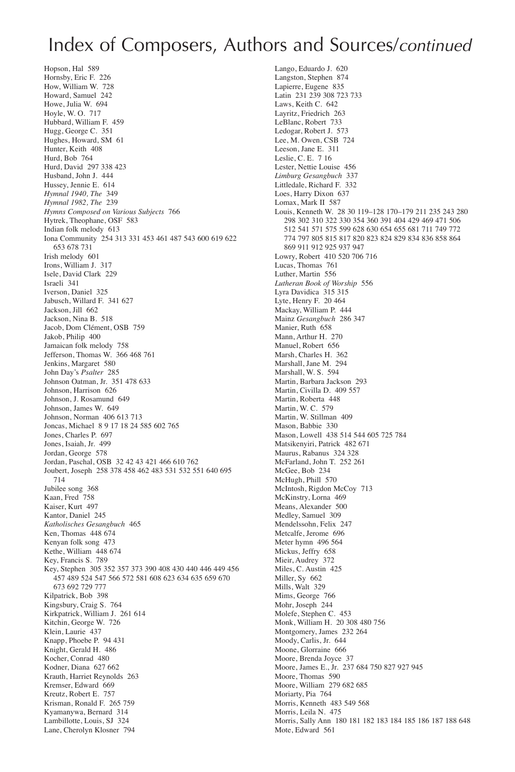Hopson, Hal 589 Hornsby, Eric F. 226 How, William W. 728 Howard, Samuel 242 Howe, Julia W. 694 Hoyle, W. O. 717 Hubbard, William F. 459 Hugg, George C. 351 Hughes, Howard, SM 61 Hunter, Keith 408 Hurd, Bob 764 Hurd, David 297 338 423 Husband, John J. 444 Hussey, Jennie E. 614 *Hymnal 1940, The* 349 *Hymnal 1982, The* 239 *Hymns Composed on Various Subjects* 766 Hytrek, Theophane, OSF 583 Indian folk melody 613 Iona Community 254 313 331 453 461 487 543 600 619 622 653 678 731 Irish melody 601 Irons, William J. 317 Isele, David Clark 229 Israeli 341 Iverson, Daniel 325 Jabusch, Willard F. 341 627 Jackson, Jill 662 Jackson, Nina B. 518 Jacob, Dom Clément, OSB 759 Jakob, Philip 400 Jamaican folk melody 758 Jefferson, Thomas W. 366 468 761 Jenkins, Margaret 580 John Day's *Psalter* 285 Johnson Oatman, Jr. 351 478 633 Johnson, Harrison 626 Johnson, J. Rosamund 649 Johnson, James W. 649 Johnson, Norman 406 613 713 Joncas, Michael 8 9 17 18 24 585 602 765 Jones, Charles P. 697 Jones, Isaiah, Jr. 499 Jordan, George 578 Jordan, Paschal, OSB 32 42 43 421 466 610 762 Joubert, Joseph 258 378 458 462 483 531 532 551 640 695 714 Jubilee song 368 Kaan, Fred 758 Kaiser, Kurt 497 Kantor, Daniel 245 *Katholisches Gesangbuch* 465 Ken, Thomas 448 674 Kenyan folk song 473 Kethe, William 448 674 Key, Francis S. 789 Key, Stephen 305 352 357 373 390 408 430 440 446 449 456 457 489 524 547 566 572 581 608 623 634 635 659 670 673 692 729 777 Kilpatrick, Bob 398 Kingsbury, Craig S. 764 Kirkpatrick, William J. 261 614 Kitchin, George W. 726 Klein, Laurie 437 Knapp, Phoebe P. 94 431 Knight, Gerald H. 486 Kocher, Conrad 480 Kodner, Diana, 627,662 Krauth, Harriet Reynolds 263 Kremser, Edward 669 Kreutz, Robert E. 757 Krisman, Ronald F. 265 759 Kyamanywa, Bernard 314 Lambillotte, Louis, SJ 324 Lane, Cherolyn Klosner 794

Lango, Eduardo J. 620 Langston, Stephen 874 Lapierre, Eugene 835 Latin 231 239 308 723 733 Laws, Keith C. 642 Layritz, Friedrich 263 LeBlanc, Robert 733 Ledogar, Robert J. 573 Lee, M. Owen, CSB 724 Leeson, Jane E. 311 Leslie, C. E. 7 16 Lester, Nettie Louise 456 *Limburg Gesangbuch* 337 Littledale, Richard F. 332 Loes, Harry Dixon 637 Lomax, Mark II 587 Louis, Kenneth W. 28 30 119–128 170–179 211 235 243 280 298 302 310 322 330 354 360 391 404 429 469 471 506 512 541 571 575 599 628 630 654 655 681 711 749 772 774 797 805 815 817 820 823 824 829 834 836 858 864 869 911 912 925 937 947 Lowry, Robert 410 520 706 716 Lucas, Thomas 761 Luther, Martin 556 *Lutheran Book of Worship* 556 Lyra Davidica 315 315 Lyte, Henry F. 20 464 Mackay, William P. 444 Mainz *Gesangbuch* 286 347 Manier, Ruth 658 Mann, Arthur H. 270 Manuel, Robert 656 Marsh, Charles H. 362 Marshall, Jane M. 294 Marshall, W. S. 594 Martin, Barbara Jackson 293 Martin, Civilla D. 409 557 Martin, Roberta 448 Martin, W. C. 579 Martin, W. Stillman 409 Mason, Babbie 330 Mason, Lowell 438 514 544 605 725 784 Matsikenyiri, Patrick 482 671 Maurus, Rabanus 324 328 McFarland, John T. 252 261 McGee, Bob 234 McHugh, Phill 570 McIntosh, Rigdon McCoy 713 McKinstry, Lorna 469 Means, Alexander 500 Medley, Samuel 309 Mendelssohn, Felix 247 Metcalfe, Jerome 696 Meter hymn 496 564 Mickus, Jeffry 658 Mieir, Audrey 372 Miles, C. Austin 425 Miller, Sy 662 Mills, Walt 329 Mims, George 766 Mohr, Joseph 244 Molefe, Stephen C. 453 Monk, William H. 20 308 480 756 Montgomery, James 232 264 Moody, Carlis, Jr. 644 Moone, Glorraine 666 Moore, Brenda Joyce 37 Moore, James E., Jr. 237 684 750 827 927 945 Moore, Thomas 590 Moore, William 279 682 685 Moriarty, Pia 764 Morris, Kenneth 483 549 568 Morris, Leila N. 475 Morris, Sally Ann 180 181 182 183 184 185 186 187 188 648 Mote, Edward 561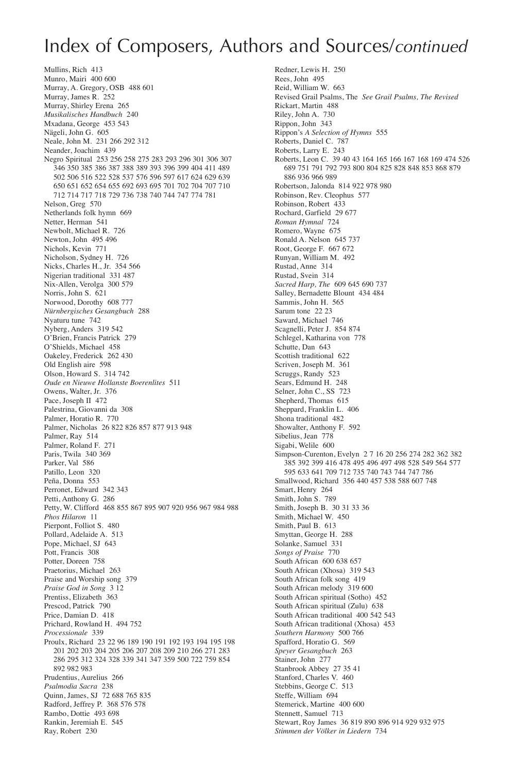Mullins, Rich 413 Munro, Mairi 400 600 Murray, A. Gregory, OSB 488 601 Murray, James R. 252 Murray, Shirley Erena 265 *Musikalisches Handbuch* 240 Mxadana, George 453 543 Nägeli, John G. 605 Neale, John M. 231 266 292 312 Neander, Joachim 439 Negro Spiritual 253 256 258 275 283 293 296 301 306 307 346 350 385 386 387 388 389 393 396 399 404 411 489 502 506 516 522 528 537 576 596 597 617 624 629 639 650 651 652 654 655 692 693 695 701 702 704 707 710 712 714 717 718 729 736 738 740 744 747 774 781 Nelson, Greg 570 Netherlands folk hymn 669 Netter, Herman 541 Newbolt, Michael R. 726 Newton, John 495 496 Nichols, Kevin 771 Nicholson, Sydney H. 726 Nicks, Charles H., Jr. 354 566 Nigerian traditional 331 487 Nix-Allen, Verolga 300 579 Norris, John S. 621 Norwood, Dorothy 608 777 *Nürnbergisches Gesangbuch* 288 Nyaturu tune 742 Nyberg, Anders 319 542 O'Brien, Francis Patrick 279 O'Shields, Michael 458 Oakeley, Frederick 262 430 Old English aire 598 Olson, Howard S. 314 742 *Oude en Nieuwe Hollanste Boerenlites* 511 Owens, Walter, Jr. 376 Pace, Joseph II 472 Palestrina, Giovanni da 308 Palmer, Horatio R. 770 Palmer, Nicholas 26 822 826 857 877 913 948 Palmer, Ray 514 Palmer, Roland F. 271 Paris, Twila 340 369 Parker, Val 586 Patillo, Leon 320 Peña, Donna 553 Perronet, Edward 342 343 Petti, Anthony G. 286 Petty, W. Clifford 468 855 867 895 907 920 956 967 984 988 *Phos Hilaron* 11 Pierpont, Folliot S. 480 Pollard, Adelaide A. 513 Pope, Michael, SJ 643 Pott, Francis 308 Potter, Doreen 758 Praetorius, Michael 263 Praise and Worship song 379 *Praise God in Song* 3 12 Prentiss, Elizabeth<sup>363</sup> Prescod, Patrick 790 Price, Damian D. 418 Prichard, Rowland H. 494 752 *Processionale* 339 Proulx, Richard 23 22 96 189 190 191 192 193 194 195 198 201 202 203 204 205 206 207 208 209 210 266 271 283 286 295 312 324 328 339 341 347 359 500 722 759 854 892 982 983 Prudentius, Aurelius 266 *Psalmodia Sacra* 238 Quinn, James, SJ 72 688 765 835 Radford, Jeffrey P. 368 576 578 Rambo, Dottie 493 698 Rankin, Jeremiah E. 545 Ray, Robert 230

Redner, Lewis H. 250 Rees, John 495 Reid, William W. 663 Revised Grail Psalms, The *See Grail Psalms, The Revised* Rickart, Martin 488 Riley, John A. 730 Rippon, John 343 Rippon's *A Selection of Hymns* 555 Roberts, Daniel C. 787 Roberts, Larry E. 243 Roberts, Leon C. 39 40 43 164 165 166 167 168 169 474 526 689 751 791 792 793 800 804 825 828 848 853 868 879 886 936 966 989 Robertson, Jalonda 814 922 978 980 Robinson, Rev. Cleophus 577 Robinson, Robert 433 Rochard, Garfield 29 677 *Roman Hymnal* 724 Romero, Wayne 675 Ronald A. Nelson 645 737 Root, George F. 667 672 Runyan, William M. 492 Rustad, Anne 314 Rustad, Svein 314 *Sacred Harp, The* 609 645 690 737 Salley, Bernadette Blount 434 484 Sammis, John H. 565 Sarum tone 22 23 Saward, Michael 746 Scagnelli, Peter J. 854 874 Schlegel, Katharina von 778 Schutte, Dan 643 Scottish traditional 622 Scriven, Joseph M. 361 Scruggs, Randy 523 Sears, Edmund H. 248 Selner, John C., SS 723 Shepherd, Thomas 615 Sheppard, Franklin L. 406 Shona traditional 482 Showalter, Anthony F. 592 Sibelius, Jean 778 Sigabi, Welile 600 Simpson-Curenton, Evelyn 2 7 16 20 256 274 282 362 382 385 392 399 416 478 495 496 497 498 528 549 564 577 595 633 641 709 712 735 740 743 744 747 786 Smallwood, Richard 356 440 457 538 588 607 748 Smart, Henry 264 Smith, John S. 789 Smith, Joseph B. 30 31 33 36 Smith, Michael W. 450 Smith, Paul B. 613 Smyttan, George H. 288 Solanke, Samuel 331 *Songs of Praise* 770 South African 600 638 657 South African (Xhosa) 319 543 South African folk song 419 South African melody 319 600 South African spiritual (Sotho) 452 South African spiritual (Zulu) 638 South African traditional 400 542 543 South African traditional (Xhosa) 453 *Southern Harmony* 500 766 Spafford, Horatio G. 569 *Speyer Gesangbuch* 263 Stainer, John 277 Stanbrook Abbey 27 35 41 Stanford, Charles V. 460 Stebbins, George C. 513 Steffe, William 694 Stemerick, Martine 400 600 Stennett, Samuel 713 Stewart, Roy James 36 819 890 896 914 929 932 975 *Stimmen der Völker in Liedern* 734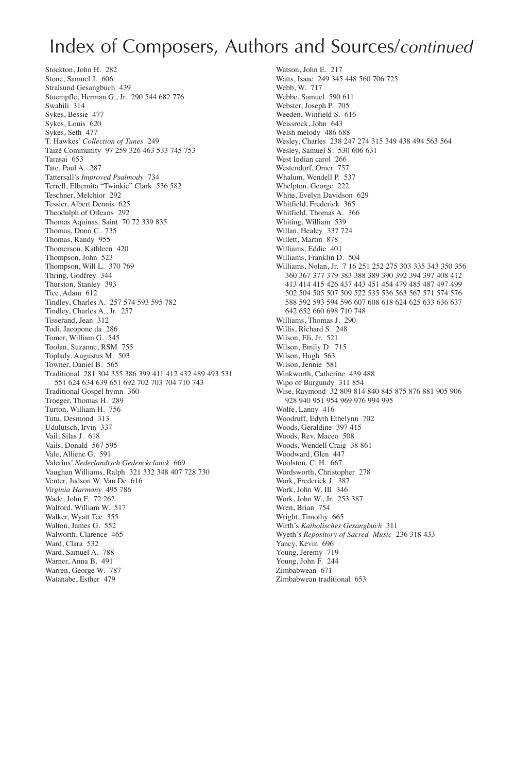Stockton, John H. 282 Stone, Samuel J. 606 Stralsund Gesangbuch 439 Stuempfle, Herman G., Jr. 290 544 682 776 Swahili 314 Sykes, Bessie 477 Sykes, Louis 620 Sykes, Seth 477 T. Hawkes' *Collection of Tunes* 249 Taizé Community 97 259 326 463 533 745 753 Tarasai 653 Tate, Paul A. 287 Tattersall's *Improved Psalmody* 734 Terrell, Elbernita "Twinkie" Clark 536 582 Teschner, Melchior 292 Tessier, Albert Dennis 625 Theodulph of Orleans 292 Thomas Aquinas, Saint 70 72 339 835 Thomas, Donn C. 735 Thomas, Randy 955 Thomerson, Kathleen 420 Thompson, John 523 Thompson, Will L. 370 769 Thring, Godfrey 344 Thurston, Stanley 393 Tice, Adam 612 Tindley, Charles A. 257 574 593 595 782 Tindley, Charles A., Jr. 257 Tisserand, Jean 312 Todi, Jacopone da 286 Tomer, William G. 545 Toolan, Suzanne, RSM 755 Toplady, Augustus M. 503 Towner, Daniel B. 565 Traditional 281 304 355 386 399 411 412 432 489 493 531 551 624 634 639 651 692 702 703 704 710 743 Traditional Gospel hymn 360 Troeger, Thomas H. 289 Turton, William H. 756 Tutu, Desmond 313 Udulutsch, Irvin 337 Vail, Silas J. 618 Vails, Donald 567 595 Vale, Alliene G. 591 Valerius' *Nederlandtsch Gedenckclanck* 669 Vaughan Williams, Ralph 321 332 348 407 728 730 Venter, Judson W. Van De 616 *Virginia Harmony* 495 786 Wade, John F. 72 262 Walford, William W. 517 Walker, Wyatt Tee 355 Walton, James G. 552 Walworth, Clarence 465 Ward, Clara 532 Ward, Samuel A. 788 Warner, Anna B. 491 Warren, George W. 787 Watanabe, Esther 479

Watson, John E. 217 Watts, Isaac 249 345 448 560 706 725 Webb, W. 717 Webbe, Samuel 590 611 Webster, Joseph P. 705 Weeden, Winfield S. 616 Weissrock, John 643 Welsh melody 486 688 Wesley, Charles 238 247 274 315 349 438 494 563 564 Wesley, Samuel S. 530 606 631 West Indian carol 266 Westendorf, Omer 757 Whalum, Wendell P. 537 Whelpton, George 222 White, Evelyn Davidson 629 Whitfield, Frederick 365 Whitfield, Thomas A. 366 Whiting, William 539 Willan, Healey 337 724 Willett, Martin 878 Williams, Eddie 401 Williams, Franklin D. 504 Williams, Nolan, Jr. 7 16 251 252 275 303 335 343 350 356 360 367 377 379 383 388 389 390 392 394 397 408 412 413 414 415 426 437 443 451 454 479 485 487 497 499 502 504 505 507 509 522 535 536 563 567 571 574 576 588 592 593 594 596 607 608 618 624 625 633 636 637 642 652 660 698 710 748 Williams, Thomas I., 290 Willis, Richard S. 248 Wilson, Eli, Jr. 521 Wilson, Emily D. 715 Wilson, Hugh 563 Wilson, Jennie 581 Winkworth, Catherine 439 488 Wipo of Burgundy 311 854 Wise, Raymond 32 809 814 840 845 875 876 881 905 906 928 940 951 954 969 976 994 995 Wolfe, Lanny 416 Woodruff, Edyth Ethelynn 702 Woods, Geraldine 397 415 Woods, Rev. Maceo 508 Woods, Wendell Craig 38 861 Woodward, Glen 447 Woolston, C. H. 667 Wordsworth, Christopher 278 Work, Frederick J. 387 Work, John W. III 346 Work, John W., Jr. 253 387 Wren, Brian 754 Wright, Timothy 665 Wirth's *Katholisches Gesangbuch* 311 Wyeth's *Repository of Sacred Music* 236 318 433 Yancy, Kevin 696 Young, Jeremy 719 Young, John F. 244 Zimbabwean 671 Zimbabwean traditional 653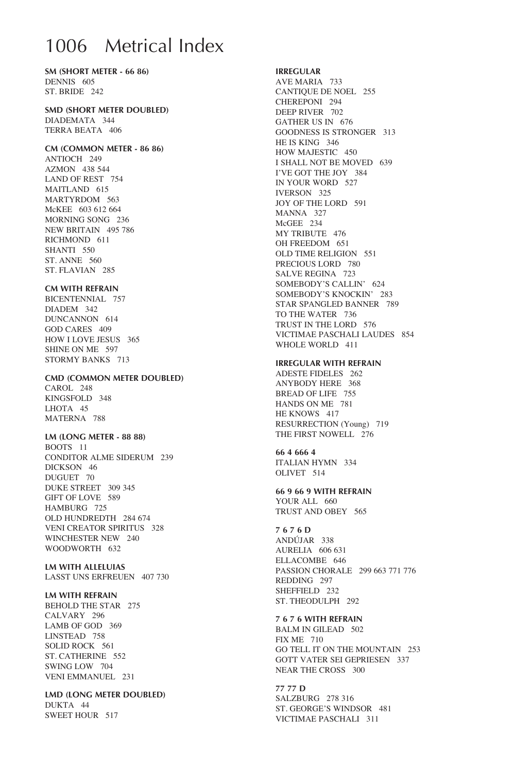# 1006 Metrical Index

**SM (SHORT METER - 66 86)** DENNIS 605 ST. BRIDE 242

### **SMD (SHORT METER DOUBLED)**

DIADEMATA 344 TERRA BEATA 406

### **CM (COMMON METER - 86 86)**

ANTIOCH 249 AZMON 438 544 LAND OF REST 754 MAITLAND 615 MARTYRDOM 563 McKEE 603 612 664 MORNING SONG 236 NEW BRITAIN 495 786 RICHMOND 611 SHANTI 550 ST. ANNE 560 ST. FLAVIAN 285

### **CM WITH REFRAIN**

BICENTENNIAL 757 DIADEM 342 DUNCANNON 614 GOD CARES 409 HOW I LOVE JESUS 365 SHINE ON ME 597 STORMY BANKS 713

#### **CMD (COMMON METER DOUBLED)**

CAROL 248 KINGSFOLD 348 LHOTA 45 MATERNA 788

### **LM (LONG METER - 88 88)**

BOOTS 11 CONDITOR ALME SIDERUM 239 DICKSON 46 DUGUET 70 DUKE STREET 309 345 GIFT OF LOVE 589 HAMBURG 725 OLD HUNDREDTH 284 674 VENI CREATOR SPIRITUS 328 WINCHESTER NEW 240 WOODWORTH 632

#### **LM with alleluias** LASST UNS ERFREUEN 407 730

**LM WITH REFRAIN** 

BEHOLD THE STAR 275 CALVARY 296 LAMB OF GOD 369 LINSTEAD 758 SOLID ROCK 561 ST. CATHERINE 552 SWING LOW 704 VENI EMMANUEL 231

**LMD (LONG METER DOUBLED)** DUKTA 44 SWEET HOUR 517

#### **IRREGULAR**

AVE MARIA 733 CANTIQUE DE NOEL 255 CHEREPONI 294 DEEP RIVER 702 GATHER US IN 676 GOODNESS IS STRONGER 313 HE IS KING 346 HOW MAJESTIC 450 I SHALL NOT BE MOVED 639 I'VE GOT THE JOY 384 IN YOUR WORD 527 IVERSON 325 JOY OF THE LORD 591 MANNA 327 McGEE 234 MY TRIBUTE 476 OH FREEDOM 651 OLD TIME RELIGION 551 PRECIOUS LORD 780 SALVE REGINA 723 SOMEBODY'S CALLIN' 624 SOMEBODY'S KNOCKIN' 283 STAR SPANGLED BANNER 789 TO THE WATER 736 TRUST IN THE LORD 576 VICTIMAE PASCHALI LAUDES 854 WHOLE WORLD 411

#### **IRREGULAR WITH REFRAIN**

ADESTE FIDELES 262 ANYBODY HERE 368 BREAD OF LIFE 755 HANDS ON ME 781 HE KNOWS 417 RESURRECTION (Young) 719 THE FIRST NOWELL 276

**66 4 666 4**  ITALIAN HYMN 334 OLIVET 514

**66 9 66 9 WITH REFRAIN** YOUR ALL 660 TRUST AND OBEY 565

### **7 6 7 6 D**

ANDÚJAR 338 AURELIA 606 631 ELLACOMBE 646 PASSION CHORALE 299 663 771 776 REDDING 297 SHEFFIELD 232 ST. THEODULPH 292

**7 6 7 6 with refrain**

BALM IN GILEAD 502 FIX ME 710 GO TELL IT ON THE MOUNTAIN 253 GOTT VATER SEI GEPRIESEN 337 NEAR THE CROSS 300

**77 77 D**  SALZBURG 278 316 ST. GEORGE'S WINDSOR 481 VICTIMAE PASCHALI 311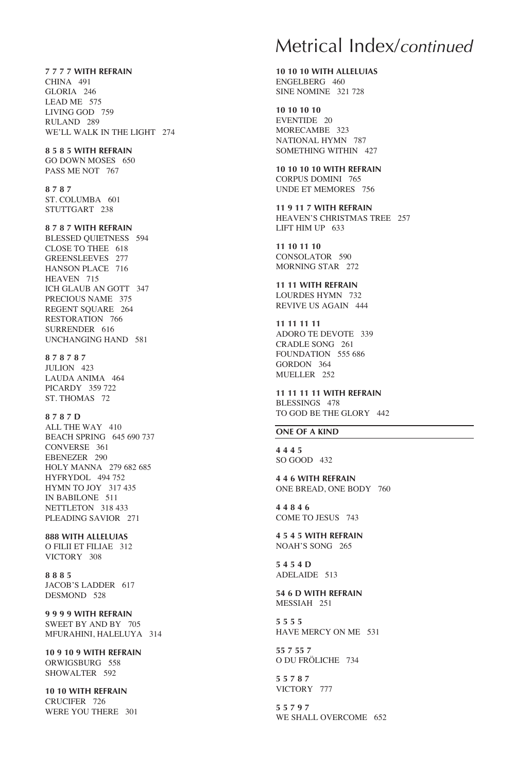**7 7 7 7 with refrain** CHINA 491 GLORIA 246 LEAD ME 575 LIVING GOD 759 RULAND 289 WE'LL WALK IN THE LIGHT 274

**8 5 8 5 with refrain**

GO DOWN MOSES 650 PASS ME NOT 767

**8 7 8 7**  ST. COLUMBA 601 STUTTGART 238

**8 7 8 7 with refrain**

BLESSED QUIETNESS 594 CLOSE TO THEE 618 GREENSLEEVES 277 HANSON PLACE 716 HEAVEN 715 ICH GLAUB AN GOTT 347 PRECIOUS NAME 375 REGENT SOUARE 264 RESTORATION 766 SURRENDER 616 UNCHANGING HAND 581

**8 7 8 7 8 7** 

JULION 423 LAUDA ANIMA 464 PICARDY 359 722 ST. THOMAS 72

**8 7 8 7 D**  ALL THE WAY 410 BEACH SPRING 645 690 737 CONVERSE 361 EBENEZER 290 HOLY MANNA 279 682 685 HYFRYDOL 494 752 HYMN TO JOY 317 435 IN BABILONE 511 NETTLETON 318 433 PLEADING SAVIOR 271

**888 with alleluias** O FILII ET FILIAE 312 VICTORY 308

**8 8 8 5** JACOB'S LADDER 617 DESMOND 528

**9 9 9 9 with refrain** SWEET BY AND BY 705 MFURAHINI, HALELUYA 314

**10 9 10 9 WITH REFRAIN**  ORWIGSBURG 558 SHOWALTER 592

**10 10 WITH REFRAIN**  CRUCIFER 726 WERE YOU THERE 301

## Metrical Index/*continued*

**10 10 10 WITH ALLELUIAS**  ENGELBERG 460 SINE NOMINE 321 728

**10 10 10 10** EVENTIDE 20 MORECAMBE 323 NATIONAL HYMN 787 SOMETHING WITHIN 427

**10 10 10 10 with refrain** CORPUS DOMINI 765 UNDE ET MEMORES 756

**11 9 11 7 WITH REFRAIN** HEAVEN'S CHRISTMAS TREE 257 LIFT HIM UP 633

**11 10 11 10** CONSOLATOR 590 MORNING STAR 272

**11 11 with refrain** LOURDES HYMN 732 REVIVE US AGAIN 444

**11 11 11 11** ADORO TE DEVOTE 339 CRADLE SONG 261 FOUNDATION 555 686 GORDON 364 MUELLER 252

**11 11 11 11 WITH REFRAIN** BLESSINGS 478 TO GOD BE THE GLORY 442

### **ONE OF A KIND**

**4 4 4 5** SO GOOD 432

**4 4 6 with refrain** ONE BREAD, ONE BODY 760

**4 4 8 4 6** COME TO JESUS 743

**4 5 4 5 with refrain** NOAH'S SONG 265

**5 4 5 4 D** ADELAIDE 513

**54 6 D WITH REFRAIN** MESSIAH 251

**5 5 5 5** HAVE MERCY ON ME 531

**55 7 55 7** O DU FRÖLICHE 734

**5 5 7 8 7** VICTORY 777

**5 5 7 9 7** WE SHALL OVERCOME 652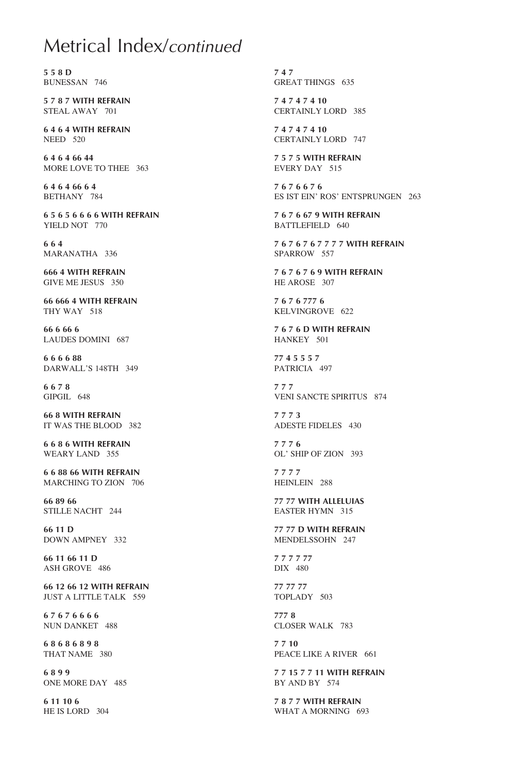## Metrical Index/*continued*

**5 5 8 D** BUNESSAN 746

**5 7 8 7 WITH REFRAIN** STEAL AWAY 701

**6 4 6 4 WITH REFRAIN** NEED 520

**6 4 6 4 66 44** MORE LOVE TO THEE 363

**6 4 6 4 66 6 4** BETHANY 784

**6 5 6 5 6 6 6 6 WITH REFRAIN** YIELD NOT 770

**6 6 4** MARANATHA 336

**666 4 WITH REFRAIN** GIVE ME JESUS 350

**66 666 4 WITH REFRAIN** THY WAY 518

**66 6 66 6** LAUDES DOMINI 687

**6 6 6 6 88** DARWALL'S 148TH 349

**6 6 7 8** GIPGIL 648

**66 8 WITH REFRAIN** IT WAS THE BLOOD 382

**6 6 8 6 with refrain** WEARY LAND 355

**6 6 88 66 WITH REFRAIN** MARCHING TO ZION 706

**66 89 66** STILLE NACHT 244

**66 11 D** DOWN AMPNEY 332

**66 11 66 11 D** ASH GROVE 486

**66 12 66 12 WITH REFRAIN** JUST A LITTLE TALK 559

**6 7 6 7 6 6 6 6** NUN DANKET 488

**6 8 6 8 6 8 9 8** THAT NAME 380

**6 8 9 9** ONE MORE DAY 485

**6 11 10 6** HE IS LORD 304

**7 4 7** GREAT THINGS 635

**7 4 7 4 7 4 10** CERTAINLY LORD 385

**7 4 7 4 7 4 10** CERTAINLY LORD 747

**7 5 7 5 WITH REFRAIN** EVERY DAY 515

**7 6 7 6 6 7 6** ES IST EIN' ROS' ENTSPRUNGEN 263

**7 6 7 6 67 9 with refrain** BATTLEFIELD 640

**7 6 7 6 7 6 7 7 7 7 with refrain** SPARROW 557

**7 6 7 6 7 6 9 WITH REFRAIN** HE AROSE 307

**7 6 7 6 777 6** KELVINGROVE 622

**7 6 7 6 D WITH REFRAIN** HANKEY 501

**77 4 5 5 5 7** PATRICIA 497

**7 7 7** VENI SANCTE SPIRITUS 874

**7 7 7 3** ADESTE FIDELES 430

**7 7 7 6** OL' SHIP OF ZION 393

**7 7 7 7** HEINLEIN 288

**77 77 with alleluias** EASTER HYMN 315

**77 77 D WITH REFRAIN** MENDELSSOHN 247

**7 7 7 7 77** DIX 480

**77 77 77** TOPLADY 503

**777 8** CLOSER WALK 783

**7 7 10** PEACE LIKE A RIVER 661

**7 7 15 7 7 11 WITH REFRAIN** BY AND BY 574

**7 8 7 7 WITH REFRAIN** WHAT A MORNING 693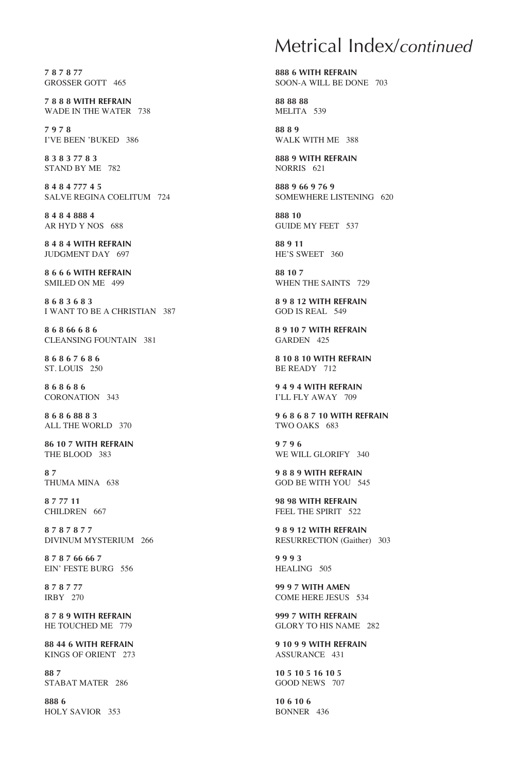**7 8 7 8 77** GROSSER GOTT 465

**7 8 8 8 with refrain** WADE IN THE WATER 738

**7 9 7 8** I'VE BEEN 'BUKED 386

**8 3 8 3 77 8 3** STAND BY ME 782

**8 4 8 4 777 4 5** SALVE REGINA COELITUM 724

**8 4 8 4 888 4** AR HYD Y NOS 688

**8 4 8 4 WITH REFRAIN** JUDGMENT DAY 697

**8 6 6 6 WITH REFRAIN** SMILED ON ME 499

**8 6 8 3 6 8 3** I WANT TO BE A CHRISTIAN 387

**8 6 8 66 6 8 6** CLEANSING FOUNTAIN 381

**8 6 8 6 7 6 8 6**  ST. LOUIS 250

**8 6 8 6 8 6**  CORONATION 343

**8 6 8 6 88 8 3** ALL THE WORLD 370

**86 10 7 with refrain** THE BLOOD 383

**8 7** THUMA MINA 638

**8 7 77 11** CHILDREN 667

**8 7 8 7 8 7 7** DIVINUM MYSTERIUM 266

**8 7 8 7 66 66 7** EIN' FESTE BURG 556

**8 7 8 7 77** IRBY 270

**8 7 8 9 WITH REFRAIN** HE TOUCHED ME 779

**88 44 6 WITH REFRAIN** KINGS OF ORIENT 273

**88 7** STABAT MATER 286

**888 6** HOLY SAVIOR 353

## Metrical Index/*continued*

**888 6 with refrain** SOON-A WILL BE DONE 703

**88 88 88** MELITA 539

**88 8 9** WALK WITH ME 388

**888 9 WITH REFRAIN** NORRIS 621

**888 9 66 9 76 9** SOMEWHERE LISTENING 620

**888 10** GUIDE MY FEET 537

**88 9 11** HE'S SWEET 360

**88 10 7** WHEN THE SAINTS 729

**8 9 8 12 WITH REFRAIN**  GOD IS REAL 549

**8 9 10 7 WITH REFRAIN** GARDEN 425

**8 10 8 10 with refrain** BE READY 712

**9 4 9 4 WITH REFRAIN** I'LL FLY AWAY 709

**9 6 8 6 8 7 10 with refrain** TWO OAKS 683

**9 7 9 6** WE WILL GLORIFY 340

**9 8 8 9 WITH REFRAIN** GOD BE WITH YOU 545

**98 98 WITH REFRAIN** FEEL THE SPIRIT 522

**9 8 9 12 WITH REFRAIN** RESURRECTION (Gaither) 303

**9 9 9 3** HEALING 505

**99 9 7 with amen** COME HERE JESUS 534

**999 7 WITH REFRAIN** GLORY TO HIS NAME 282

**9 10 9 9 WITH REFRAIN** ASSURANCE 431

**10 5 10 5 16 10 5** GOOD NEWS 707

**10 6 10 6** BONNER 436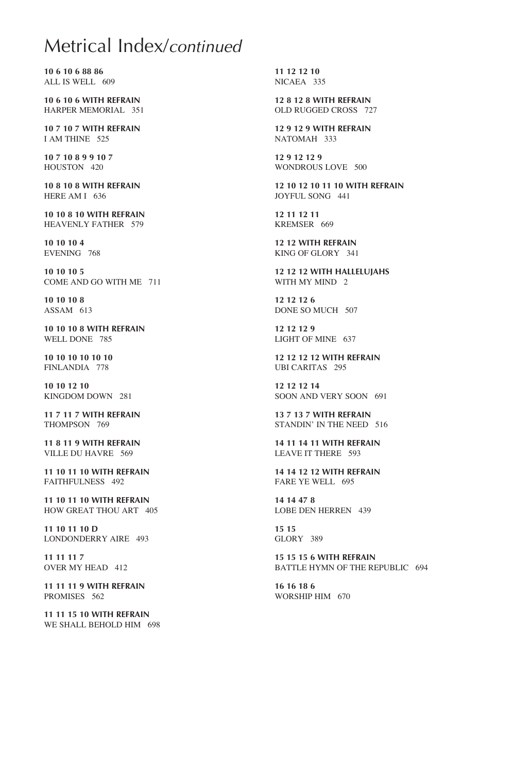# Acknowledgements/*continued* Metrical Index/*continued*

**10 6 10 6 88 86** ALL IS WELL 609

**10 6 10 6 WITH REFRAIN** HARPER MEMORIAL 351

**10 7 10 7 WITH REFRAIN** I AM THINE 525

**10 7 10 8 9 9 10 7** HOUSTON 420

**10 8 10 8 WITH REFRAIN** HERE AM I 636

**10 10 8 10 WITH REFRAIN** HEAVENLY FATHER 579

**10 10 10 4** EVENING 768

**10 10 10 5** COME AND GO WITH ME 711

**10 10 10 8** ASSAM 613

**10 10 10 8 WITH REFRAIN** WELL DONE 785

**10 10 10 10 10 10** FINLANDIA 778

**10 10 12 10** KINGDOM DOWN 281

**11 7 11 7 WITH REFRAIN** THOMPSON 769

**11 8 11 9 WITH REFRAIN** VILLE DU HAVRE 569

**11 10 11 10 WITH REFRAIN** FAITHFULNESS 492

**11 10 11 10 with refrain** HOW GREAT THOU ART 405

**11 10 11 10 D** LONDONDERRY AIRE 493

**11 11 11 7** OVER MY HEAD 412

**11 11 11 9 WITH REFRAIN** PROMISES 562

**11 11 15 10 with refrain** WE SHALL BEHOLD HIM 698

**11 12 12 10** NICAEA 335

**12 8 12 8 with refrain** OLD RUGGED CROSS 727

**12 9 12 9 with refrain** NATOMAH 333

**12 9 12 12 9** WONDROUS LOVE 500

**12 10 12 10 11 10 WITH REFRAIN** JOYFUL SONG 441

**12 11 12 11** KREMSER 669

**12 12 with refrain** KING OF GLORY 341

**12 12 12 with hallelujahs** WITH MY MIND 2

**12 12 12 6** DONE SO MUCH 507

**12 12 12 9** LIGHT OF MINE 637

**12 12 12 12 with refrain** UBI CARITAS 295

**12 12 12 14** SOON AND VERY SOON 691

**13 7 13 7 WITH REFRAIN** STANDIN' IN THE NEED 516

**14 11 14 11 WITH REFRAIN** LEAVE IT THERE 593

**14 14 12 12 with refrain** FARE YE WELL 695

**14 14 47 8** LOBE DEN HERREN 439

**15 15** GLORY 389

**15 15 15 6 with refrain** BATTLE HYMN OF THE REPUBLIC 694

**16 16 18 6** WORSHIP HIM 670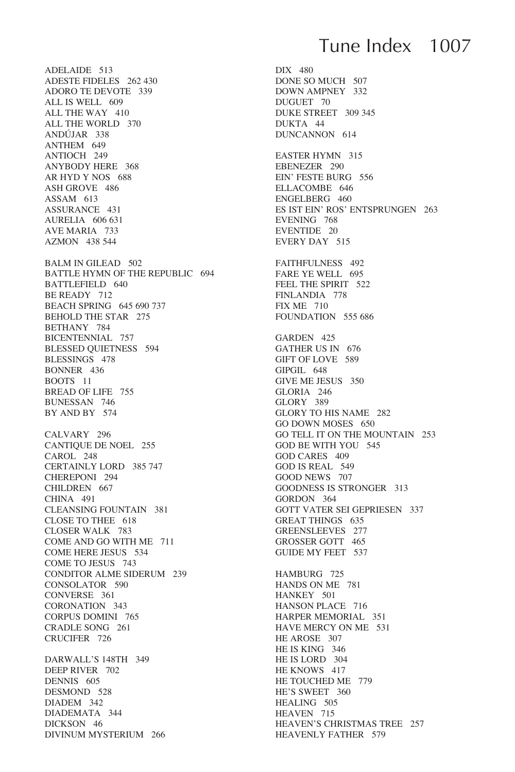ADELAIDE 513 ADESTE FIDELES 262 430 ADORO TE DEVOTE 339 ALL IS WELL 609 ALL THE WAY 410 ALL THE WORLD 370 ANDÚJAR 338 ANTHEM 649 ANTIOCH 249 ANYBODY HERE 368 AR HYD Y NOS 688 ASH GROVE 486 ASSAM 613 ASSURANCE 431 AURELIA 606 631 AVE MARIA 733 AZMON 438 544 BALM IN GILEAD 502 BATTLE HYMN OF THE REPUBLIC 694 BATTLEFIELD 640 BE READY 712 BEACH SPRING 645 690 737 BEHOLD THE STAR 275 BETHANY 784 BICENTENNIAL 757 BLESSED QUIETNESS 594 BLESSINGS 478 BONNER 436 BOOTS 11 BREAD OF LIFE 755 BUNESSAN 746 BY AND BY 574 CALVARY 296 CANTIQUE DE NOEL 255 CAROL 248 CERTAINLY LORD 385 747 CHEREPONI 294 CHILDREN 667 CHINA 491 CLEANSING FOUNTAIN 381 CLOSE TO THEE 618 CLOSER WALK 783 COME AND GO WITH ME 711 COME HERE JESUS 534 COME TO JESUS 743 CONDITOR ALME SIDERUM 239 CONSOLATOR 590 CONVERSE 361 CORONATION 343 CORPUS DOMINI 765 CRADLE SONG 261 CRUCIFER 726 DARWALL'S 148TH 349 DEEP RIVER 702 DENNIS 605 DESMOND 528 DIADEM 342 DIADEMATA 344

DICKSON 46

DIVINUM MYSTERIUM 266

# Tune Index 1007

DIX 480 DONE SO MUCH 507 DOWN AMPNEY 332 DUGUET 70 DUKE STREET 309 345 DUKTA 44 DUNCANNON 614 EASTER HYMN 315 EBENEZER 290 EIN' FESTE BURG 556 ELLACOMBE 646 ENGELBERG 460 ES IST EIN' ROS' ENTSPRUNGEN 263 EVENING 768 EVENTIDE 20 EVERY DAY 515 FAITHFULNESS 492 FARE YE WELL 695 FEEL THE SPIRIT 522 FINLANDIA 778 FIX ME 710 FOUNDATION 555 686 GARDEN 425 GATHER US IN 676 GIFT OF LOVE 589 GIPGIL 648 GIVE ME JESUS 350 GLORIA 246 GLORY 389 GLORY TO HIS NAME 282 GO DOWN MOSES 650 GO TELL IT ON THE MOUNTAIN 253 GOD BE WITH YOU 545 GOD CARES 409 GOD IS REAL 549 GOOD NEWS 707 GOODNESS IS STRONGER 313 GORDON 364 GOTT VATER SEI GEPRIESEN 337 GREAT THINGS 635 GREENSLEEVES 277 GROSSER GOTT 465 GUIDE MY FEET 537 HAMBURG 725 HANDS ON ME 781 HANKEY 501 HANSON PLACE 716 HARPER MEMORIAL 351 HAVE MERCY ON ME 531 HE AROSE 307 HE IS KING 346 HE IS LORD 304 HE KNOWS 417 HE TOUCHED ME 779 HE'S SWEET 360 HEALING 505 HEAVEN 715 HEAVEN'S CHRISTMAS TREE 257 HEAVENLY FATHER 579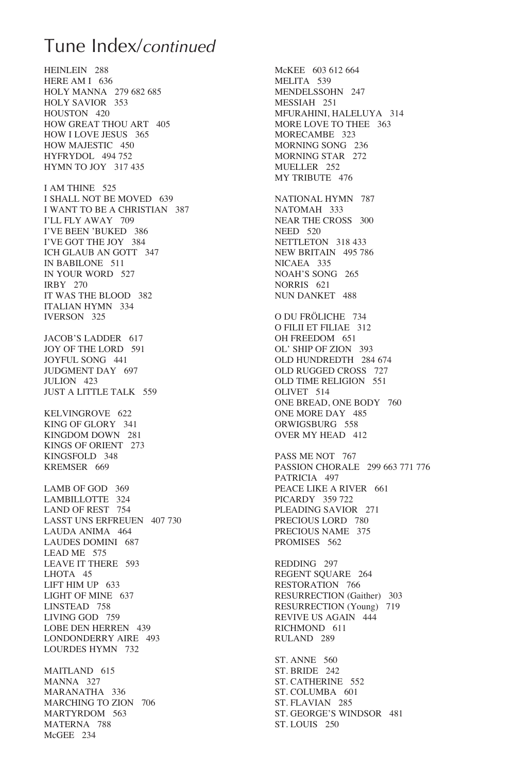## Tune Index/*continued*

HEINLEIN 288 HERE AM I 636 HOLY MANNA 279 682 685 HOLY SAVIOR 353 HOUSTON 420 HOW GREAT THOU ART 405 HOW I LOVE JESUS 365 HOW MAJESTIC 450 HYFRYDOL 494 752 HYMN TO JOY 317 435 I AM THINE 525 I SHALL NOT BE MOVED 639 I WANT TO BE A CHRISTIAN 387 I'LL FLY AWAY 709 I'VE BEEN 'BUKED 386 I'VE GOT THE JOY 384 ICH GLAUB AN GOTT 347 IN BABILONE 511 IN YOUR WORD 527 IRBY 270 IT WAS THE BLOOD 382 ITALIAN HYMN 334 IVERSON 325 JACOB'S LADDER 617 JOY OF THE LORD 591 JOYFUL SONG 441 JUDGMENT DAY 697 JULION 423 JUST A LITTLE TALK 559 KELVINGROVE 622 KING OF GLORY 341 KINGDOM DOWN 281 KINGS OF ORIENT 273 KINGSFOLD 348 KREMSER 669 LAMB OF GOD 369 LAMBILLOTTE 324 LAND OF REST 754 LASST UNS ERFREUEN 407 730 LAUDA ANIMA 464 LAUDES DOMINI 687 LEAD ME 575 LEAVE IT THERE 593 LHOTA 45 LIFT HIM UP 633 LIGHT OF MINE 637 LINSTEAD 758 LIVING GOD 759 LOBE DEN HERREN 439 LONDONDERRY AIRE 493 LOURDES HYMN 732

MAITLAND 615 MANNA 327 MARANATHA 336 MARCHING TO ZION 706 MARTYRDOM 563 MATERNA 788 McGEE 234

McKEE 603 612 664 MELITA 539 MENDELSSOHN 247 MESSIAH 251 MFURAHINI, HALELUYA 314 MORE LOVE TO THEE 363 MORECAMBE 323 MORNING SONG 236 MORNING STAR 272 MUELLER 252 MY TRIBUTE 476 NATIONAL HYMN 787 NATOMAH 333 NEAR THE CROSS 300 NEED 520 NETTLETON 318 433 NEW BRITAIN 495 786 NICAEA 335 NOAH'S SONG 265 NORRIS 621 NUN DANKET 488 O DU FRÖLICHE 734 O FILII ET FILIAE 312 OH FREEDOM 651 OL' SHIP OF ZION 393 OLD HUNDREDTH 284 674 OLD RUGGED CROSS 727 OLD TIME RELIGION 551 OLIVET 514 ONE BREAD, ONE BODY 760 ONE MORE DAY 485 ORWIGSBURG 558 OVER MY HEAD 412 PASS ME NOT 767 PASSION CHORALE 299 663 771 776 PATRICIA 497 PEACE LIKE A RIVER 661 PICARDY 359 722 PLEADING SAVIOR 271 PRECIOUS LORD 780 PRECIOUS NAME 375 PROMISES 562 REDDING 297 REGENT SOUARE 264 RESTORATION 766 RESURRECTION (Gaither) 303 RESURRECTION (Young) 719 REVIVE US AGAIN 444 RICHMOND 611 RULAND 289 ST. ANNE 560 ST. BRIDE 242 ST. CATHERINE 552 ST. COLUMBA 601 ST. FLAVIAN 285 ST. GEORGE'S WINDSOR 481 ST. LOUIS 250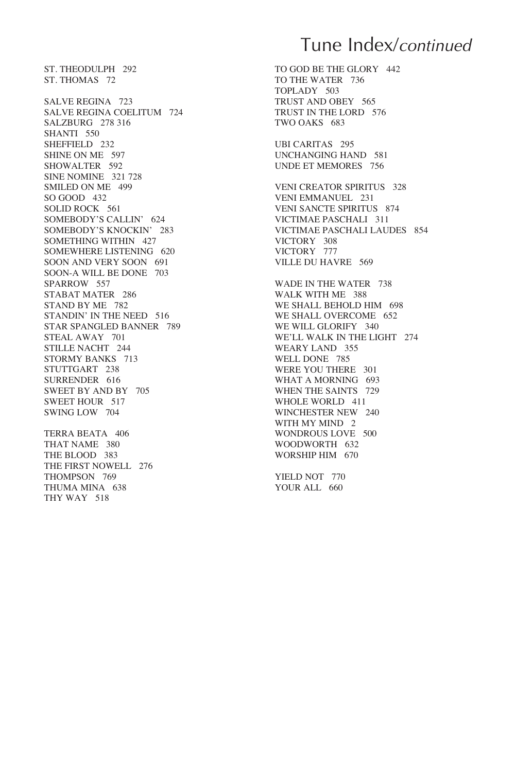ST. THEODULPH 292 ST. THOMAS 72 SALVE REGINA 723 SALVE REGINA COELITUM 724 SALZBURG 278 316 SHANTI 550 SHEFFIELD 232 SHINE ON ME 597 SHOWALTER 592 SINE NOMINE 321 728 SMILED ON ME 499 SO GOOD 432 SOLID ROCK 561 SOMEBODY'S CALLIN' 624 SOMEBODY'S KNOCKIN' 283 SOMETHING WITHIN 427 SOMEWHERE LISTENING 620 SOON AND VERY SOON 691 SOON-A WILL BE DONE 703 SPARROW 557 STABAT MATER 286 STAND BY ME 782 STANDIN' IN THE NEED 516 STAR SPANGLED BANNER 789 STEAL AWAY 701 STILLE NACHT 244 STORMY BANKS 713 STUTTGART 238 SURRENDER 616 SWEET BY AND BY 705 SWEET HOUR 517 SWING LOW 704 TERRA BEATA 406 THAT NAME 380 THE BLOOD 383 THE FIRST NOWELL 276

THOMPSON 769 THUMA MINA 638 THY WAY 518

Tune Index/*continued*

TO GOD BE THE GLORY 442 TO THE WATER 736 TOPLADY 503 TRUST AND OBEY 565 TRUST IN THE LORD 576 TWO OAKS 683

UBI CARITAS 295 UNCHANGING HAND 581 UNDE ET MEMORES 756

VENI CREATOR SPIRITUS 328 VENI EMMANUEL 231 VENI SANCTE SPIRITUS 874 VICTIMAE PASCHALI 311 VICTIMAE PASCHALI LAUDES 854 VICTORY 308 VICTORY 777 VILLE DU HAVRE 569

WADE IN THE WATER 738 WALK WITH ME 388 WE SHALL BEHOLD HIM 698 WE SHALL OVERCOME 652 WE WILL GLORIFY 340 WE'LL WALK IN THE LIGHT 274 WEARY LAND 355 WELL DONE 785 WERE YOU THERE 301 WHAT A MORNING 693 WHEN THE SAINTS 729 WHOLE WORLD 411 WINCHESTER NEW 240 WITH MY MIND 2 WONDROUS LOVE 500 WOODWORTH 632 WORSHIP HIM 670

YIELD NOT 770 YOUR ALL 660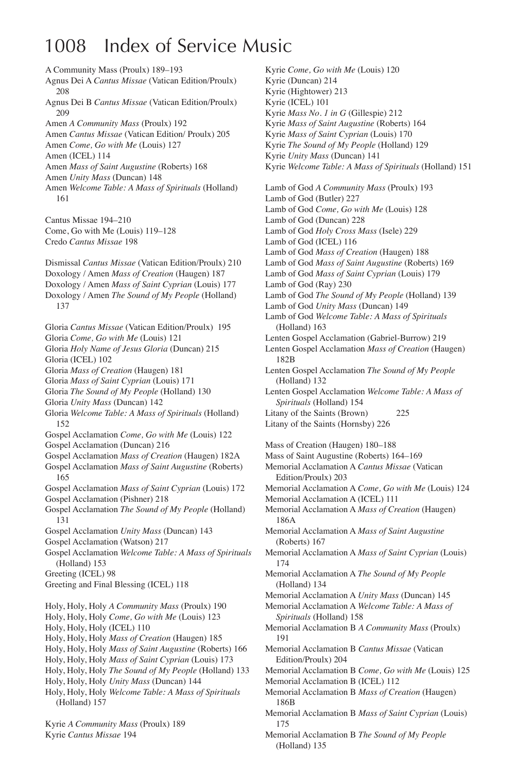# 1008 Index of Service Music

A Community Mass (Proulx) 189–193 Agnus Dei A *Cantus Missae* (Vatican Edition/Proulx) 208 Agnus Dei B *Cantus Missae* (Vatican Edition/Proulx) 209 Amen *A Community Mass* (Proulx) 192 Amen *Cantus Missae* (Vatican Edition/ Proulx) 205 Amen *Come, Go with Me* (Louis) 127 Amen (ICEL) 114 Amen *Mass of Saint Augustine* (Roberts) 168 Amen *Unity Mass* (Duncan) 148 Amen *Welcome Table: A Mass of Spirituals* (Holland) 161 Cantus Missae 194–210 Come, Go with Me (Louis) 119–128 Credo *Cantus Missae* 198 Dismissal *Cantus Missae* (Vatican Edition/Proulx) 210 Doxology / Amen *Mass of Creation* (Haugen) 187 Doxology / Amen *Mass of Saint Cyprian* (Louis) 177 Doxology / Amen *The Sound of My People* (Holland) 137 Gloria *Cantus Missae* (Vatican Edition/Proulx) 195 Gloria *Come, Go with Me* (Louis) 121 Gloria *Holy Name of Jesus Gloria* (Duncan) 215 Gloria (ICEL) 102 Gloria *Mass of Creation* (Haugen) 181 Gloria *Mass of Saint Cyprian* (Louis) 171 Gloria *The Sound of My People* (Holland) 130 Gloria *Unity Mass* (Duncan) 142 Gloria *Welcome Table: A Mass of Spirituals* (Holland) 152 Gospel Acclamation *Come, Go with Me* (Louis) 122 Gospel Acclamation (Duncan) 216 Gospel Acclamation *Mass of Creation* (Haugen) 182A Gospel Acclamation *Mass of Saint Augustine* (Roberts) 165 Gospel Acclamation *Mass of Saint Cyprian* (Louis) 172 Gospel Acclamation (Pishner) 218 Gospel Acclamation *The Sound of My People* (Holland) 131 Gospel Acclamation *Unity Mass* (Duncan) 143 Gospel Acclamation (Watson) 217 Gospel Acclamation *Welcome Table: A Mass of Spirituals* (Holland) 153 Greeting (ICEL) 98 Greeting and Final Blessing (ICEL) 118 Holy, Holy, Holy *A Community Mass* (Proulx) 190 Holy, Holy, Holy *Come, Go with Me* (Louis) 123 Holy, Holy, Holy (ICEL) 110 Holy, Holy, Holy *Mass of Creation* (Haugen) 185 Holy, Holy, Holy *Mass of Saint Augustine* (Roberts) 166 Holy, Holy, Holy *Mass of Saint Cyprian* (Louis) 173 Holy, Holy, Holy *The Sound of My People* (Holland) 133 Holy, Holy, Holy *Unity Mass* (Duncan) 144 Holy, Holy, Holy *Welcome Table: A Mass of Spirituals* (Holland) 157

Kyrie *A Community Mass* (Proulx) 189 Kyrie *Cantus Missae* 194

Kyrie *Come, Go with Me* (Louis) 120 Kyrie (Duncan) 214 Kyrie (Hightower) 213 Kyrie (ICEL) 101 Kyrie *Mass No. 1 in G* (Gillespie) 212 Kyrie *Mass of Saint Augustine* (Roberts) 164 Kyrie *Mass of Saint Cyprian* (Louis) 170 Kyrie *The Sound of My People* (Holland) 129 Kyrie *Unity Mass* (Duncan) 141 Kyrie *Welcome Table: A Mass of Spirituals* (Holland) 151 Lamb of God *A Community Mass* (Proulx) 193 Lamb of God (Butler) 227 Lamb of God *Come, Go with Me* (Louis) 128 Lamb of God (Duncan) 228 Lamb of God *Holy Cross Mass* (Isele) 229 Lamb of God (ICEL) 116 Lamb of God *Mass of Creation* (Haugen) 188 Lamb of God *Mass of Saint Augustine* (Roberts) 169 Lamb of God *Mass of Saint Cyprian* (Louis) 179 Lamb of God (Ray) 230 Lamb of God *The Sound of My People* (Holland) 139 Lamb of God *Unity Mass* (Duncan) 149 Lamb of God *Welcome Table: A Mass of Spirituals* (Holland) 163 Lenten Gospel Acclamation (Gabriel-Burrow) 219 Lenten Gospel Acclamation *Mass of Creation* (Haugen) 182B Lenten Gospel Acclamation *The Sound of My People* (Holland) 132 Lenten Gospel Acclamation *Welcome Table: A Mass of Spirituals* (Holland) 154 Litany of the Saints (Brown) 225 Litany of the Saints (Hornsby) 226 Mass of Creation (Haugen) 180–188 Mass of Saint Augustine (Roberts) 164–169 Memorial Acclamation A *Cantus Missae* (Vatican Edition/Proulx) 203 Memorial Acclamation A *Come, Go with Me* (Louis) 124 Memorial Acclamation A (ICEL) 111 Memorial Acclamation A *Mass of Creation* (Haugen) 186A Memorial Acclamation A *Mass of Saint Augustine* (Roberts) 167 Memorial Acclamation A *Mass of Saint Cyprian* (Louis) 174 Memorial Acclamation A *The Sound of My People* (Holland) 134 Memorial Acclamation A *Unity Mass* (Duncan) 145 Memorial Acclamation A *Welcome Table: A Mass of Spirituals* (Holland) 158 Memorial Acclamation B *A Community Mass* (Proulx) 191 Memorial Acclamation B *Cantus Missae* (Vatican Edition/Proulx) 204 Memorial Acclamation B *Come, Go with Me* (Louis) 125 Memorial Acclamation B (ICEL) 112 Memorial Acclamation B *Mass of Creation* (Haugen) 186B Memorial Acclamation B *Mass of Saint Cyprian* (Louis) 175 Memorial Acclamation B *The Sound of My People* (Holland) 135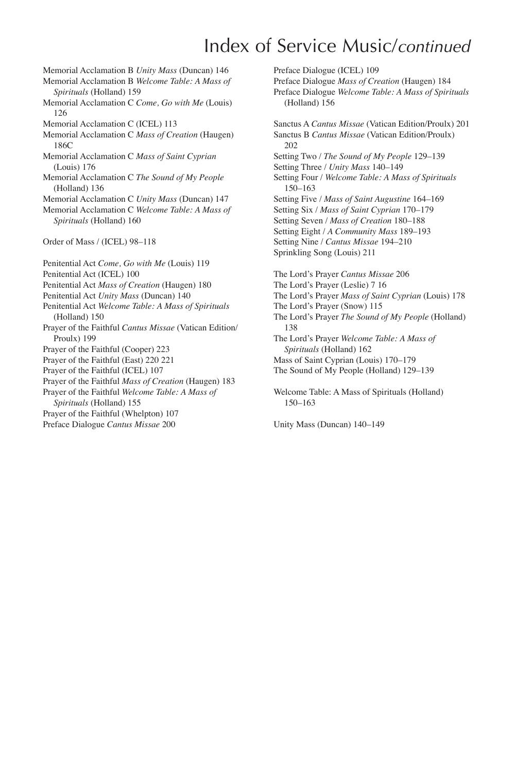# Index of Service Music/*continued*

- Memorial Acclamation B *Unity Mass* (Duncan) 146 Memorial Acclamation B *Welcome Table: A Mass of Spirituals* (Holland) 159 Memorial Acclamation C *Come, Go with Me* (Louis) 126 Memorial Acclamation C (ICEL) 113 Memorial Acclamation C *Mass of Creation* (Haugen) 186C Memorial Acclamation C *Mass of Saint Cyprian* (Louis) 176 Memorial Acclamation C *The Sound of My People* (Holland) 136 Memorial Acclamation C *Unity Mass* (Duncan) 147 Memorial Acclamation C *Welcome Table: A Mass of Spirituals* (Holland) 160 Order of Mass / (ICEL) 98–118 Penitential Act *Come, Go with Me* (Louis) 119 Penitential Act (ICEL) 100 Penitential Act *Mass of Creation* (Haugen) 180 Penitential Act *Unity Mass* (Duncan) 140 Penitential Act *Welcome Table: A Mass of Spirituals*
- (Holland) 150 Prayer of the Faithful *Cantus Missae* (Vatican Edition/ Proulx) 199
- Prayer of the Faithful (Cooper) 223
- Prayer of the Faithful (East) 220 221
- Prayer of the Faithful (ICEL) 107
- Prayer of the Faithful *Mass of Creation* (Haugen) 183
- Prayer of the Faithful *Welcome Table: A Mass of Spirituals* (Holland) 155
- Prayer of the Faithful (Whelpton) 107
- Preface Dialogue *Cantus Missae* 200

Preface Dialogue (ICEL) 109 Preface Dialogue *Mass of Creation* (Haugen) 184 Preface Dialogue *Welcome Table: A Mass of Spirituals* (Holland) 156 Sanctus A *Cantus Missae* (Vatican Edition/Proulx) 201 Sanctus B *Cantus Missae* (Vatican Edition/Proulx) 202 Setting Two / *The Sound of My People* 129–139 Setting Three / *Unity Mass* 140–149 Setting Four / *Welcome Table: A Mass of Spirituals* 150–163 Setting Five / *Mass of Saint Augustine* 164–169 Setting Six / *Mass of Saint Cyprian* 170–179 Setting Seven / *Mass of Creation* 180–188 Setting Eight / *A Community Mass* 189–193 Setting Nine / *Cantus Missae* 194–210 Sprinkling Song (Louis) 211 The Lord's Prayer *Cantus Missae* 206 The Lord's Prayer (Leslie) 7 16 The Lord's Prayer *Mass of Saint Cyprian* (Louis) 178 The Lord's Prayer (Snow) 115 The Lord's Prayer *The Sound of My People* (Holland) 138 The Lord's Prayer *Welcome Table: A Mass of Spirituals* (Holland) 162 Mass of Saint Cyprian (Louis) 170–179 The Sound of My People (Holland) 129–139

Welcome Table: A Mass of Spirituals (Holland) 150–163

Unity Mass (Duncan) 140–149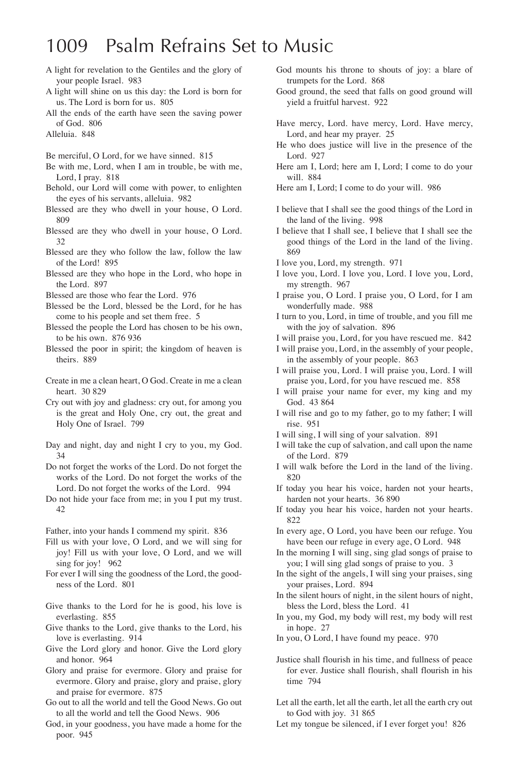## 1009 Psalm Refrains Set to Music

- A light for revelation to the Gentiles and the glory of your people Israel. 983
- A light will shine on us this day: the Lord is born for us. The Lord is born for us. 805
- All the ends of the earth have seen the saving power of God. 806
- Alleluia. 848
- Be merciful, O Lord, for we have sinned. 815
- Be with me, Lord, when I am in trouble, be with me, Lord, I pray. 818
- Behold, our Lord will come with power, to enlighten the eyes of his servants, alleluia. 982
- Blessed are they who dwell in your house, O Lord. 809
- Blessed are they who dwell in your house, O Lord. 32
- Blessed are they who follow the law, follow the law of the Lord! 895
- Blessed are they who hope in the Lord, who hope in the Lord. 897
- Blessed are those who fear the Lord. 976
- Blessed be the Lord, blessed be the Lord, for he has come to his people and set them free. 5
- Blessed the people the Lord has chosen to be his own, to be his own. 876 936
- Blessed the poor in spirit; the kingdom of heaven is theirs. 889
- Create in me a clean heart, O God. Create in me a clean heart. 30 829
- Cry out with joy and gladness: cry out, for among you is the great and Holy One, cry out, the great and Holy One of Israel. 799
- Day and night, day and night I cry to you, my God. 34
- Do not forget the works of the Lord. Do not forget the works of the Lord. Do not forget the works of the Lord. Do not forget the works of the Lord. 994
- Do not hide your face from me; in you I put my trust. 42
- Father, into your hands I commend my spirit. 836
- Fill us with your love, O Lord, and we will sing for joy! Fill us with your love, O Lord, and we will sing for joy! 962
- For ever I will sing the goodness of the Lord, the goodness of the Lord. 801
- Give thanks to the Lord for he is good, his love is everlasting. 855
- Give thanks to the Lord, give thanks to the Lord, his love is everlasting. 914
- Give the Lord glory and honor. Give the Lord glory and honor. 964
- Glory and praise for evermore. Glory and praise for evermore. Glory and praise, glory and praise, glory and praise for evermore. 875
- Go out to all the world and tell the Good News. Go out to all the world and tell the Good News. 906
- God, in your goodness, you have made a home for the poor. 945
- God mounts his throne to shouts of joy: a blare of trumpets for the Lord. 868
- Good ground, the seed that falls on good ground will yield a fruitful harvest. 922
- Have mercy, Lord. have mercy, Lord. Have mercy, Lord, and hear my prayer. 25
- He who does justice will live in the presence of the Lord. 927
- Here am I, Lord; here am I, Lord; I come to do your will. 884
- Here am I, Lord; I come to do your will. 986
- I believe that I shall see the good things of the Lord in the land of the living. 998
- I believe that I shall see, I believe that I shall see the good things of the Lord in the land of the living. 869
- I love you, Lord, my strength. 971
- I love you, Lord. I love you, Lord. I love you, Lord, my strength. 967
- I praise you, O Lord. I praise you, O Lord, for I am wonderfully made. 988
- I turn to you, Lord, in time of trouble, and you fill me with the joy of salvation. 896
- I will praise you, Lord, for you have rescued me. 842
- I will praise you, Lord, in the assembly of your people, in the assembly of your people. 863
- I will praise you, Lord. I will praise you, Lord. I will praise you, Lord, for you have rescued me. 858
- I will praise your name for ever, my king and my God. 43 864
- I will rise and go to my father, go to my father; I will rise. 951
- I will sing, I will sing of your salvation. 891
- I will take the cup of salvation, and call upon the name of the Lord. 879
- I will walk before the Lord in the land of the living. 820
- If today you hear his voice, harden not your hearts, harden not your hearts. 36 890
- If today you hear his voice, harden not your hearts. 822
- In every age, O Lord, you have been our refuge. You have been our refuge in every age, O Lord. 948
- In the morning I will sing, sing glad songs of praise to you; I will sing glad songs of praise to you. 3
- In the sight of the angels, I will sing your praises, sing your praises, Lord. 894
- In the silent hours of night, in the silent hours of night, bless the Lord, bless the Lord. 41
- In you, my God, my body will rest, my body will rest in hope. 27
- In you, O Lord, I have found my peace. 970
- Justice shall flourish in his time, and fullness of peace for ever. Justice shall flourish, shall flourish in his time 794
- Let all the earth, let all the earth, let all the earth cry out to God with joy. 31 865
- Let my tongue be silenced, if I ever forget you! 826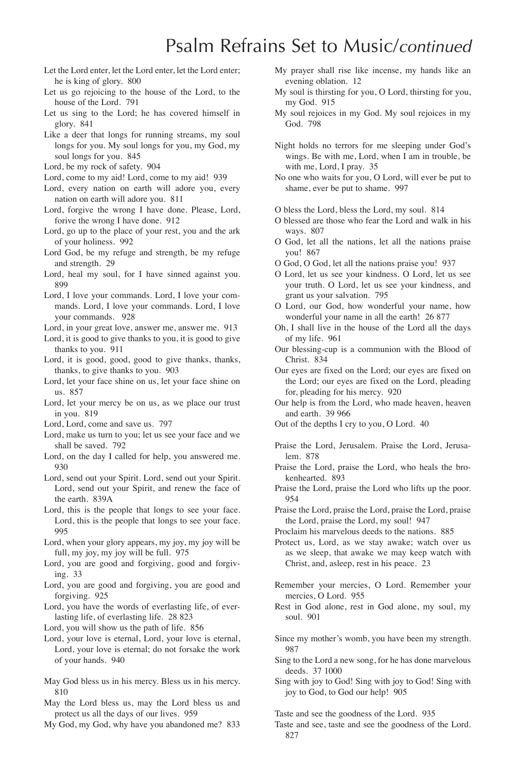# Psalm Refrains Set to Music/*continued*

- Let the Lord enter, let the Lord enter, let the Lord enter; he is king of glory. 800
- Let us go rejoicing to the house of the Lord, to the house of the Lord. 791
- Let us sing to the Lord; he has covered himself in glory. 841
- Like a deer that longs for running streams, my soul longs for you. My soul longs for you, my God, my soul longs for you. 845
- Lord, be my rock of safety. 904
- Lord, come to my aid! Lord, come to my aid! 939
- Lord, every nation on earth will adore you, every nation on earth will adore you. 811
- Lord, forgive the wrong I have done. Please, Lord, forive the wrong I have done. 912
- Lord, go up to the place of your rest, you and the ark of your holiness. 992
- Lord God, be my refuge and strength, be my refuge and strength. 29
- Lord, heal my soul, for I have sinned against you. 899
- Lord, I love your commands. Lord, I love your commands. Lord, I love your commands. Lord, I love your commands. 928
- Lord, in your great love, answer me, answer me. 913
- Lord, it is good to give thanks to you, it is good to give thanks to you. 911
- Lord, it is good, good, good to give thanks, thanks, thanks, to give thanks to you. 903
- Lord, let your face shine on us, let your face shine on us. 857
- Lord, let your mercy be on us, as we place our trust in you. 819
- Lord, Lord, come and save us. 797
- Lord, make us turn to you; let us see your face and we shall be saved. 792
- Lord, on the day I called for help, you answered me. 930
- Lord, send out your Spirit. Lord, send out your Spirit. Lord, send out your Spirit, and renew the face of the earth. 839A
- Lord, this is the people that longs to see your face. Lord, this is the people that longs to see your face. 995
- Lord, when your glory appears, my joy, my joy will be full, my joy, my joy will be full. 975
- Lord, you are good and forgiving, good and forgiving. 33
- Lord, you are good and forgiving, you are good and forgiving. 925
- Lord, you have the words of everlasting life, of everlasting life, of everlasting life. 28 823
- Lord, you will show us the path of life. 856
- Lord, your love is eternal, Lord, your love is eternal, Lord, your love is eternal; do not forsake the work of your hands. 940
- May God bless us in his mercy. Bless us in his mercy. 810
- May the Lord bless us, may the Lord bless us and protect us all the days of our lives. 959
- My God, my God, why have you abandoned me? 833
- My prayer shall rise like incense, my hands like an evening oblation. 12
- My soul is thirsting for you, O Lord, thirsting for you, my God. 915
- My soul rejoices in my God. My soul rejoices in my God. 798
- Night holds no terrors for me sleeping under God's wings. Be with me, Lord, when I am in trouble, be with me, Lord, I pray. 35
- No one who waits for you, O Lord, will ever be put to shame, ever be put to shame. 997
- O bless the Lord, bless the Lord, my soul. 814
- O blessed are those who fear the Lord and walk in his ways. 807
- O God, let all the nations, let all the nations praise you! 867
- O God, O God, let all the nations praise you! 937
- O Lord, let us see your kindness. O Lord, let us see your truth. O Lord, let us see your kindness, and grant us your salvation. 795
- O Lord, our God, how wonderful your name, how wonderful your name in all the earth! 26 877
- Oh, I shall live in the house of the Lord all the days of my life. 961
- Our blessing-cup is a communion with the Blood of Christ. 834
- Our eyes are fixed on the Lord; our eyes are fixed on the Lord; our eyes are fixed on the Lord, pleading for, pleading for his mercy. 920
- Our help is from the Lord, who made heaven, heaven and earth. 39 966
- Out of the depths I cry to you, O Lord. 40
- Praise the Lord, Jerusalem. Praise the Lord, Jerusalem. 878
- Praise the Lord, praise the Lord, who heals the brokenhearted. 893
- Praise the Lord, praise the Lord who lifts up the poor. 954
- Praise the Lord, praise the Lord, praise the Lord, praise the Lord, praise the Lord, my soul! 947
- Proclaim his marvelous deeds to the nations. 885

Protect us, Lord, as we stay awake; watch over us as we sleep, that awake we may keep watch with Christ, and, asleep, rest in his peace. 23

- Remember your mercies, O Lord. Remember your mercies, O Lord. 955
- Rest in God alone, rest in God alone, my soul, my soul. 901
- Since my mother's womb, you have been my strength. 987
- Sing to the Lord a new song, for he has done marvelous deeds. 37 1000
- Sing with joy to God! Sing with joy to God! Sing with joy to God, to God our help! 905

Taste and see the goodness of the Lord. 935

Taste and see, taste and see the goodness of the Lord. 827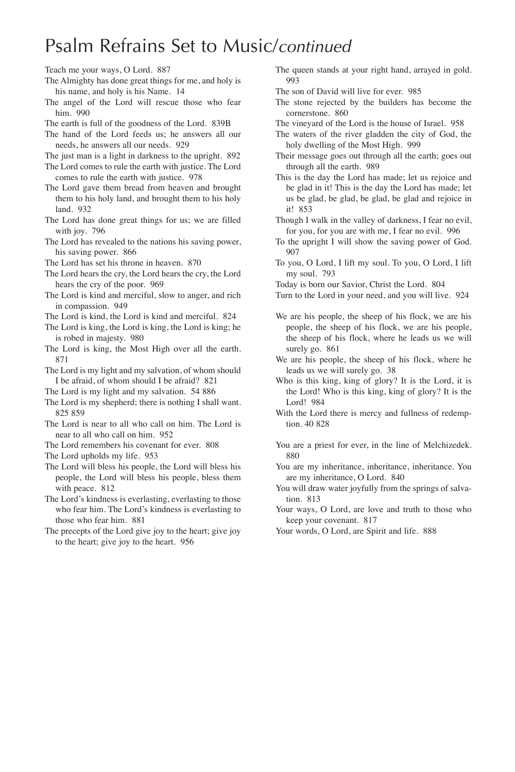## Psalm Refrains Set to Music/*continued*

- Teach me your ways, O Lord. 887
- The Almighty has done great things for me, and holy is his name, and holy is his Name. 14
- The angel of the Lord will rescue those who fear him. 990
- The earth is full of the goodness of the Lord. 839B

The hand of the Lord feeds us; he answers all our needs, he answers all our needs. 929

The just man is a light in darkness to the upright. 892

The Lord comes to rule the earth with justice. The Lord comes to rule the earth with justice. 978

- The Lord gave them bread from heaven and brought them to his holy land, and brought them to his holy land. 932
- The Lord has done great things for us; we are filled with joy. 796
- The Lord has revealed to the nations his saving power, his saving power. 866
- The Lord has set his throne in heaven. 870

The Lord hears the cry, the Lord hears the cry, the Lord hears the cry of the poor. 969

- The Lord is kind and merciful, slow to anger, and rich in compassion. 949
- The Lord is kind, the Lord is kind and merciful. 824
- The Lord is king, the Lord is king, the Lord is king; he is robed in majesty. 980
- The Lord is king, the Most High over all the earth. 871
- The Lord is my light and my salvation, of whom should I be afraid, of whom should I be afraid? 821
- The Lord is my light and my salvation. 54 886
- The Lord is my shepherd; there is nothing I shall want. 825 859
- The Lord is near to all who call on him. The Lord is near to all who call on him. 952
- The Lord remembers his covenant for ever. 808
- The Lord upholds my life. 953
- The Lord will bless his people, the Lord will bless his people, the Lord will bless his people, bless them with peace. 812
- The Lord's kindness is everlasting, everlasting to those who fear him. The Lord's kindness is everlasting to those who fear him. 881
- The precepts of the Lord give joy to the heart; give joy to the heart; give joy to the heart. 956

The queen stands at your right hand, arrayed in gold. 993

The son of David will live for ever. 985

- The stone rejected by the builders has become the cornerstone. 860
- The vineyard of the Lord is the house of Israel. 958
- The waters of the river gladden the city of God, the holy dwelling of the Most High. 999
- Their message goes out through all the earth; goes out through all the earth. 989
- This is the day the Lord has made; let us rejoice and be glad in it! This is the day the Lord has made; let us be glad, be glad, be glad, be glad and rejoice in it! 853
- Though I walk in the valley of darkness, I fear no evil, for you, for you are with me, I fear no evil. 996
- To the upright I will show the saving power of God. 907
- To you, O Lord, I lift my soul. To you, O Lord, I lift my soul. 793

Today is born our Savior, Christ the Lord. 804

Turn to the Lord in your need, and you will live. 924

- We are his people, the sheep of his flock, we are his people, the sheep of his flock, we are his people, the sheep of his flock, where he leads us we will surely go. 861
- We are his people, the sheep of his flock, where he leads us we will surely go. 38
- Who is this king, king of glory? It is the Lord, it is the Lord! Who is this king, king of glory? It is the Lord! 984
- With the Lord there is mercy and fullness of redemption. 40 828
- You are a priest for ever, in the line of Melchizedek. 880
- You are my inheritance, inheritance, inheritance. You are my inheritance, O Lord. 840
- You will draw water joyfully from the springs of salvation. 813
- Your ways, O Lord, are love and truth to those who keep your covenant. 817
- Your words, O Lord, are Spirit and life. 888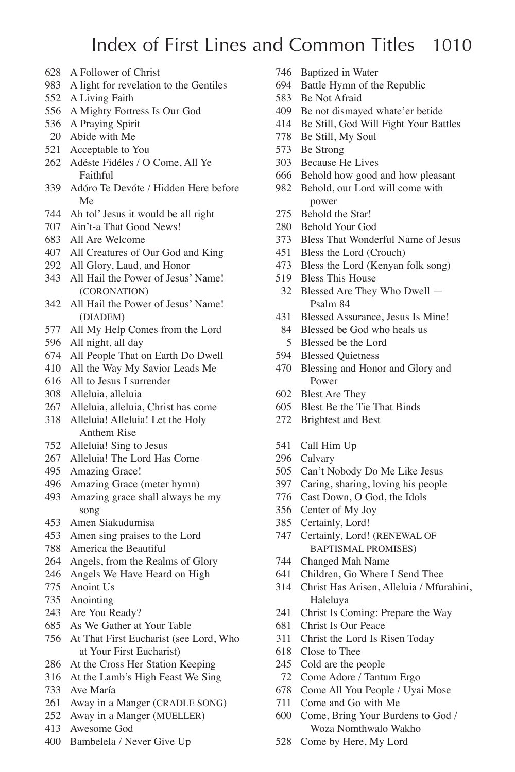## Index of First Lines and Common Titles 1010

- A Follower of Christ
- A light for revelation to the Gentiles
- A Living Faith
- A Mighty Fortress Is Our God
- A Praying Spirit
- Abide with Me
- Acceptable to You
- Adéste Fidéles / O Come, All Ye Faithful
- Adóro Te Devóte / Hidden Here before Me
- Ah tol' Jesus it would be all right
- Ain't-a That Good News!
- All Are Welcome
- All Creatures of Our God and King
- All Glory, Laud, and Honor
- All Hail the Power of Jesus' Name! (CORONATION)
- All Hail the Power of Jesus' Name! (DIADEM)
- All My Help Comes from the Lord
- All night, all day
- All People That on Earth Do Dwell
- All the Way My Savior Leads Me
- All to Jesus I surrender
- Alleluia, alleluia
- Alleluia, alleluia, Christ has come
- Alleluia! Alleluia! Let the Holy Anthem Rise
- Alleluia! Sing to Jesus
- Alleluia! The Lord Has Come
- Amazing Grace!
- Amazing Grace (meter hymn)
- Amazing grace shall always be my song
- Amen Siakudumisa
- Amen sing praises to the Lord
- America the Beautiful
- Angels, from the Realms of Glory
- Angels We Have Heard on High
- Anoint Us
- Anointing
- Are You Ready?
- As We Gather at Your Table
- At That First Eucharist (see Lord, Who at Your First Eucharist)
- At the Cross Her Station Keeping
- At the Lamb's High Feast We Sing
- Ave María
- Away in a Manger (CRADLE SONG)
- Away in a Manger (MUELLER)
- Awesome God
- Bambelela / Never Give Up
- Baptized in Water
- Battle Hymn of the Republic
- Be Not Afraid
- Be not dismayed whate'er betide
- Be Still, God Will Fight Your Battles
- Be Still, My Soul
- Be Strong
- Because He Lives
- Behold how good and how pleasant
- Behold, our Lord will come with power
- Behold the Star!
- Behold Your God
- Bless That Wonderful Name of Jesus
- Bless the Lord (Crouch)
- Bless the Lord (Kenyan folk song)
- Bless This House
- Blessed Are They Who Dwell Psalm 84
- Blessed Assurance, Jesus Is Mine!
	- 84 Blessed be God who heals us Blessed be the Lord
	-
- Blessed Quietness
- Blessing and Honor and Glory and Power
- Blest Are They
- Blest Be the Tie That Binds
- Brightest and Best
- Call Him Up
- Calvary
- Can't Nobody Do Me Like Jesus
- Caring, sharing, loving his people
- Cast Down, O God, the Idols
- Center of My Joy
- Certainly, Lord!
- Certainly, Lord! (RENEWAL OF BAPTISMAL PROMISES)
- Changed Mah Name
- Children, Go Where I Send Thee
- Christ Has Arisen, Alleluia / Mfurahini, Haleluya
- Christ Is Coming: Prepare the Way
- Christ Is Our Peace
- Christ the Lord Is Risen Today
- Close to Thee
- Cold are the people
- Come Adore / Tantum Ergo
- Come All You People / Uyai Mose
- Come and Go with Me
- Come, Bring Your Burdens to God / Woza Nomthwalo Wakho
- Come by Here, My Lord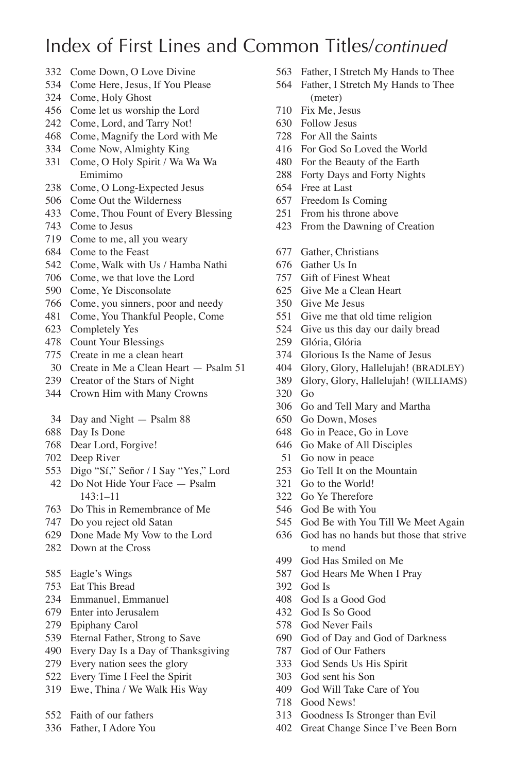- Come Down, O Love Divine
- Come Here, Jesus, If You Please
- Come, Holy Ghost
- Come let us worship the Lord
- Come, Lord, and Tarry Not!
- Come, Magnify the Lord with Me
- Come Now, Almighty King
- Come, O Holy Spirit / Wa Wa Wa Emimimo
- Come, O Long-Expected Jesus
- Come Out the Wilderness
- Come, Thou Fount of Every Blessing
- Come to Jesus
- Come to me, all you weary
- Come to the Feast
- Come, Walk with Us / Hamba Nathi
- Come, we that love the Lord
- Come, Ye Disconsolate
- Come, you sinners, poor and needy
- Come, You Thankful People, Come
- Completely Yes
- Count Your Blessings
- Create in me a clean heart
- Create in Me a Clean Heart Psalm 51
- Creator of the Stars of Night
- Crown Him with Many Crowns
- Day and Night Psalm 88
- Day Is Done
- Dear Lord, Forgive!
- Deep River
- Digo "Sí," Señor / I Say "Yes," Lord
- Do Not Hide Your Face Psalm 143:1–11
- Do This in Remembrance of Me
- Do you reject old Satan
- Done Made My Vow to the Lord
- Down at the Cross
- Eagle's Wings
- Eat This Bread
- Emmanuel, Emmanuel
- Enter into Jerusalem
- Epiphany Carol
- Eternal Father, Strong to Save
- Every Day Is a Day of Thanksgiving
- Every nation sees the glory
- Every Time I Feel the Spirit
- Ewe, Thina / We Walk His Way
- Faith of our fathers
- Father, I Adore You
- Father, I Stretch My Hands to Thee
- Father, I Stretch My Hands to Thee (meter)
- Fix Me, Jesus
- Follow Jesus
- For All the Saints
- For God So Loved the World
- For the Beauty of the Earth
- Forty Days and Forty Nights
- Free at Last
- Freedom Is Coming
- From his throne above
- From the Dawning of Creation
- Gather, Christians
- Gather Us In
- Gift of Finest Wheat
- Give Me a Clean Heart
- Give Me Jesus
- Give me that old time religion
- Give us this day our daily bread
- Glória, Glória
- Glorious Is the Name of Jesus
- Glory, Glory, Hallelujah! (BRADLEY)
- Glory, Glory, Hallelujah! (WILLIAMS)
- Go
- Go and Tell Mary and Martha
- Go Down, Moses
- Go in Peace, Go in Love
- Go Make of All Disciples
- Go now in peace
- Go Tell It on the Mountain
- Go to the World!
- Go Ye Therefore
- God Be with You
- God Be with You Till We Meet Again
- God has no hands but those that strive to mend
- God Has Smiled on Me
- God Hears Me When I Pray
- God Is
- God Is a Good God
- God Is So Good
- God Never Fails
- God of Day and God of Darkness
- God of Our Fathers
- God Sends Us His Spirit
- God sent his Son
- God Will Take Care of You
- Good News!
- Goodness Is Stronger than Evil
- Great Change Since I've Been Born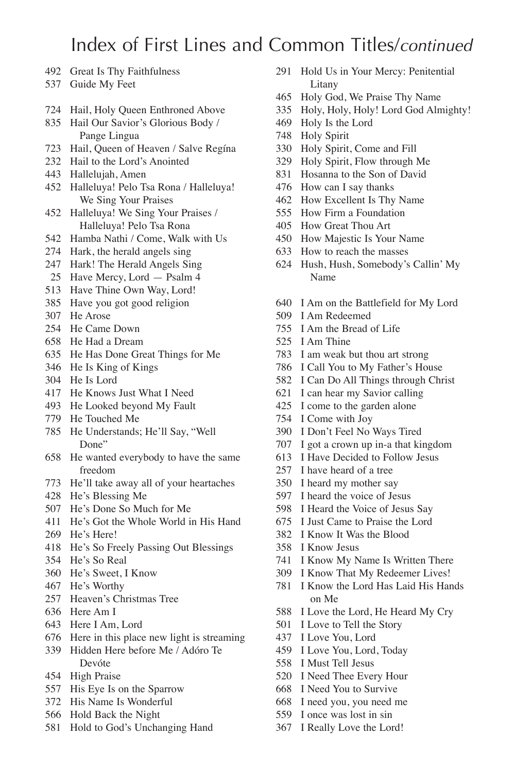- Great Is Thy Faithfulness
- Guide My Feet
- Hail, Holy Queen Enthroned Above
- Hail Our Savior's Glorious Body / Pange Lingua
- Hail, Queen of Heaven / Salve Regína
- Hail to the Lord's Anointed
- Hallelujah, Amen
- Halleluya! Pelo Tsa Rona / Halleluya! We Sing Your Praises
- Halleluya! We Sing Your Praises / Halleluya! Pelo Tsa Rona
- Hamba Nathi / Come, Walk with Us
- Hark, the herald angels sing
- Hark! The Herald Angels Sing
- Have Mercy, Lord Psalm 4
- Have Thine Own Way, Lord!
- Have you got good religion
- He Arose
- He Came Down
- He Had a Dream
- He Has Done Great Things for Me
- He Is King of Kings
- He Is Lord
- He Knows Just What I Need
- He Looked beyond My Fault
- He Touched Me
- He Understands; He'll Say, "Well Done"
- He wanted everybody to have the same freedom
- He'll take away all of your heartaches
- He's Blessing Me
- He's Done So Much for Me
- He's Got the Whole World in His Hand
- He's Here!
- He's So Freely Passing Out Blessings
- He's So Real
- He's Sweet, I Know
- He's Worthy
- Heaven's Christmas Tree
- Here Am I
- Here I Am, Lord
- Here in this place new light is streaming
- Hidden Here before Me / Adóro Te Devóte
- High Praise
- His Eye Is on the Sparrow
- His Name Is Wonderful
- Hold Back the Night
- Hold to God's Unchanging Hand
- Hold Us in Your Mercy: Penitential Litany
- Holy God, We Praise Thy Name
- Holy, Holy, Holy! Lord God Almighty!
- Holy Is the Lord
- Holy Spirit
- Holy Spirit, Come and Fill
- Holy Spirit, Flow through Me
- Hosanna to the Son of David
- How can I say thanks
- How Excellent Is Thy Name
- How Firm a Foundation
- How Great Thou Art
- How Majestic Is Your Name
- How to reach the masses
- Hush, Hush, Somebody's Callin' My Name
- I Am on the Battlefield for My Lord
- I Am Redeemed
- I Am the Bread of Life
- I Am Thine
- I am weak but thou art strong
- I Call You to My Father's House
- I Can Do All Things through Christ
- I can hear my Savior calling
- I come to the garden alone
- I Come with Joy
- I Don't Feel No Ways Tired
- I got a crown up in-a that kingdom
- I Have Decided to Follow Jesus
- I have heard of a tree
- I heard my mother say
- I heard the voice of Jesus
- I Heard the Voice of Jesus Say
- I Just Came to Praise the Lord
- I Know It Was the Blood
- I Know Jesus
- I Know My Name Is Written There
- I Know That My Redeemer Lives!
- I Know the Lord Has Laid His Hands on Me
- I Love the Lord, He Heard My Cry
- I Love to Tell the Story
- I Love You, Lord
- I Love You, Lord, Today
- I Must Tell Jesus
- I Need Thee Every Hour
- I Need You to Survive
- I need you, you need me
- I once was lost in sin
- I Really Love the Lord!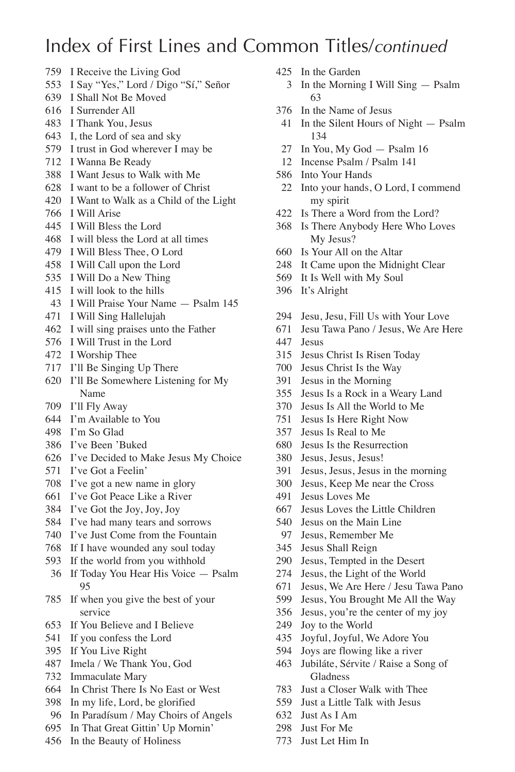- I Receive the Living God
- I Say "Yes," Lord / Digo "Sí," Señor
- I Shall Not Be Moved
- I Surrender All
- I Thank You, Jesus
- I, the Lord of sea and sky
- I trust in God wherever I may be
- I Wanna Be Ready
- I Want Jesus to Walk with Me
- I want to be a follower of Christ
- I Want to Walk as a Child of the Light
- I Will Arise
- I Will Bless the Lord
- I will bless the Lord at all times
- I Will Bless Thee, O Lord
- I Will Call upon the Lord
- I Will Do a New Thing
- I will look to the hills
- I Will Praise Your Name Psalm 145
- I Will Sing Hallelujah
- I will sing praises unto the Father
- I Will Trust in the Lord
- I Worship Thee
- I'll Be Singing Up There
- I'll Be Somewhere Listening for My Name
- I'll Fly Away
- I'm Available to You
- I'm So Glad
- I've Been 'Buked
- I've Decided to Make Jesus My Choice
- I've Got a Feelin'
- I've got a new name in glory
- I've Got Peace Like a River
- I've Got the Joy, Joy, Joy
- I've had many tears and sorrows
- I've Just Come from the Fountain
- If I have wounded any soul today
- If the world from you withhold
- If Today You Hear His Voice Psalm
- If when you give the best of your service
- If You Believe and I Believe
- If you confess the Lord
- If You Live Right
- Imela / We Thank You, God
- Immaculate Mary
- In Christ There Is No East or West
- In my life, Lord, be glorified
- In Paradísum / May Choirs of Angels
- In That Great Gittin' Up Mornin'
- In the Beauty of Holiness
- In the Garden
	- In the Morning I Will Sing Psalm
- In the Name of Jesus
- In the Silent Hours of Night Psalm
- In You, My God Psalm 16
- Incense Psalm / Psalm 141
- Into Your Hands
- Into your hands, O Lord, I commend my spirit
- Is There a Word from the Lord?
- Is There Anybody Here Who Loves My Jesus?
- Is Your All on the Altar
- It Came upon the Midnight Clear
- It Is Well with My Soul
- It's Alright
- Jesu, Jesu, Fill Us with Your Love
- Jesu Tawa Pano / Jesus, We Are Here
- Jesus
- Jesus Christ Is Risen Today
- Jesus Christ Is the Way
- Jesus in the Morning
- Jesus Is a Rock in a Weary Land
- Jesus Is All the World to Me
- Jesus Is Here Right Now
- Jesus Is Real to Me
- Jesus Is the Resurrection
- Jesus, Jesus, Jesus!
- Jesus, Jesus, Jesus in the morning
- Jesus, Keep Me near the Cross
- Jesus Loves Me
- Jesus Loves the Little Children
- Jesus on the Main Line
- Jesus, Remember Me
- Jesus Shall Reign
- Jesus, Tempted in the Desert
- Jesus, the Light of the World
- Jesus, We Are Here / Jesu Tawa Pano
- Jesus, You Brought Me All the Way
- Jesus, you're the center of my joy
- Joy to the World
- Joyful, Joyful, We Adore You
- Joys are flowing like a river
- Jubiláte, Sérvite / Raise a Song of Gladness
- Just a Closer Walk with Thee
- Just a Little Talk with Jesus
- Just As I Am
- Just For Me
- Just Let Him In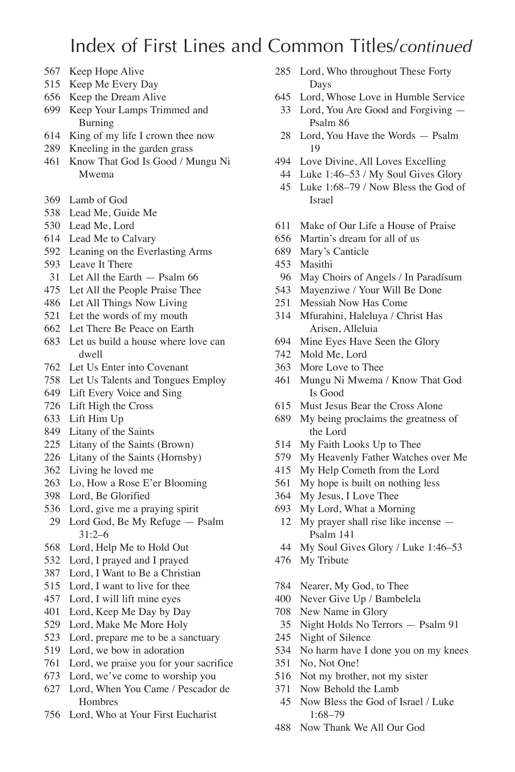- Keep Hope Alive
- Keep Me Every Day
- Keep the Dream Alive
- Keep Your Lamps Trimmed and Burning
- King of my life I crown thee now
- Kneeling in the garden grass
- Know That God Is Good / Mungu Ni Mwema
- Lamb of God
- Lead Me, Guide Me
- Lead Me, Lord
- Lead Me to Calvary
- Leaning on the Everlasting Arms
- Leave It There
- Let All the Earth Psalm 66
- Let All the People Praise Thee
- Let All Things Now Living
- Let the words of my mouth
- Let There Be Peace on Earth
- Let us build a house where love can dwell
- Let Us Enter into Covenant
- Let Us Talents and Tongues Employ
- Lift Every Voice and Sing
- Lift High the Cross
- Lift Him Up
- Litany of the Saints
- Litany of the Saints (Brown)
- Litany of the Saints (Hornsby)
- Living he loved me
- Lo, How a Rose E'er Blooming
- Lord, Be Glorified
- Lord, give me a praying spirit
- Lord God, Be My Refuge Psalm 31:2–6
- Lord, Help Me to Hold Out
- Lord, I prayed and I prayed
- Lord, I Want to Be a Christian
- Lord, I want to live for thee
- Lord, I will lift mine eyes
- Lord, Keep Me Day by Day
- Lord, Make Me More Holy
- Lord, prepare me to be a sanctuary
- Lord, we bow in adoration
- Lord, we praise you for your sacrifice
- Lord, we've come to worship you
- Lord, When You Came / Pescador de Hombres
- Lord, Who at Your First Eucharist
- Lord, Who throughout These Forty Days
- Lord, Whose Love in Humble Service
- Lord, You Are Good and Forgiving Psalm 86
- Lord, You Have the Words Psalm
- Love Divine, All Loves Excelling
- Luke 1:46–53 / My Soul Gives Glory Luke 1:68–79 / Now Bless the God of Israel
- Make of Our Life a House of Praise
- Martin's dream for all of us
- Mary's Canticle
- Masithi
- May Choirs of Angels / In Paradísum
- Mayenziwe / Your Will Be Done
- Messiah Now Has Come
- Mfurahini, Haleluya / Christ Has Arisen, Alleluia
- Mine Eyes Have Seen the Glory
- Mold Me, Lord
- More Love to Thee
- Mungu Ni Mwema / Know That God Is Good
- Must Jesus Bear the Cross Alone
- My being proclaims the greatness of the Lord
- My Faith Looks Up to Thee
- My Heavenly Father Watches over Me
- My Help Cometh from the Lord
- My hope is built on nothing less
- My Jesus, I Love Thee
- My Lord, What a Morning
- My prayer shall rise like incense Psalm 141
- My Soul Gives Glory / Luke 1:46–53
- My Tribute
- Nearer, My God, to Thee
- Never Give Up / Bambelela
- New Name in Glory
- Night Holds No Terrors Psalm 91
- Night of Silence
- No harm have I done you on my knees
- No, Not One!
- Not my brother, not my sister
- Now Behold the Lamb
- Now Bless the God of Israel / Luke 1:68–79
- Now Thank We All Our God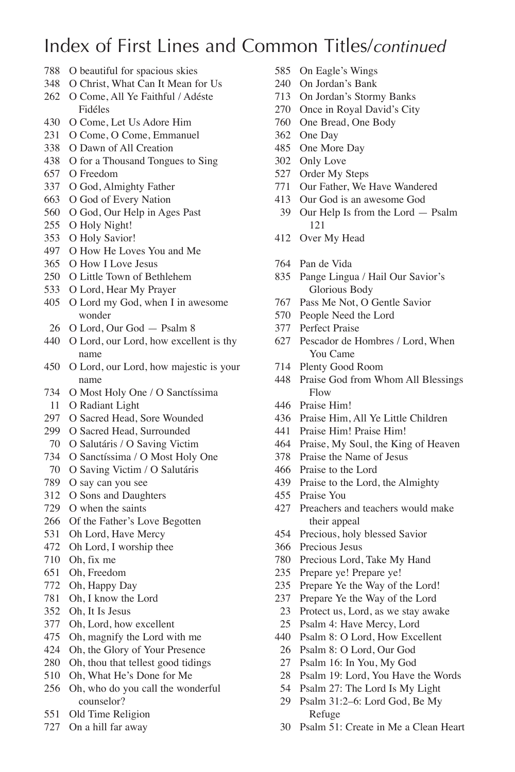- O beautiful for spacious skies
- O Christ, What Can It Mean for Us
- O Come, All Ye Faithful / Adéste Fidéles
- O Come, Let Us Adore Him
- O Come, O Come, Emmanuel
- O Dawn of All Creation
- O for a Thousand Tongues to Sing
- O Freedom
- O God, Almighty Father
- O God of Every Nation
- O God, Our Help in Ages Past
- O Holy Night!
- O Holy Savior!
- O How He Loves You and Me
- O How I Love Jesus
- O Little Town of Bethlehem
- O Lord, Hear My Prayer
- O Lord my God, when I in awesome wonder
- O Lord, Our God Psalm 8
- O Lord, our Lord, how excellent is thy name
- O Lord, our Lord, how majestic is your name
- O Most Holy One / O Sanctíssima
- O Radiant Light
- O Sacred Head, Sore Wounded
- O Sacred Head, Surrounded
- O Salutáris / O Saving Victim
- O Sanctíssima / O Most Holy One
- O Saving Victim / O Salutáris
- O say can you see
- O Sons and Daughters
- O when the saints
- Of the Father's Love Begotten
- Oh Lord, Have Mercy
- Oh Lord, I worship thee
- Oh, fix me
- Oh, Freedom
- Oh, Happy Day
- Oh, I know the Lord
- Oh, It Is Jesus
- Oh, Lord, how excellent
- Oh, magnify the Lord with me
- Oh, the Glory of Your Presence
- Oh, thou that tellest good tidings
- Oh, What He's Done for Me
- Oh, who do you call the wonderful counselor?
- Old Time Religion
- On a hill far away
- On Eagle's Wings
- On Jordan's Bank
- On Jordan's Stormy Banks
- Once in Royal David's City
- One Bread, One Body
- One Day
- One More Day
- Only Love
- Order My Steps
- Our Father, We Have Wandered
- Our God is an awesome God
- Our Help Is from the Lord Psalm
- Over My Head
- Pan de Vida
- Pange Lingua / Hail Our Savior's Glorious Body
- Pass Me Not, O Gentle Savior
- People Need the Lord
- Perfect Praise
- Pescador de Hombres / Lord, When You Came
- Plenty Good Room
- Praise God from Whom All Blessings Flow
- Praise Him!
- Praise Him, All Ye Little Children
- Praise Him! Praise Him!
- Praise, My Soul, the King of Heaven
- Praise the Name of Jesus
- Praise to the Lord
- Praise to the Lord, the Almighty
- Praise You
- Preachers and teachers would make their appeal
- Precious, holy blessed Savior
- Precious Jesus
- Precious Lord, Take My Hand
- Prepare ye! Prepare ye!
- Prepare Ye the Way of the Lord!
- Prepare Ye the Way of the Lord
- Protect us, Lord, as we stay awake
- Psalm 4: Have Mercy, Lord
- Psalm 8: O Lord, How Excellent
- Psalm 8: O Lord, Our God
- Psalm 16: In You, My God
- Psalm 19: Lord, You Have the Words
- Psalm 27: The Lord Is My Light
- Psalm 31:2–6: Lord God, Be My Refuge
- Psalm 51: Create in Me a Clean Heart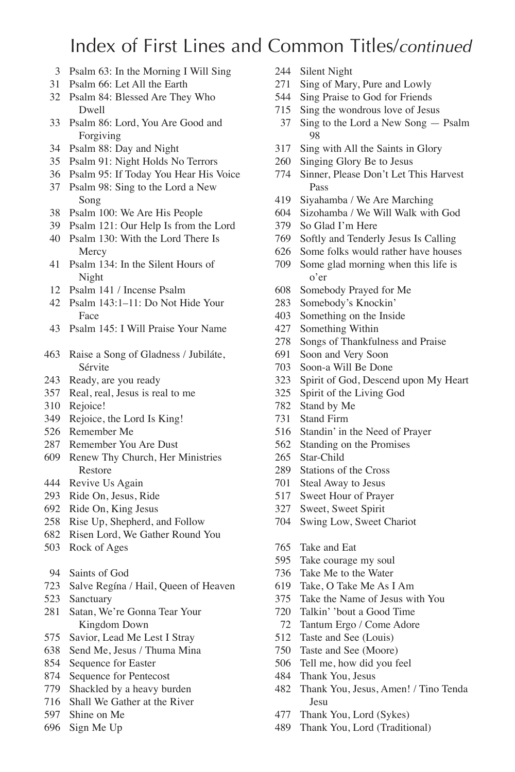- Psalm 63: In the Morning I Will Sing
- Psalm 66: Let All the Earth
- Psalm 84: Blessed Are They Who Dwell
- Psalm 86: Lord, You Are Good and Forgiving
- Psalm 88: Day and Night
- Psalm 91: Night Holds No Terrors
- Psalm 95: If Today You Hear His Voice
- Psalm 98: Sing to the Lord a New Song
- Psalm 100: We Are His People
- Psalm 121: Our Help Is from the Lord
- Psalm 130: With the Lord There Is **Mercy**
- Psalm 134: In the Silent Hours of Night
- Psalm 141 / Incense Psalm
- Psalm 143:1–11: Do Not Hide Your Face
- Psalm 145: I Will Praise Your Name
- Raise a Song of Gladness / Jubiláte, Sérvite
- Ready, are you ready
- Real, real, Jesus is real to me
- Rejoice!
- Rejoice, the Lord Is King!
- Remember Me
- Remember You Are Dust
- Renew Thy Church, Her Ministries Restore
- Revive Us Again
- Ride On, Jesus, Ride
- Ride On, King Jesus
- Rise Up, Shepherd, and Follow
- Risen Lord, We Gather Round You
- Rock of Ages
- Saints of God
- Salve Regína / Hail, Queen of Heaven
- Sanctuary
- Satan, We're Gonna Tear Your Kingdom Down
- Savior, Lead Me Lest I Stray
- Send Me, Jesus / Thuma Mina
- Sequence for Easter
- Sequence for Pentecost
- Shackled by a heavy burden
- Shall We Gather at the River
- Shine on Me
- Sign Me Up
- Silent Night
- Sing of Mary, Pure and Lowly
- Sing Praise to God for Friends
- Sing the wondrous love of Jesus
- Sing to the Lord a New Song Psalm
- Sing with All the Saints in Glory
- Singing Glory Be to Jesus
- Sinner, Please Don't Let This Harvest Pass
- Siyahamba / We Are Marching
- Sizohamba / We Will Walk with God
- So Glad I'm Here
- Softly and Tenderly Jesus Is Calling
- Some folks would rather have houses
- Some glad morning when this life is o'er
- Somebody Prayed for Me
- Somebody's Knockin'
- Something on the Inside
- Something Within
- Songs of Thankfulness and Praise
- Soon and Very Soon
- Soon-a Will Be Done
- Spirit of God, Descend upon My Heart
- Spirit of the Living God
- Stand by Me
- Stand Firm
- Standin' in the Need of Prayer
- Standing on the Promises
- Star-Child
- Stations of the Cross
- Steal Away to Jesus
- Sweet Hour of Prayer
- Sweet, Sweet Spirit
- Swing Low, Sweet Chariot
- Take and Eat
- Take courage my soul
- Take Me to the Water
- Take, O Take Me As I Am
- Take the Name of Jesus with You
- Talkin' 'bout a Good Time
- Tantum Ergo / Come Adore
- Taste and See (Louis)
- Taste and See (Moore)
- Tell me, how did you feel
- Thank You, Jesus
- Thank You, Jesus, Amen! / Tino Tenda Jesu
- Thank You, Lord (Sykes)
- Thank You, Lord (Traditional)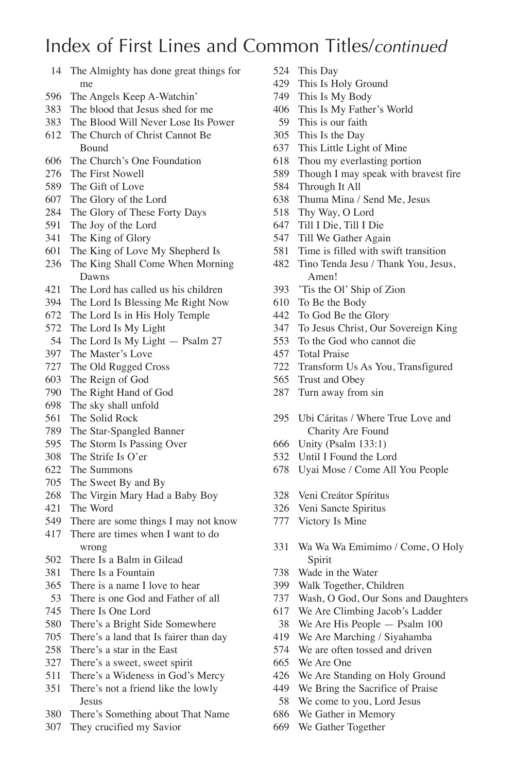## Index of First Lines and Common Titles/*continued*

- The Almighty has done great things for me
- The Angels Keep A-Watchin'
- The blood that Jesus shed for me
- The Blood Will Never Lose Its Power
- The Church of Christ Cannot Be Bound
- The Church's One Foundation
- The First Nowell
- The Gift of Love
- The Glory of the Lord
- The Glory of These Forty Days
- The Joy of the Lord
- The King of Glory
- The King of Love My Shepherd Is
- The King Shall Come When Morning Dawns
- The Lord has called us his children
- The Lord Is Blessing Me Right Now
- The Lord Is in His Holy Temple
- The Lord Is My Light
- 54 The Lord Is My Light Psalm 27
- The Master's Love
- The Old Rugged Cross
- The Reign of God
- The Right Hand of God
- The sky shall unfold
- The Solid Rock
- The Star-Spangled Banner
- The Storm Is Passing Over
- The Strife Is O'er
- The Summons
- The Sweet By and By
- The Virgin Mary Had a Baby Boy
- The Word
- There are some things I may not know
- There are times when I want to do wrong
- There Is a Balm in Gilead
- There Is a Fountain
- There is a name I love to hear
- There is one God and Father of all
- There Is One Lord
- There's a Bright Side Somewhere
- There's a land that Is fairer than day
- There's a star in the East
- There's a sweet, sweet spirit
- There's a Wideness in God's Mercy
- There's not a friend like the lowly Jesus
- There's Something about That Name
- They crucified my Savior
- This Day
- This Is Holy Ground
- This Is My Body
- This Is My Father's World
- This is our faith
- This Is the Day
- This Little Light of Mine
- Thou my everlasting portion
- Though I may speak with bravest fire
- Through It All
- Thuma Mina / Send Me, Jesus
- Thy Way, O Lord
- Till I Die, Till I Die
- Till We Gather Again
- Time is filled with swift transition
- Tino Tenda Jesu / Thank You, Jesus, Amen!
- 'Tis the Ol' Ship of Zion
- To Be the Body
- To God Be the Glory
- To Jesus Christ, Our Sovereign King
- To the God who cannot die
- Total Praise
- Transform Us As You, Transfigured
- Trust and Obey
- Turn away from sin
- Ubi Cáritas / Where True Love and Charity Are Found
- Unity (Psalm 133:1)
- Until I Found the Lord
- Uyai Mose / Come All You People
- Veni Creátor Spíritus
- Veni Sancte Spiritus
- Victory Is Mine
- Wa Wa Wa Emimimo / Come, O Holy Spirit
- Wade in the Water
- Walk Together, Children
- Wash, O God, Our Sons and Daughters
- We Are Climbing Jacob's Ladder
- We Are His People Psalm 100
- We Are Marching / Siyahamba
- We are often tossed and driven
- We Are One
- We Are Standing on Holy Ground
- We Bring the Sacrifice of Praise
- We come to you, Lord Jesus
- We Gather in Memory
- We Gather Together